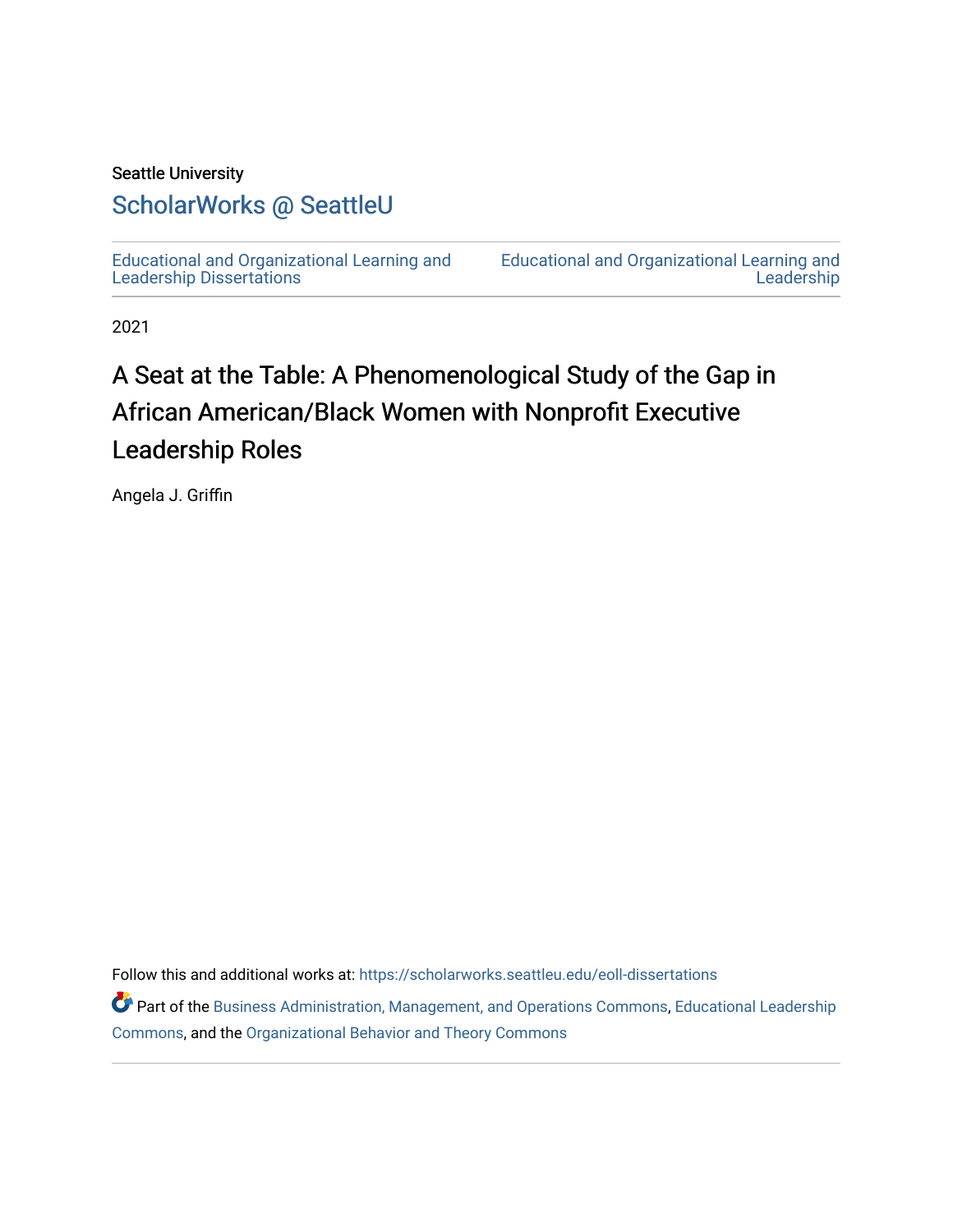#### Seattle University

## [ScholarWorks @ SeattleU](https://scholarworks.seattleu.edu/)

[Educational and Organizational Learning and](https://scholarworks.seattleu.edu/eoll-dissertations)  [Leadership Dissertations](https://scholarworks.seattleu.edu/eoll-dissertations) 

[Educational and Organizational Learning and](https://scholarworks.seattleu.edu/eoll)  **Leadership** 

2021

# A Seat at the Table: A Phenomenological Study of the Gap in African American/Black Women with Nonprofit Executive Leadership Roles

Angela J. Griffin

Follow this and additional works at: [https://scholarworks.seattleu.edu/eoll-dissertations](https://scholarworks.seattleu.edu/eoll-dissertations?utm_source=scholarworks.seattleu.edu%2Feoll-dissertations%2F10&utm_medium=PDF&utm_campaign=PDFCoverPages)

Part of the [Business Administration, Management, and Operations Commons](http://network.bepress.com/hgg/discipline/623?utm_source=scholarworks.seattleu.edu%2Feoll-dissertations%2F10&utm_medium=PDF&utm_campaign=PDFCoverPages), Educational Leadership [Commons](http://network.bepress.com/hgg/discipline/1230?utm_source=scholarworks.seattleu.edu%2Feoll-dissertations%2F10&utm_medium=PDF&utm_campaign=PDFCoverPages), and the [Organizational Behavior and Theory Commons](http://network.bepress.com/hgg/discipline/639?utm_source=scholarworks.seattleu.edu%2Feoll-dissertations%2F10&utm_medium=PDF&utm_campaign=PDFCoverPages)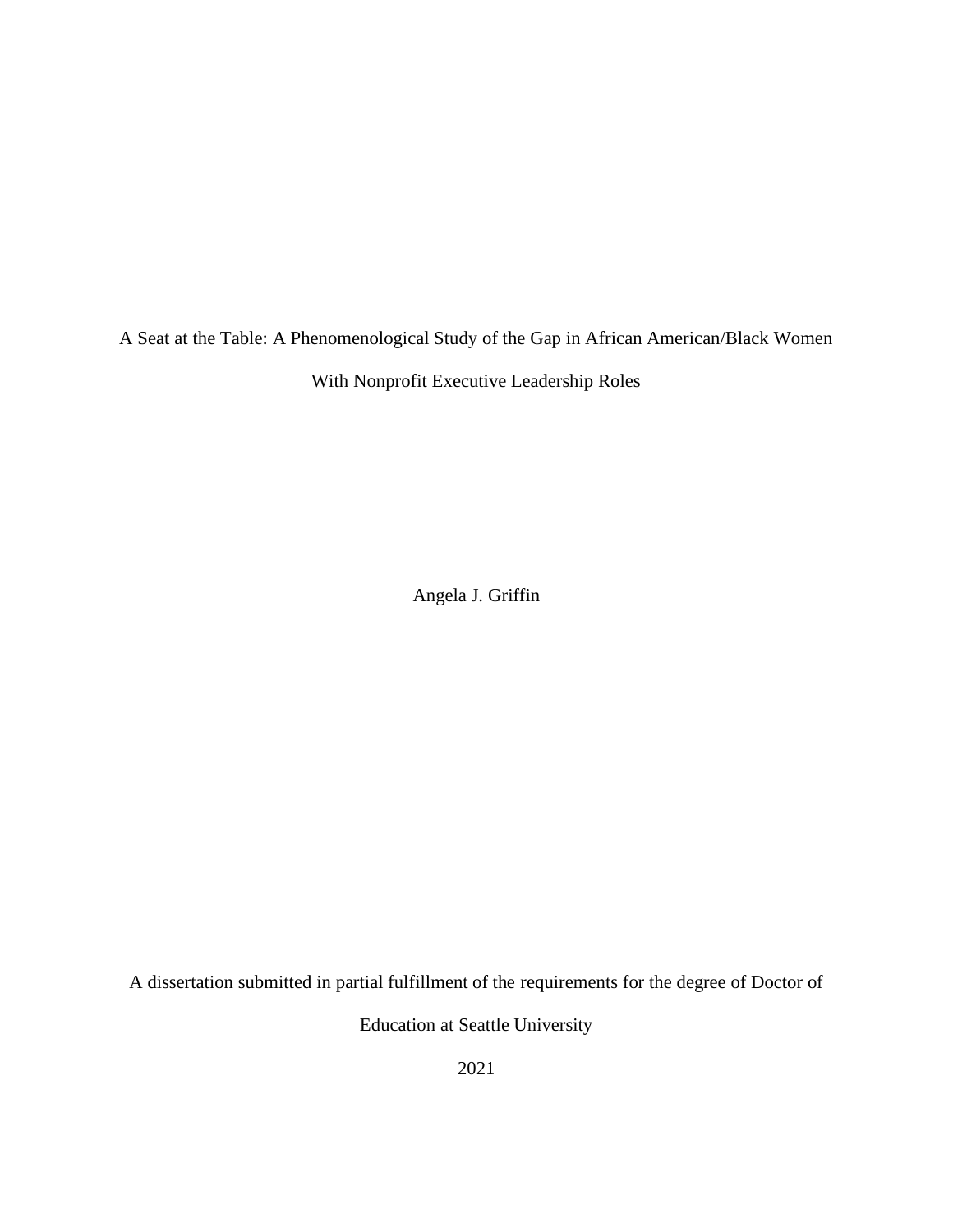A Seat at the Table: A Phenomenological Study of the Gap in African American/Black Women With Nonprofit Executive Leadership Roles

Angela J. Griffin

A dissertation submitted in partial fulfillment of the requirements for the degree of Doctor of

Education at Seattle University

2021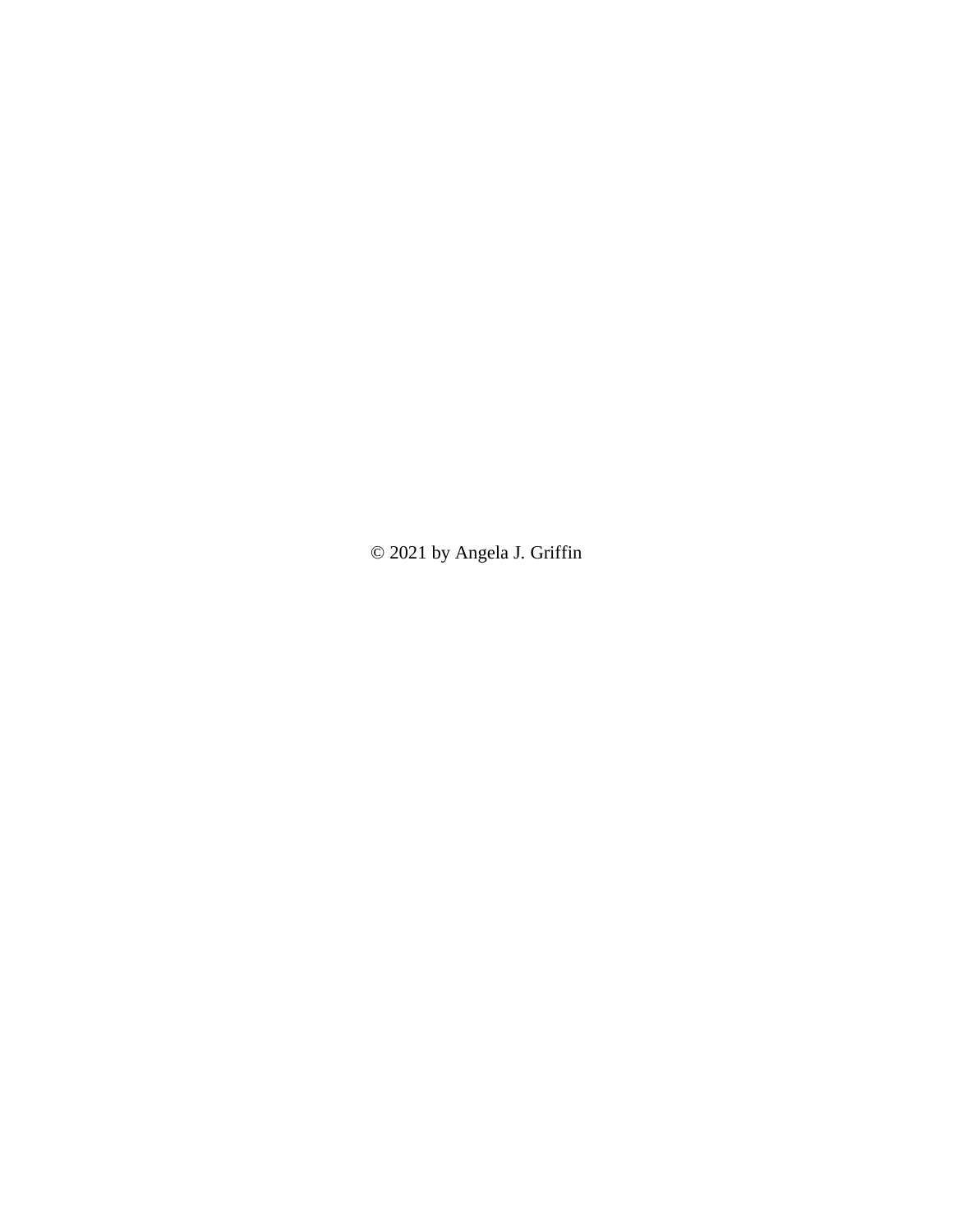© 2021 by Angela J. Griffin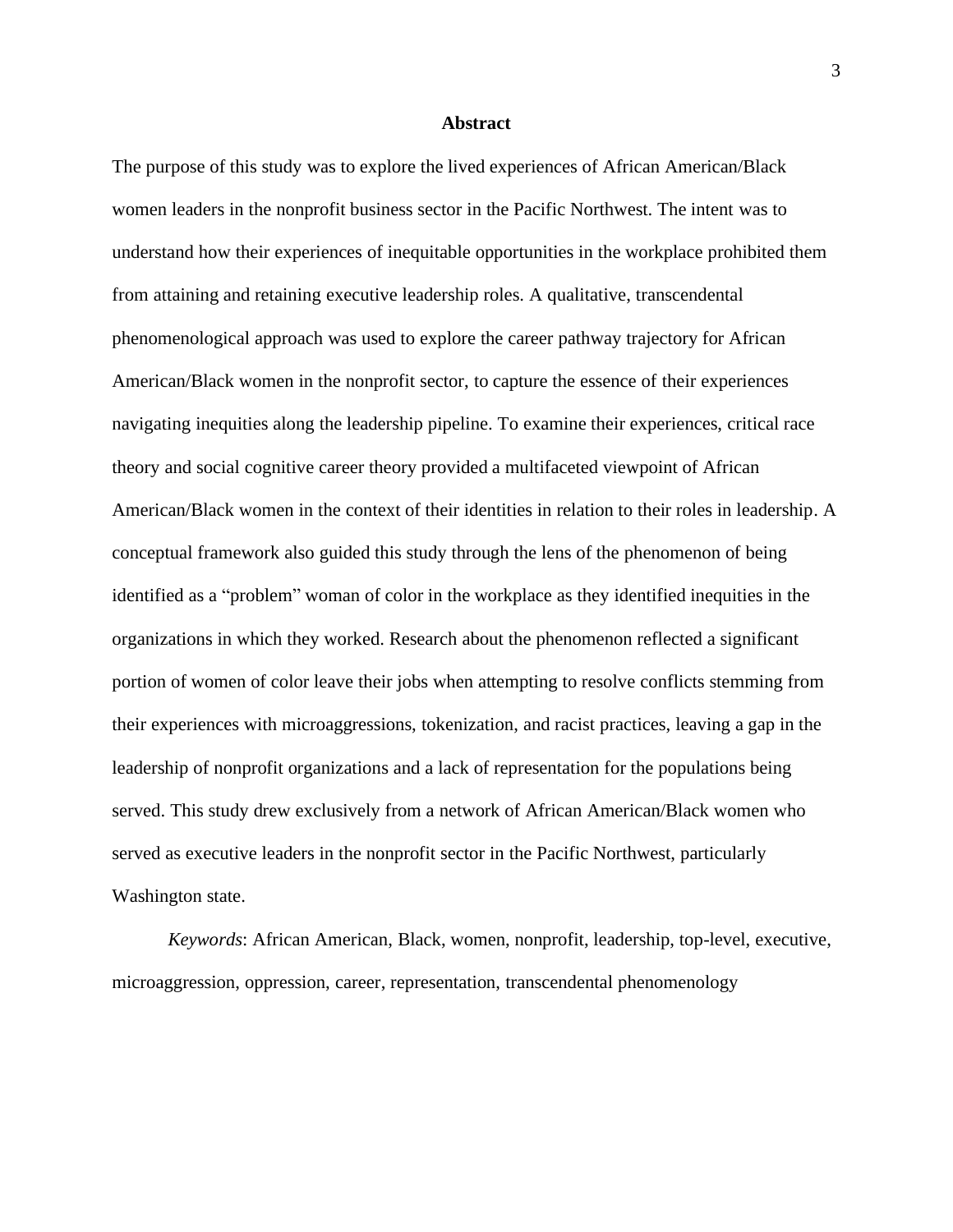#### **Abstract**

<span id="page-3-0"></span>The purpose of this study was to explore the lived experiences of African American/Black women leaders in the nonprofit business sector in the Pacific Northwest. The intent was to understand how their experiences of inequitable opportunities in the workplace prohibited them from attaining and retaining executive leadership roles. A qualitative, transcendental phenomenological approach was used to explore the career pathway trajectory for African American/Black women in the nonprofit sector, to capture the essence of their experiences navigating inequities along the leadership pipeline. To examine their experiences, critical race theory and social cognitive career theory provided a multifaceted viewpoint of African American/Black women in the context of their identities in relation to their roles in leadership. A conceptual framework also guided this study through the lens of the phenomenon of being identified as a "problem" woman of color in the workplace as they identified inequities in the organizations in which they worked. Research about the phenomenon reflected a significant portion of women of color leave their jobs when attempting to resolve conflicts stemming from their experiences with microaggressions, tokenization, and racist practices, leaving a gap in the leadership of nonprofit organizations and a lack of representation for the populations being served. This study drew exclusively from a network of African American/Black women who served as executive leaders in the nonprofit sector in the Pacific Northwest, particularly Washington state.

*Keywords*: African American, Black, women, nonprofit, leadership, top-level, executive, microaggression, oppression, career, representation, transcendental phenomenology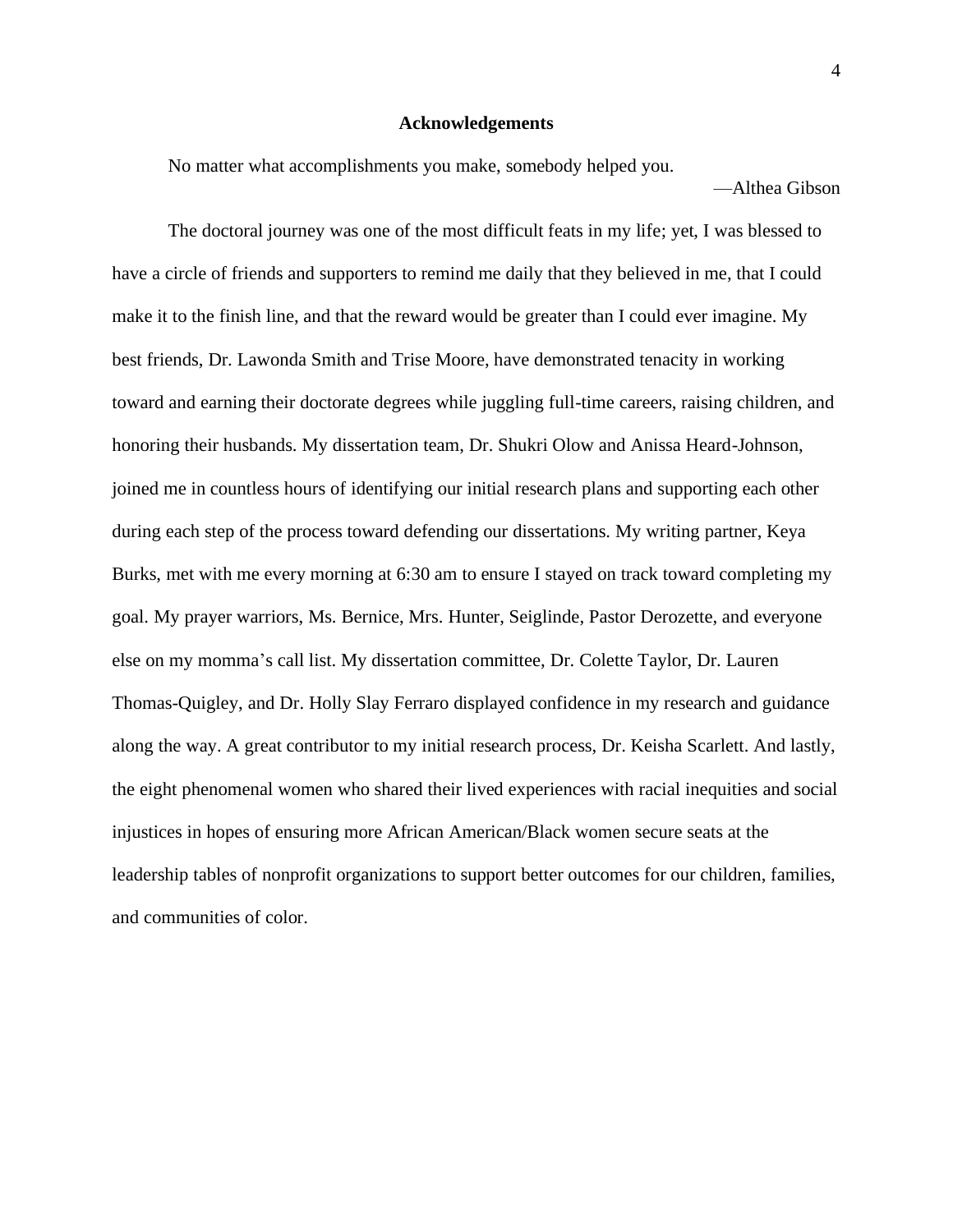#### **Acknowledgements**

<span id="page-4-0"></span>No matter what accomplishments you make, somebody helped you.

—Althea Gibson

The doctoral journey was one of the most difficult feats in my life; yet, I was blessed to have a circle of friends and supporters to remind me daily that they believed in me, that I could make it to the finish line, and that the reward would be greater than I could ever imagine. My best friends, Dr. Lawonda Smith and Trise Moore, have demonstrated tenacity in working toward and earning their doctorate degrees while juggling full-time careers, raising children, and honoring their husbands. My dissertation team, Dr. Shukri Olow and Anissa Heard-Johnson, joined me in countless hours of identifying our initial research plans and supporting each other during each step of the process toward defending our dissertations. My writing partner, Keya Burks, met with me every morning at 6:30 am to ensure I stayed on track toward completing my goal. My prayer warriors, Ms. Bernice, Mrs. Hunter, Seiglinde, Pastor Derozette, and everyone else on my momma's call list. My dissertation committee, Dr. Colette Taylor, Dr. Lauren Thomas-Quigley, and Dr. Holly Slay Ferraro displayed confidence in my research and guidance along the way. A great contributor to my initial research process, Dr. Keisha Scarlett. And lastly, the eight phenomenal women who shared their lived experiences with racial inequities and social injustices in hopes of ensuring more African American/Black women secure seats at the leadership tables of nonprofit organizations to support better outcomes for our children, families, and communities of color.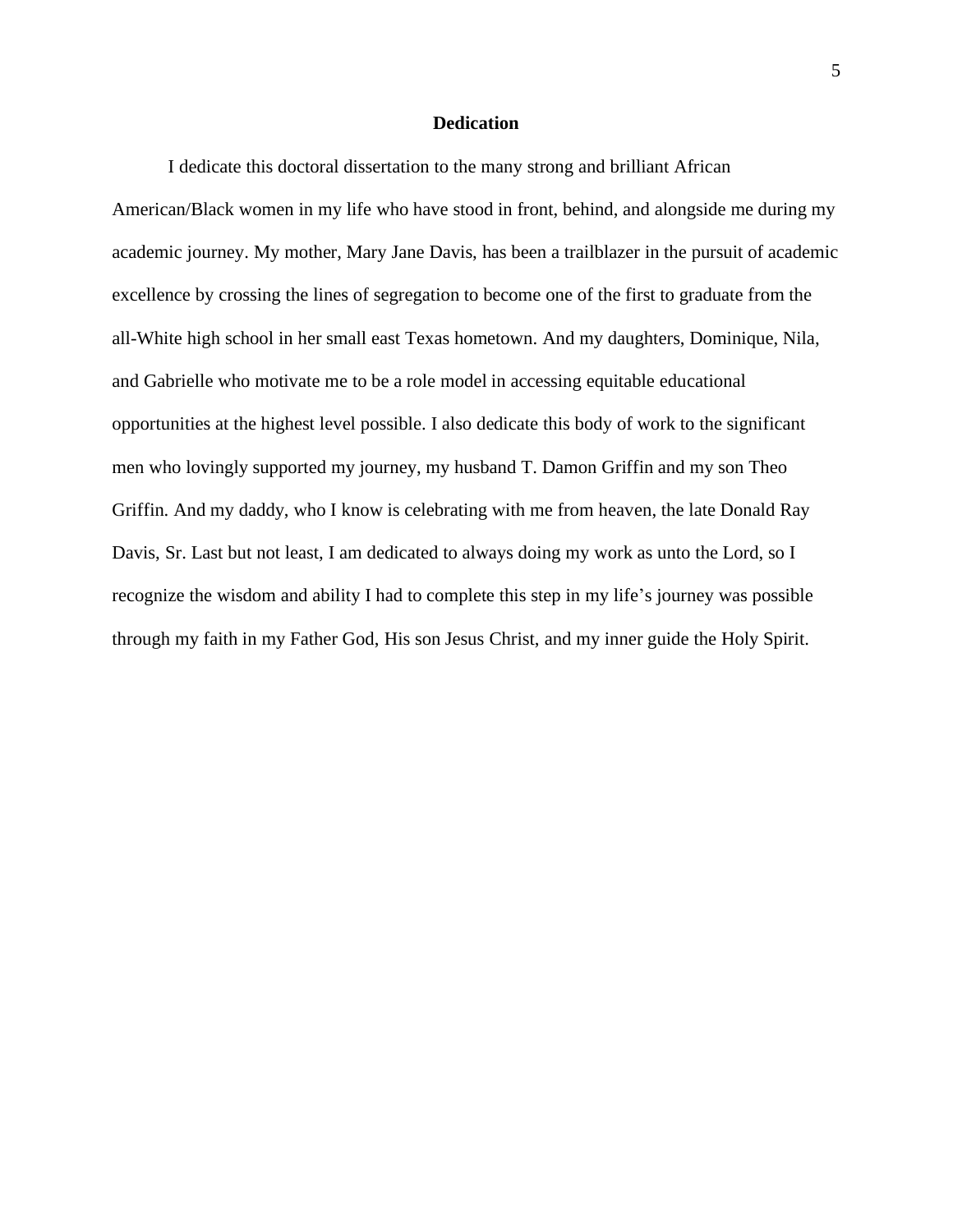#### **Dedication**

<span id="page-5-0"></span>I dedicate this doctoral dissertation to the many strong and brilliant African American/Black women in my life who have stood in front, behind, and alongside me during my academic journey. My mother, Mary Jane Davis, has been a trailblazer in the pursuit of academic excellence by crossing the lines of segregation to become one of the first to graduate from the all-White high school in her small east Texas hometown. And my daughters, Dominique, Nila, and Gabrielle who motivate me to be a role model in accessing equitable educational opportunities at the highest level possible. I also dedicate this body of work to the significant men who lovingly supported my journey, my husband T. Damon Griffin and my son Theo Griffin. And my daddy, who I know is celebrating with me from heaven, the late Donald Ray Davis, Sr. Last but not least, I am dedicated to always doing my work as unto the Lord, so I recognize the wisdom and ability I had to complete this step in my life's journey was possible through my faith in my Father God, His son Jesus Christ, and my inner guide the Holy Spirit.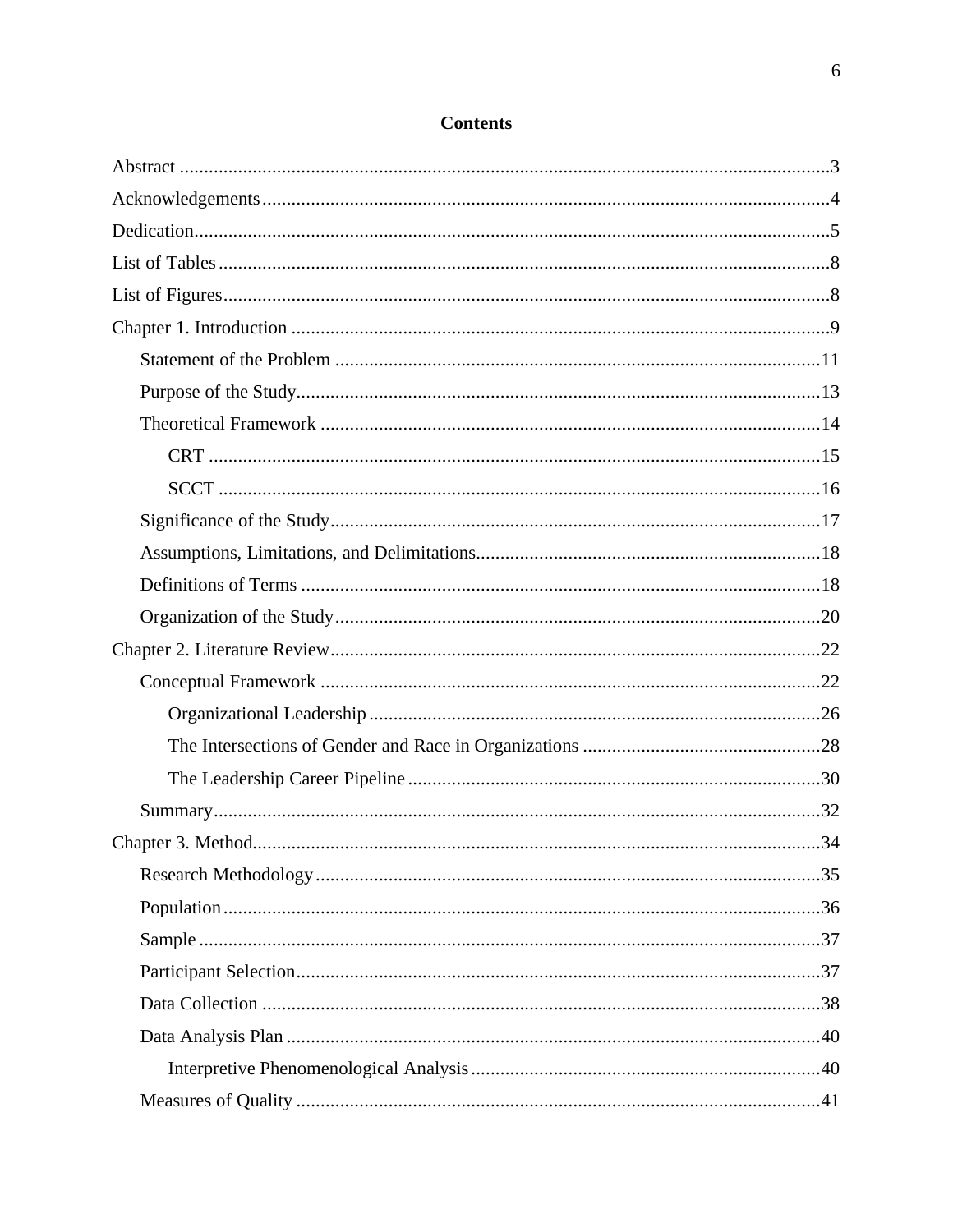## **Contents**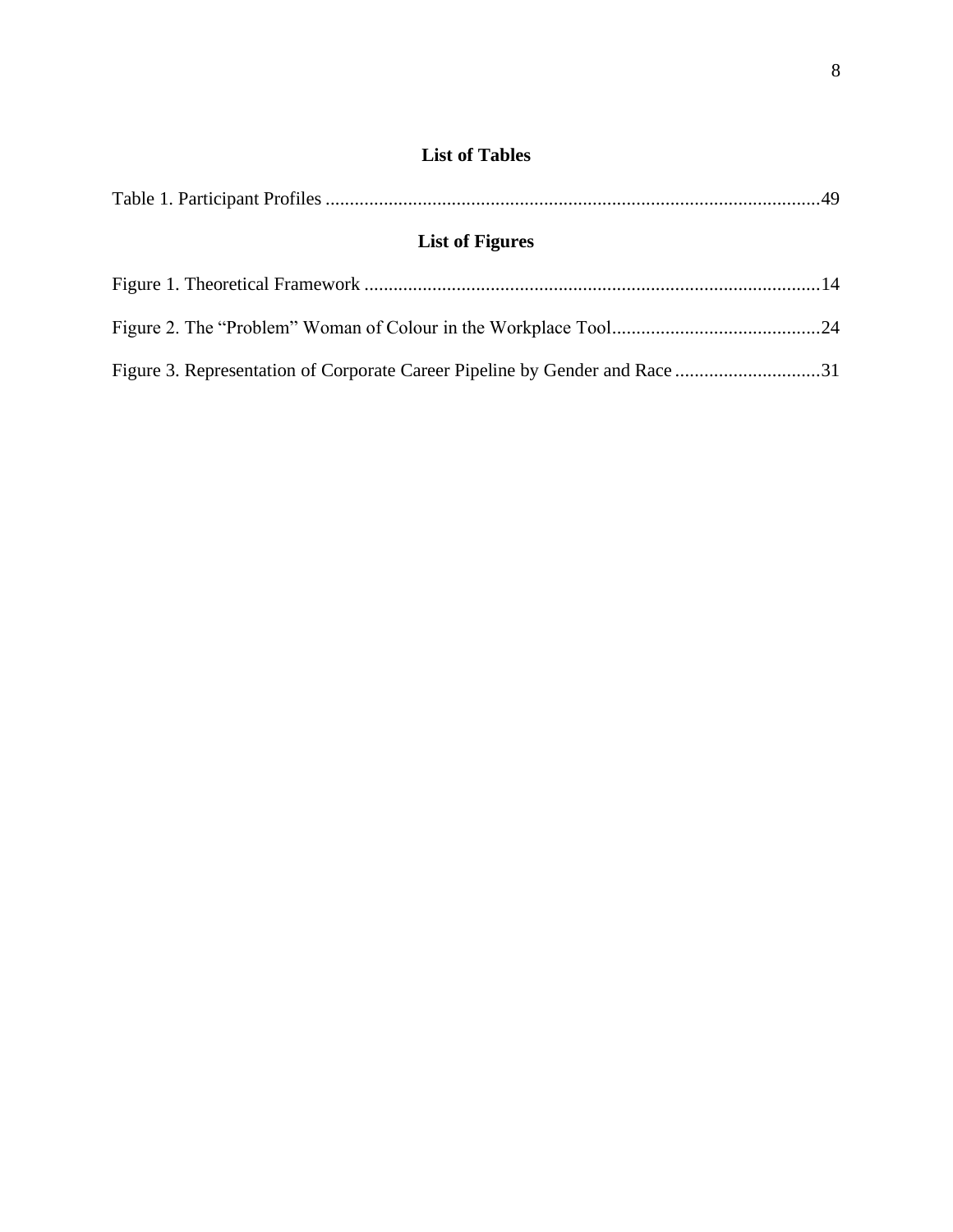### <span id="page-8-1"></span>**List of Tables**

<span id="page-8-0"></span>

| <b>List of Figures</b> |  |
|------------------------|--|
|                        |  |
|                        |  |

|  |  |  |  |  | Figure 3. Representation of Corporate Career Pipeline by Gender and Race 31 |
|--|--|--|--|--|-----------------------------------------------------------------------------|
|--|--|--|--|--|-----------------------------------------------------------------------------|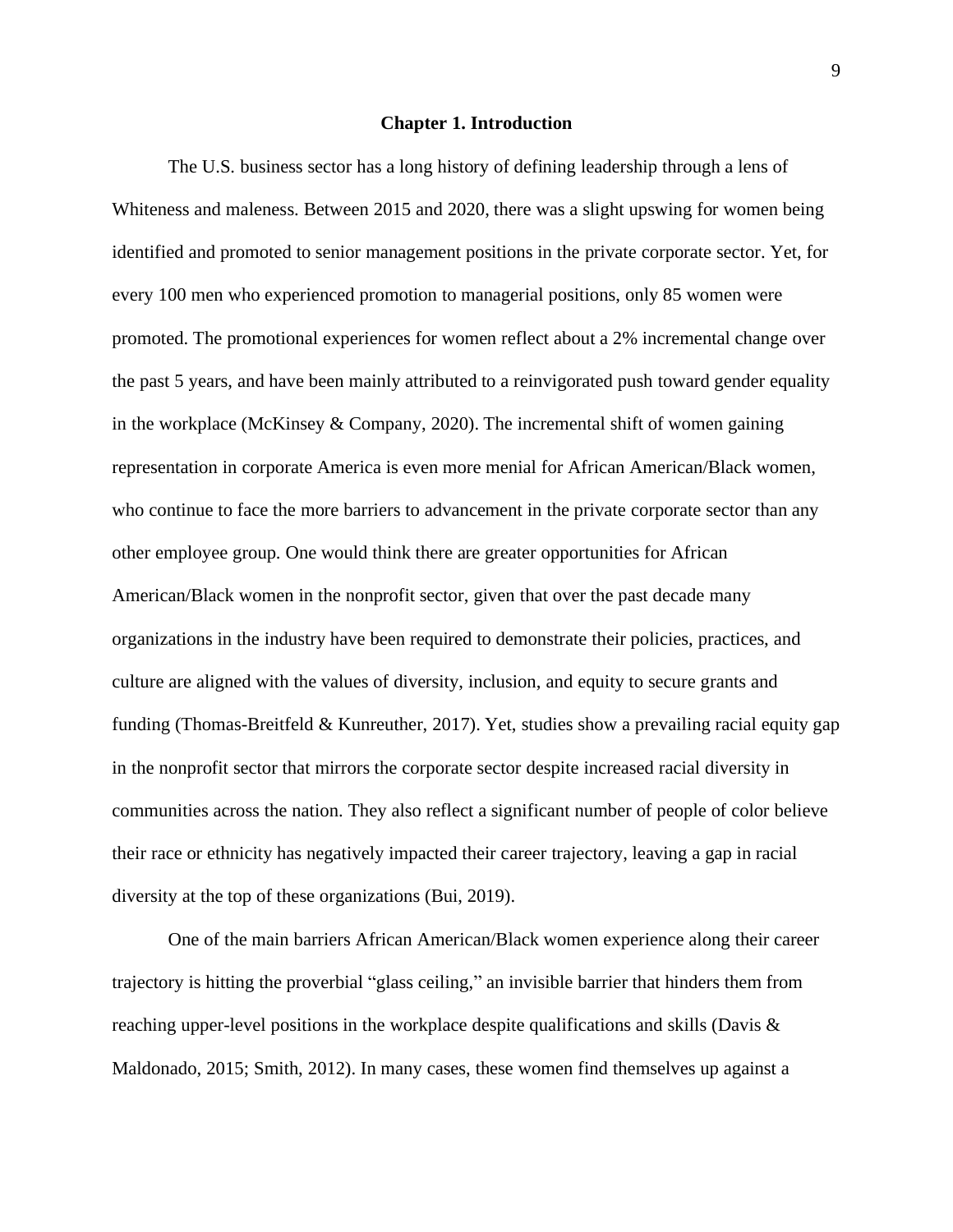#### **Chapter 1. Introduction**

<span id="page-9-0"></span>The U.S. business sector has a long history of defining leadership through a lens of Whiteness and maleness. Between 2015 and 2020, there was a slight upswing for women being identified and promoted to senior management positions in the private corporate sector. Yet, for every 100 men who experienced promotion to managerial positions, only 85 women were promoted. The promotional experiences for women reflect about a 2% incremental change over the past 5 years, and have been mainly attributed to a reinvigorated push toward gender equality in the workplace (McKinsey & Company, 2020). The incremental shift of women gaining representation in corporate America is even more menial for African American/Black women, who continue to face the more barriers to advancement in the private corporate sector than any other employee group. One would think there are greater opportunities for African American/Black women in the nonprofit sector, given that over the past decade many organizations in the industry have been required to demonstrate their policies, practices, and culture are aligned with the values of diversity, inclusion, and equity to secure grants and funding (Thomas-Breitfeld  $&$  Kunreuther, 2017). Yet, studies show a prevailing racial equity gap in the nonprofit sector that mirrors the corporate sector despite increased racial diversity in communities across the nation. They also reflect a significant number of people of color believe their race or ethnicity has negatively impacted their career trajectory, leaving a gap in racial diversity at the top of these organizations (Bui, 2019).

One of the main barriers African American/Black women experience along their career trajectory is hitting the proverbial "glass ceiling," an invisible barrier that hinders them from reaching upper-level positions in the workplace despite qualifications and skills (Davis & Maldonado, 2015; Smith, 2012). In many cases, these women find themselves up against a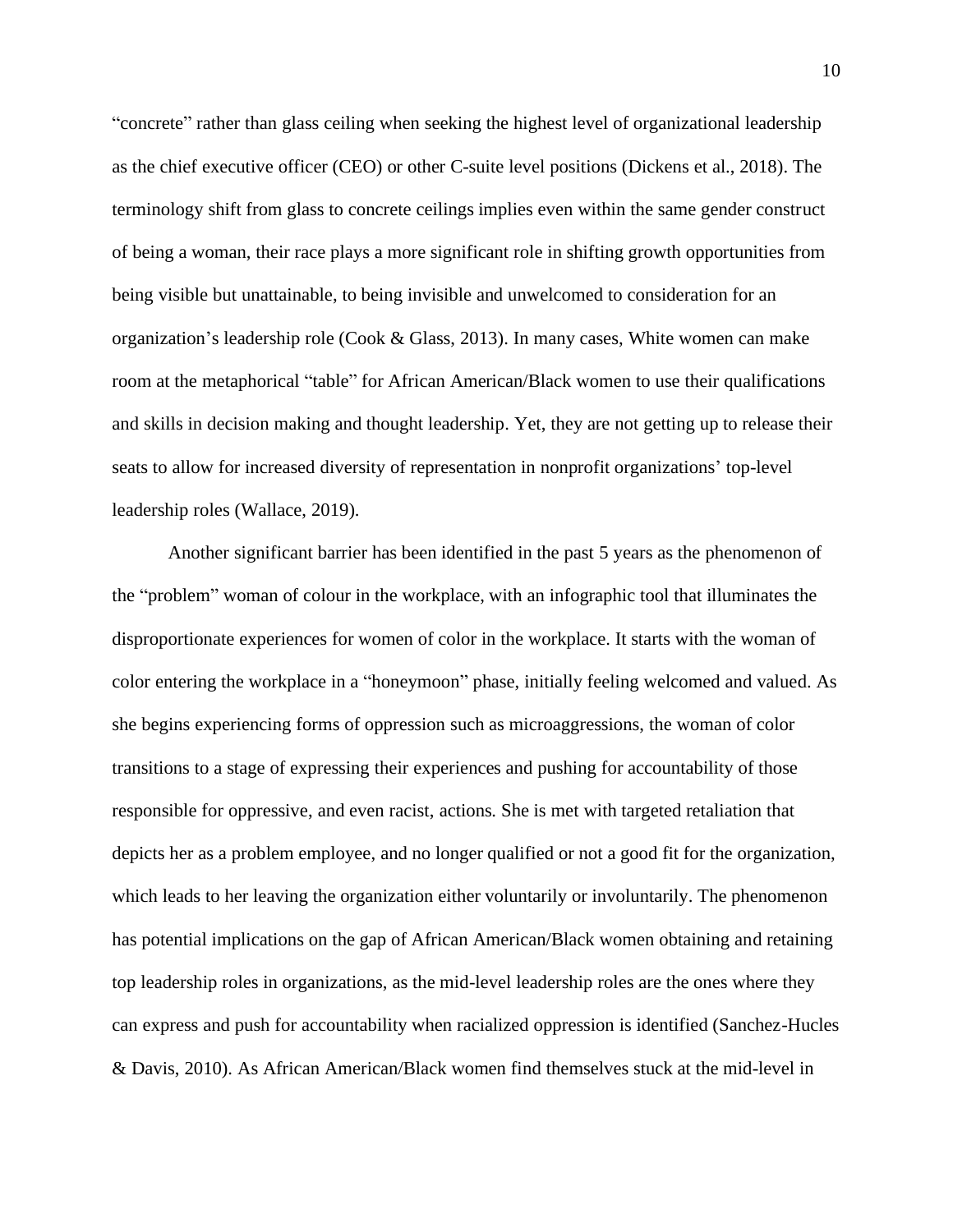"concrete" rather than glass ceiling when seeking the highest level of organizational leadership as the chief executive officer (CEO) or other C-suite level positions (Dickens et al., 2018). The terminology shift from glass to concrete ceilings implies even within the same gender construct of being a woman, their race plays a more significant role in shifting growth opportunities from being visible but unattainable, to being invisible and unwelcomed to consideration for an organization's leadership role (Cook & Glass, 2013). In many cases, White women can make room at the metaphorical "table" for African American/Black women to use their qualifications and skills in decision making and thought leadership. Yet, they are not getting up to release their seats to allow for increased diversity of representation in nonprofit organizations' top-level leadership roles (Wallace, 2019).

Another significant barrier has been identified in the past 5 years as the phenomenon of the "problem" woman of colour in the workplace, with an infographic tool that illuminates the disproportionate experiences for women of color in the workplace. It starts with the woman of color entering the workplace in a "honeymoon" phase, initially feeling welcomed and valued. As she begins experiencing forms of oppression such as microaggressions, the woman of color transitions to a stage of expressing their experiences and pushing for accountability of those responsible for oppressive, and even racist, actions. She is met with targeted retaliation that depicts her as a problem employee, and no longer qualified or not a good fit for the organization, which leads to her leaving the organization either voluntarily or involuntarily. The phenomenon has potential implications on the gap of African American/Black women obtaining and retaining top leadership roles in organizations, as the mid-level leadership roles are the ones where they can express and push for accountability when racialized oppression is identified (Sanchez-Hucles & Davis, 2010). As African American/Black women find themselves stuck at the mid-level in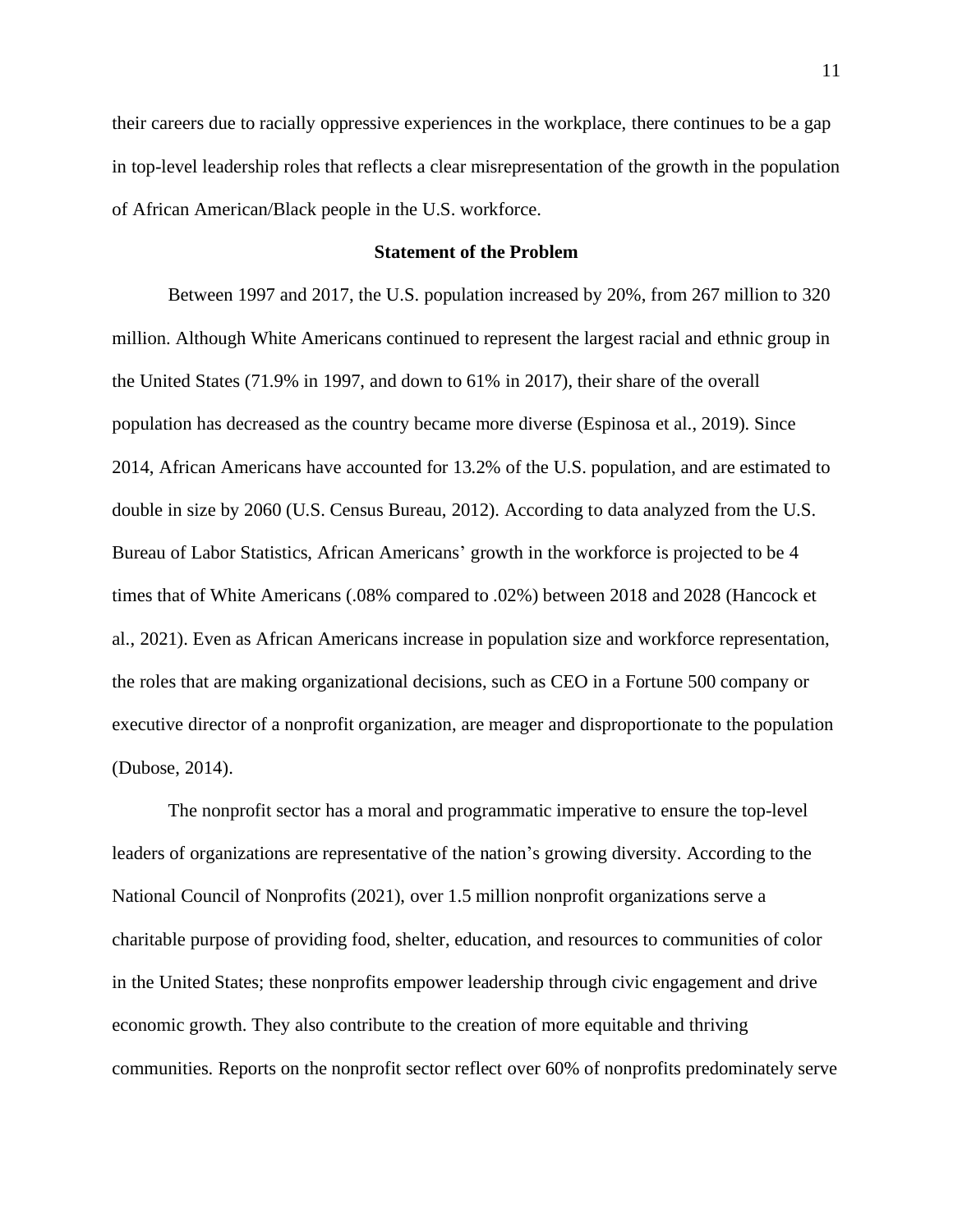their careers due to racially oppressive experiences in the workplace, there continues to be a gap in top-level leadership roles that reflects a clear misrepresentation of the growth in the population of African American/Black people in the U.S. workforce.

#### **Statement of the Problem**

<span id="page-11-0"></span>Between 1997 and 2017, the U.S. population increased by 20%, from 267 million to 320 million. Although White Americans continued to represent the largest racial and ethnic group in the United States (71.9% in 1997, and down to 61% in 2017), their share of the overall population has decreased as the country became more diverse (Espinosa et al., 2019). Since 2014, African Americans have accounted for 13.2% of the U.S. population, and are estimated to double in size by 2060 (U.S. Census Bureau, 2012). According to data analyzed from the U.S. Bureau of Labor Statistics, African Americans' growth in the workforce is projected to be 4 times that of White Americans (.08% compared to .02%) between 2018 and 2028 (Hancock et al., 2021). Even as African Americans increase in population size and workforce representation, the roles that are making organizational decisions, such as CEO in a Fortune 500 company or executive director of a nonprofit organization, are meager and disproportionate to the population (Dubose, 2014).

The nonprofit sector has a moral and programmatic imperative to ensure the top-level leaders of organizations are representative of the nation's growing diversity. According to the National Council of Nonprofits (2021), over 1.5 million nonprofit organizations serve a charitable purpose of providing food, shelter, education, and resources to communities of color in the United States; these nonprofits empower leadership through civic engagement and drive economic growth. They also contribute to the creation of more equitable and thriving communities. Reports on the nonprofit sector reflect over 60% of nonprofits predominately serve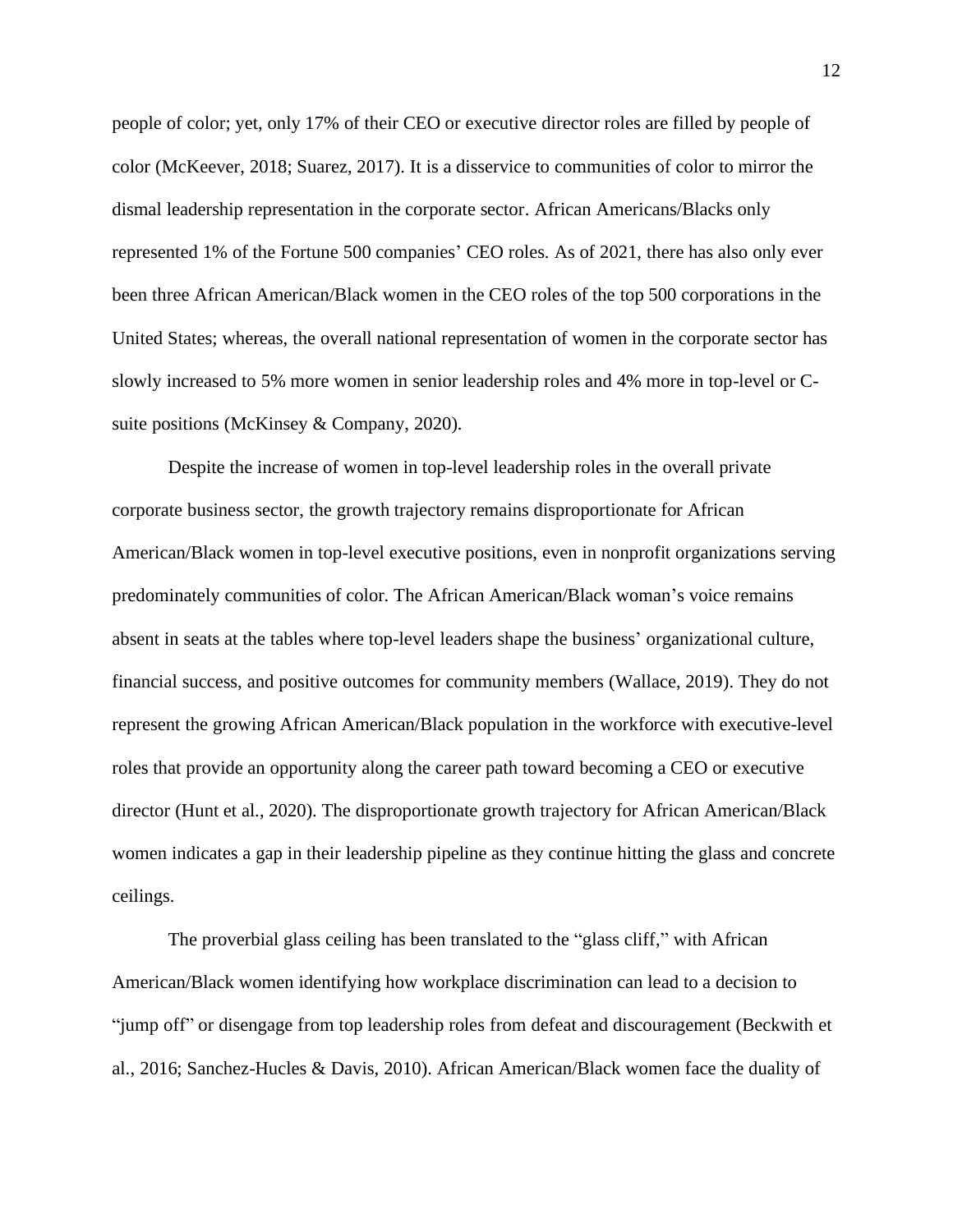people of color; yet, only 17% of their CEO or executive director roles are filled by people of color (McKeever, 2018; Suarez, 2017). It is a disservice to communities of color to mirror the dismal leadership representation in the corporate sector. African Americans/Blacks only represented 1% of the Fortune 500 companies' CEO roles. As of 2021, there has also only ever been three African American/Black women in the CEO roles of the top 500 corporations in the United States; whereas, the overall national representation of women in the corporate sector has slowly increased to 5% more women in senior leadership roles and 4% more in top-level or Csuite positions (McKinsey & Company, 2020).

Despite the increase of women in top-level leadership roles in the overall private corporate business sector, the growth trajectory remains disproportionate for African American/Black women in top-level executive positions, even in nonprofit organizations serving predominately communities of color. The African American/Black woman's voice remains absent in seats at the tables where top-level leaders shape the business' organizational culture, financial success, and positive outcomes for community members (Wallace, 2019). They do not represent the growing African American/Black population in the workforce with executive-level roles that provide an opportunity along the career path toward becoming a CEO or executive director (Hunt et al., 2020). The disproportionate growth trajectory for African American/Black women indicates a gap in their leadership pipeline as they continue hitting the glass and concrete ceilings.

The proverbial glass ceiling has been translated to the "glass cliff," with African American/Black women identifying how workplace discrimination can lead to a decision to "jump off" or disengage from top leadership roles from defeat and discouragement (Beckwith et al., 2016; Sanchez-Hucles & Davis, 2010). African American/Black women face the duality of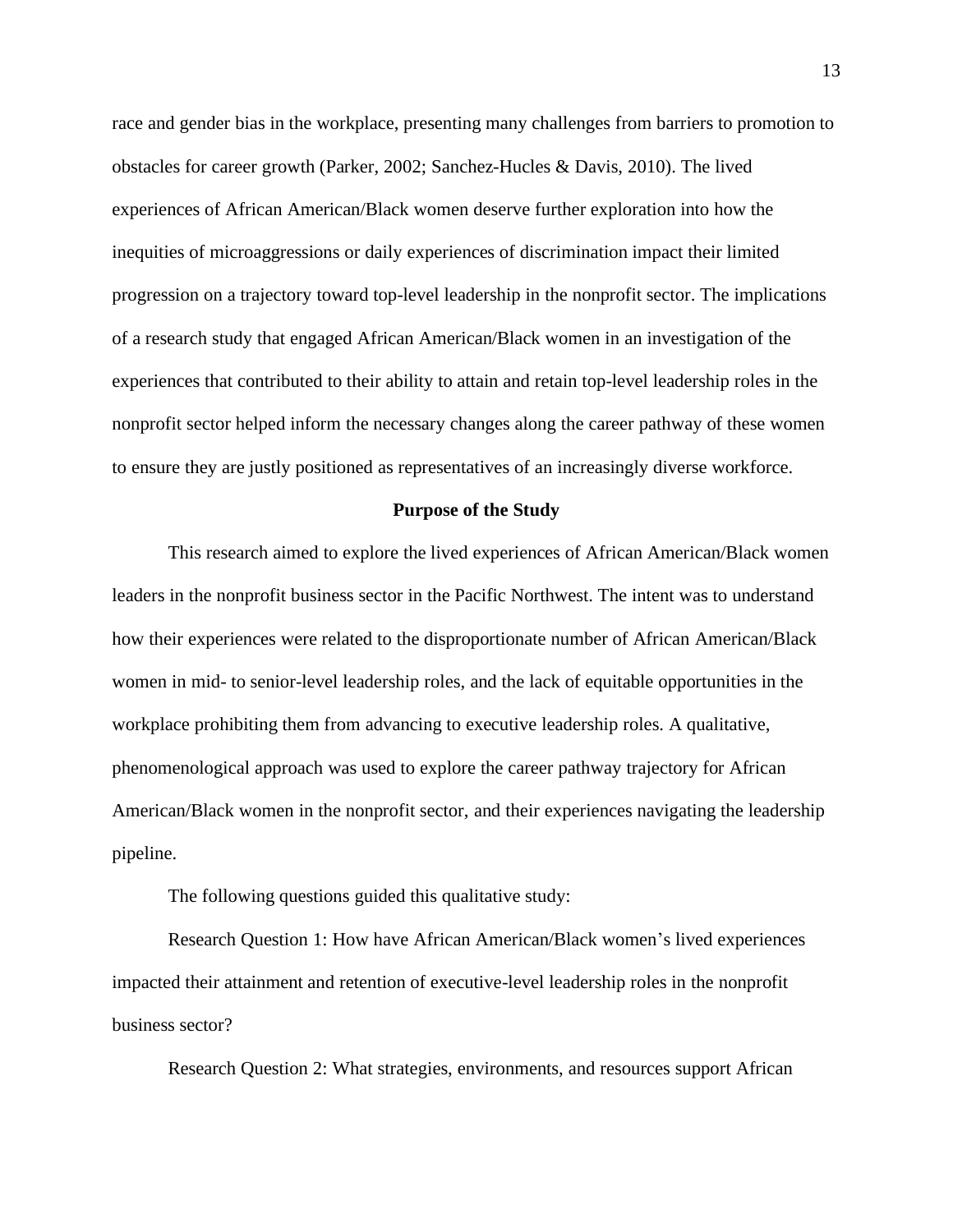race and gender bias in the workplace, presenting many challenges from barriers to promotion to obstacles for career growth (Parker, 2002; Sanchez-Hucles & Davis, 2010). The lived experiences of African American/Black women deserve further exploration into how the inequities of microaggressions or daily experiences of discrimination impact their limited progression on a trajectory toward top-level leadership in the nonprofit sector. The implications of a research study that engaged African American/Black women in an investigation of the experiences that contributed to their ability to attain and retain top-level leadership roles in the nonprofit sector helped inform the necessary changes along the career pathway of these women to ensure they are justly positioned as representatives of an increasingly diverse workforce.

#### **Purpose of the Study**

<span id="page-13-0"></span>This research aimed to explore the lived experiences of African American/Black women leaders in the nonprofit business sector in the Pacific Northwest. The intent was to understand how their experiences were related to the disproportionate number of African American/Black women in mid- to senior-level leadership roles, and the lack of equitable opportunities in the workplace prohibiting them from advancing to executive leadership roles. A qualitative, phenomenological approach was used to explore the career pathway trajectory for African American/Black women in the nonprofit sector, and their experiences navigating the leadership pipeline.

The following questions guided this qualitative study:

Research Question 1: How have African American/Black women's lived experiences impacted their attainment and retention of executive-level leadership roles in the nonprofit business sector?

Research Question 2: What strategies, environments, and resources support African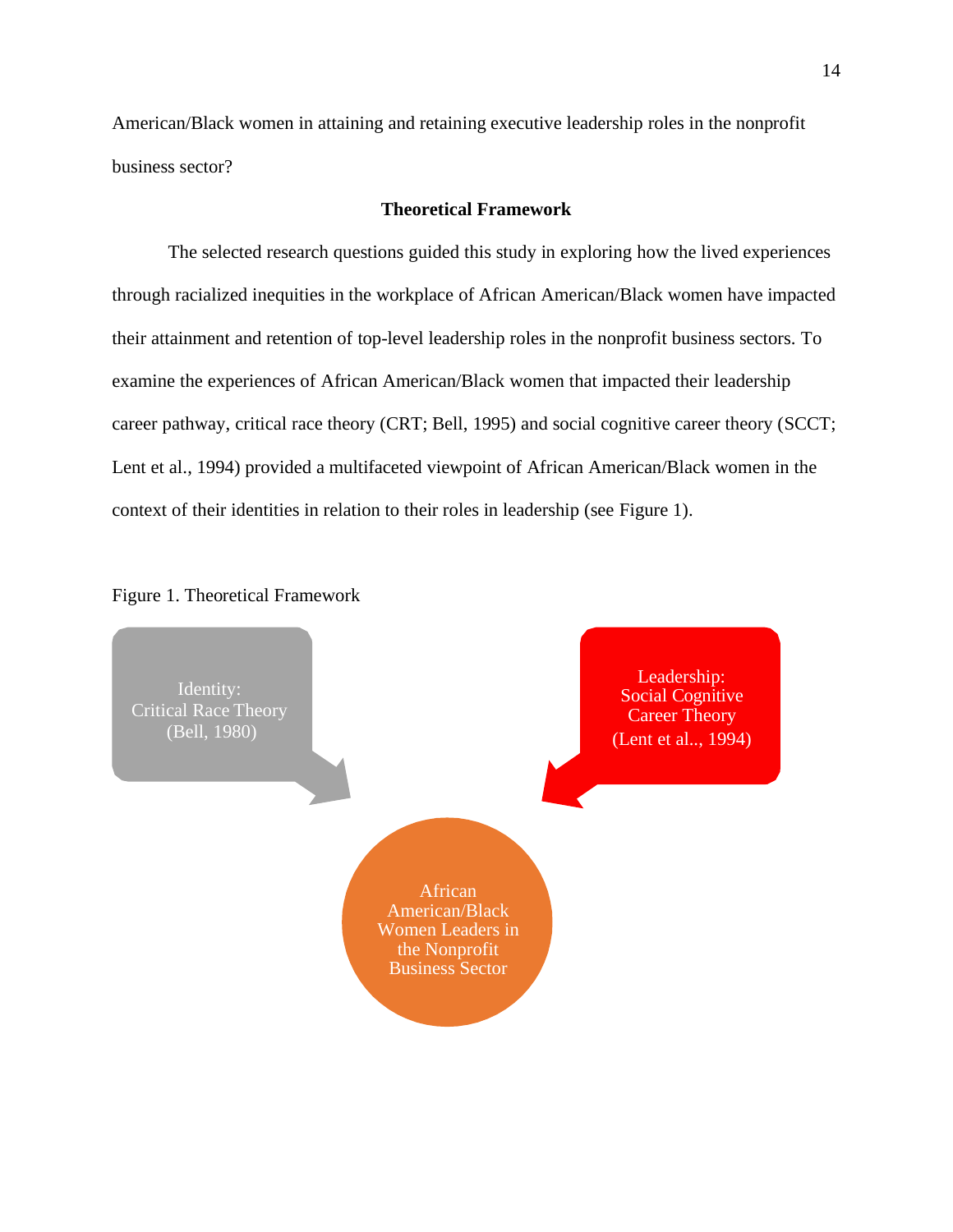American/Black women in attaining and retaining executive leadership roles in the nonprofit business sector?

#### **Theoretical Framework**

<span id="page-14-0"></span>The selected research questions guided this study in exploring how the lived experiences through racialized inequities in the workplace of African American/Black women have impacted their attainment and retention of top-level leadership roles in the nonprofit business sectors. To examine the experiences of African American/Black women that impacted their leadership career pathway, critical race theory (CRT; Bell, 1995) and social cognitive career theory (SCCT; Lent et al., 1994) provided a multifaceted viewpoint of African American/Black women in the context of their identities in relation to their roles in leadership (see Figure 1).



#### <span id="page-14-1"></span>Figure 1. Theoretical Framework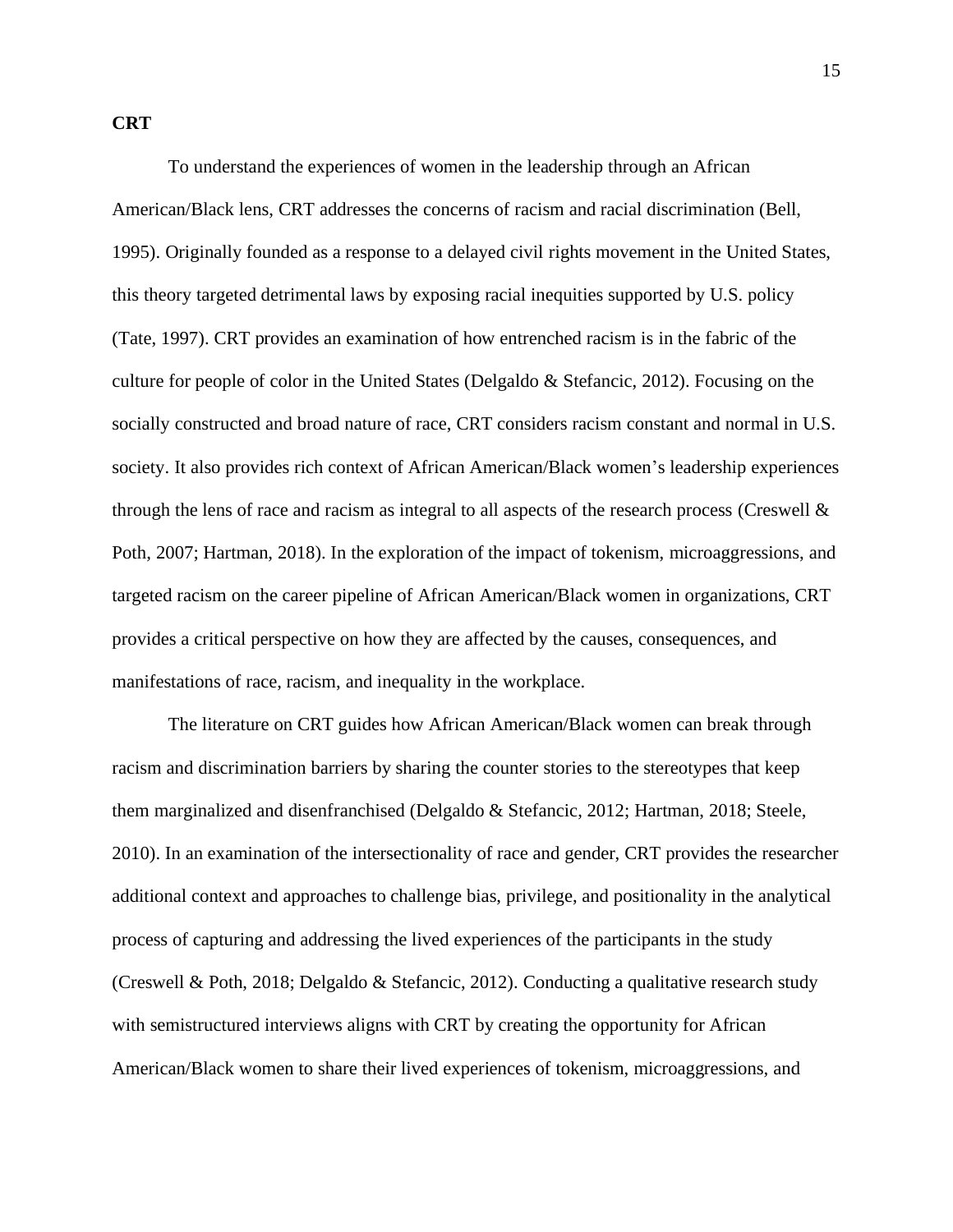#### <span id="page-15-0"></span>**CRT**

To understand the experiences of women in the leadership through an African American/Black lens, CRT addresses the concerns of racism and racial discrimination (Bell, 1995). Originally founded as a response to a delayed civil rights movement in the United States, this theory targeted detrimental laws by exposing racial inequities supported by U.S. policy (Tate, 1997). CRT provides an examination of how entrenched racism is in the fabric of the culture for people of color in the United States (Delgaldo & Stefancic, 2012). Focusing on the socially constructed and broad nature of race, CRT considers racism constant and normal in U.S. society. It also provides rich context of African American/Black women's leadership experiences through the lens of race and racism as integral to all aspects of the research process (Creswell & Poth, 2007; Hartman, 2018). In the exploration of the impact of tokenism, microaggressions, and targeted racism on the career pipeline of African American/Black women in organizations, CRT provides a critical perspective on how they are affected by the causes, consequences, and manifestations of race, racism, and inequality in the workplace.

The literature on CRT guides how African American/Black women can break through racism and discrimination barriers by sharing the counter stories to the stereotypes that keep them marginalized and disenfranchised (Delgaldo & Stefancic, 2012; Hartman, 2018; Steele, 2010). In an examination of the intersectionality of race and gender, CRT provides the researcher additional context and approaches to challenge bias, privilege, and positionality in the analytical process of capturing and addressing the lived experiences of the participants in the study (Creswell & Poth, 2018; Delgaldo & Stefancic, 2012). Conducting a qualitative research study with semistructured interviews aligns with CRT by creating the opportunity for African American/Black women to share their lived experiences of tokenism, microaggressions, and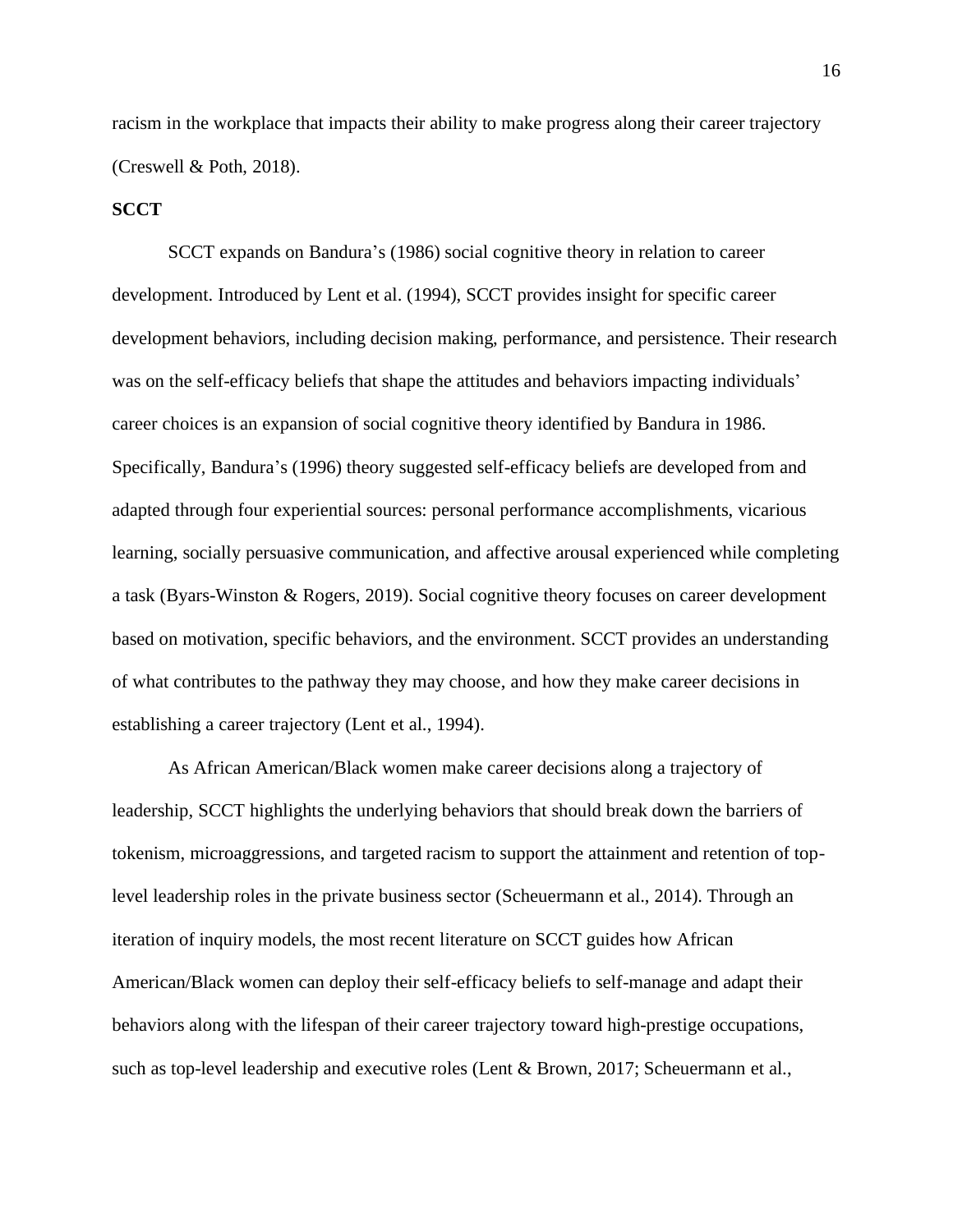racism in the workplace that impacts their ability to make progress along their career trajectory (Creswell & Poth, 2018).

#### <span id="page-16-0"></span>**SCCT**

SCCT expands on Bandura's (1986) social cognitive theory in relation to career development. Introduced by Lent et al. (1994), SCCT provides insight for specific career development behaviors, including decision making, performance, and persistence. Their research was on the self-efficacy beliefs that shape the attitudes and behaviors impacting individuals' career choices is an expansion of social cognitive theory identified by Bandura in 1986. Specifically, Bandura's (1996) theory suggested self-efficacy beliefs are developed from and adapted through four experiential sources: personal performance accomplishments, vicarious learning, socially persuasive communication, and affective arousal experienced while completing a task (Byars-Winston & Rogers, 2019). Social cognitive theory focuses on career development based on motivation, specific behaviors, and the environment. SCCT provides an understanding of what contributes to the pathway they may choose, and how they make career decisions in establishing a career trajectory (Lent et al., 1994).

As African American/Black women make career decisions along a trajectory of leadership, SCCT highlights the underlying behaviors that should break down the barriers of tokenism, microaggressions, and targeted racism to support the attainment and retention of toplevel leadership roles in the private business sector (Scheuermann et al., 2014). Through an iteration of inquiry models, the most recent literature on SCCT guides how African American/Black women can deploy their self-efficacy beliefs to self-manage and adapt their behaviors along with the lifespan of their career trajectory toward high-prestige occupations, such as top-level leadership and executive roles (Lent & Brown, 2017; Scheuermann et al.,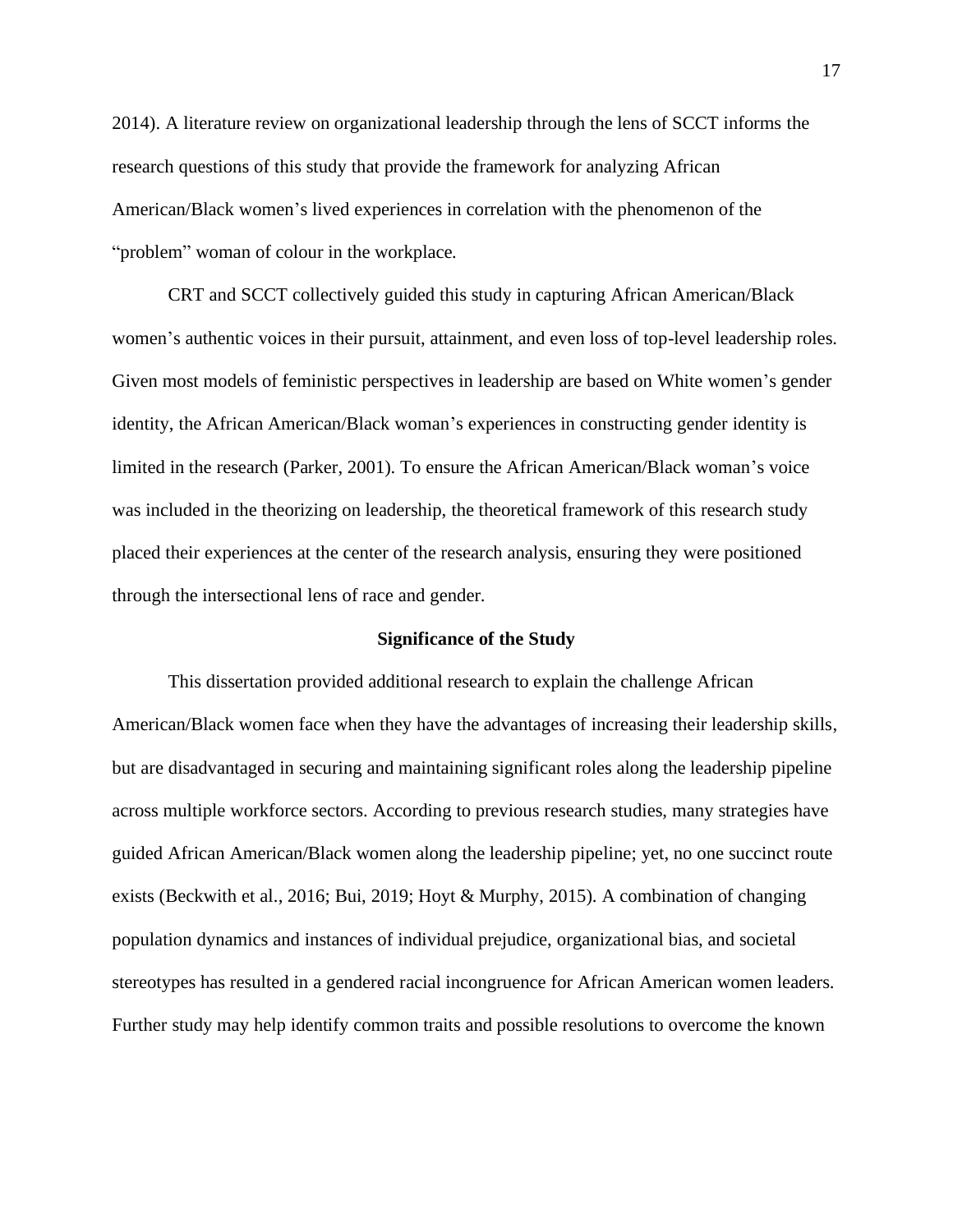2014). A literature review on organizational leadership through the lens of SCCT informs the research questions of this study that provide the framework for analyzing African American/Black women's lived experiences in correlation with the phenomenon of the "problem" woman of colour in the workplace*.*

CRT and SCCT collectively guided this study in capturing African American/Black women's authentic voices in their pursuit, attainment, and even loss of top-level leadership roles. Given most models of feministic perspectives in leadership are based on White women's gender identity, the African American/Black woman's experiences in constructing gender identity is limited in the research (Parker, 2001). To ensure the African American/Black woman's voice was included in the theorizing on leadership, the theoretical framework of this research study placed their experiences at the center of the research analysis, ensuring they were positioned through the intersectional lens of race and gender.

#### **Significance of the Study**

<span id="page-17-0"></span>This dissertation provided additional research to explain the challenge African American/Black women face when they have the advantages of increasing their leadership skills, but are disadvantaged in securing and maintaining significant roles along the leadership pipeline across multiple workforce sectors. According to previous research studies, many strategies have guided African American/Black women along the leadership pipeline; yet, no one succinct route exists (Beckwith et al., 2016; Bui, 2019; Hoyt & Murphy, 2015). A combination of changing population dynamics and instances of individual prejudice, organizational bias, and societal stereotypes has resulted in a gendered racial incongruence for African American women leaders. Further study may help identify common traits and possible resolutions to overcome the known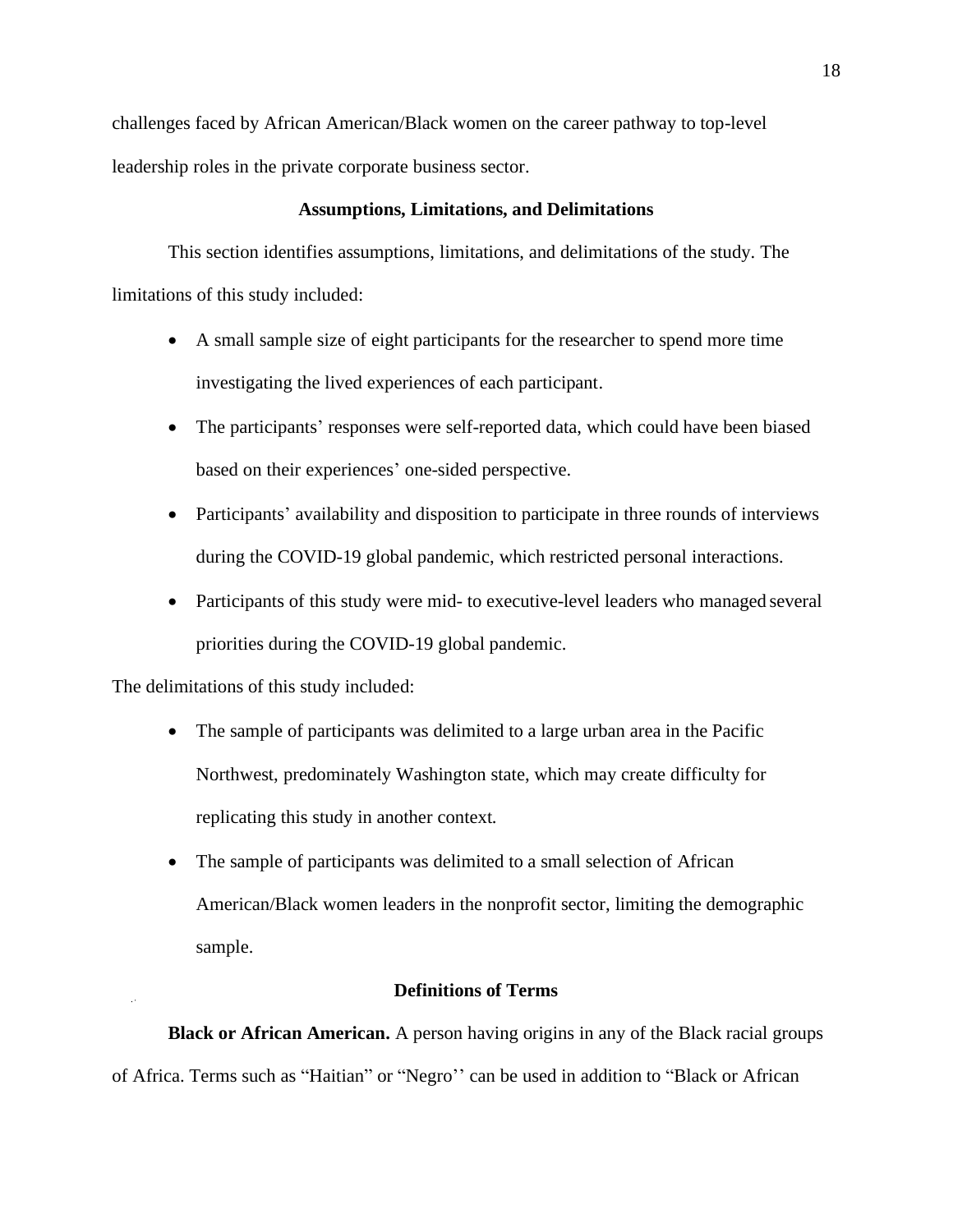challenges faced by African American/Black women on the career pathway to top-level leadership roles in the private corporate business sector.

#### **Assumptions, Limitations, and Delimitations**

<span id="page-18-0"></span>This section identifies assumptions, limitations, and delimitations of the study. The limitations of this study included:

- A small sample size of eight participants for the researcher to spend more time investigating the lived experiences of each participant.
- The participants' responses were self-reported data, which could have been biased based on their experiences' one-sided perspective.
- Participants' availability and disposition to participate in three rounds of interviews during the COVID-19 global pandemic, which restricted personal interactions.
- Participants of this study were mid- to executive-level leaders who managed several priorities during the COVID-19 global pandemic.

The delimitations of this study included:

- The sample of participants was delimited to a large urban area in the Pacific Northwest, predominately Washington state, which may create difficulty for replicating this study in another context.
- The sample of participants was delimited to a small selection of African American/Black women leaders in the nonprofit sector, limiting the demographic sample.

#### **Definitions of Terms**

<span id="page-18-1"></span>**Black or African American.** A person having origins in any of the Black racial groups of Africa. Terms such as "Haitian" or "Negro'' can be used in addition to "Black or African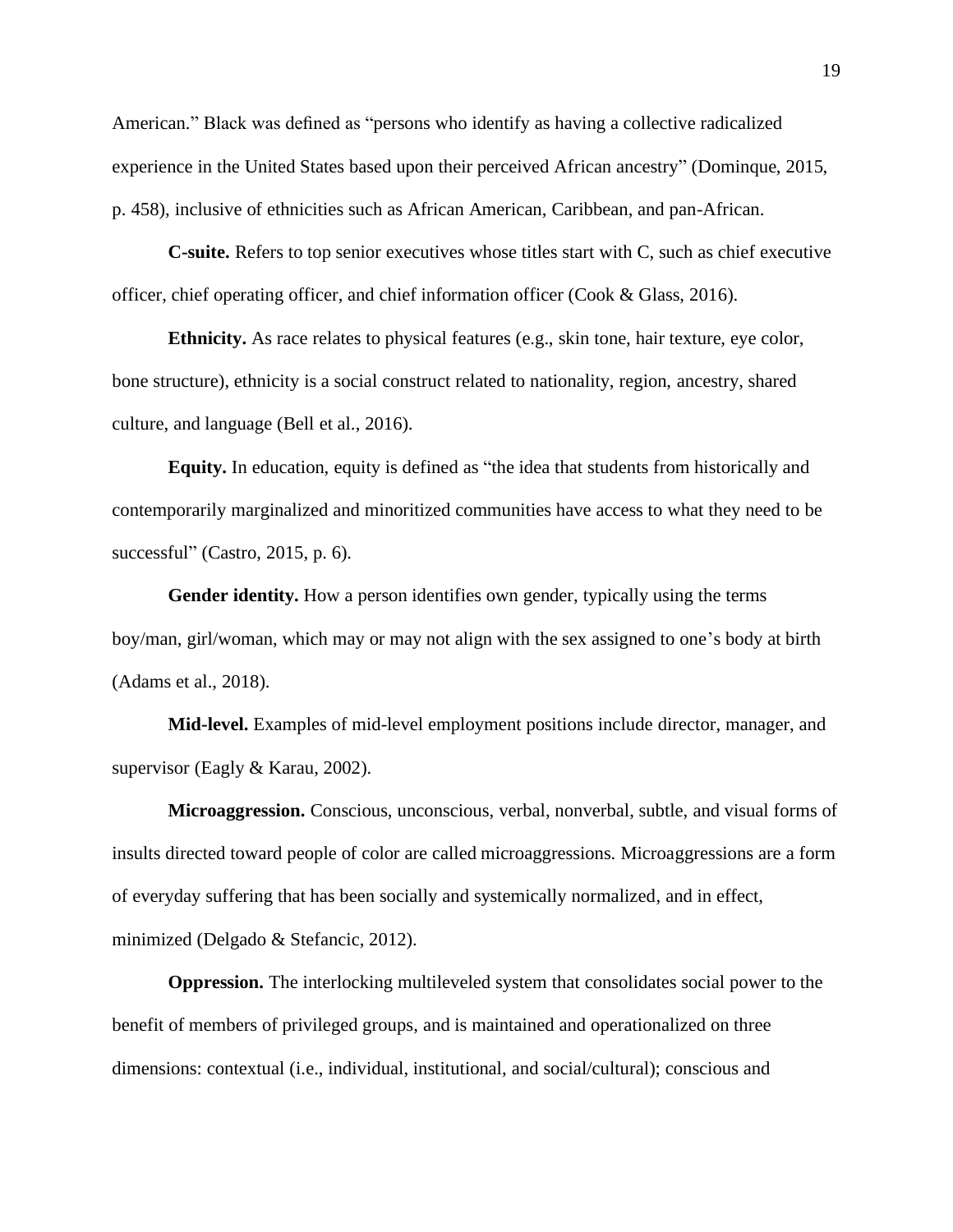American." Black was defined as "persons who identify as having a collective radicalized experience in the United States based upon their perceived African ancestry" (Dominque, 2015, p. 458), inclusive of ethnicities such as African American, Caribbean, and pan-African.

**C-suite.** Refers to top senior executives whose titles start with C, such as chief executive officer, chief operating officer, and chief information officer (Cook & Glass, 2016).

**Ethnicity.** As race relates to physical features (e.g., skin tone, hair texture, eye color, bone structure), ethnicity is a social construct related to nationality, region, ancestry, shared culture, and language (Bell et al., 2016).

**Equity.** In education, equity is defined as "the idea that students from historically and contemporarily marginalized and minoritized communities have access to what they need to be successful" (Castro, 2015, p. 6).

**Gender identity.** How a person identifies own gender, typically using the terms boy/man, girl/woman, which may or may not align with the sex assigned to one's body at birth (Adams et al., 2018).

**Mid-level.** Examples of mid-level employment positions include director, manager, and supervisor (Eagly & Karau, 2002).

**Microaggression.** Conscious, unconscious, verbal, nonverbal, subtle, and visual forms of insults directed toward people of color are called microaggressions. Microaggressions are a form of everyday suffering that has been socially and systemically normalized, and in effect, minimized (Delgado & Stefancic, 2012).

**Oppression.** The interlocking multileveled system that consolidates social power to the benefit of members of privileged groups, and is maintained and operationalized on three dimensions: contextual (i.e., individual, institutional, and social/cultural); conscious and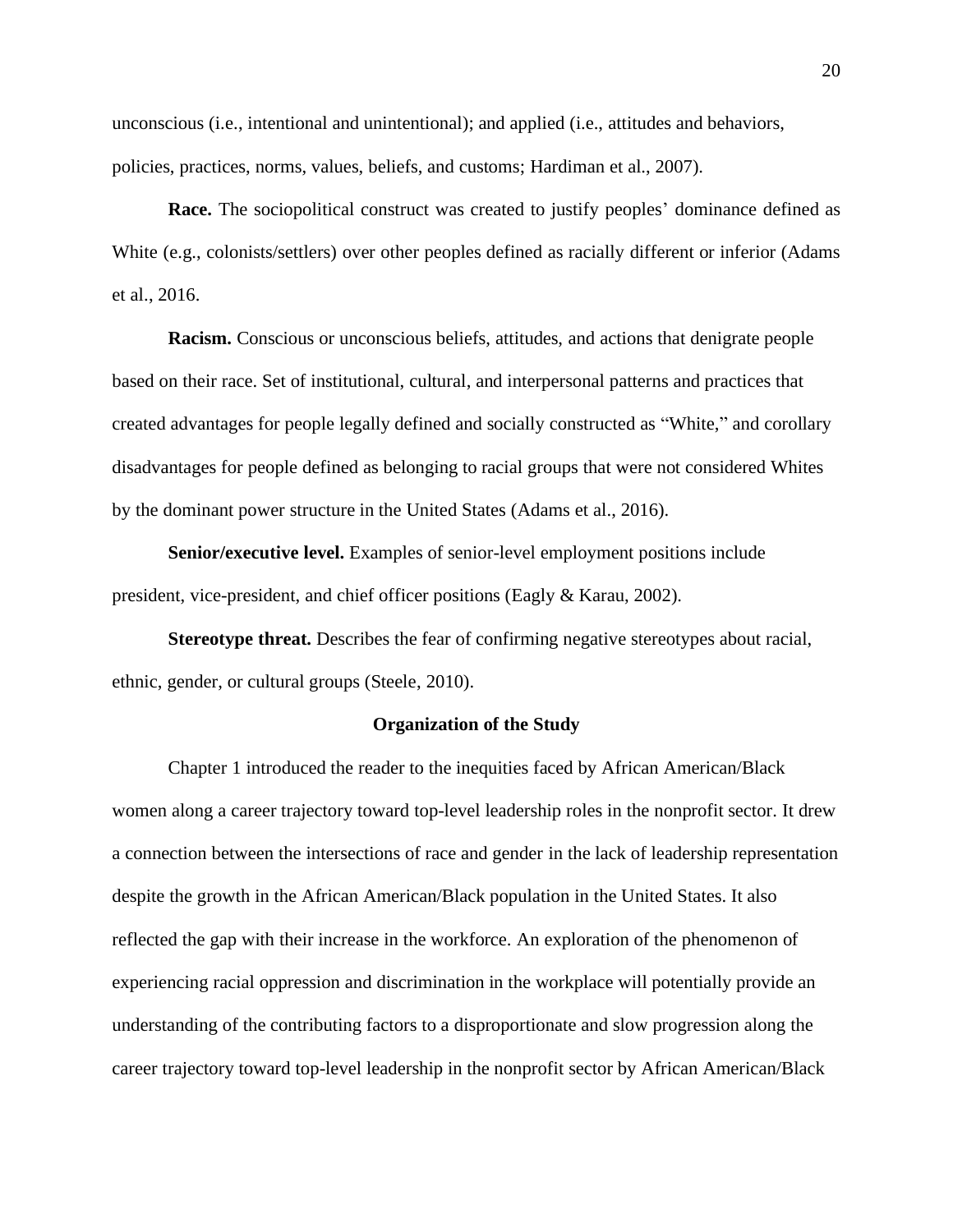unconscious (i.e., intentional and unintentional); and applied (i.e., attitudes and behaviors, policies, practices, norms, values, beliefs, and customs; Hardiman et al., 2007).

**Race.** The sociopolitical construct was created to justify peoples' dominance defined as White (e.g., colonists/settlers) over other peoples defined as racially different or inferior (Adams et al., 2016.

**Racism.** Conscious or unconscious beliefs, attitudes, and actions that denigrate people based on their race. Set of institutional, cultural, and interpersonal patterns and practices that created advantages for people legally defined and socially constructed as "White," and corollary disadvantages for people defined as belonging to racial groups that were not considered Whites by the dominant power structure in the United States (Adams et al., 2016).

**Senior/executive level.** Examples of senior-level employment positions include president, vice-president, and chief officer positions (Eagly & Karau, 2002).

**Stereotype threat.** Describes the fear of confirming negative stereotypes about racial, ethnic, gender, or cultural groups (Steele, 2010).

#### **Organization of the Study**

<span id="page-20-0"></span>Chapter 1 introduced the reader to the inequities faced by African American/Black women along a career trajectory toward top-level leadership roles in the nonprofit sector. It drew a connection between the intersections of race and gender in the lack of leadership representation despite the growth in the African American/Black population in the United States. It also reflected the gap with their increase in the workforce. An exploration of the phenomenon of experiencing racial oppression and discrimination in the workplace will potentially provide an understanding of the contributing factors to a disproportionate and slow progression along the career trajectory toward top-level leadership in the nonprofit sector by African American/Black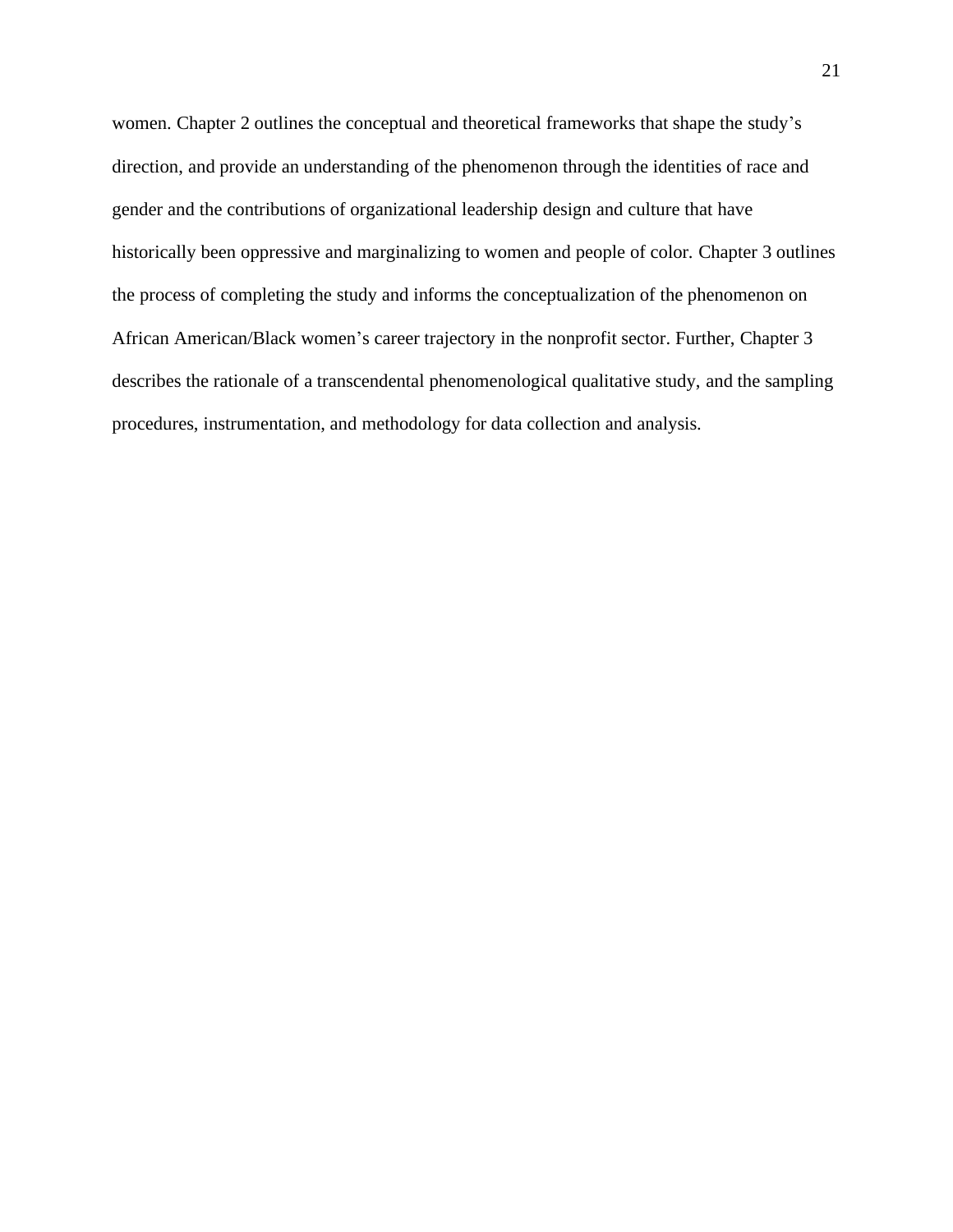women. Chapter 2 outlines the conceptual and theoretical frameworks that shape the study's direction, and provide an understanding of the phenomenon through the identities of race and gender and the contributions of organizational leadership design and culture that have historically been oppressive and marginalizing to women and people of color. Chapter 3 outlines the process of completing the study and informs the conceptualization of the phenomenon on African American/Black women's career trajectory in the nonprofit sector. Further, Chapter 3 describes the rationale of a transcendental phenomenological qualitative study, and the sampling procedures, instrumentation, and methodology for data collection and analysis.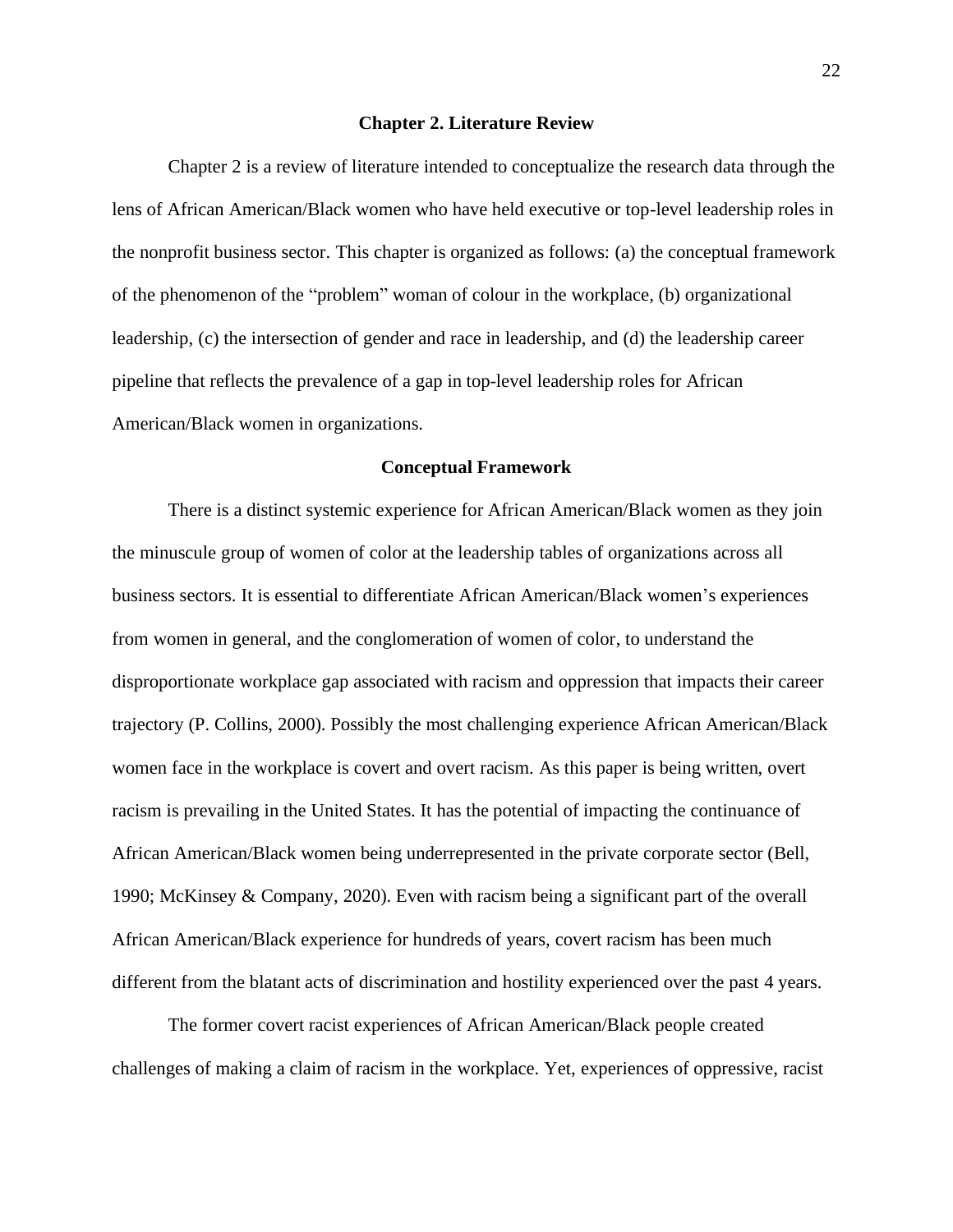#### **Chapter 2. Literature Review**

<span id="page-22-0"></span>Chapter 2 is a review of literature intended to conceptualize the research data through the lens of African American/Black women who have held executive or top-level leadership roles in the nonprofit business sector. This chapter is organized as follows: (a) the conceptual framework of the phenomenon of the "problem" woman of colour in the workplace*,* (b) organizational leadership, (c) the intersection of gender and race in leadership, and (d) the leadership career pipeline that reflects the prevalence of a gap in top-level leadership roles for African American/Black women in organizations.

#### **Conceptual Framework**

<span id="page-22-1"></span>There is a distinct systemic experience for African American/Black women as they join the minuscule group of women of color at the leadership tables of organizations across all business sectors. It is essential to differentiate African American/Black women's experiences from women in general, and the conglomeration of women of color, to understand the disproportionate workplace gap associated with racism and oppression that impacts their career trajectory (P. Collins, 2000). Possibly the most challenging experience African American/Black women face in the workplace is covert and overt racism. As this paper is being written, overt racism is prevailing in the United States. It has the potential of impacting the continuance of African American/Black women being underrepresented in the private corporate sector (Bell, 1990; McKinsey & Company, 2020). Even with racism being a significant part of the overall African American/Black experience for hundreds of years, covert racism has been much different from the blatant acts of discrimination and hostility experienced over the past 4 years.

The former covert racist experiences of African American/Black people created challenges of making a claim of racism in the workplace. Yet, experiences of oppressive, racist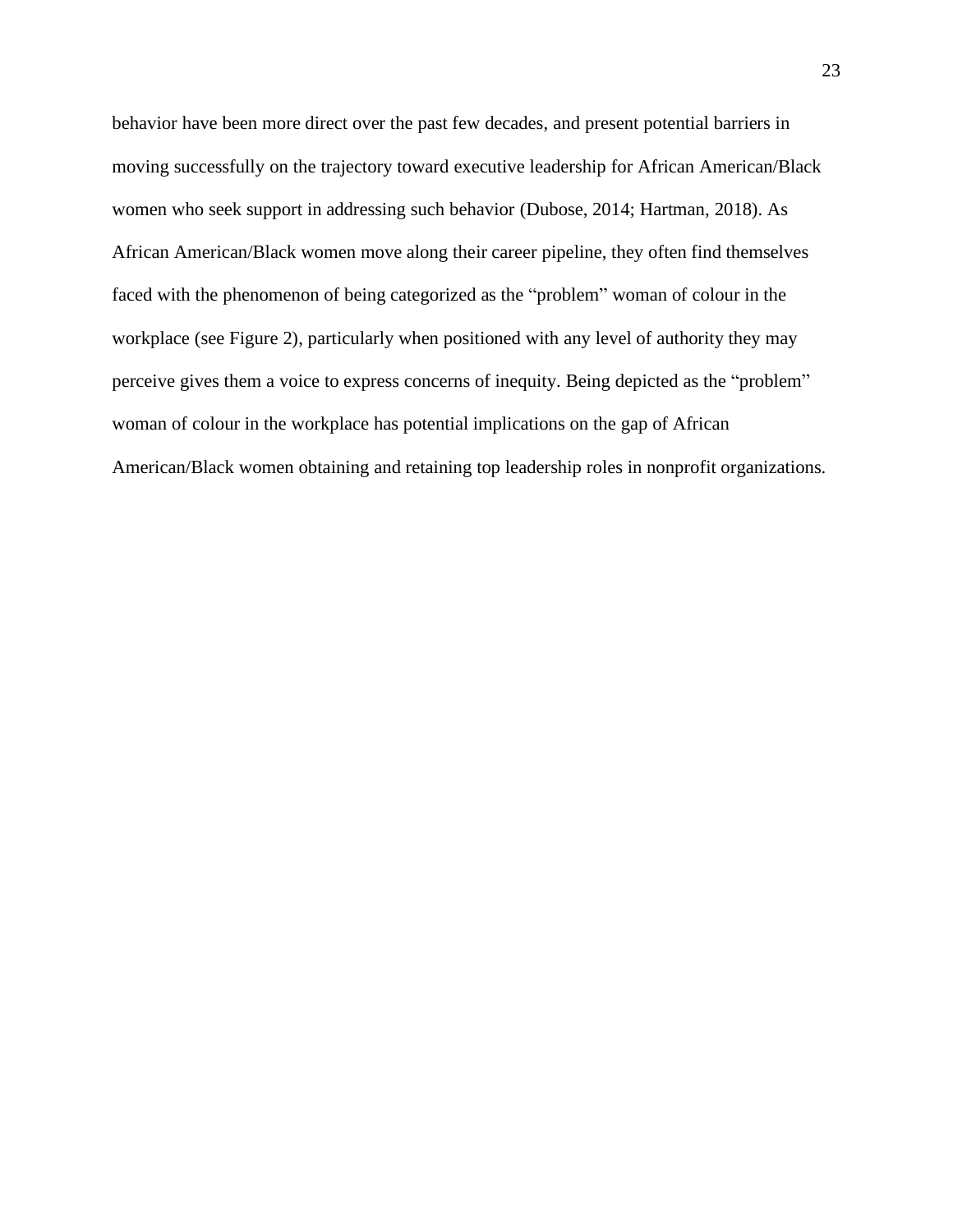behavior have been more direct over the past few decades, and present potential barriers in moving successfully on the trajectory toward executive leadership for African American/Black women who seek support in addressing such behavior (Dubose, 2014; Hartman, 2018). As African American/Black women move along their career pipeline, they often find themselves faced with the phenomenon of being categorized as the "problem" woman of colour in the workplace (see Figure 2), particularly when positioned with any level of authority they may perceive gives them a voice to express concerns of inequity. Being depicted as the "problem" woman of colour in the workplace has potential implications on the gap of African American/Black women obtaining and retaining top leadership roles in nonprofit organizations.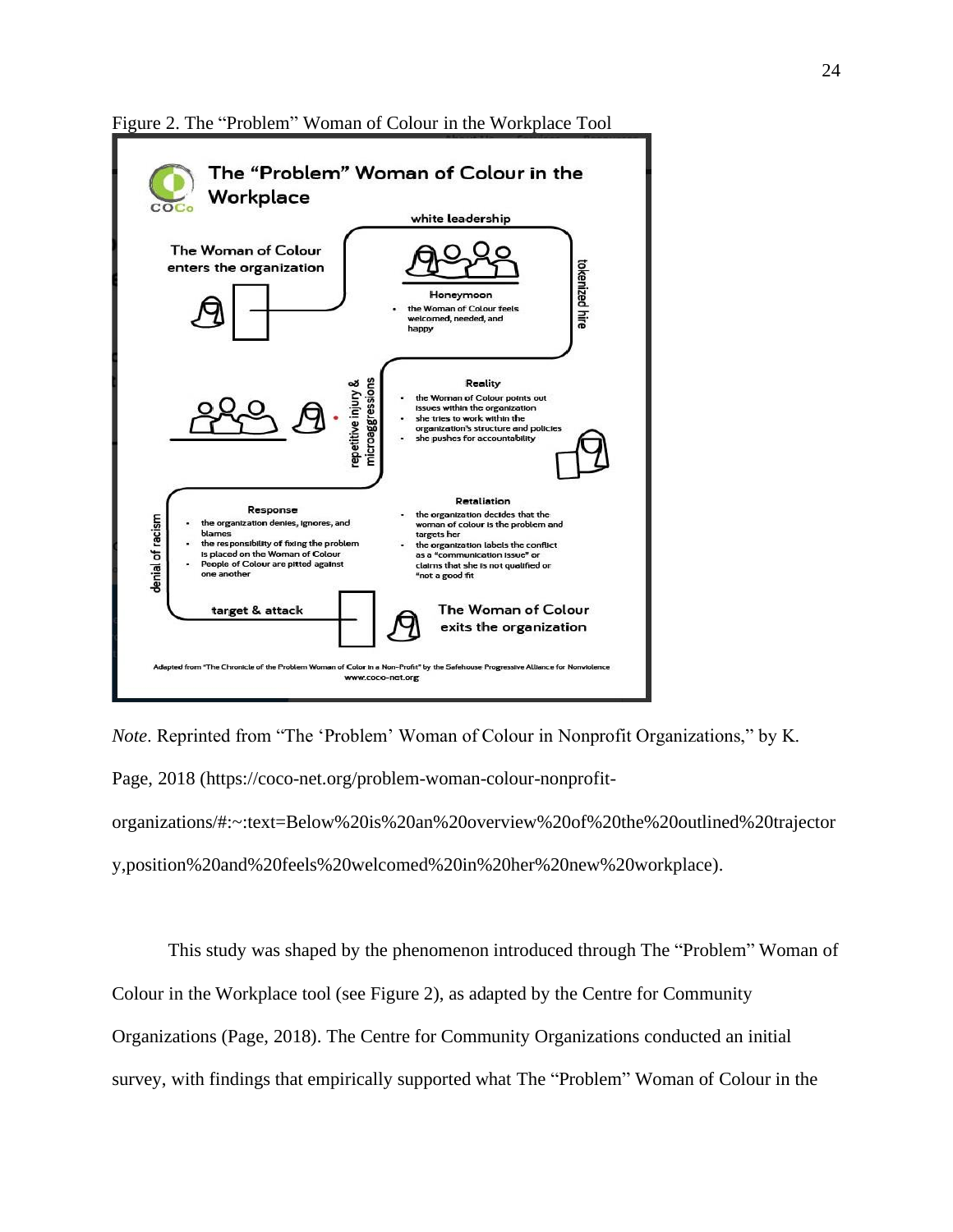

<span id="page-24-0"></span>Figure 2. The "Problem" Woman of Colour in the Workplace Tool

*Note*. Reprinted from "The 'Problem' Woman of Colour in Nonprofit Organizations," by K. Page, 2018 [\(https://coco-net.org/problem-woman-colour-nonprofit](https://coco-net.org/problem-woman-colour-nonprofit-organizations/#:~:text=Below%20is%20an%20overview%20of%20the%20outlined%20trajectory,position%20and%20feels%20welcomed%20in%20her%20new%20workplace)[organizations/#:~:text=Below%20is%20an%20overview%20of%20the%20outlined%20trajector](https://coco-net.org/problem-woman-colour-nonprofit-organizations/#:~:text=Below%20is%20an%20overview%20of%20the%20outlined%20trajectory,position%20and%20feels%20welcomed%20in%20her%20new%20workplace) [y,position%20and%20feels%20welcomed%20in%20her%20new%20workplace\)](https://coco-net.org/problem-woman-colour-nonprofit-organizations/#:~:text=Below%20is%20an%20overview%20of%20the%20outlined%20trajectory,position%20and%20feels%20welcomed%20in%20her%20new%20workplace).

This study was shaped by the phenomenon introduced through The "Problem" Woman of

Colour in the Workplace tool (see Figure 2), as adapted by the Centre for Community

Organizations (Page, 2018). The Centre for Community Organizations conducted an initial

survey, with findings that empirically supported what The "Problem" Woman of Colour in the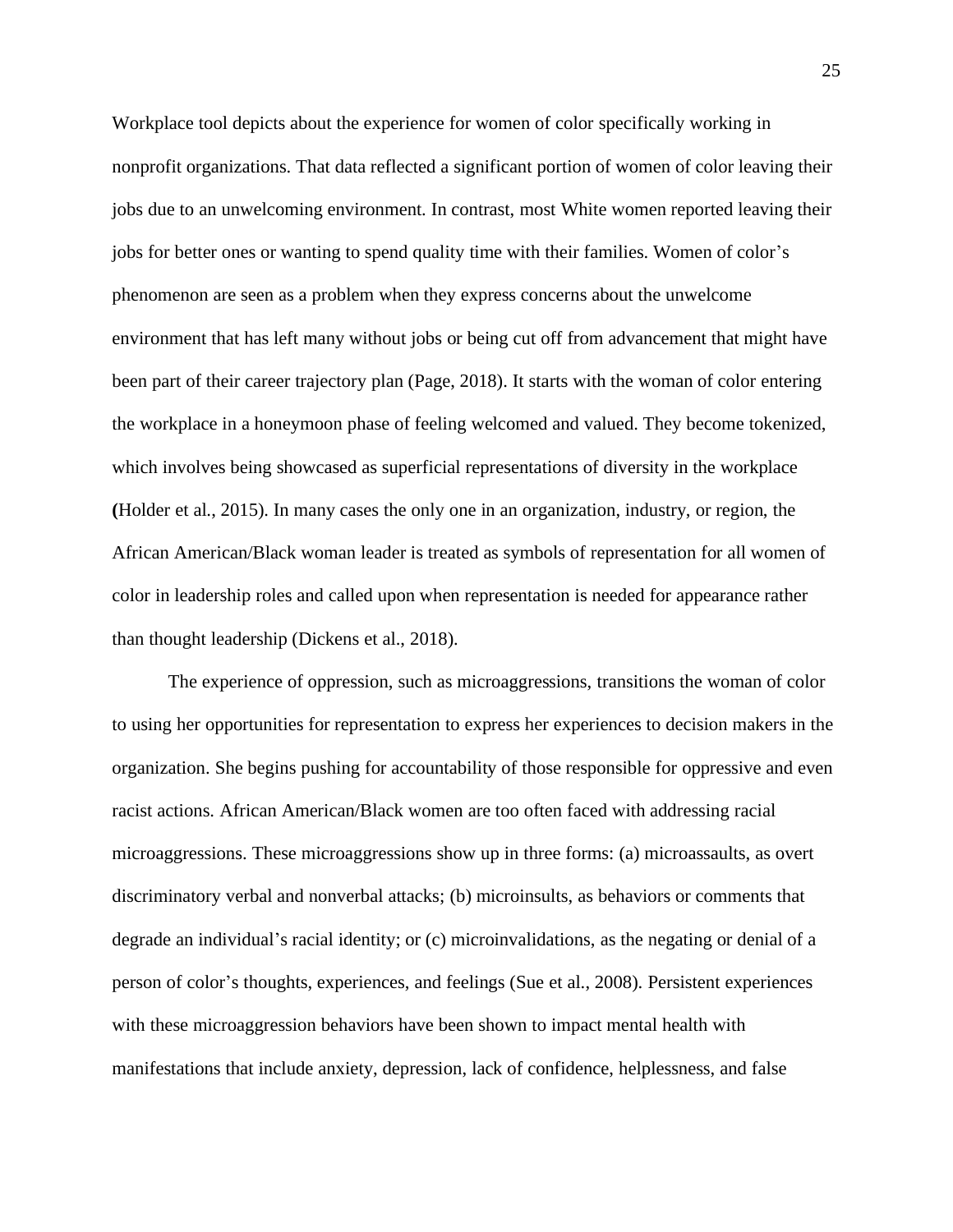Workplace tool depicts about the experience for women of color specifically working in nonprofit organizations. That data reflected a significant portion of women of color leaving their jobs due to an unwelcoming environment. In contrast, most White women reported leaving their jobs for better ones or wanting to spend quality time with their families. Women of color's phenomenon are seen as a problem when they express concerns about the unwelcome environment that has left many without jobs or being cut off from advancement that might have been part of their career trajectory plan (Page, 2018). It starts with the woman of color entering the workplace in a honeymoon phase of feeling welcomed and valued. They become tokenized, which involves being showcased as superficial representations of diversity in the workplace **(**Holder et al., 2015). In many cases the only one in an organization, industry, or region, the African American/Black woman leader is treated as symbols of representation for all women of color in leadership roles and called upon when representation is needed for appearance rather than thought leadership (Dickens et al., 2018).

The experience of oppression, such as microaggressions, transitions the woman of color to using her opportunities for representation to express her experiences to decision makers in the organization. She begins pushing for accountability of those responsible for oppressive and even racist actions. African American/Black women are too often faced with addressing racial microaggressions. These microaggressions show up in three forms: (a) microassaults, as overt discriminatory verbal and nonverbal attacks; (b) microinsults, as behaviors or comments that degrade an individual's racial identity; or (c) microinvalidations, as the negating or denial of a person of color's thoughts, experiences, and feelings (Sue et al., 2008). Persistent experiences with these microaggression behaviors have been shown to impact mental health with manifestations that include anxiety, depression, lack of confidence, helplessness, and false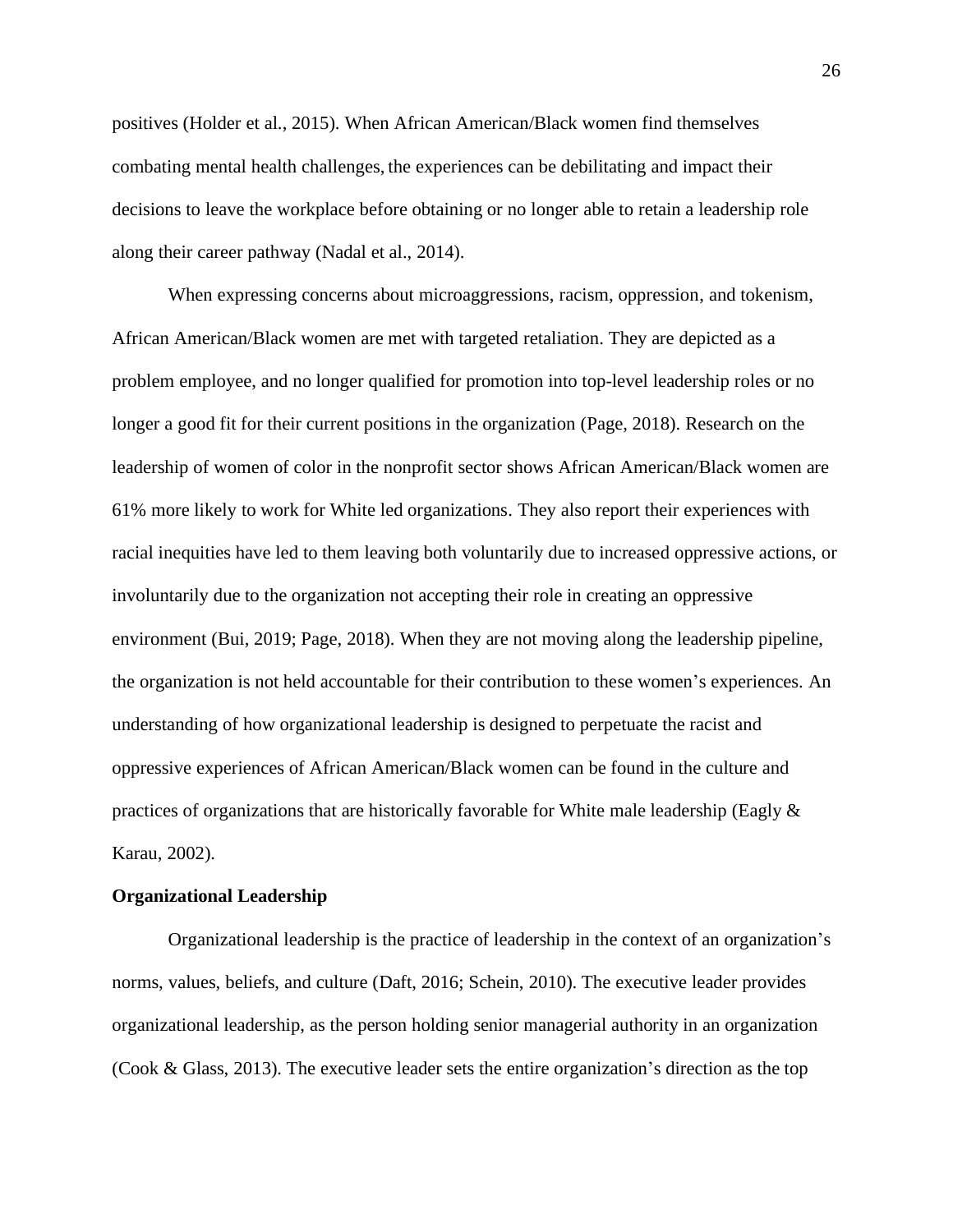positives (Holder et al., 2015). When African American/Black women find themselves combating mental health challenges, the experiences can be debilitating and impact their decisions to leave the workplace before obtaining or no longer able to retain a leadership role along their career pathway (Nadal et al., 2014).

When expressing concerns about microaggressions, racism, oppression, and tokenism, African American/Black women are met with targeted retaliation. They are depicted as a problem employee, and no longer qualified for promotion into top-level leadership roles or no longer a good fit for their current positions in the organization (Page, 2018). Research on the leadership of women of color in the nonprofit sector shows African American/Black women are 61% more likely to work for White led organizations. They also report their experiences with racial inequities have led to them leaving both voluntarily due to increased oppressive actions, or involuntarily due to the organization not accepting their role in creating an oppressive environment (Bui, 2019; Page, 2018). When they are not moving along the leadership pipeline, the organization is not held accountable for their contribution to these women's experiences. An understanding of how organizational leadership is designed to perpetuate the racist and oppressive experiences of African American/Black women can be found in the culture and practices of organizations that are historically favorable for White male leadership (Eagly & Karau, 2002).

#### <span id="page-26-0"></span>**Organizational Leadership**

Organizational leadership is the practice of leadership in the context of an organization's norms, values, beliefs, and culture (Daft, 2016; Schein, 2010). The executive leader provides organizational leadership, as the person holding senior managerial authority in an organization (Cook & Glass, 2013). The executive leader sets the entire organization's direction as the top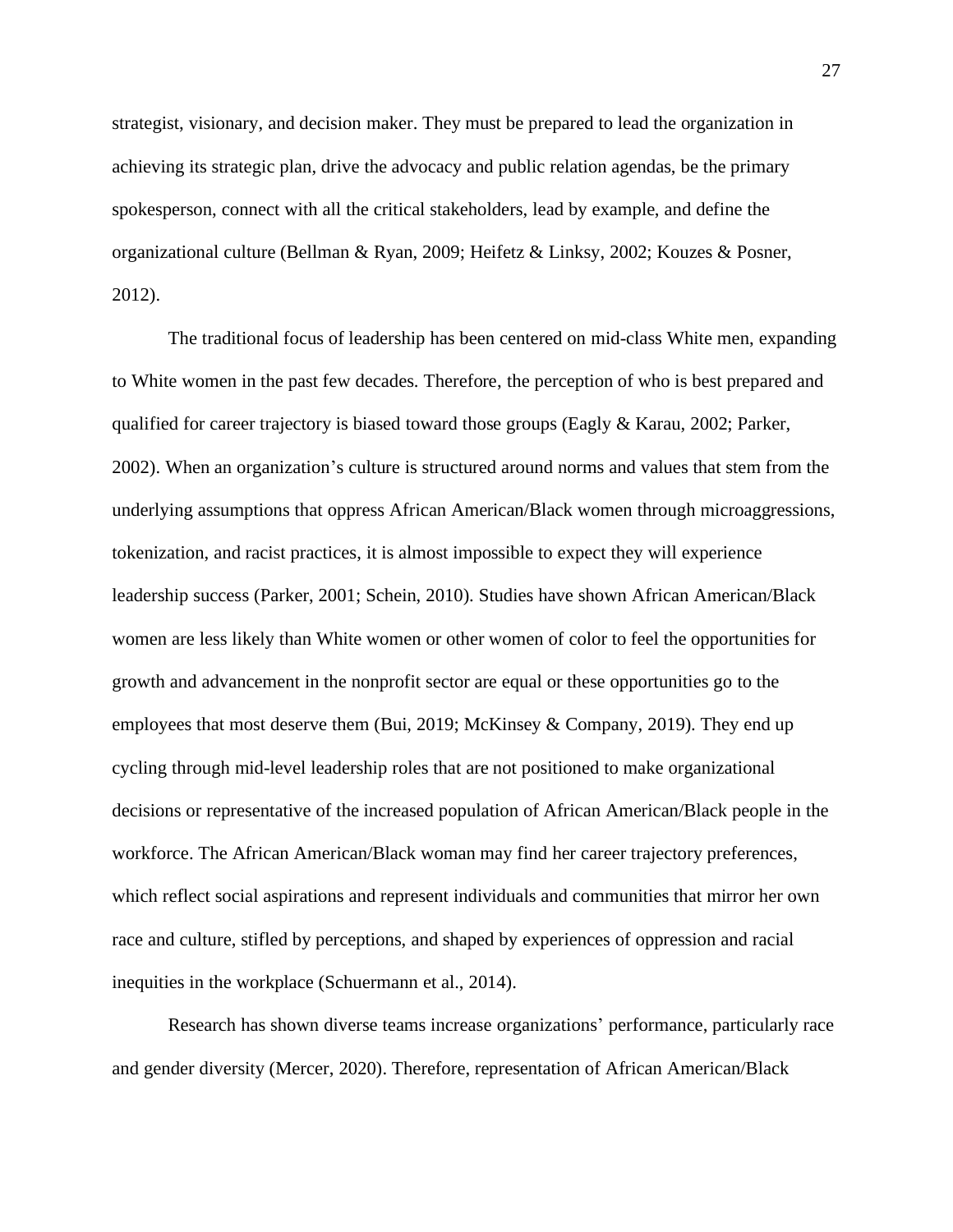strategist, visionary, and decision maker. They must be prepared to lead the organization in achieving its strategic plan, drive the advocacy and public relation agendas, be the primary spokesperson, connect with all the critical stakeholders, lead by example, and define the organizational culture (Bellman & Ryan, 2009; Heifetz & Linksy, 2002; Kouzes & Posner, 2012).

The traditional focus of leadership has been centered on mid-class White men, expanding to White women in the past few decades. Therefore, the perception of who is best prepared and qualified for career trajectory is biased toward those groups (Eagly & Karau, 2002; Parker, 2002). When an organization's culture is structured around norms and values that stem from the underlying assumptions that oppress African American/Black women through microaggressions, tokenization, and racist practices, it is almost impossible to expect they will experience leadership success (Parker, 2001; Schein, 2010). Studies have shown African American/Black women are less likely than White women or other women of color to feel the opportunities for growth and advancement in the nonprofit sector are equal or these opportunities go to the employees that most deserve them (Bui, 2019; McKinsey & Company, 2019). They end up cycling through mid-level leadership roles that are not positioned to make organizational decisions or representative of the increased population of African American/Black people in the workforce. The African American/Black woman may find her career trajectory preferences, which reflect social aspirations and represent individuals and communities that mirror her own race and culture, stifled by perceptions, and shaped by experiences of oppression and racial inequities in the workplace (Schuermann et al., 2014).

Research has shown diverse teams increase organizations' performance, particularly race and gender diversity (Mercer, 2020). Therefore, representation of African American/Black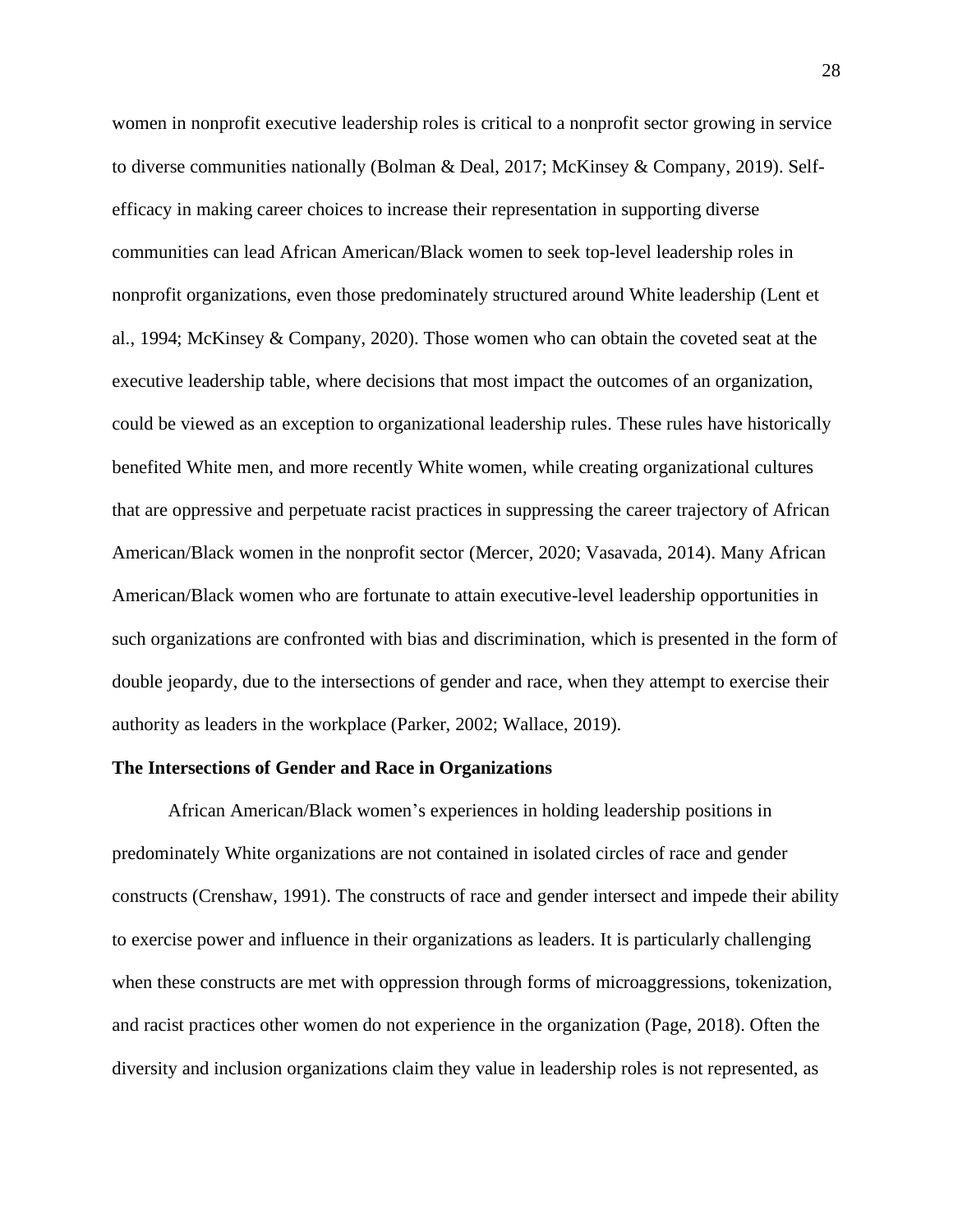women in nonprofit executive leadership roles is critical to a nonprofit sector growing in service to diverse communities nationally (Bolman & Deal, 2017; McKinsey & Company, 2019). Selfefficacy in making career choices to increase their representation in supporting diverse communities can lead African American/Black women to seek top-level leadership roles in nonprofit organizations, even those predominately structured around White leadership (Lent et al., 1994; McKinsey & Company, 2020). Those women who can obtain the coveted seat at the executive leadership table, where decisions that most impact the outcomes of an organization, could be viewed as an exception to organizational leadership rules. These rules have historically benefited White men, and more recently White women, while creating organizational cultures that are oppressive and perpetuate racist practices in suppressing the career trajectory of African American/Black women in the nonprofit sector (Mercer, 2020; Vasavada, 2014). Many African American/Black women who are fortunate to attain executive-level leadership opportunities in such organizations are confronted with bias and discrimination, which is presented in the form of double jeopardy, due to the intersections of gender and race, when they attempt to exercise their authority as leaders in the workplace (Parker, 2002; Wallace, 2019).

#### <span id="page-28-0"></span>**The Intersections of Gender and Race in Organizations**

African American/Black women's experiences in holding leadership positions in predominately White organizations are not contained in isolated circles of race and gender constructs (Crenshaw, 1991). The constructs of race and gender intersect and impede their ability to exercise power and influence in their organizations as leaders. It is particularly challenging when these constructs are met with oppression through forms of microaggressions, tokenization, and racist practices other women do not experience in the organization (Page, 2018). Often the diversity and inclusion organizations claim they value in leadership roles is not represented, as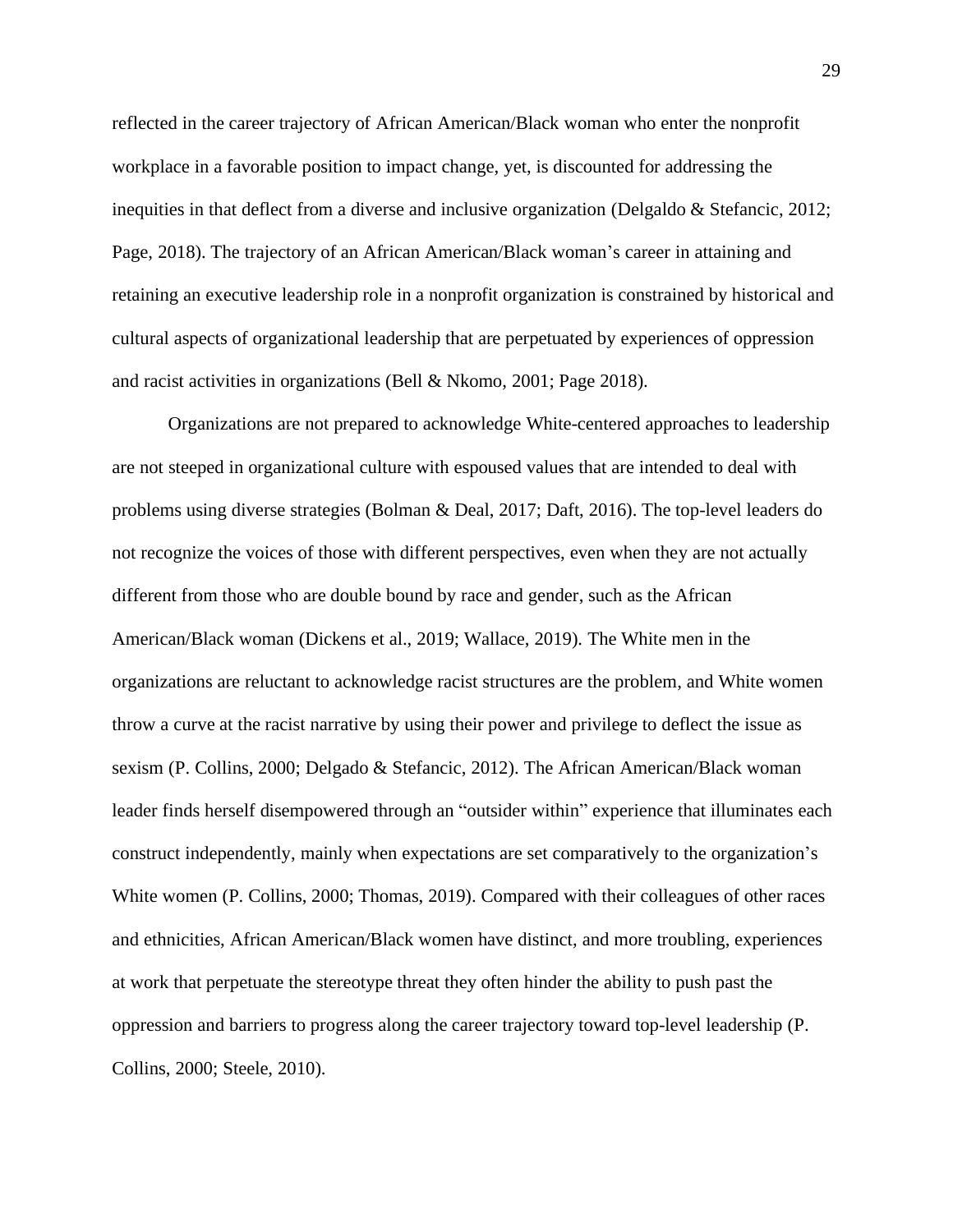reflected in the career trajectory of African American/Black woman who enter the nonprofit workplace in a favorable position to impact change, yet, is discounted for addressing the inequities in that deflect from a diverse and inclusive organization (Delgaldo & Stefancic, 2012; Page, 2018). The trajectory of an African American/Black woman's career in attaining and retaining an executive leadership role in a nonprofit organization is constrained by historical and cultural aspects of organizational leadership that are perpetuated by experiences of oppression and racist activities in organizations (Bell & Nkomo, 2001; Page 2018).

Organizations are not prepared to acknowledge White-centered approaches to leadership are not steeped in organizational culture with espoused values that are intended to deal with problems using diverse strategies (Bolman & Deal, 2017; Daft, 2016). The top-level leaders do not recognize the voices of those with different perspectives, even when they are not actually different from those who are double bound by race and gender, such as the African American/Black woman (Dickens et al., 2019; Wallace, 2019). The White men in the organizations are reluctant to acknowledge racist structures are the problem, and White women throw a curve at the racist narrative by using their power and privilege to deflect the issue as sexism (P. Collins, 2000; Delgado & Stefancic, 2012). The African American/Black woman leader finds herself disempowered through an "outsider within" experience that illuminates each construct independently, mainly when expectations are set comparatively to the organization's White women (P. Collins, 2000; Thomas, 2019). Compared with their colleagues of other races and ethnicities, African American/Black women have distinct, and more troubling, experiences at work that perpetuate the stereotype threat they often hinder the ability to push past the oppression and barriers to progress along the career trajectory toward top-level leadership (P. Collins, 2000; Steele, 2010).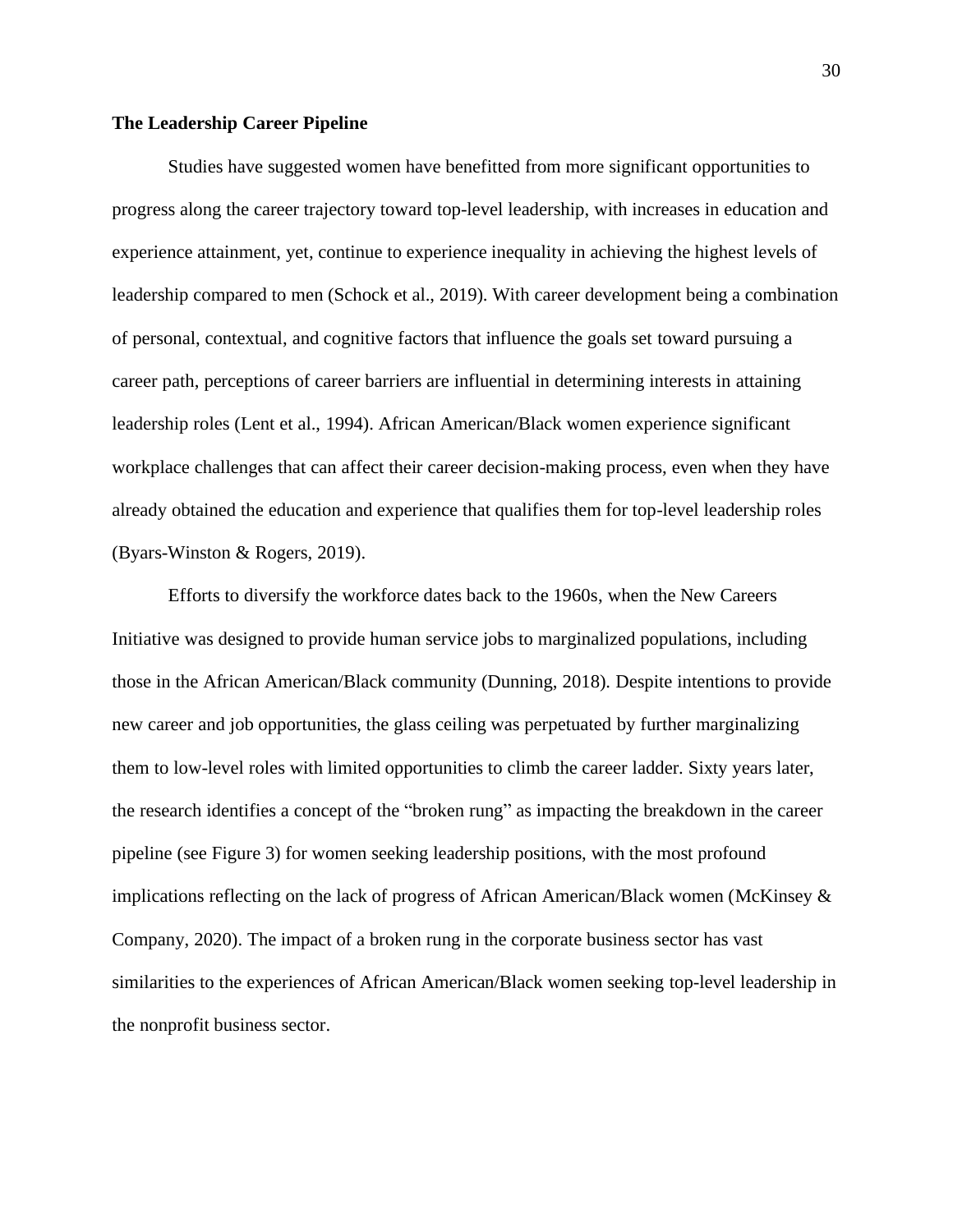#### <span id="page-30-0"></span>**The Leadership Career Pipeline**

Studies have suggested women have benefitted from more significant opportunities to progress along the career trajectory toward top-level leadership, with increases in education and experience attainment, yet, continue to experience inequality in achieving the highest levels of leadership compared to men (Schock et al., 2019). With career development being a combination of personal, contextual, and cognitive factors that influence the goals set toward pursuing a career path, perceptions of career barriers are influential in determining interests in attaining leadership roles (Lent et al., 1994). African American/Black women experience significant workplace challenges that can affect their career decision-making process, even when they have already obtained the education and experience that qualifies them for top-level leadership roles (Byars-Winston & Rogers, 2019).

Efforts to diversify the workforce dates back to the 1960s, when the New Careers Initiative was designed to provide human service jobs to marginalized populations, including those in the African American/Black community (Dunning, 2018). Despite intentions to provide new career and job opportunities, the glass ceiling was perpetuated by further marginalizing them to low-level roles with limited opportunities to climb the career ladder. Sixty years later, the research identifies a concept of the "broken rung" as impacting the breakdown in the career pipeline (see Figure 3) for women seeking leadership positions, with the most profound implications reflecting on the lack of progress of African American/Black women (McKinsey & Company, 2020). The impact of a broken rung in the corporate business sector has vast similarities to the experiences of African American/Black women seeking top-level leadership in the nonprofit business sector.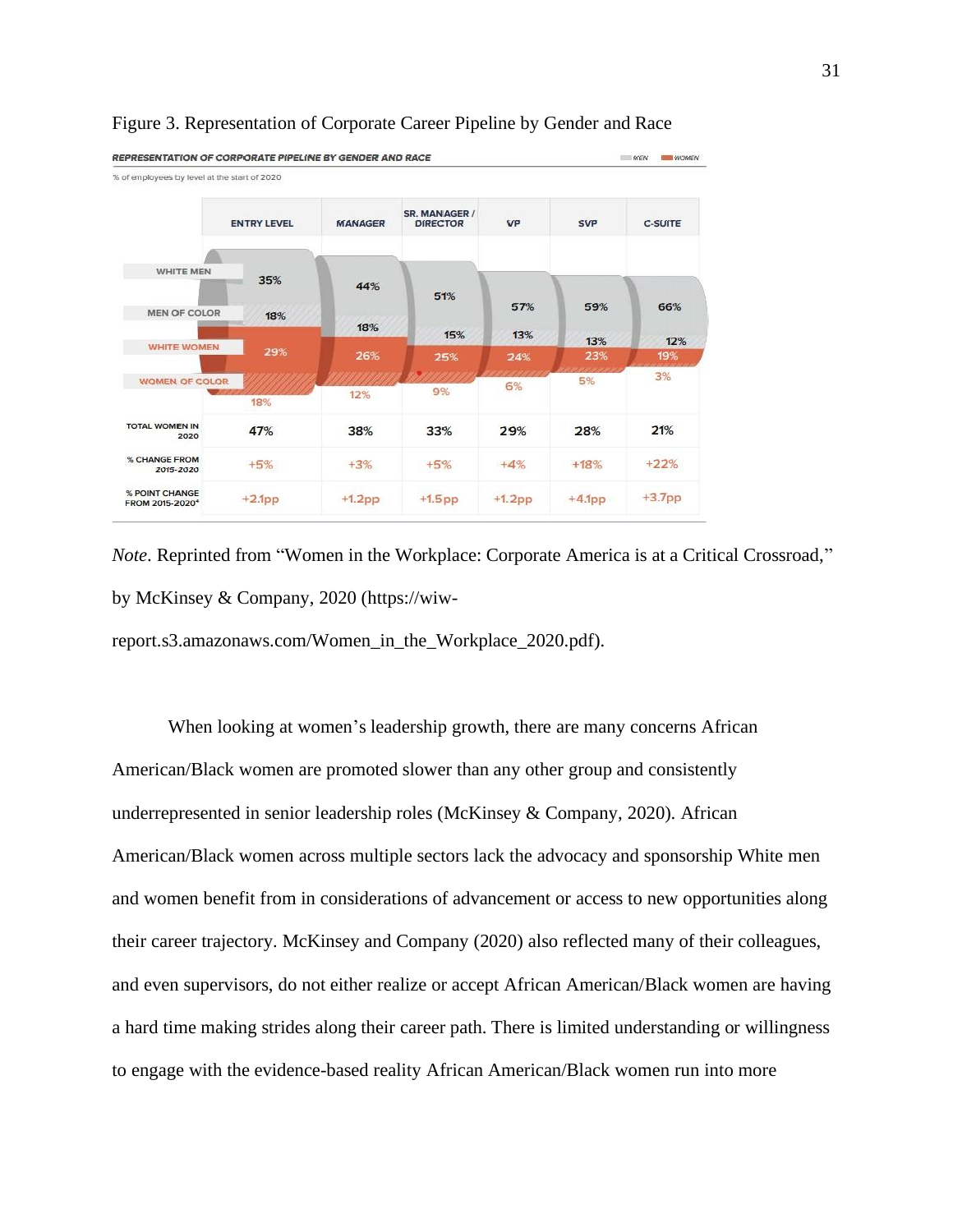

#### <span id="page-31-0"></span>Figure 3. Representation of Corporate Career Pipeline by Gender and Race

*Note*. Reprinted from "Women in the Workplace: Corporate America is at a Critical Crossroad," by McKinsey & Company, 2020 (https://wiw-

report.s3.amazonaws.com/Women\_in\_the\_Workplace\_2020.pdf).

When looking at women's leadership growth, there are many concerns African American/Black women are promoted slower than any other group and consistently underrepresented in senior leadership roles (McKinsey & Company, 2020). African American/Black women across multiple sectors lack the advocacy and sponsorship White men and women benefit from in considerations of advancement or access to new opportunities along their career trajectory. McKinsey and Company (2020) also reflected many of their colleagues, and even supervisors, do not either realize or accept African American/Black women are having a hard time making strides along their career path. There is limited understanding or willingness to engage with the evidence-based reality African American/Black women run into more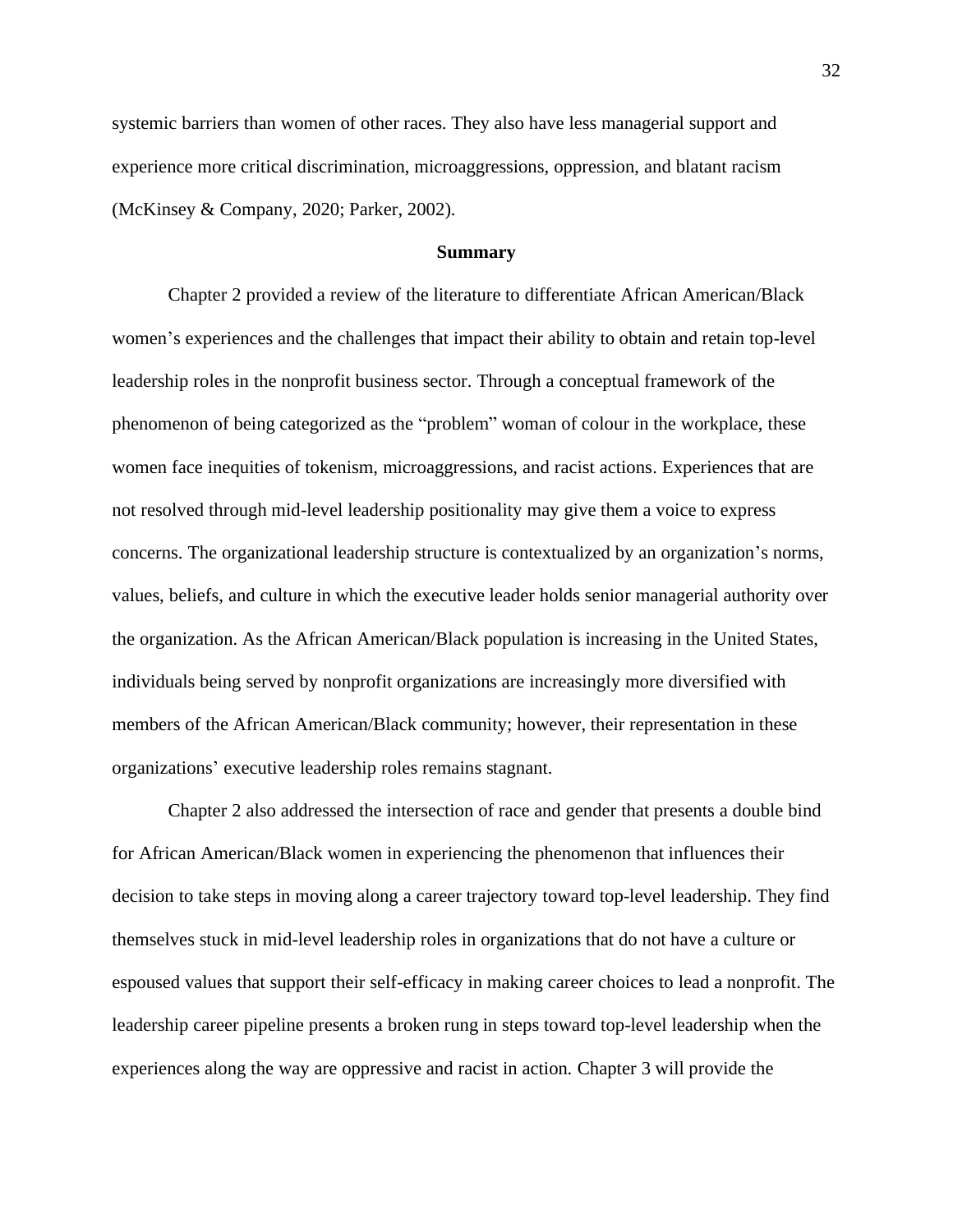systemic barriers than women of other races. They also have less managerial support and experience more critical discrimination, microaggressions, oppression, and blatant racism (McKinsey & Company, 2020; Parker, 2002).

#### **Summary**

<span id="page-32-0"></span>Chapter 2 provided a review of the literature to differentiate African American/Black women's experiences and the challenges that impact their ability to obtain and retain top-level leadership roles in the nonprofit business sector. Through a conceptual framework of the phenomenon of being categorized as the "problem" woman of colour in the workplace, these women face inequities of tokenism, microaggressions, and racist actions. Experiences that are not resolved through mid-level leadership positionality may give them a voice to express concerns. The organizational leadership structure is contextualized by an organization's norms, values, beliefs, and culture in which the executive leader holds senior managerial authority over the organization. As the African American/Black population is increasing in the United States, individuals being served by nonprofit organizations are increasingly more diversified with members of the African American/Black community; however, their representation in these organizations' executive leadership roles remains stagnant.

Chapter 2 also addressed the intersection of race and gender that presents a double bind for African American/Black women in experiencing the phenomenon that influences their decision to take steps in moving along a career trajectory toward top-level leadership. They find themselves stuck in mid-level leadership roles in organizations that do not have a culture or espoused values that support their self-efficacy in making career choices to lead a nonprofit. The leadership career pipeline presents a broken rung in steps toward top-level leadership when the experiences along the way are oppressive and racist in action. Chapter 3 will provide the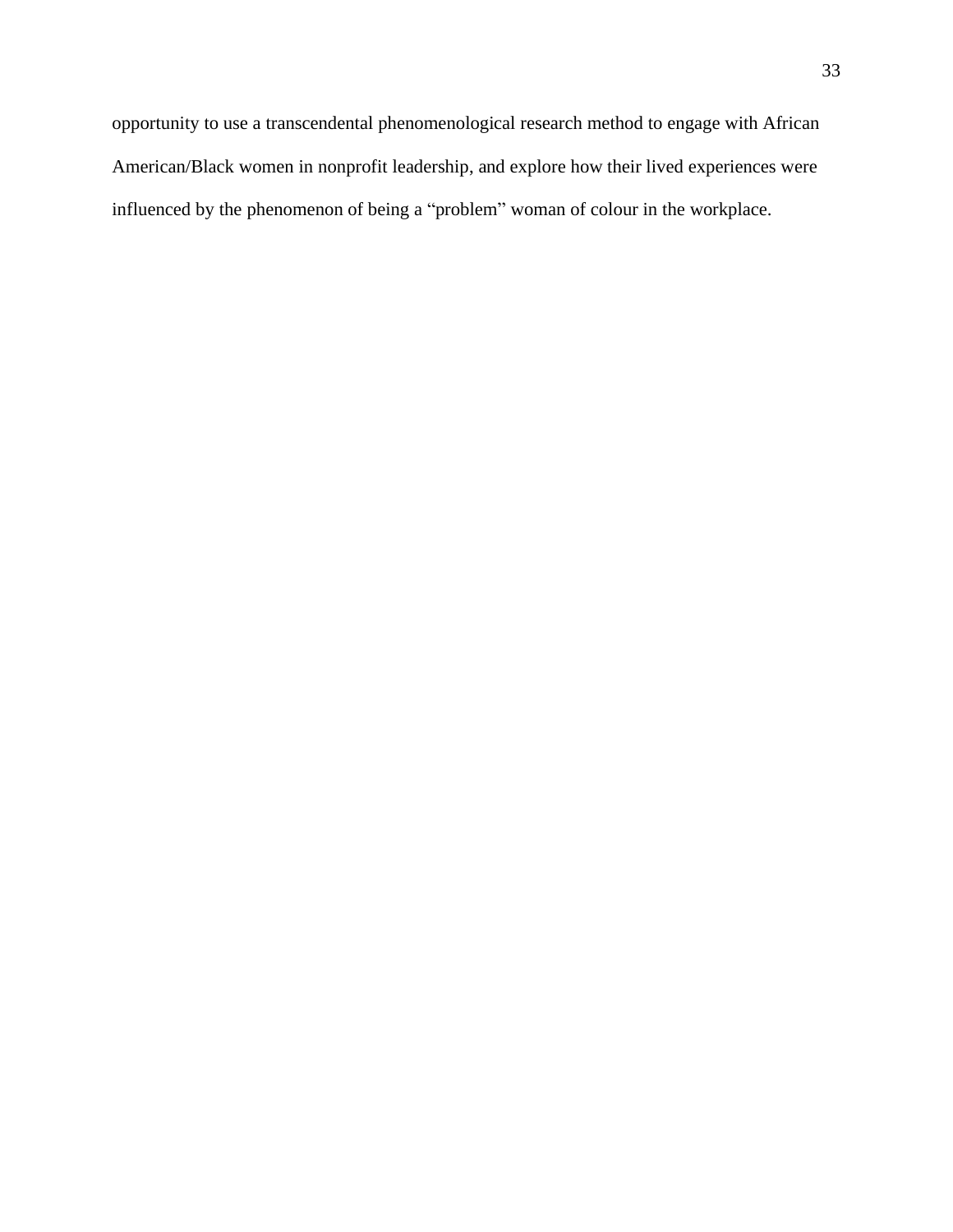opportunity to use a transcendental phenomenological research method to engage with African American/Black women in nonprofit leadership, and explore how their lived experiences were influenced by the phenomenon of being a "problem" woman of colour in the workplace.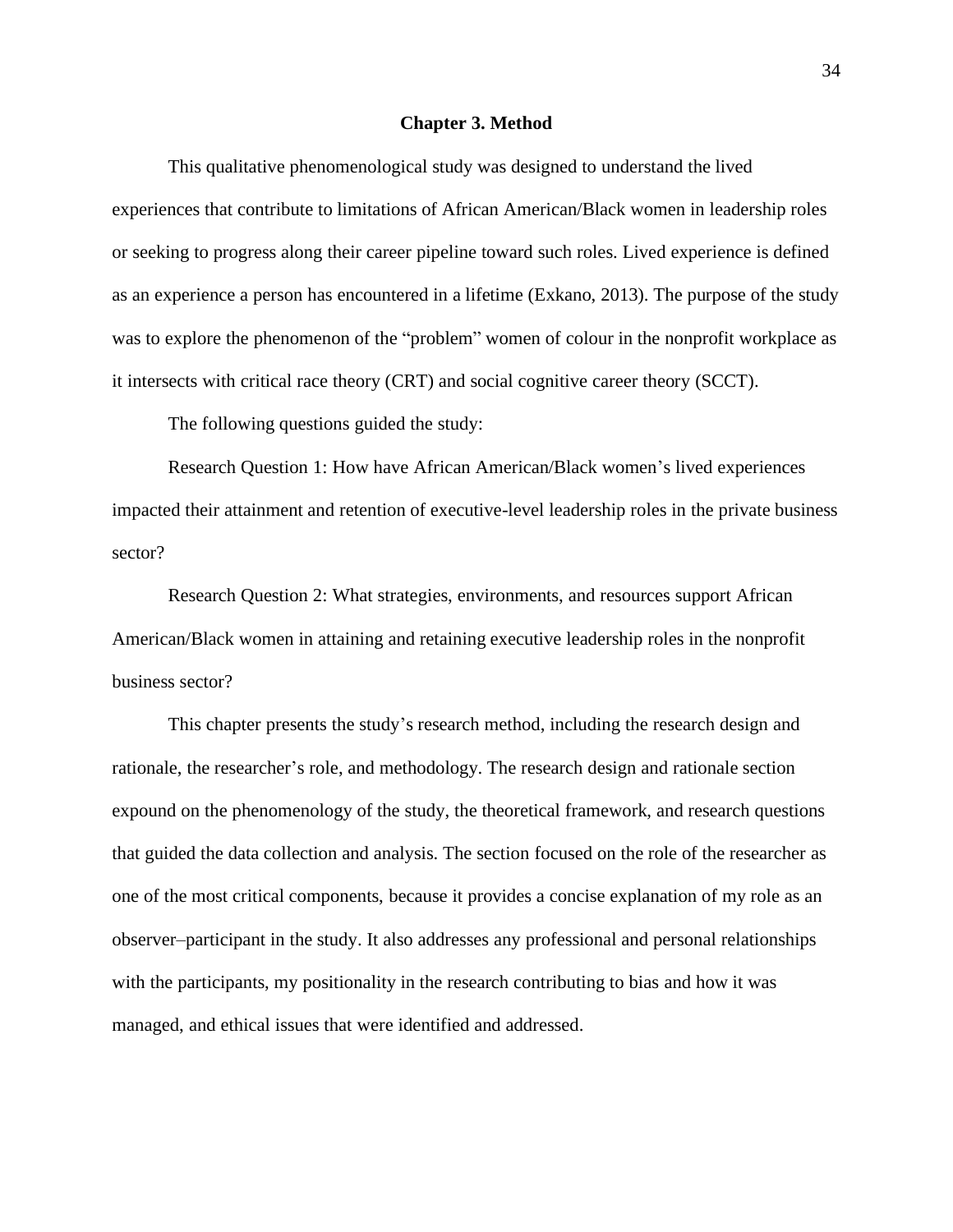#### **Chapter 3. Method**

<span id="page-34-0"></span>This qualitative phenomenological study was designed to understand the lived experiences that contribute to limitations of African American/Black women in leadership roles or seeking to progress along their career pipeline toward such roles. Lived experience is defined as an experience a person has encountered in a lifetime (Exkano, 2013). The purpose of the study was to explore the phenomenon of the "problem" women of colour in the nonprofit workplace as it intersects with critical race theory (CRT) and social cognitive career theory (SCCT).

The following questions guided the study:

Research Question 1: How have African American/Black women's lived experiences impacted their attainment and retention of executive-level leadership roles in the private business sector?

Research Question 2: What strategies, environments, and resources support African American/Black women in attaining and retaining executive leadership roles in the nonprofit business sector?

This chapter presents the study's research method, including the research design and rationale, the researcher's role, and methodology. The research design and rationale section expound on the phenomenology of the study, the theoretical framework, and research questions that guided the data collection and analysis. The section focused on the role of the researcher as one of the most critical components, because it provides a concise explanation of my role as an observer–participant in the study. It also addresses any professional and personal relationships with the participants, my positionality in the research contributing to bias and how it was managed, and ethical issues that were identified and addressed.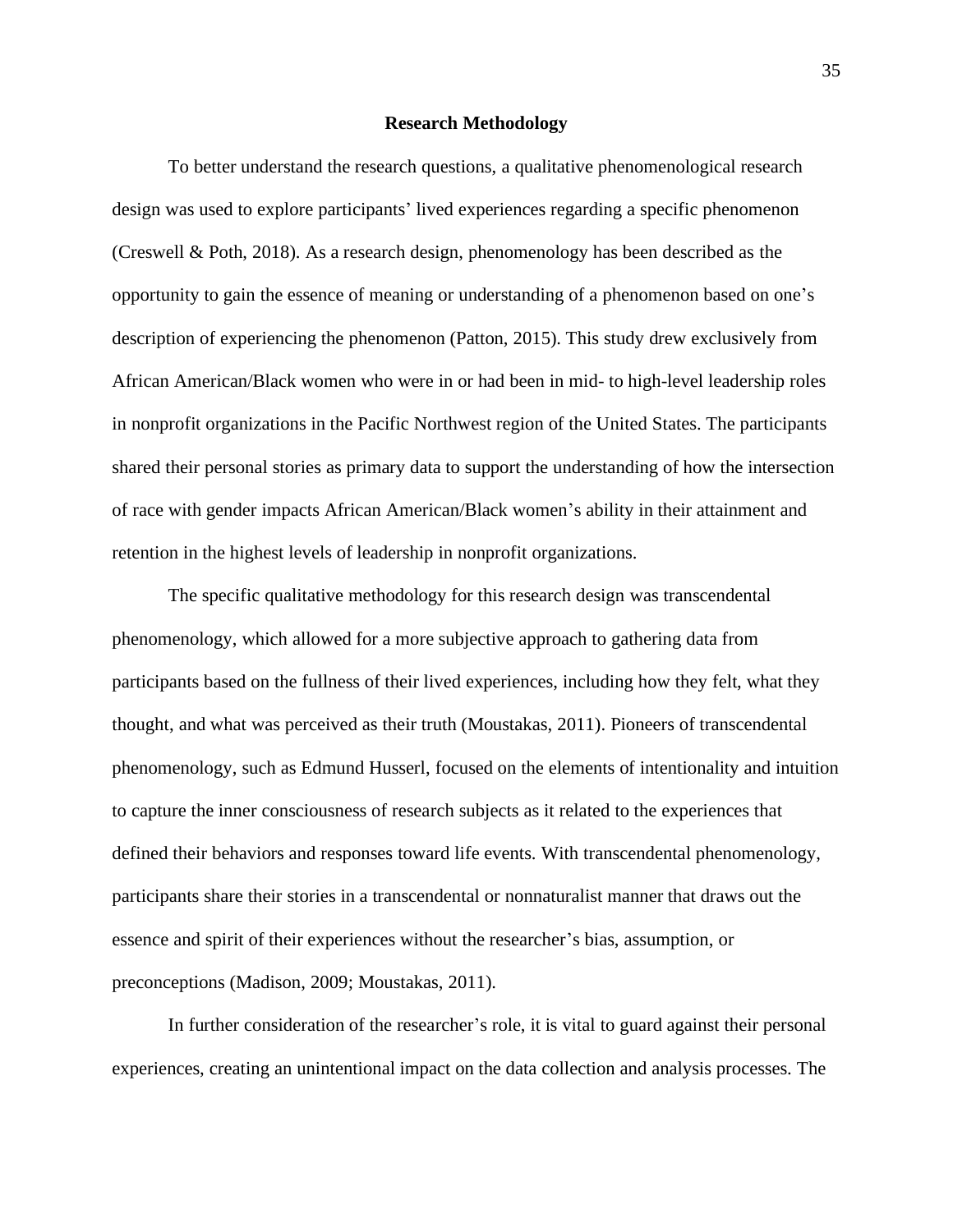#### **Research Methodology**

<span id="page-35-0"></span>To better understand the research questions, a qualitative phenomenological research design was used to explore participants' lived experiences regarding a specific phenomenon (Creswell & Poth, 2018). As a research design, phenomenology has been described as the opportunity to gain the essence of meaning or understanding of a phenomenon based on one's description of experiencing the phenomenon (Patton, 2015). This study drew exclusively from African American/Black women who were in or had been in mid- to high-level leadership roles in nonprofit organizations in the Pacific Northwest region of the United States. The participants shared their personal stories as primary data to support the understanding of how the intersection of race with gender impacts African American/Black women's ability in their attainment and retention in the highest levels of leadership in nonprofit organizations.

The specific qualitative methodology for this research design was transcendental phenomenology, which allowed for a more subjective approach to gathering data from participants based on the fullness of their lived experiences, including how they felt, what they thought, and what was perceived as their truth (Moustakas, 2011). Pioneers of transcendental phenomenology, such as Edmund Husserl, focused on the elements of intentionality and intuition to capture the inner consciousness of research subjects as it related to the experiences that defined their behaviors and responses toward life events. With transcendental phenomenology, participants share their stories in a transcendental or nonnaturalist manner that draws out the essence and spirit of their experiences without the researcher's bias, assumption, or preconceptions (Madison, 2009; Moustakas, 2011).

In further consideration of the researcher's role, it is vital to guard against their personal experiences, creating an unintentional impact on the data collection and analysis processes. The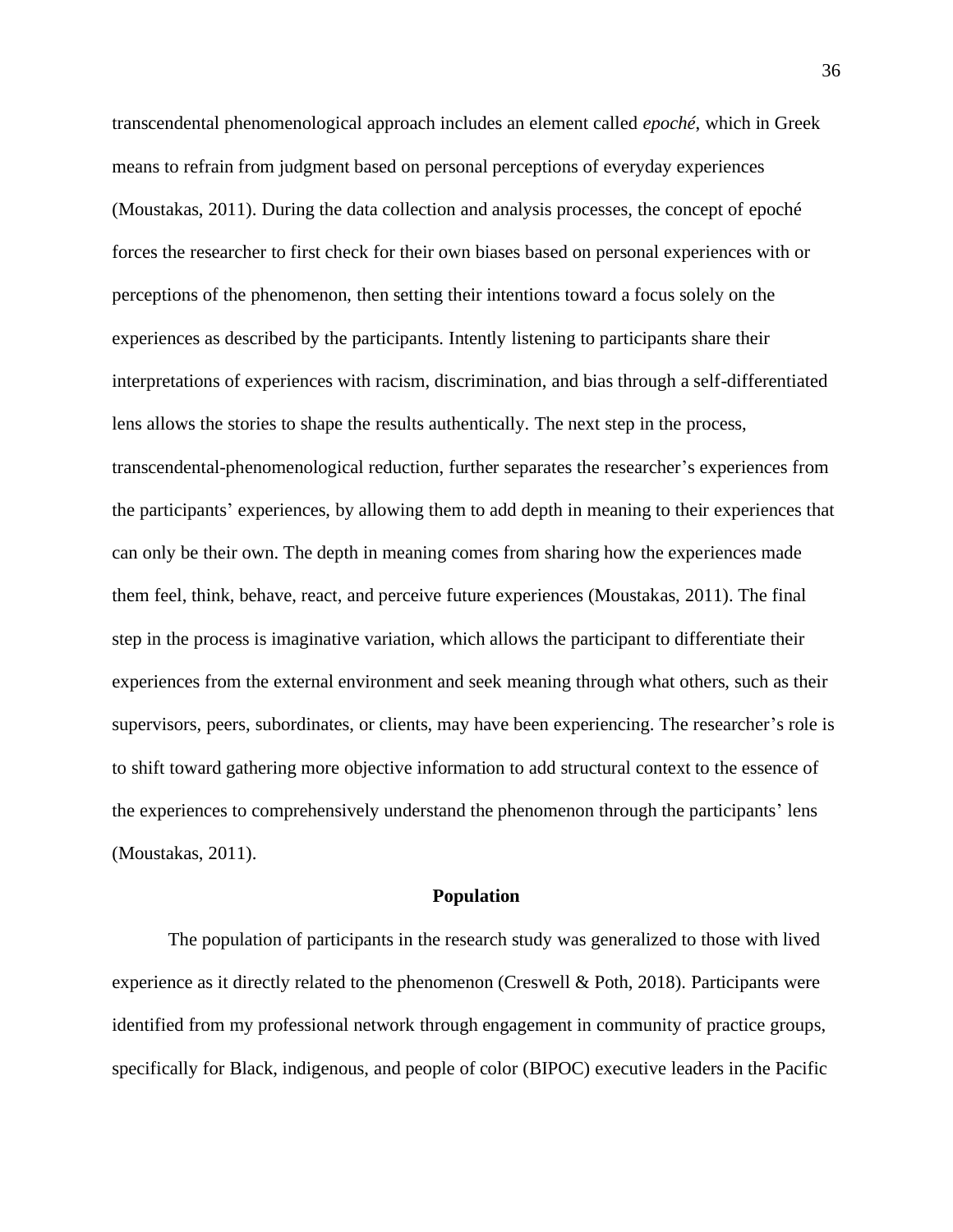transcendental phenomenological approach includes an element called *epoché*, which in Greek means to refrain from judgment based on personal perceptions of everyday experiences (Moustakas, 2011). During the data collection and analysis processes, the concept of epoché forces the researcher to first check for their own biases based on personal experiences with or perceptions of the phenomenon, then setting their intentions toward a focus solely on the experiences as described by the participants. Intently listening to participants share their interpretations of experiences with racism, discrimination, and bias through a self-differentiated lens allows the stories to shape the results authentically. The next step in the process, transcendental-phenomenological reduction, further separates the researcher's experiences from the participants' experiences, by allowing them to add depth in meaning to their experiences that can only be their own. The depth in meaning comes from sharing how the experiences made them feel, think, behave, react, and perceive future experiences (Moustakas, 2011). The final step in the process is imaginative variation, which allows the participant to differentiate their experiences from the external environment and seek meaning through what others, such as their supervisors, peers, subordinates, or clients, may have been experiencing. The researcher's role is to shift toward gathering more objective information to add structural context to the essence of the experiences to comprehensively understand the phenomenon through the participants' lens (Moustakas, 2011).

## **Population**

The population of participants in the research study was generalized to those with lived experience as it directly related to the phenomenon (Creswell & Poth, 2018). Participants were identified from my professional network through engagement in community of practice groups, specifically for Black, indigenous, and people of color (BIPOC) executive leaders in the Pacific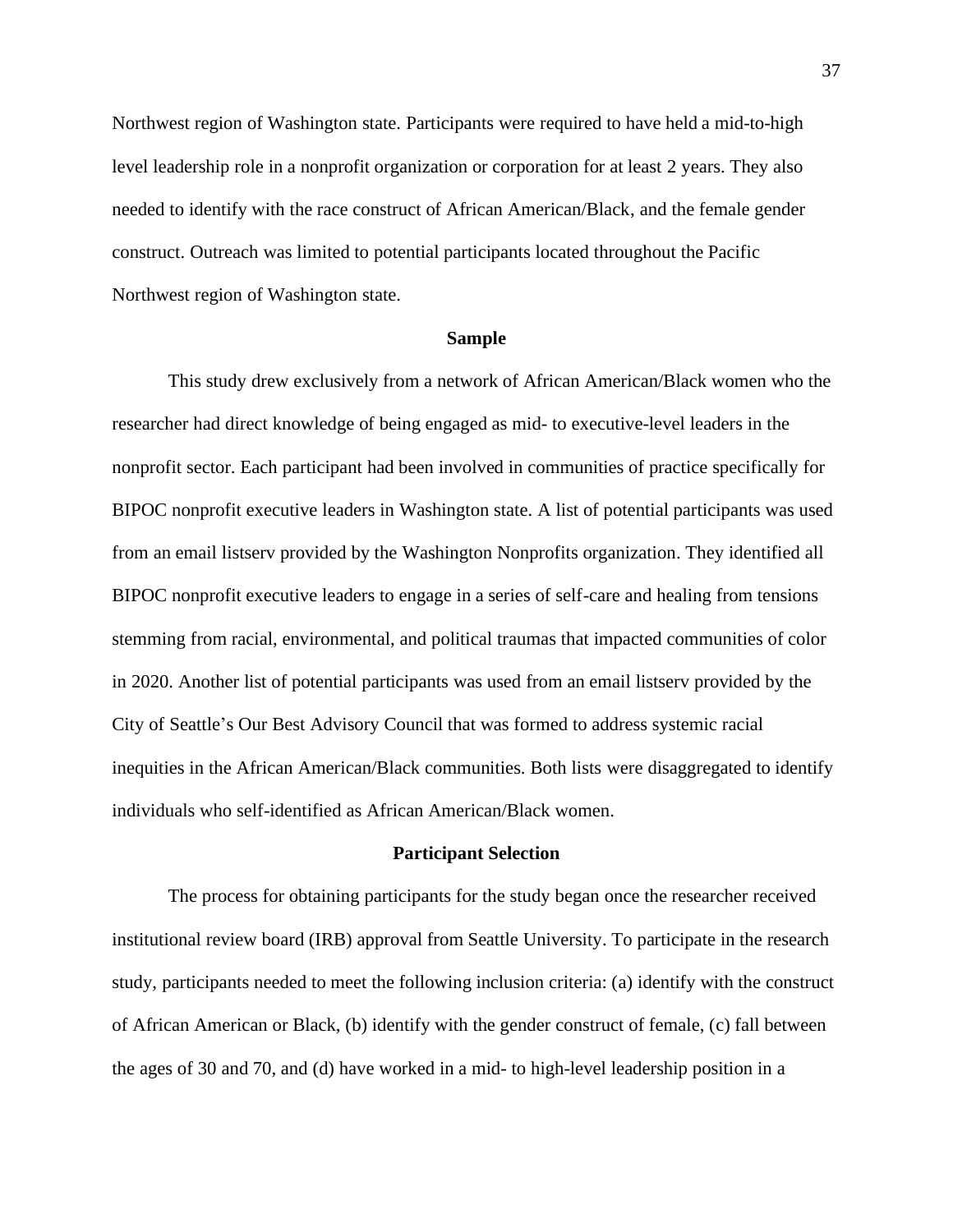Northwest region of Washington state. Participants were required to have held a mid-to-high level leadership role in a nonprofit organization or corporation for at least 2 years. They also needed to identify with the race construct of African American/Black, and the female gender construct. Outreach was limited to potential participants located throughout the Pacific Northwest region of Washington state.

## **Sample**

This study drew exclusively from a network of African American/Black women who the researcher had direct knowledge of being engaged as mid- to executive-level leaders in the nonprofit sector. Each participant had been involved in communities of practice specifically for BIPOC nonprofit executive leaders in Washington state. A list of potential participants was used from an email listserv provided by the Washington Nonprofits organization. They identified all BIPOC nonprofit executive leaders to engage in a series of self-care and healing from tensions stemming from racial, environmental, and political traumas that impacted communities of color in 2020. Another list of potential participants was used from an email listserv provided by the City of Seattle's Our Best Advisory Council that was formed to address systemic racial inequities in the African American/Black communities. Both lists were disaggregated to identify individuals who self-identified as African American/Black women.

### **Participant Selection**

The process for obtaining participants for the study began once the researcher received institutional review board (IRB) approval from Seattle University. To participate in the research study, participants needed to meet the following inclusion criteria: (a) identify with the construct of African American or Black, (b) identify with the gender construct of female, (c) fall between the ages of 30 and 70, and (d) have worked in a mid- to high-level leadership position in a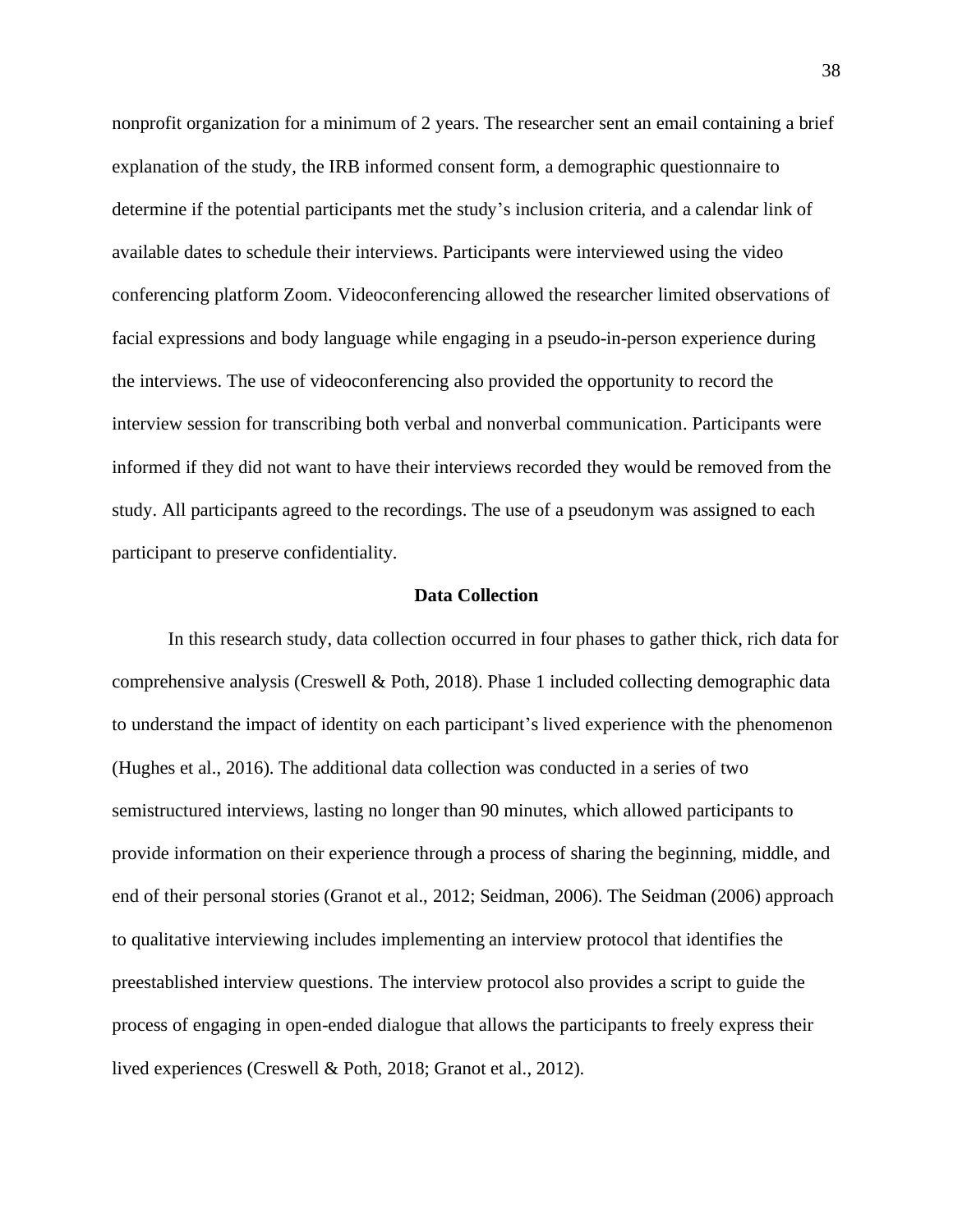nonprofit organization for a minimum of 2 years. The researcher sent an email containing a brief explanation of the study, the IRB informed consent form, a demographic questionnaire to determine if the potential participants met the study's inclusion criteria, and a calendar link of available dates to schedule their interviews. Participants were interviewed using the video conferencing platform Zoom. Videoconferencing allowed the researcher limited observations of facial expressions and body language while engaging in a pseudo-in-person experience during the interviews. The use of videoconferencing also provided the opportunity to record the interview session for transcribing both verbal and nonverbal communication. Participants were informed if they did not want to have their interviews recorded they would be removed from the study. All participants agreed to the recordings. The use of a pseudonym was assigned to each participant to preserve confidentiality.

# **Data Collection**

In this research study, data collection occurred in four phases to gather thick, rich data for comprehensive analysis (Creswell & Poth, 2018). Phase 1 included collecting demographic data to understand the impact of identity on each participant's lived experience with the phenomenon (Hughes et al., 2016). The additional data collection was conducted in a series of two semistructured interviews, lasting no longer than 90 minutes, which allowed participants to provide information on their experience through a process of sharing the beginning, middle, and end of their personal stories (Granot et al., 2012; Seidman, 2006). The Seidman (2006) approach to qualitative interviewing includes implementing an interview protocol that identifies the preestablished interview questions. The interview protocol also provides a script to guide the process of engaging in open-ended dialogue that allows the participants to freely express their lived experiences (Creswell & Poth, 2018; Granot et al., 2012).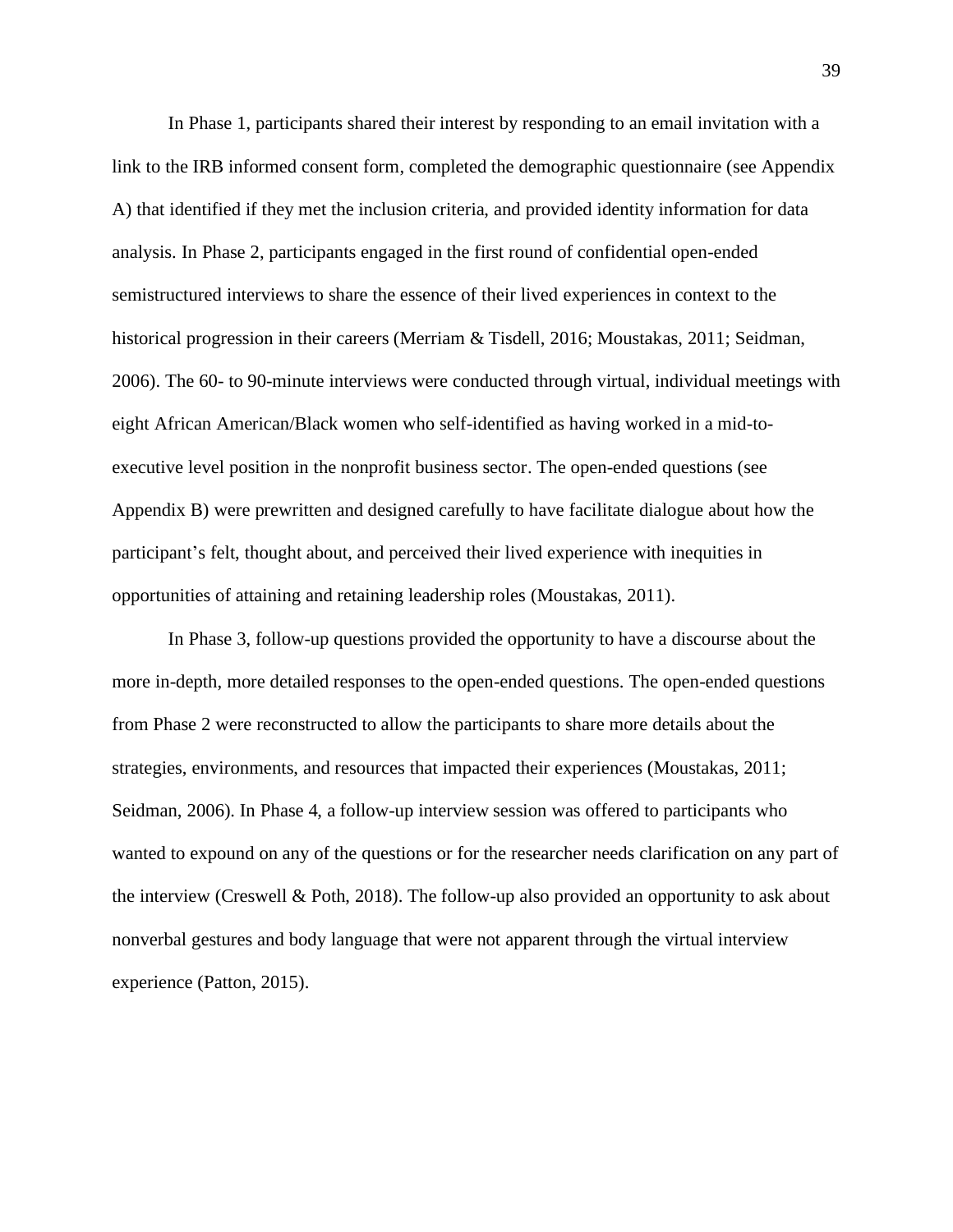In Phase 1, participants shared their interest by responding to an email invitation with a link to the IRB informed consent form, completed the demographic questionnaire (see Appendix A) that identified if they met the inclusion criteria, and provided identity information for data analysis. In Phase 2, participants engaged in the first round of confidential open-ended semistructured interviews to share the essence of their lived experiences in context to the historical progression in their careers (Merriam & Tisdell, 2016; Moustakas, 2011; Seidman, 2006). The 60- to 90-minute interviews were conducted through virtual, individual meetings with eight African American/Black women who self-identified as having worked in a mid-toexecutive level position in the nonprofit business sector. The open-ended questions (see Appendix B) were prewritten and designed carefully to have facilitate dialogue about how the participant's felt, thought about, and perceived their lived experience with inequities in opportunities of attaining and retaining leadership roles (Moustakas, 2011).

In Phase 3, follow-up questions provided the opportunity to have a discourse about the more in-depth, more detailed responses to the open-ended questions. The open-ended questions from Phase 2 were reconstructed to allow the participants to share more details about the strategies, environments, and resources that impacted their experiences (Moustakas, 2011; Seidman, 2006). In Phase 4, a follow-up interview session was offered to participants who wanted to expound on any of the questions or for the researcher needs clarification on any part of the interview (Creswell & Poth, 2018). The follow-up also provided an opportunity to ask about nonverbal gestures and body language that were not apparent through the virtual interview experience (Patton, 2015).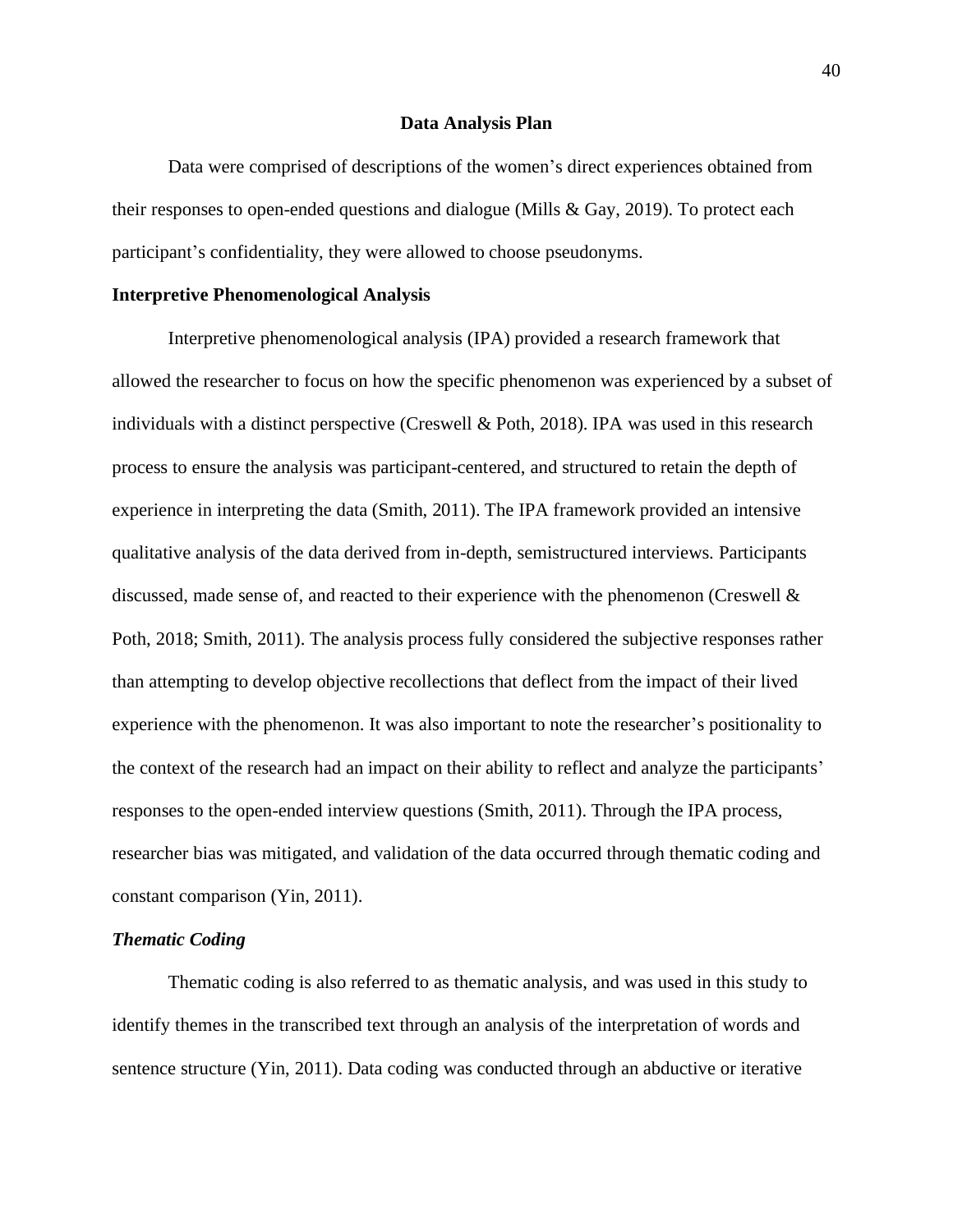### **Data Analysis Plan**

Data were comprised of descriptions of the women's direct experiences obtained from their responses to open-ended questions and dialogue (Mills & Gay, 2019). To protect each participant's confidentiality, they were allowed to choose pseudonyms.

# **Interpretive Phenomenological Analysis**

Interpretive phenomenological analysis (IPA) provided a research framework that allowed the researcher to focus on how the specific phenomenon was experienced by a subset of individuals with a distinct perspective (Creswell & Poth, 2018). IPA was used in this research process to ensure the analysis was participant-centered, and structured to retain the depth of experience in interpreting the data (Smith, 2011). The IPA framework provided an intensive qualitative analysis of the data derived from in-depth, semistructured interviews. Participants discussed, made sense of, and reacted to their experience with the phenomenon (Creswell & Poth, 2018; Smith, 2011). The analysis process fully considered the subjective responses rather than attempting to develop objective recollections that deflect from the impact of their lived experience with the phenomenon. It was also important to note the researcher's positionality to the context of the research had an impact on their ability to reflect and analyze the participants' responses to the open-ended interview questions (Smith, 2011). Through the IPA process, researcher bias was mitigated, and validation of the data occurred through thematic coding and constant comparison (Yin, 2011).

## *Thematic Coding*

Thematic coding is also referred to as thematic analysis, and was used in this study to identify themes in the transcribed text through an analysis of the interpretation of words and sentence structure (Yin, 2011). Data coding was conducted through an abductive or iterative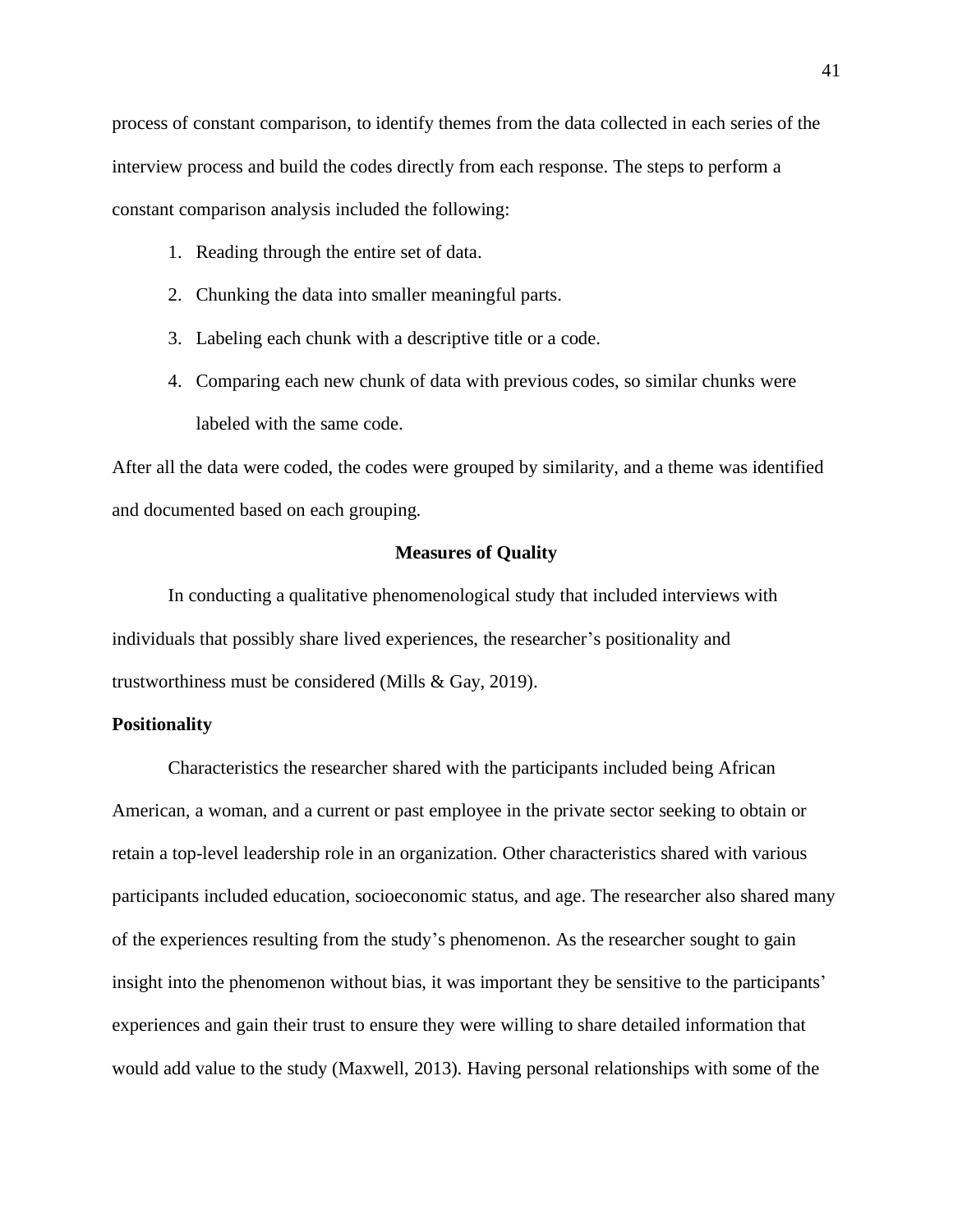process of constant comparison, to identify themes from the data collected in each series of the interview process and build the codes directly from each response. The steps to perform a constant comparison analysis included the following:

- 1. Reading through the entire set of data.
- 2. Chunking the data into smaller meaningful parts.
- 3. Labeling each chunk with a descriptive title or a code.
- 4. Comparing each new chunk of data with previous codes, so similar chunks were labeled with the same code.

After all the data were coded, the codes were grouped by similarity, and a theme was identified and documented based on each grouping.

# **Measures of Quality**

In conducting a qualitative phenomenological study that included interviews with individuals that possibly share lived experiences, the researcher's positionality and trustworthiness must be considered (Mills & Gay, 2019).

# **Positionality**

Characteristics the researcher shared with the participants included being African American, a woman, and a current or past employee in the private sector seeking to obtain or retain a top-level leadership role in an organization. Other characteristics shared with various participants included education, socioeconomic status, and age. The researcher also shared many of the experiences resulting from the study's phenomenon. As the researcher sought to gain insight into the phenomenon without bias, it was important they be sensitive to the participants' experiences and gain their trust to ensure they were willing to share detailed information that would add value to the study (Maxwell, 2013). Having personal relationships with some of the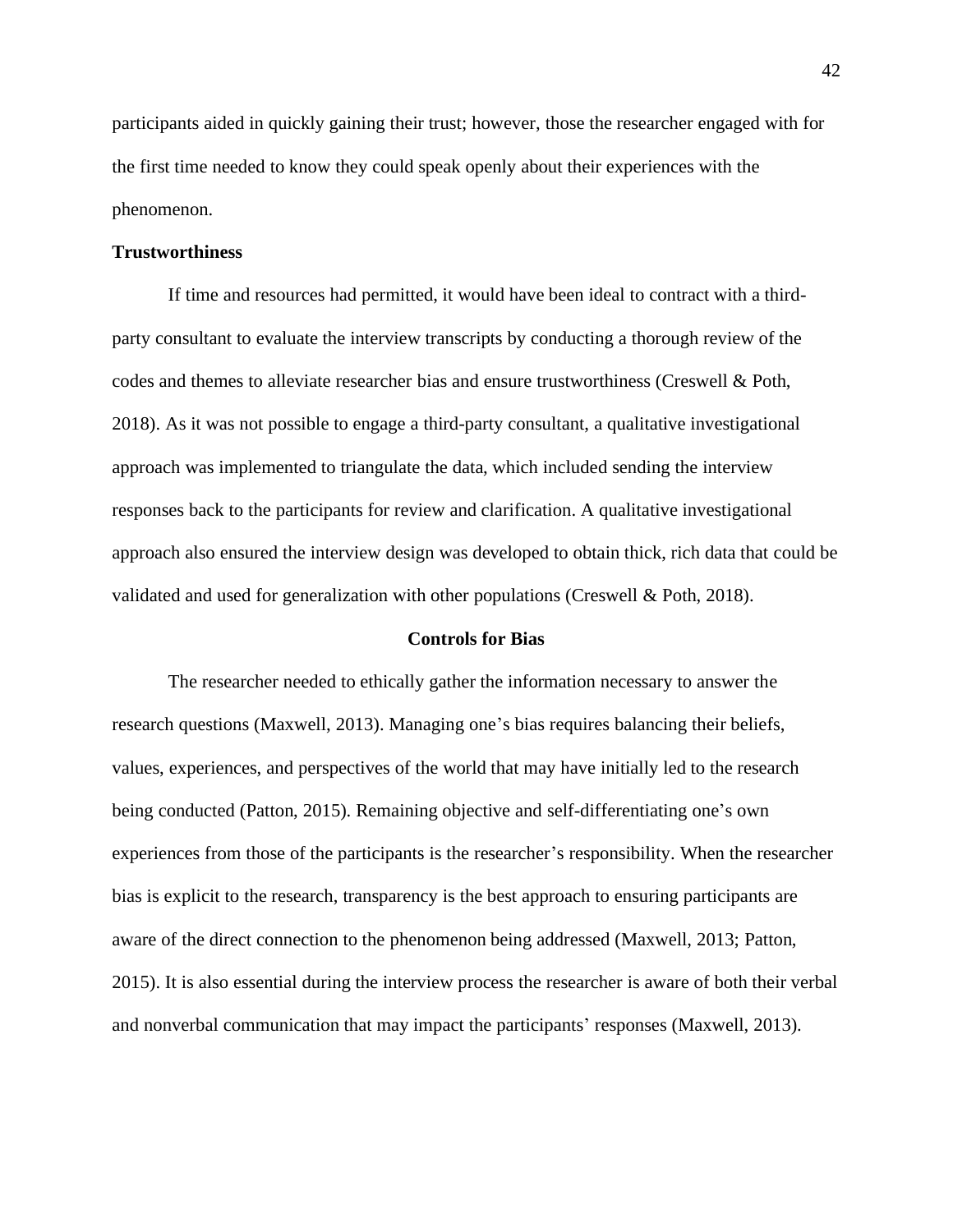participants aided in quickly gaining their trust; however, those the researcher engaged with for the first time needed to know they could speak openly about their experiences with the phenomenon.

# **Trustworthiness**

If time and resources had permitted, it would have been ideal to contract with a thirdparty consultant to evaluate the interview transcripts by conducting a thorough review of the codes and themes to alleviate researcher bias and ensure trustworthiness (Creswell & Poth, 2018). As it was not possible to engage a third-party consultant, a qualitative investigational approach was implemented to triangulate the data, which included sending the interview responses back to the participants for review and clarification. A qualitative investigational approach also ensured the interview design was developed to obtain thick, rich data that could be validated and used for generalization with other populations (Creswell & Poth, 2018).

## **Controls for Bias**

The researcher needed to ethically gather the information necessary to answer the research questions (Maxwell, 2013). Managing one's bias requires balancing their beliefs, values, experiences, and perspectives of the world that may have initially led to the research being conducted (Patton, 2015). Remaining objective and self-differentiating one's own experiences from those of the participants is the researcher's responsibility. When the researcher bias is explicit to the research, transparency is the best approach to ensuring participants are aware of the direct connection to the phenomenon being addressed (Maxwell, 2013; Patton, 2015). It is also essential during the interview process the researcher is aware of both their verbal and nonverbal communication that may impact the participants' responses (Maxwell, 2013).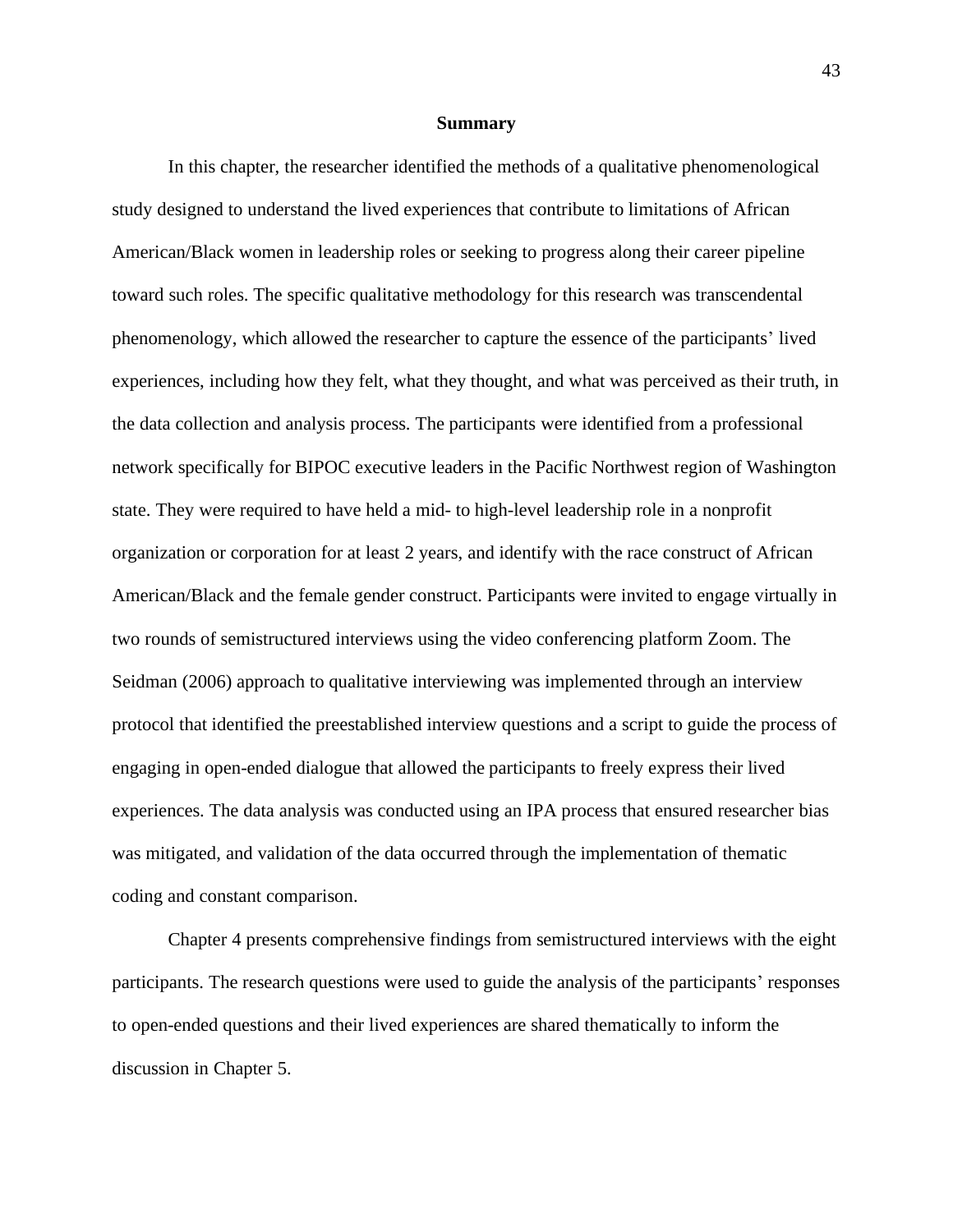#### **Summary**

In this chapter, the researcher identified the methods of a qualitative phenomenological study designed to understand the lived experiences that contribute to limitations of African American/Black women in leadership roles or seeking to progress along their career pipeline toward such roles. The specific qualitative methodology for this research was transcendental phenomenology, which allowed the researcher to capture the essence of the participants' lived experiences, including how they felt, what they thought, and what was perceived as their truth, in the data collection and analysis process. The participants were identified from a professional network specifically for BIPOC executive leaders in the Pacific Northwest region of Washington state. They were required to have held a mid- to high-level leadership role in a nonprofit organization or corporation for at least 2 years, and identify with the race construct of African American/Black and the female gender construct. Participants were invited to engage virtually in two rounds of semistructured interviews using the video conferencing platform Zoom. The Seidman (2006) approach to qualitative interviewing was implemented through an interview protocol that identified the preestablished interview questions and a script to guide the process of engaging in open-ended dialogue that allowed the participants to freely express their lived experiences. The data analysis was conducted using an IPA process that ensured researcher bias was mitigated, and validation of the data occurred through the implementation of thematic coding and constant comparison.

Chapter 4 presents comprehensive findings from semistructured interviews with the eight participants. The research questions were used to guide the analysis of the participants' responses to open-ended questions and their lived experiences are shared thematically to inform the discussion in Chapter 5.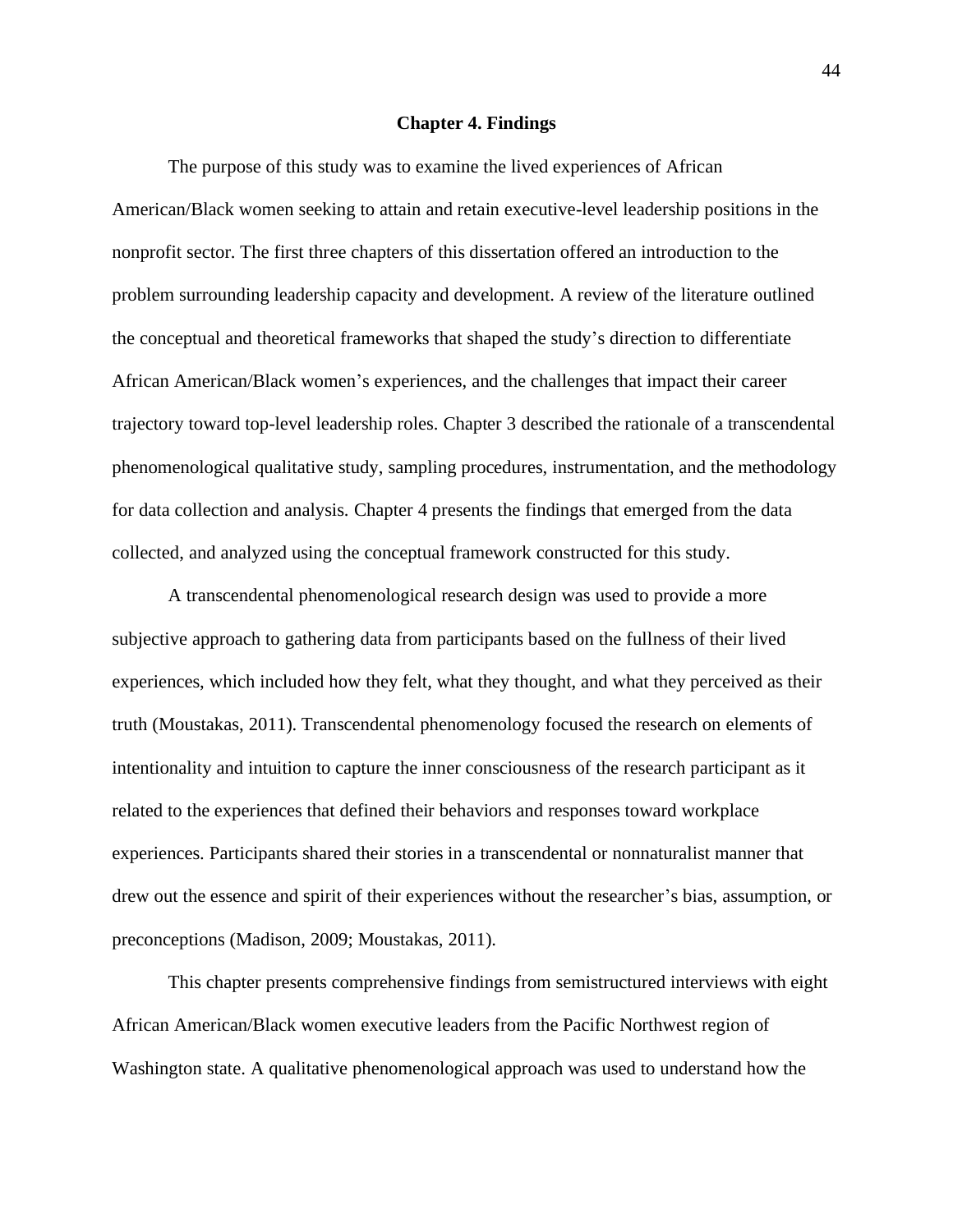### **Chapter 4. Findings**

The purpose of this study was to examine the lived experiences of African American/Black women seeking to attain and retain executive-level leadership positions in the nonprofit sector. The first three chapters of this dissertation offered an introduction to the problem surrounding leadership capacity and development. A review of the literature outlined the conceptual and theoretical frameworks that shaped the study's direction to differentiate African American/Black women's experiences, and the challenges that impact their career trajectory toward top-level leadership roles. Chapter 3 described the rationale of a transcendental phenomenological qualitative study, sampling procedures, instrumentation, and the methodology for data collection and analysis. Chapter 4 presents the findings that emerged from the data collected, and analyzed using the conceptual framework constructed for this study.

A transcendental phenomenological research design was used to provide a more subjective approach to gathering data from participants based on the fullness of their lived experiences, which included how they felt, what they thought, and what they perceived as their truth (Moustakas, 2011). Transcendental phenomenology focused the research on elements of intentionality and intuition to capture the inner consciousness of the research participant as it related to the experiences that defined their behaviors and responses toward workplace experiences. Participants shared their stories in a transcendental or nonnaturalist manner that drew out the essence and spirit of their experiences without the researcher's bias, assumption, or preconceptions (Madison, 2009; Moustakas, 2011).

This chapter presents comprehensive findings from semistructured interviews with eight African American/Black women executive leaders from the Pacific Northwest region of Washington state. A qualitative phenomenological approach was used to understand how the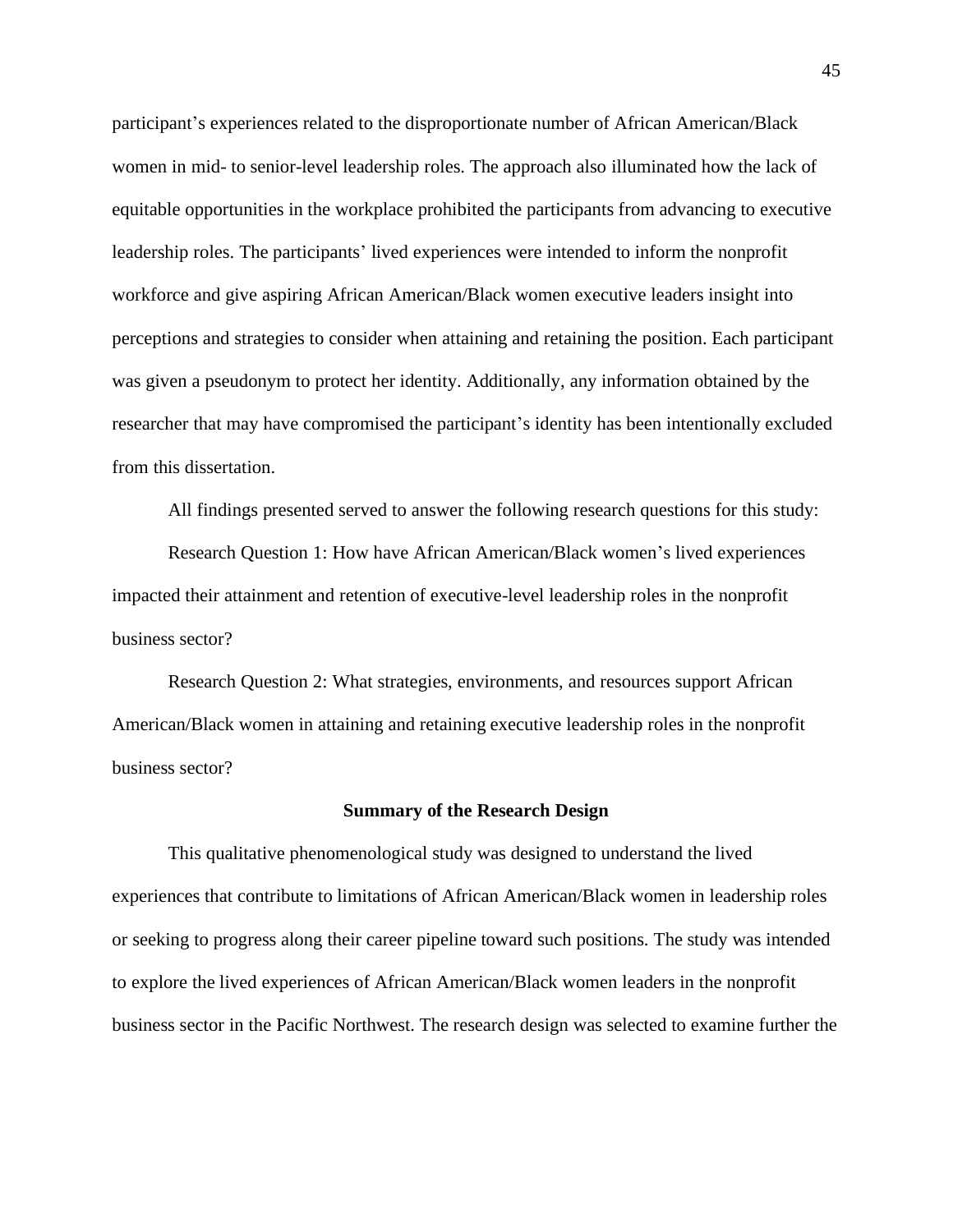participant's experiences related to the disproportionate number of African American/Black women in mid- to senior-level leadership roles. The approach also illuminated how the lack of equitable opportunities in the workplace prohibited the participants from advancing to executive leadership roles. The participants' lived experiences were intended to inform the nonprofit workforce and give aspiring African American/Black women executive leaders insight into perceptions and strategies to consider when attaining and retaining the position. Each participant was given a pseudonym to protect her identity. Additionally, any information obtained by the researcher that may have compromised the participant's identity has been intentionally excluded from this dissertation.

All findings presented served to answer the following research questions for this study:

Research Question 1: How have African American/Black women's lived experiences impacted their attainment and retention of executive-level leadership roles in the nonprofit business sector?

Research Question 2: What strategies, environments, and resources support African American/Black women in attaining and retaining executive leadership roles in the nonprofit business sector?

### **Summary of the Research Design**

This qualitative phenomenological study was designed to understand the lived experiences that contribute to limitations of African American/Black women in leadership roles or seeking to progress along their career pipeline toward such positions. The study was intended to explore the lived experiences of African American/Black women leaders in the nonprofit business sector in the Pacific Northwest. The research design was selected to examine further the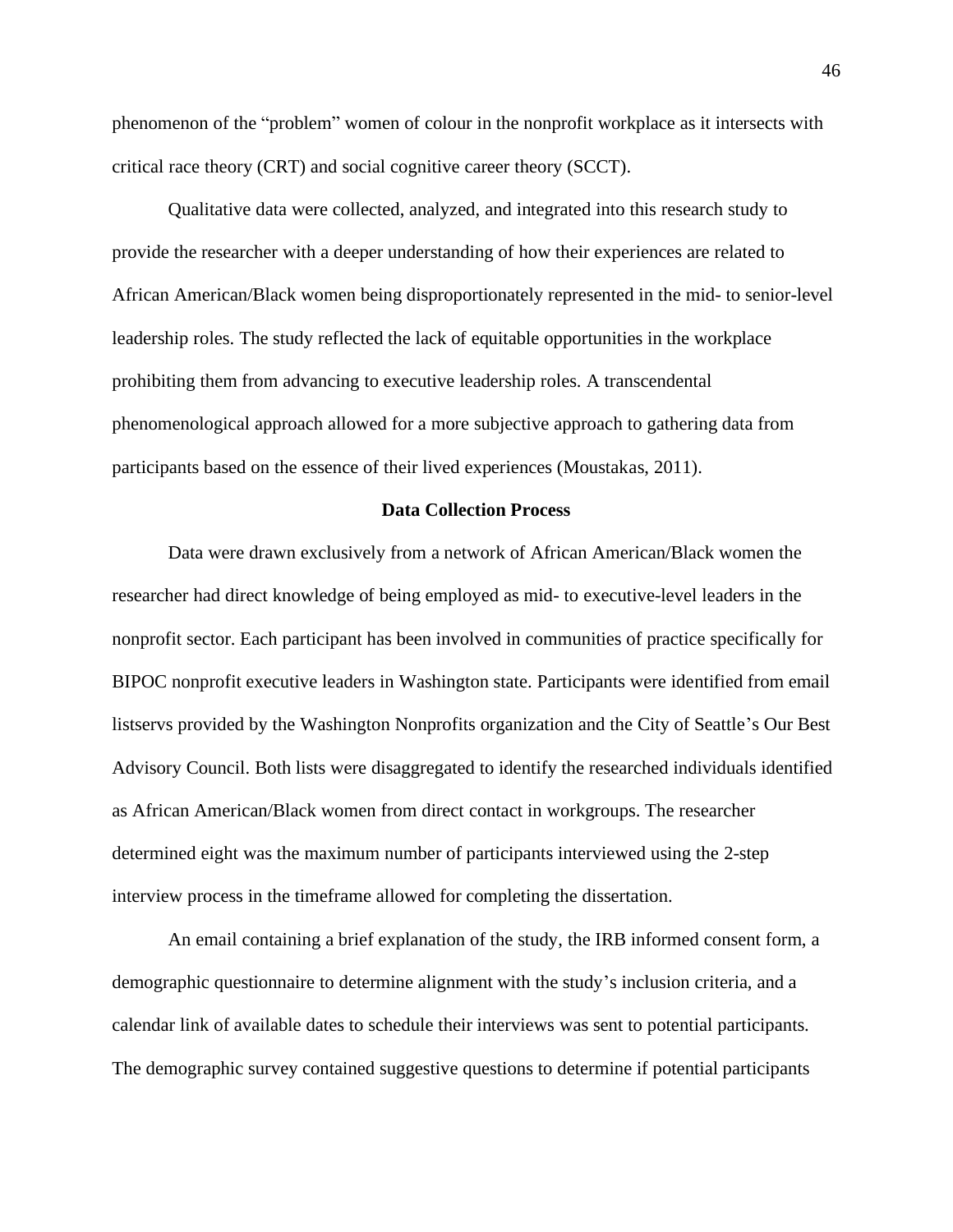phenomenon of the "problem" women of colour in the nonprofit workplace as it intersects with critical race theory (CRT) and social cognitive career theory (SCCT).

Qualitative data were collected, analyzed, and integrated into this research study to provide the researcher with a deeper understanding of how their experiences are related to African American/Black women being disproportionately represented in the mid- to senior-level leadership roles. The study reflected the lack of equitable opportunities in the workplace prohibiting them from advancing to executive leadership roles. A transcendental phenomenological approach allowed for a more subjective approach to gathering data from participants based on the essence of their lived experiences (Moustakas, 2011).

# **Data Collection Process**

Data were drawn exclusively from a network of African American/Black women the researcher had direct knowledge of being employed as mid- to executive-level leaders in the nonprofit sector. Each participant has been involved in communities of practice specifically for BIPOC nonprofit executive leaders in Washington state. Participants were identified from email listservs provided by the Washington Nonprofits organization and the City of Seattle's Our Best Advisory Council. Both lists were disaggregated to identify the researched individuals identified as African American/Black women from direct contact in workgroups. The researcher determined eight was the maximum number of participants interviewed using the 2-step interview process in the timeframe allowed for completing the dissertation.

An email containing a brief explanation of the study, the IRB informed consent form, a demographic questionnaire to determine alignment with the study's inclusion criteria, and a calendar link of available dates to schedule their interviews was sent to potential participants. The demographic survey contained suggestive questions to determine if potential participants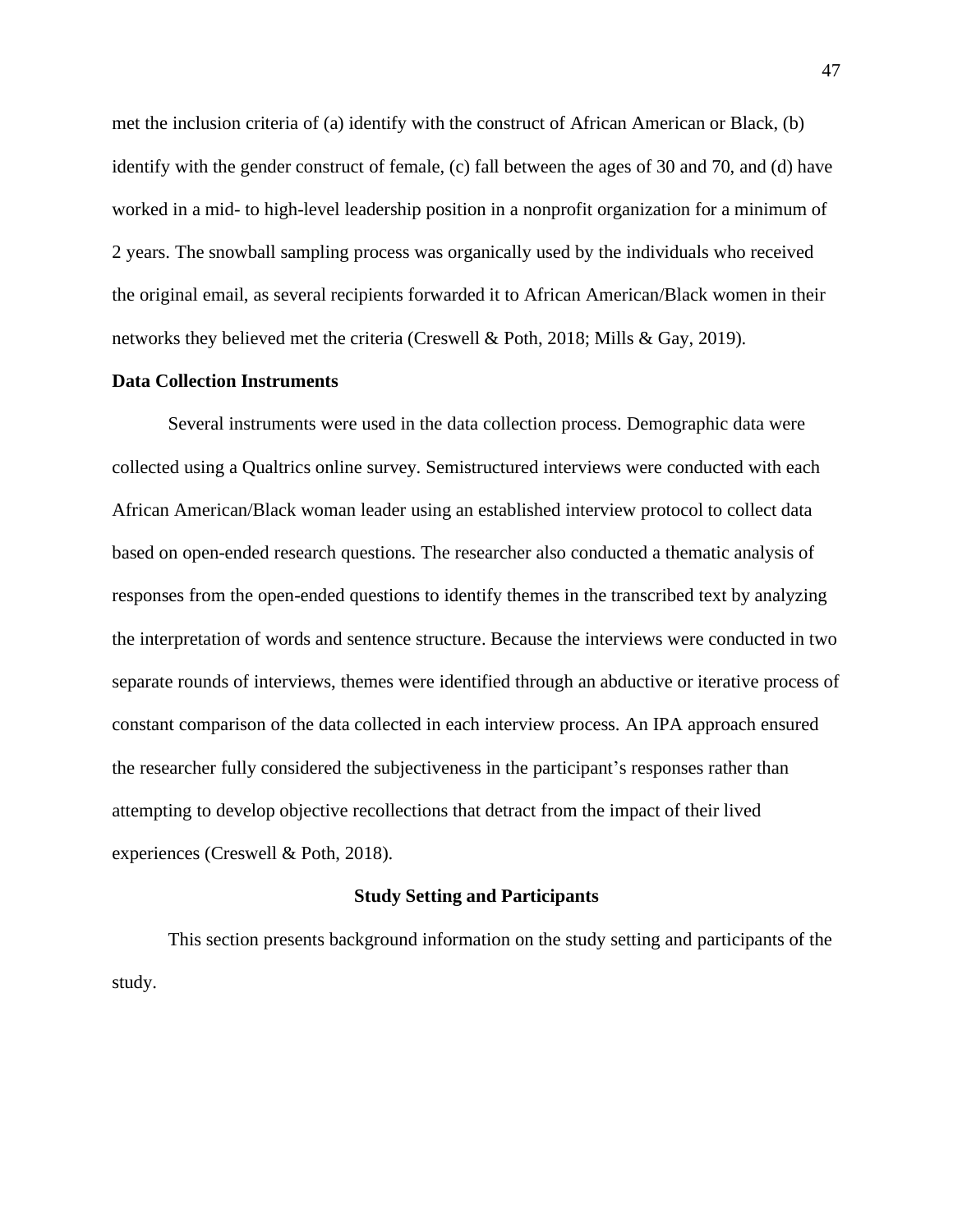met the inclusion criteria of (a) identify with the construct of African American or Black, (b) identify with the gender construct of female, (c) fall between the ages of 30 and 70, and (d) have worked in a mid- to high-level leadership position in a nonprofit organization for a minimum of 2 years. The snowball sampling process was organically used by the individuals who received the original email, as several recipients forwarded it to African American/Black women in their networks they believed met the criteria (Creswell & Poth, 2018; Mills & Gay, 2019).

# **Data Collection Instruments**

Several instruments were used in the data collection process. Demographic data were collected using a Qualtrics online survey. Semistructured interviews were conducted with each African American/Black woman leader using an established interview protocol to collect data based on open-ended research questions. The researcher also conducted a thematic analysis of responses from the open-ended questions to identify themes in the transcribed text by analyzing the interpretation of words and sentence structure. Because the interviews were conducted in two separate rounds of interviews, themes were identified through an abductive or iterative process of constant comparison of the data collected in each interview process. An IPA approach ensured the researcher fully considered the subjectiveness in the participant's responses rather than attempting to develop objective recollections that detract from the impact of their lived experiences (Creswell & Poth, 2018).

# **Study Setting and Participants**

This section presents background information on the study setting and participants of the study.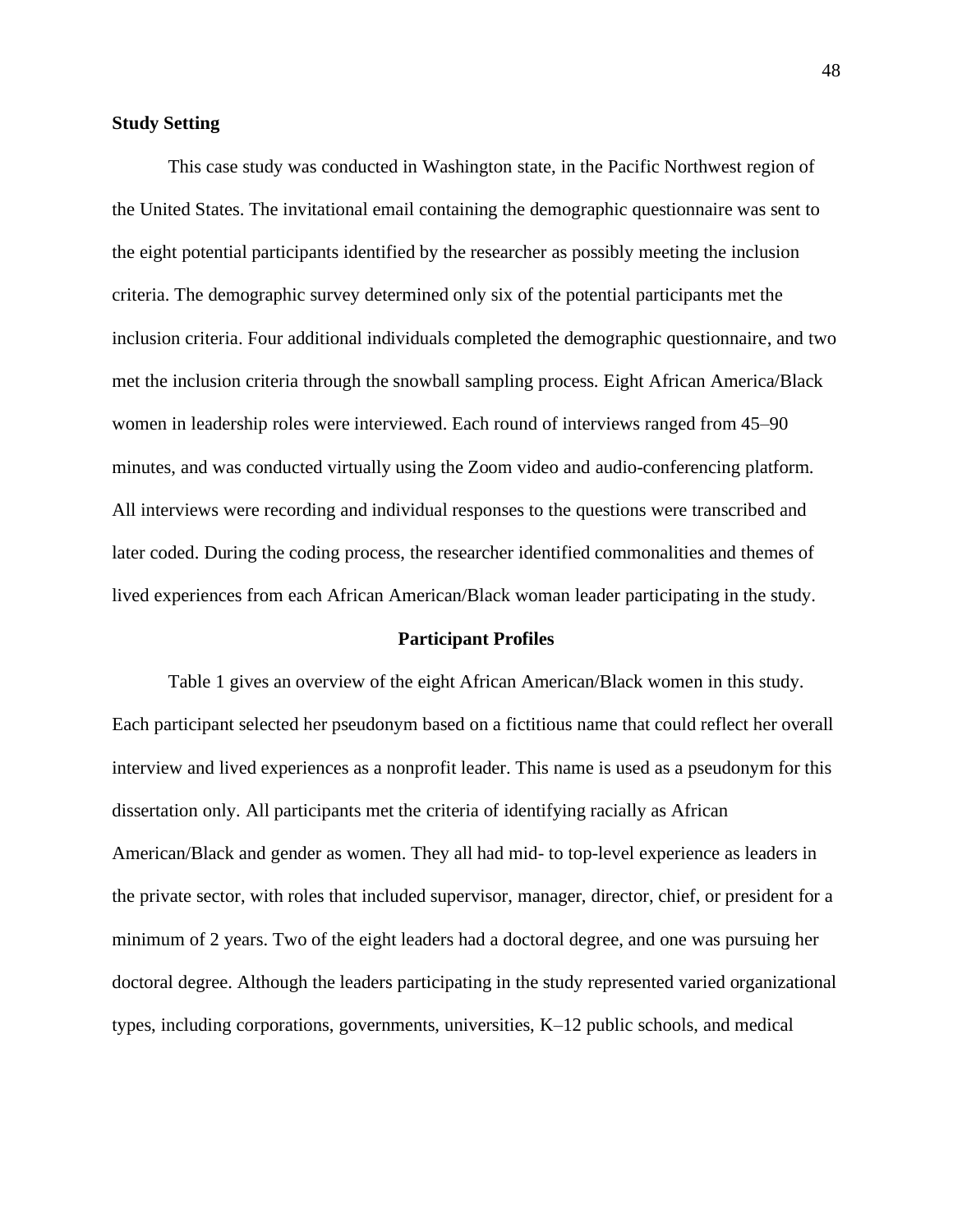# **Study Setting**

This case study was conducted in Washington state, in the Pacific Northwest region of the United States. The invitational email containing the demographic questionnaire was sent to the eight potential participants identified by the researcher as possibly meeting the inclusion criteria. The demographic survey determined only six of the potential participants met the inclusion criteria. Four additional individuals completed the demographic questionnaire, and two met the inclusion criteria through the snowball sampling process. Eight African America/Black women in leadership roles were interviewed. Each round of interviews ranged from 45–90 minutes, and was conducted virtually using the Zoom video and audio-conferencing platform. All interviews were recording and individual responses to the questions were transcribed and later coded. During the coding process, the researcher identified commonalities and themes of lived experiences from each African American/Black woman leader participating in the study.

# **Participant Profiles**

Table 1 gives an overview of the eight African American/Black women in this study. Each participant selected her pseudonym based on a fictitious name that could reflect her overall interview and lived experiences as a nonprofit leader. This name is used as a pseudonym for this dissertation only. All participants met the criteria of identifying racially as African American/Black and gender as women. They all had mid- to top-level experience as leaders in the private sector, with roles that included supervisor, manager, director, chief, or president for a minimum of 2 years. Two of the eight leaders had a doctoral degree, and one was pursuing her doctoral degree. Although the leaders participating in the study represented varied organizational types, including corporations, governments, universities, K–12 public schools, and medical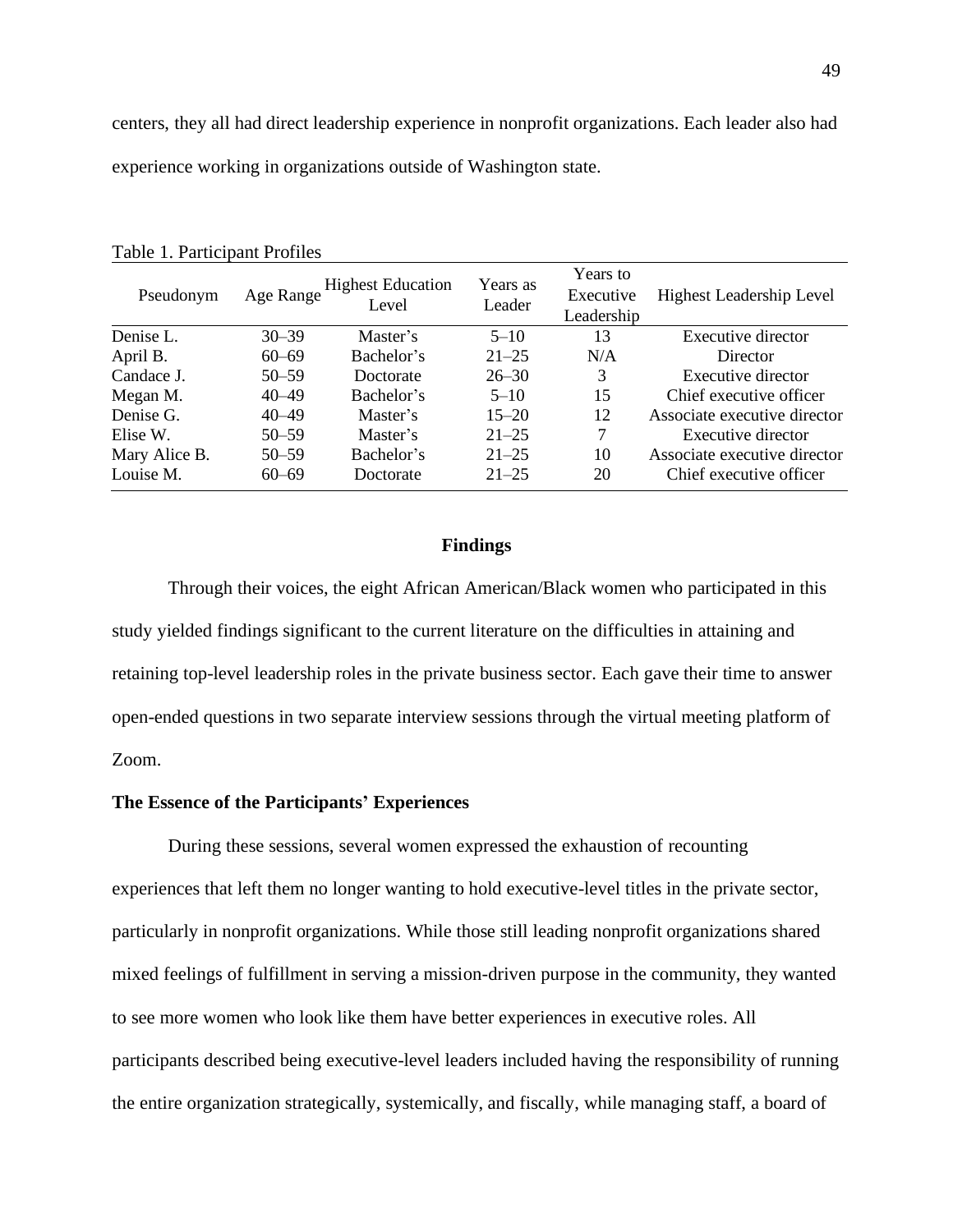centers, they all had direct leadership experience in nonprofit organizations. Each leader also had experience working in organizations outside of Washington state.

| Pseudonym     | Age Range | <b>Highest Education</b><br>Level | Years as<br>Leader | Years to<br>Executive<br>Leadership | <b>Highest Leadership Level</b> |
|---------------|-----------|-----------------------------------|--------------------|-------------------------------------|---------------------------------|
| Denise L.     | $30 - 39$ | Master's                          | $5 - 10$           | 13                                  | Executive director              |
| April B.      | $60 - 69$ | Bachelor's                        | $21 - 25$          | N/A                                 | Director                        |
| Candace J.    | $50 - 59$ | Doctorate                         | $26 - 30$          | 3                                   | Executive director              |
| Megan M.      | $40 - 49$ | Bachelor's                        | $5 - 10$           | 15                                  | Chief executive officer         |
| Denise G.     | $40 - 49$ | Master's                          | $15 - 20$          | 12                                  | Associate executive director    |
| Elise W.      | $50 - 59$ | Master's                          | $21 - 25$          | 7                                   | Executive director              |
| Mary Alice B. | $50 - 59$ | Bachelor's                        | $21 - 25$          | 10                                  | Associate executive director    |
| Louise M.     | $60 - 69$ | Doctorate                         | $21 - 25$          | 20                                  | Chief executive officer         |

Table 1. Participant Profiles

## **Findings**

Through their voices, the eight African American/Black women who participated in this study yielded findings significant to the current literature on the difficulties in attaining and retaining top-level leadership roles in the private business sector. Each gave their time to answer open-ended questions in two separate interview sessions through the virtual meeting platform of Zoom.

## **The Essence of the Participants' Experiences**

During these sessions, several women expressed the exhaustion of recounting experiences that left them no longer wanting to hold executive-level titles in the private sector, particularly in nonprofit organizations. While those still leading nonprofit organizations shared mixed feelings of fulfillment in serving a mission-driven purpose in the community, they wanted to see more women who look like them have better experiences in executive roles. All participants described being executive-level leaders included having the responsibility of running the entire organization strategically, systemically, and fiscally, while managing staff, a board of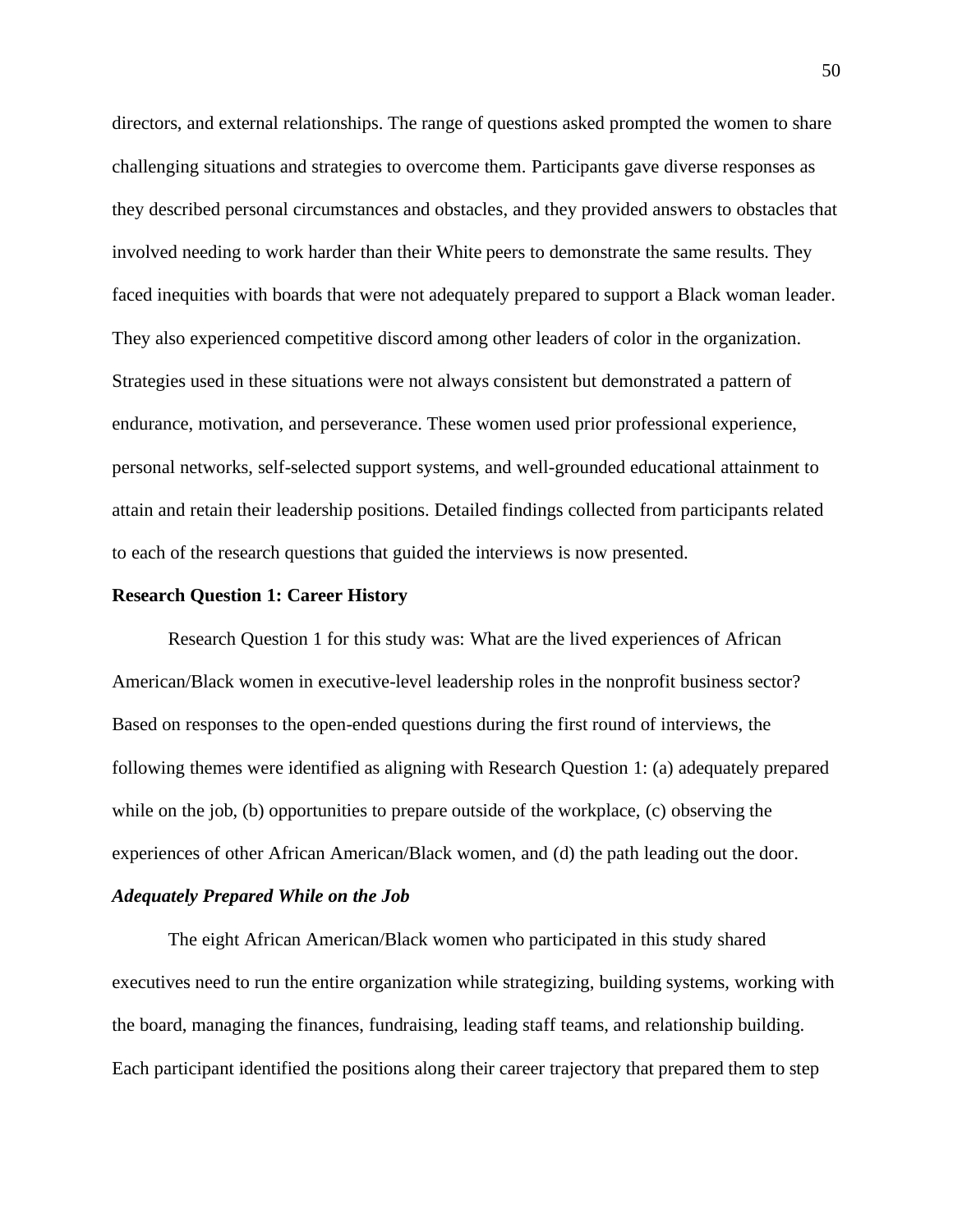directors, and external relationships. The range of questions asked prompted the women to share challenging situations and strategies to overcome them. Participants gave diverse responses as they described personal circumstances and obstacles, and they provided answers to obstacles that involved needing to work harder than their White peers to demonstrate the same results. They faced inequities with boards that were not adequately prepared to support a Black woman leader. They also experienced competitive discord among other leaders of color in the organization. Strategies used in these situations were not always consistent but demonstrated a pattern of endurance, motivation, and perseverance. These women used prior professional experience, personal networks, self-selected support systems, and well-grounded educational attainment to attain and retain their leadership positions. Detailed findings collected from participants related to each of the research questions that guided the interviews is now presented.

### **Research Question 1: Career History**

Research Question 1 for this study was: What are the lived experiences of African American/Black women in executive-level leadership roles in the nonprofit business sector? Based on responses to the open-ended questions during the first round of interviews, the following themes were identified as aligning with Research Question 1: (a) adequately prepared while on the job, (b) opportunities to prepare outside of the workplace, (c) observing the experiences of other African American/Black women, and (d) the path leading out the door.

# *Adequately Prepared While on the Job*

The eight African American/Black women who participated in this study shared executives need to run the entire organization while strategizing, building systems, working with the board, managing the finances, fundraising, leading staff teams, and relationship building. Each participant identified the positions along their career trajectory that prepared them to step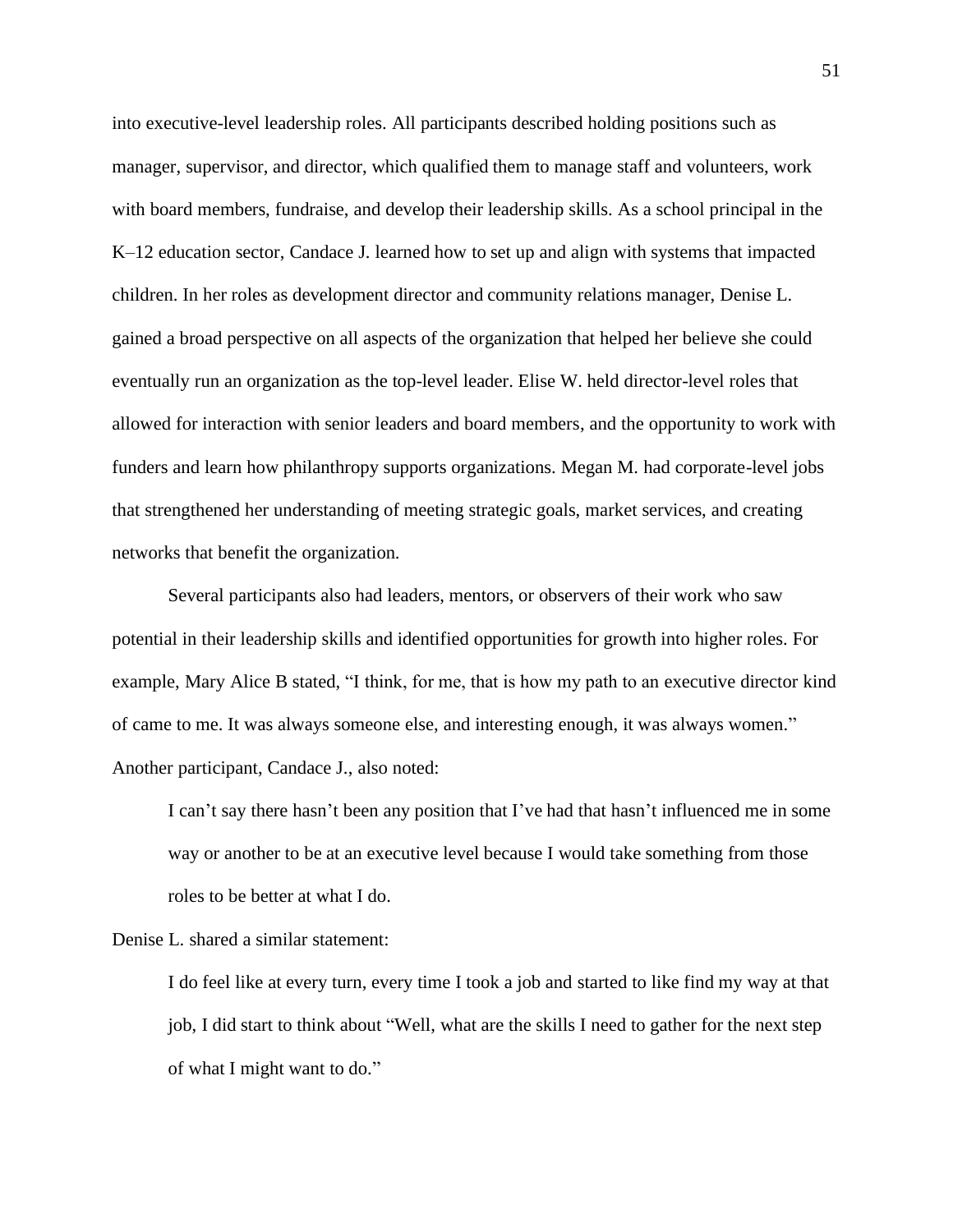into executive-level leadership roles. All participants described holding positions such as manager, supervisor, and director, which qualified them to manage staff and volunteers, work with board members, fundraise, and develop their leadership skills. As a school principal in the K–12 education sector, Candace J. learned how to set up and align with systems that impacted children. In her roles as development director and community relations manager, Denise L. gained a broad perspective on all aspects of the organization that helped her believe she could eventually run an organization as the top-level leader. Elise W. held director-level roles that allowed for interaction with senior leaders and board members, and the opportunity to work with funders and learn how philanthropy supports organizations. Megan M. had corporate-level jobs that strengthened her understanding of meeting strategic goals, market services, and creating networks that benefit the organization.

Several participants also had leaders, mentors, or observers of their work who saw potential in their leadership skills and identified opportunities for growth into higher roles. For example, Mary Alice B stated, "I think, for me, that is how my path to an executive director kind of came to me. It was always someone else, and interesting enough, it was always women." Another participant, Candace J., also noted:

I can't say there hasn't been any position that I've had that hasn't influenced me in some way or another to be at an executive level because I would take something from those roles to be better at what I do.

Denise L. shared a similar statement:

I do feel like at every turn, every time I took a job and started to like find my way at that job, I did start to think about "Well, what are the skills I need to gather for the next step of what I might want to do."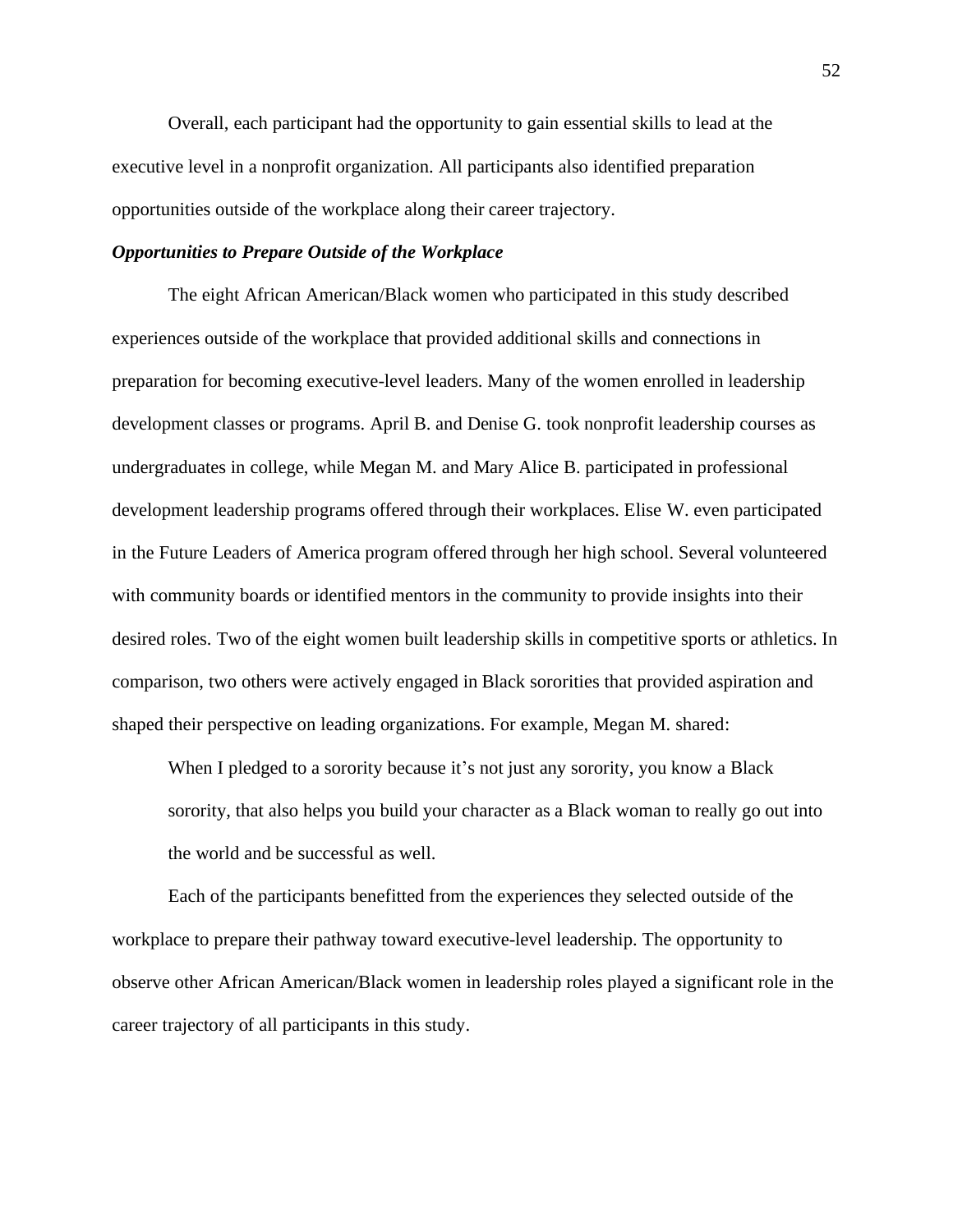Overall, each participant had the opportunity to gain essential skills to lead at the executive level in a nonprofit organization. All participants also identified preparation opportunities outside of the workplace along their career trajectory.

# *Opportunities to Prepare Outside of the Workplace*

The eight African American/Black women who participated in this study described experiences outside of the workplace that provided additional skills and connections in preparation for becoming executive-level leaders. Many of the women enrolled in leadership development classes or programs. April B. and Denise G. took nonprofit leadership courses as undergraduates in college, while Megan M. and Mary Alice B. participated in professional development leadership programs offered through their workplaces. Elise W. even participated in the Future Leaders of America program offered through her high school. Several volunteered with community boards or identified mentors in the community to provide insights into their desired roles. Two of the eight women built leadership skills in competitive sports or athletics. In comparison, two others were actively engaged in Black sororities that provided aspiration and shaped their perspective on leading organizations. For example, Megan M. shared:

When I pledged to a sorority because it's not just any sorority, you know a Black sorority, that also helps you build your character as a Black woman to really go out into the world and be successful as well.

Each of the participants benefitted from the experiences they selected outside of the workplace to prepare their pathway toward executive-level leadership. The opportunity to observe other African American/Black women in leadership roles played a significant role in the career trajectory of all participants in this study.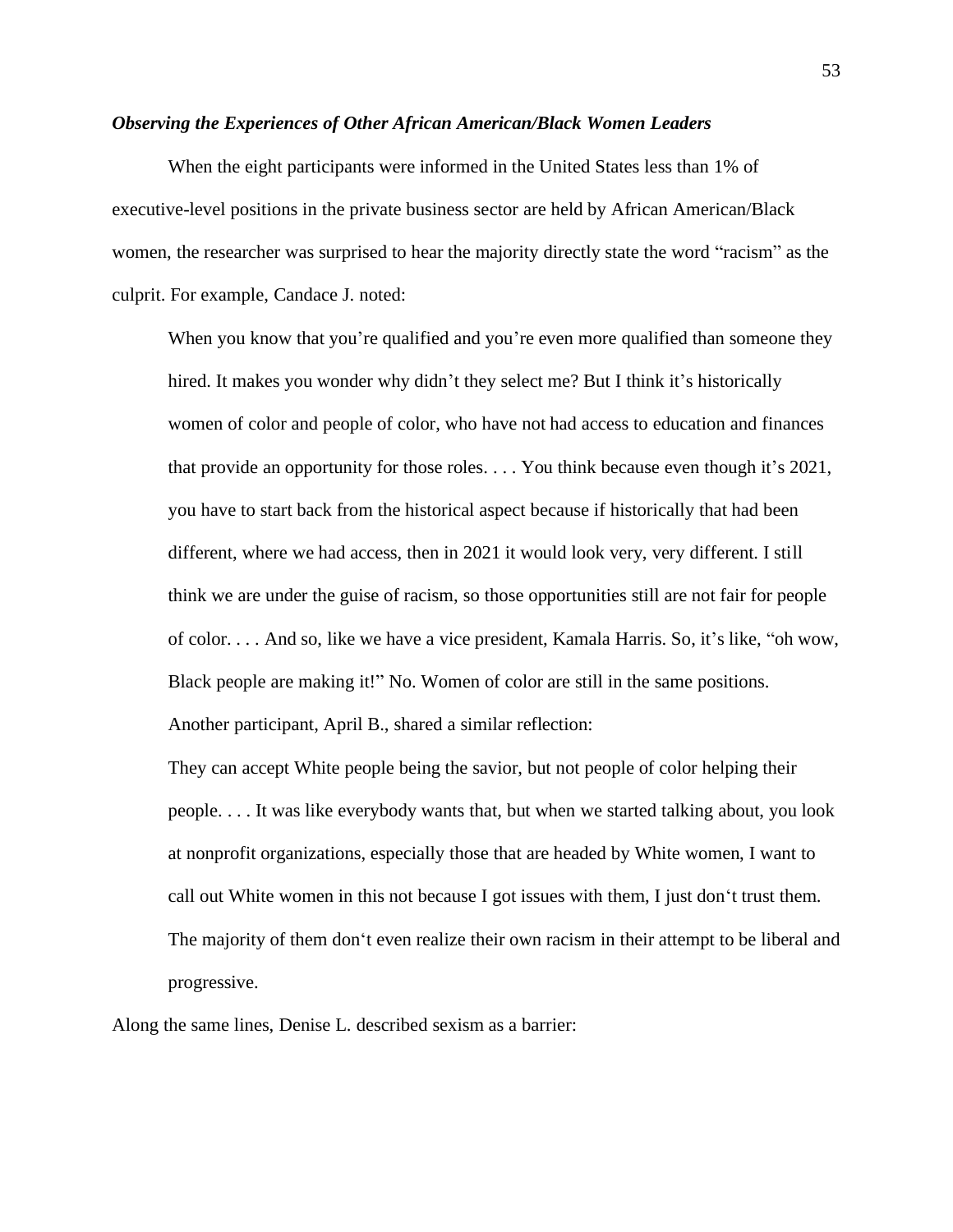### *Observing the Experiences of Other African American/Black Women Leaders*

When the eight participants were informed in the United States less than 1% of executive-level positions in the private business sector are held by African American/Black women, the researcher was surprised to hear the majority directly state the word "racism" as the culprit. For example, Candace J. noted:

When you know that you're qualified and you're even more qualified than someone they hired. It makes you wonder why didn't they select me? But I think it's historically women of color and people of color, who have not had access to education and finances that provide an opportunity for those roles. . . . You think because even though it's 2021, you have to start back from the historical aspect because if historically that had been different, where we had access, then in 2021 it would look very, very different. I still think we are under the guise of racism, so those opportunities still are not fair for people of color. . . . And so, like we have a vice president, Kamala Harris. So, it's like, "oh wow, Black people are making it!" No. Women of color are still in the same positions. Another participant, April B., shared a similar reflection:

They can accept White people being the savior, but not people of color helping their people. . . . It was like everybody wants that, but when we started talking about, you look at nonprofit organizations, especially those that are headed by White women, I want to call out White women in this not because I got issues with them, I just don't trust them. The majority of them don't even realize their own racism in their attempt to be liberal and progressive.

Along the same lines, Denise L. described sexism as a barrier: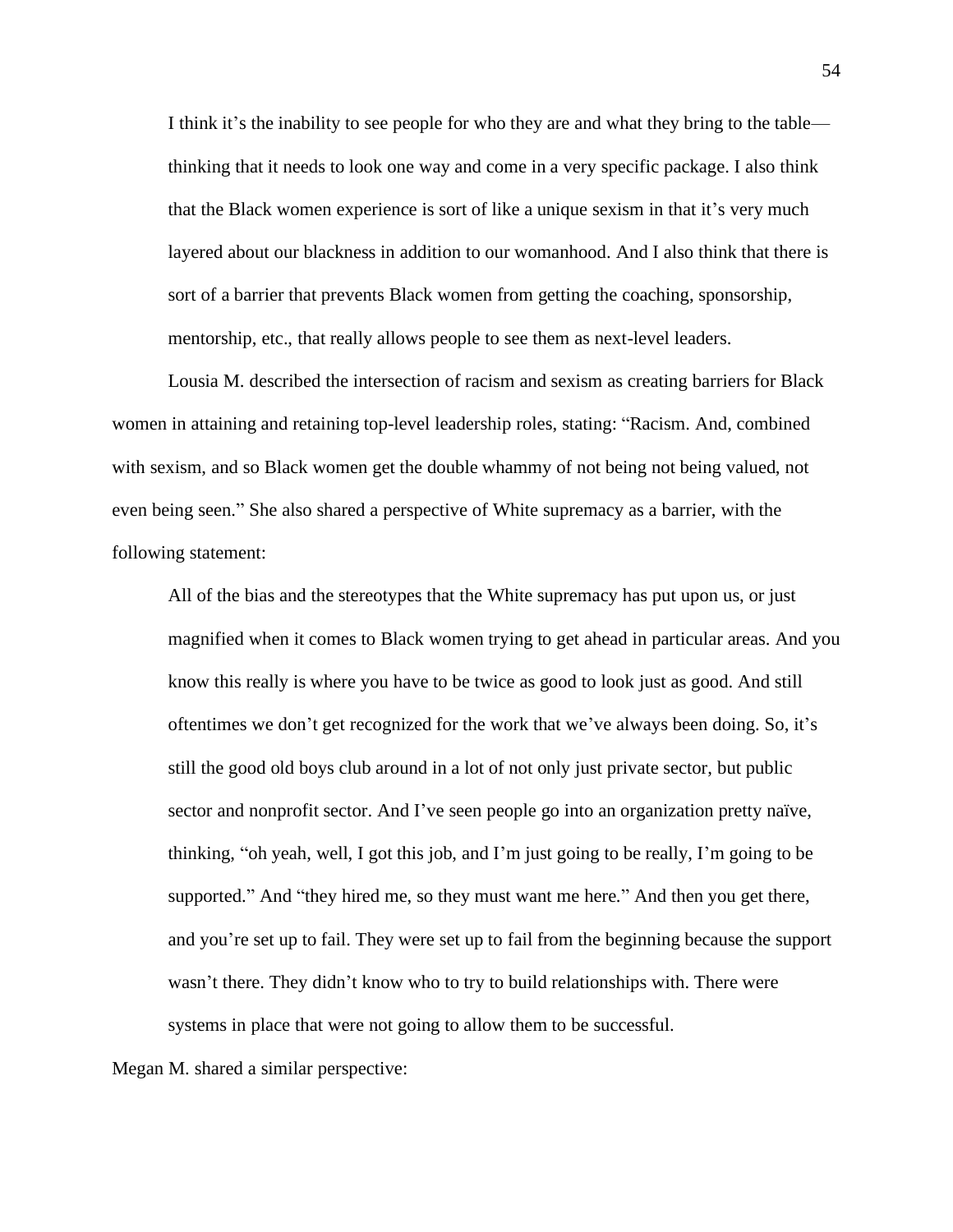I think it's the inability to see people for who they are and what they bring to the table thinking that it needs to look one way and come in a very specific package. I also think that the Black women experience is sort of like a unique sexism in that it's very much layered about our blackness in addition to our womanhood. And I also think that there is sort of a barrier that prevents Black women from getting the coaching, sponsorship, mentorship, etc., that really allows people to see them as next-level leaders.

Lousia M. described the intersection of racism and sexism as creating barriers for Black women in attaining and retaining top-level leadership roles, stating: "Racism. And, combined with sexism, and so Black women get the double whammy of not being not being valued, not even being seen." She also shared a perspective of White supremacy as a barrier, with the following statement:

All of the bias and the stereotypes that the White supremacy has put upon us, or just magnified when it comes to Black women trying to get ahead in particular areas. And you know this really is where you have to be twice as good to look just as good. And still oftentimes we don't get recognized for the work that we've always been doing. So, it's still the good old boys club around in a lot of not only just private sector, but public sector and nonprofit sector. And I've seen people go into an organization pretty naïve, thinking, "oh yeah, well, I got this job, and I'm just going to be really, I'm going to be supported." And "they hired me, so they must want me here." And then you get there, and you're set up to fail. They were set up to fail from the beginning because the support wasn't there. They didn't know who to try to build relationships with. There were systems in place that were not going to allow them to be successful.

Megan M. shared a similar perspective: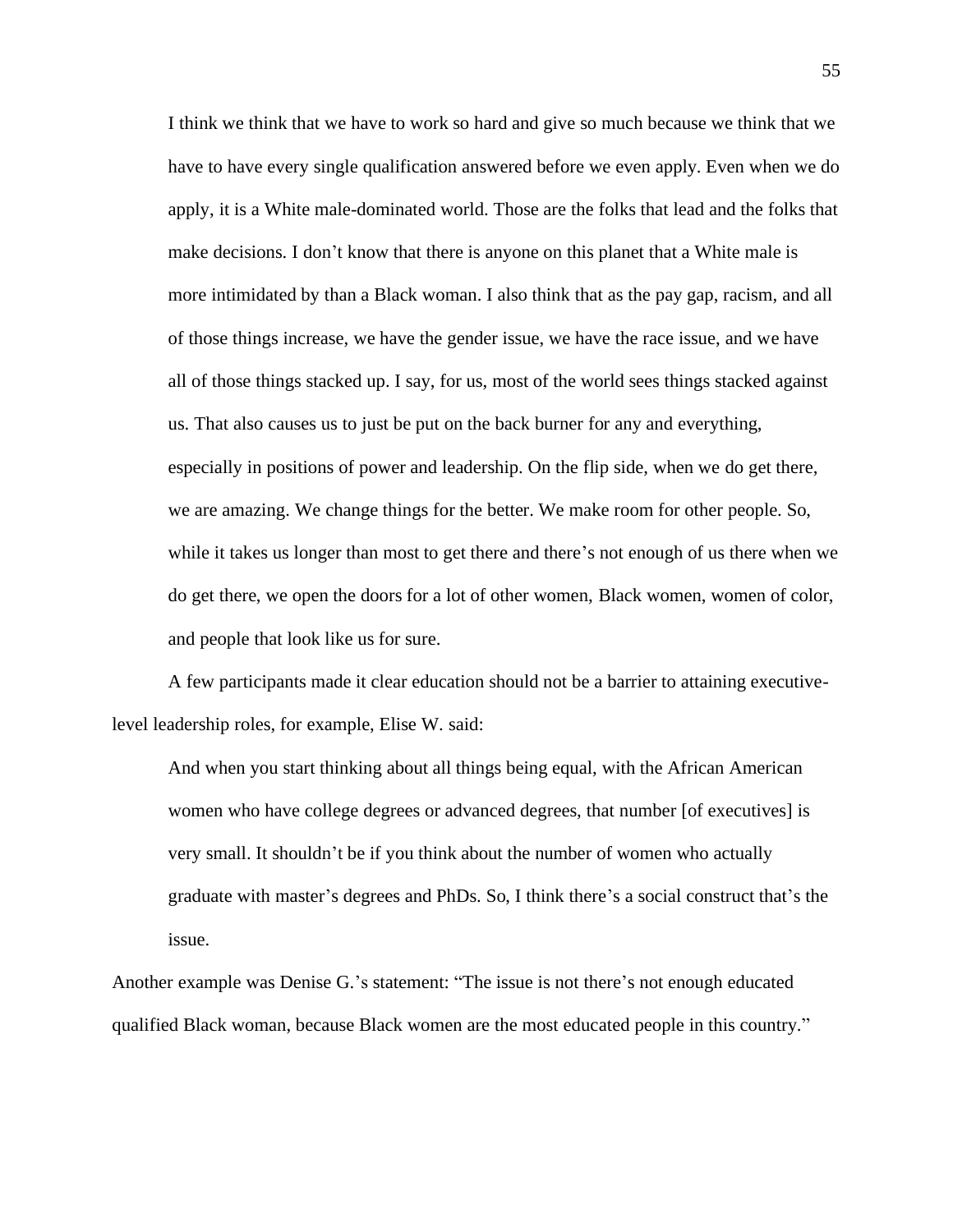I think we think that we have to work so hard and give so much because we think that we have to have every single qualification answered before we even apply. Even when we do apply, it is a White male-dominated world. Those are the folks that lead and the folks that make decisions. I don't know that there is anyone on this planet that a White male is more intimidated by than a Black woman. I also think that as the pay gap, racism, and all of those things increase, we have the gender issue, we have the race issue, and we have all of those things stacked up. I say, for us, most of the world sees things stacked against us. That also causes us to just be put on the back burner for any and everything, especially in positions of power and leadership. On the flip side, when we do get there, we are amazing. We change things for the better. We make room for other people. So, while it takes us longer than most to get there and there's not enough of us there when we do get there, we open the doors for a lot of other women, Black women, women of color, and people that look like us for sure.

A few participants made it clear education should not be a barrier to attaining executivelevel leadership roles, for example, Elise W. said:

And when you start thinking about all things being equal, with the African American women who have college degrees or advanced degrees, that number [of executives] is very small. It shouldn't be if you think about the number of women who actually graduate with master's degrees and PhDs. So, I think there's a social construct that's the issue.

Another example was Denise G.'s statement: "The issue is not there's not enough educated qualified Black woman, because Black women are the most educated people in this country."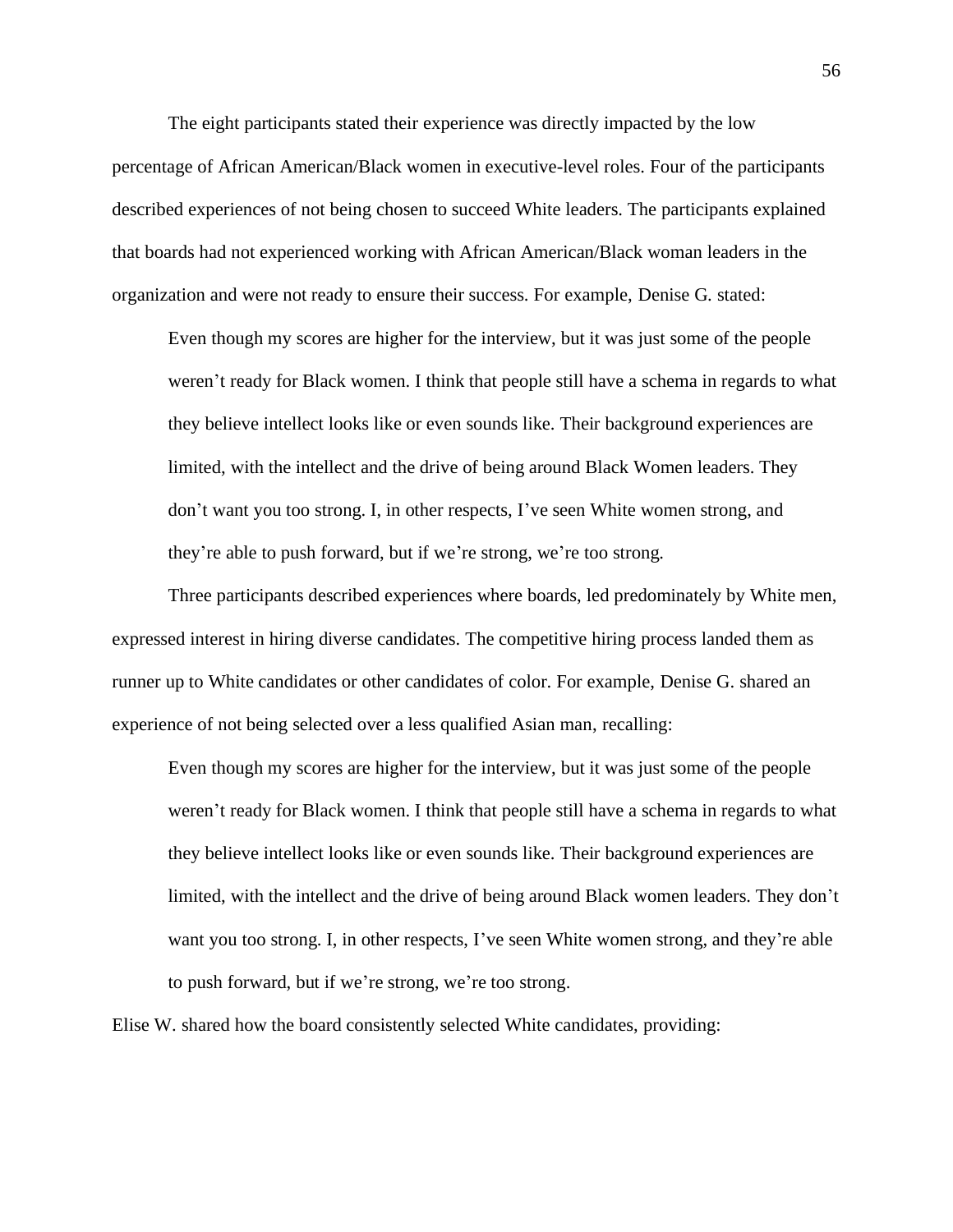The eight participants stated their experience was directly impacted by the low percentage of African American/Black women in executive-level roles. Four of the participants described experiences of not being chosen to succeed White leaders. The participants explained that boards had not experienced working with African American/Black woman leaders in the organization and were not ready to ensure their success. For example, Denise G. stated:

Even though my scores are higher for the interview, but it was just some of the people weren't ready for Black women. I think that people still have a schema in regards to what they believe intellect looks like or even sounds like. Their background experiences are limited, with the intellect and the drive of being around Black Women leaders. They don't want you too strong. I, in other respects, I've seen White women strong, and they're able to push forward, but if we're strong, we're too strong.

Three participants described experiences where boards, led predominately by White men, expressed interest in hiring diverse candidates. The competitive hiring process landed them as runner up to White candidates or other candidates of color. For example, Denise G. shared an experience of not being selected over a less qualified Asian man, recalling:

Even though my scores are higher for the interview, but it was just some of the people weren't ready for Black women. I think that people still have a schema in regards to what they believe intellect looks like or even sounds like. Their background experiences are limited, with the intellect and the drive of being around Black women leaders. They don't want you too strong. I, in other respects, I've seen White women strong, and they're able to push forward, but if we're strong, we're too strong.

Elise W. shared how the board consistently selected White candidates, providing: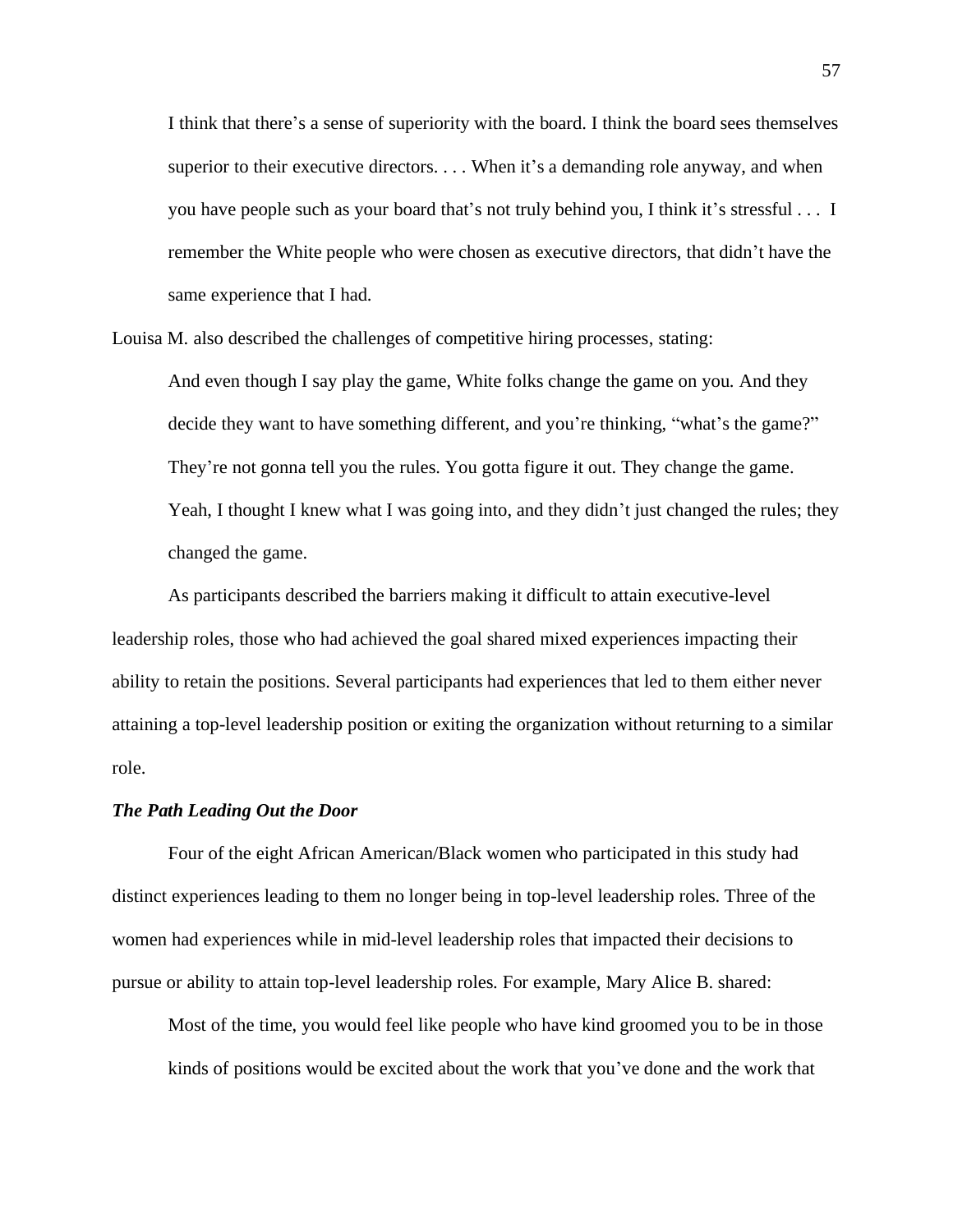I think that there's a sense of superiority with the board. I think the board sees themselves superior to their executive directors. . . . When it's a demanding role anyway, and when you have people such as your board that's not truly behind you, I think it's stressful . . . I remember the White people who were chosen as executive directors, that didn't have the same experience that I had.

Louisa M. also described the challenges of competitive hiring processes, stating:

And even though I say play the game, White folks change the game on you. And they decide they want to have something different, and you're thinking, "what's the game?" They're not gonna tell you the rules. You gotta figure it out. They change the game. Yeah, I thought I knew what I was going into, and they didn't just changed the rules; they changed the game.

As participants described the barriers making it difficult to attain executive-level leadership roles, those who had achieved the goal shared mixed experiences impacting their ability to retain the positions. Several participants had experiences that led to them either never attaining a top-level leadership position or exiting the organization without returning to a similar role.

# *The Path Leading Out the Door*

Four of the eight African American/Black women who participated in this study had distinct experiences leading to them no longer being in top-level leadership roles. Three of the women had experiences while in mid-level leadership roles that impacted their decisions to pursue or ability to attain top-level leadership roles. For example, Mary Alice B. shared:

Most of the time, you would feel like people who have kind groomed you to be in those kinds of positions would be excited about the work that you've done and the work that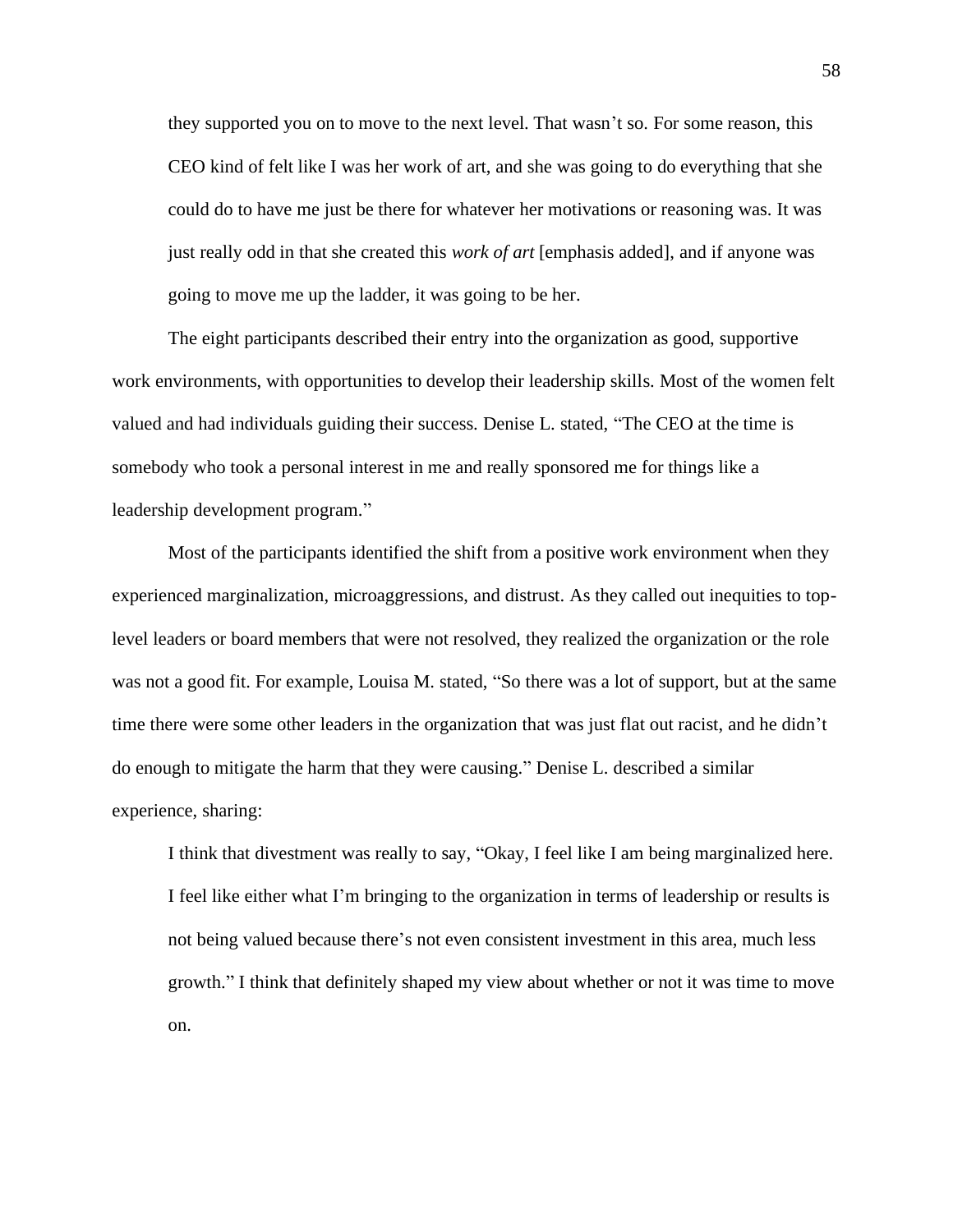they supported you on to move to the next level. That wasn't so. For some reason, this CEO kind of felt like I was her work of art, and she was going to do everything that she could do to have me just be there for whatever her motivations or reasoning was. It was just really odd in that she created this *work of art* [emphasis added], and if anyone was going to move me up the ladder, it was going to be her.

The eight participants described their entry into the organization as good, supportive work environments, with opportunities to develop their leadership skills. Most of the women felt valued and had individuals guiding their success. Denise L. stated, "The CEO at the time is somebody who took a personal interest in me and really sponsored me for things like a leadership development program."

Most of the participants identified the shift from a positive work environment when they experienced marginalization, microaggressions, and distrust. As they called out inequities to toplevel leaders or board members that were not resolved, they realized the organization or the role was not a good fit. For example, Louisa M. stated, "So there was a lot of support, but at the same time there were some other leaders in the organization that was just flat out racist, and he didn't do enough to mitigate the harm that they were causing." Denise L. described a similar experience, sharing:

I think that divestment was really to say, "Okay, I feel like I am being marginalized here. I feel like either what I'm bringing to the organization in terms of leadership or results is not being valued because there's not even consistent investment in this area, much less growth." I think that definitely shaped my view about whether or not it was time to move on.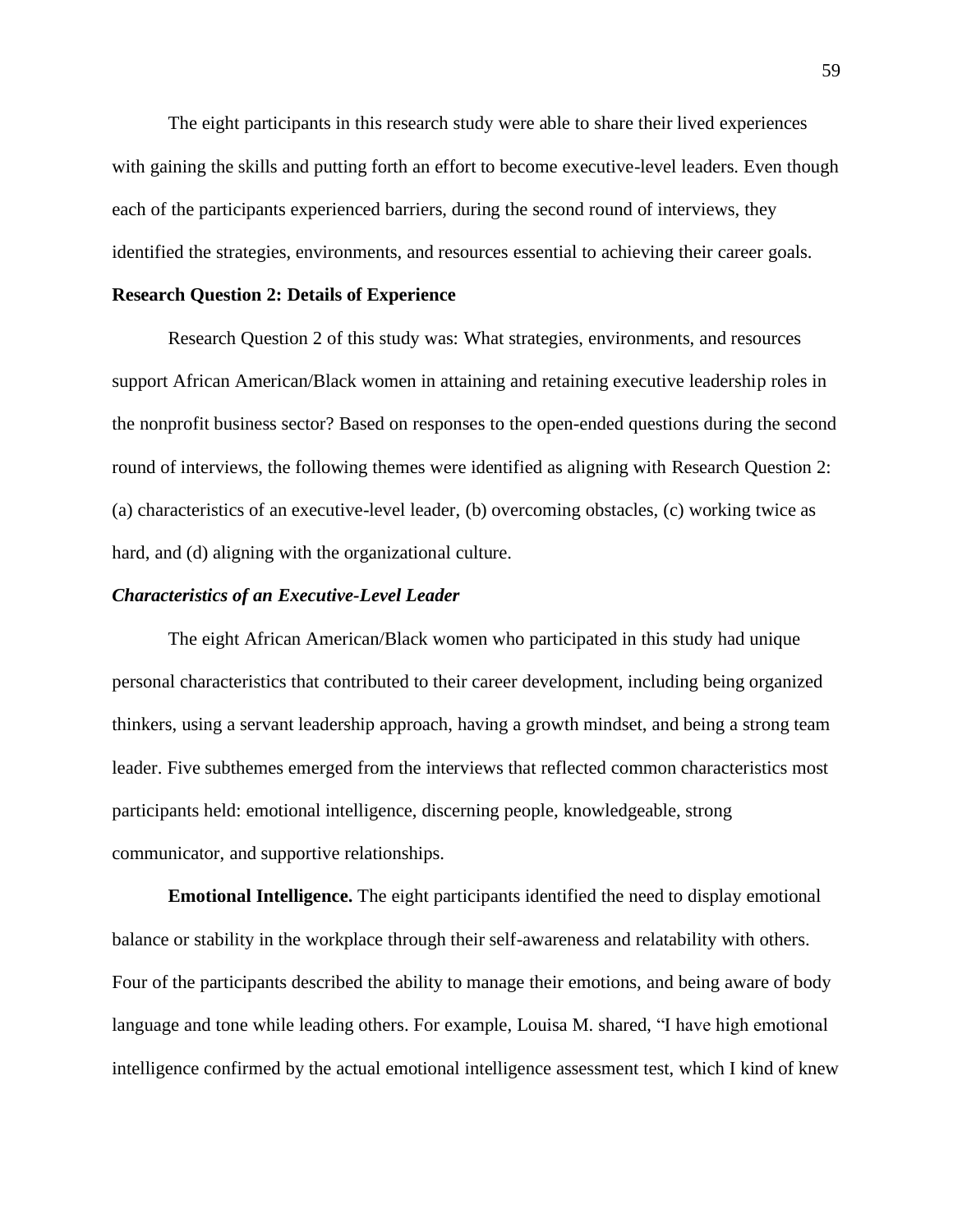The eight participants in this research study were able to share their lived experiences with gaining the skills and putting forth an effort to become executive-level leaders. Even though each of the participants experienced barriers, during the second round of interviews, they identified the strategies, environments, and resources essential to achieving their career goals.

## **Research Question 2: Details of Experience**

Research Question 2 of this study was: What strategies, environments, and resources support African American/Black women in attaining and retaining executive leadership roles in the nonprofit business sector? Based on responses to the open-ended questions during the second round of interviews, the following themes were identified as aligning with Research Question 2: (a) characteristics of an executive-level leader, (b) overcoming obstacles, (c) working twice as hard, and (d) aligning with the organizational culture.

### *Characteristics of an Executive-Level Leader*

The eight African American/Black women who participated in this study had unique personal characteristics that contributed to their career development, including being organized thinkers, using a servant leadership approach, having a growth mindset, and being a strong team leader. Five subthemes emerged from the interviews that reflected common characteristics most participants held: emotional intelligence, discerning people, knowledgeable, strong communicator, and supportive relationships.

**Emotional Intelligence.** The eight participants identified the need to display emotional balance or stability in the workplace through their self-awareness and relatability with others. Four of the participants described the ability to manage their emotions, and being aware of body language and tone while leading others. For example, Louisa M. shared, "I have high emotional intelligence confirmed by the actual emotional intelligence assessment test, which I kind of knew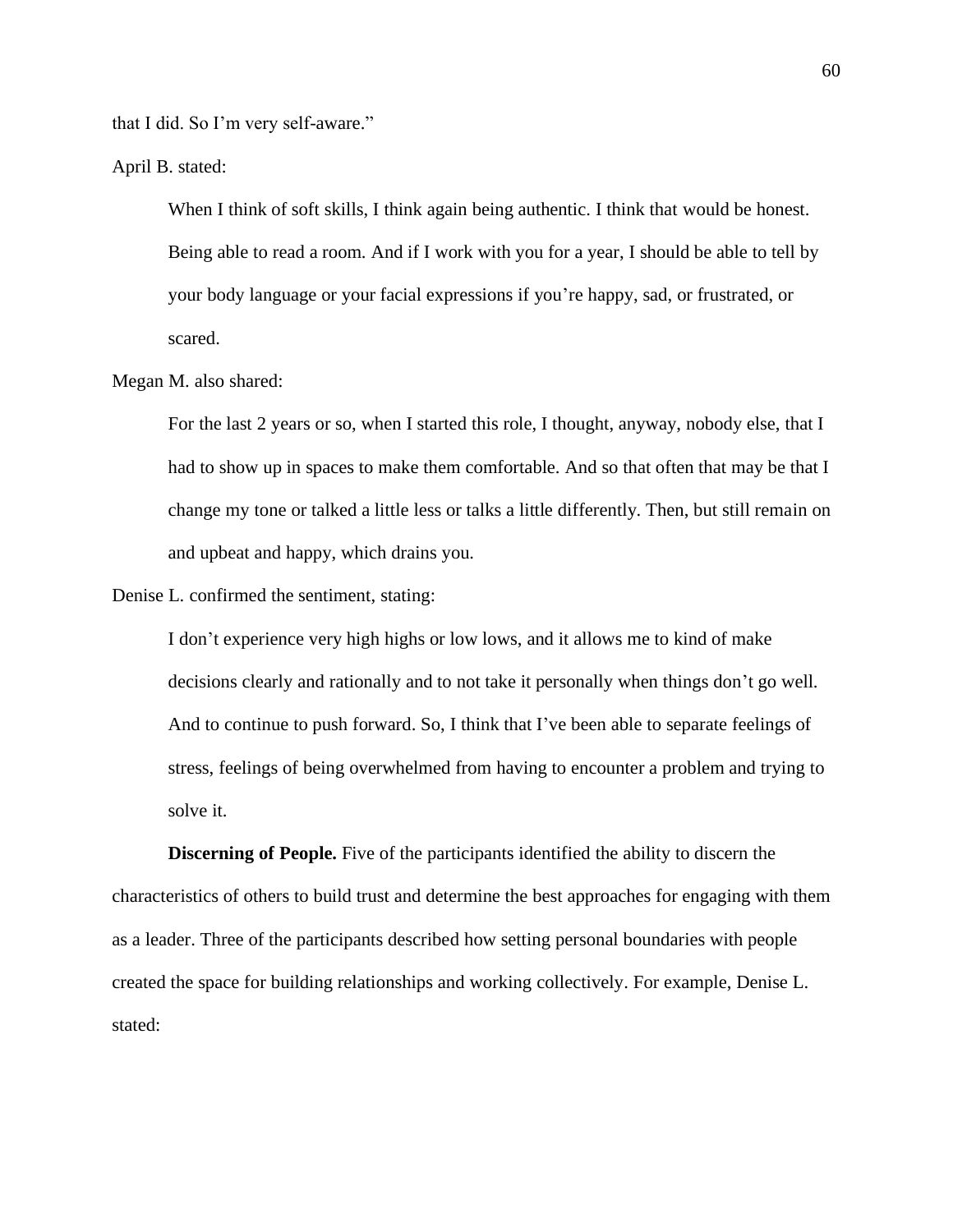that I did. So I'm very self-aware."

April B. stated:

When I think of soft skills, I think again being authentic. I think that would be honest. Being able to read a room. And if I work with you for a year, I should be able to tell by your body language or your facial expressions if you're happy, sad, or frustrated, or scared.

### Megan M. also shared:

For the last 2 years or so, when I started this role, I thought, anyway, nobody else, that I had to show up in spaces to make them comfortable. And so that often that may be that I change my tone or talked a little less or talks a little differently. Then, but still remain on and upbeat and happy, which drains you.

Denise L. confirmed the sentiment, stating:

I don't experience very high highs or low lows, and it allows me to kind of make decisions clearly and rationally and to not take it personally when things don't go well. And to continue to push forward. So, I think that I've been able to separate feelings of stress, feelings of being overwhelmed from having to encounter a problem and trying to solve it.

**Discerning of People.** Five of the participants identified the ability to discern the characteristics of others to build trust and determine the best approaches for engaging with them as a leader. Three of the participants described how setting personal boundaries with people created the space for building relationships and working collectively. For example, Denise L. stated: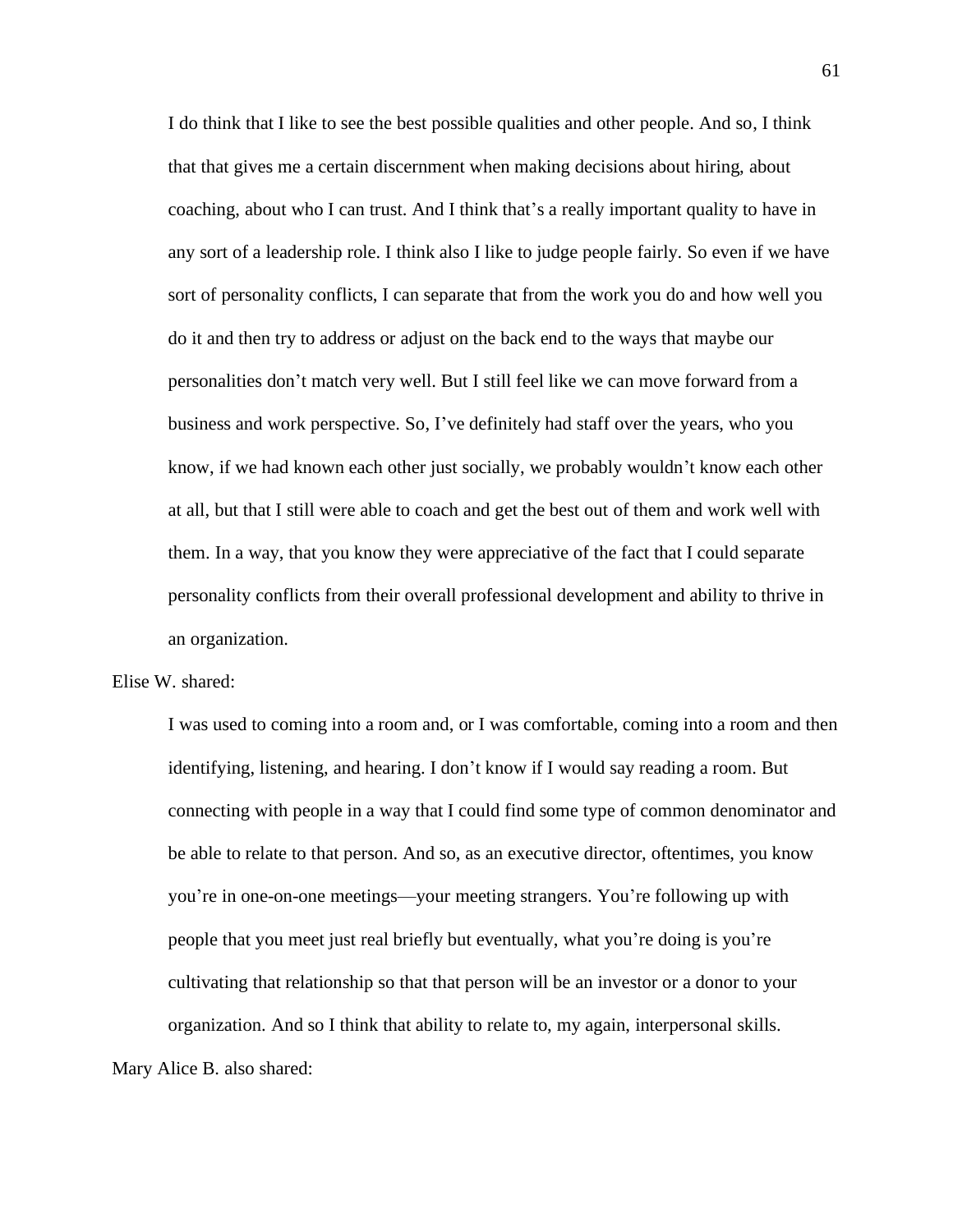I do think that I like to see the best possible qualities and other people. And so, I think that that gives me a certain discernment when making decisions about hiring, about coaching, about who I can trust. And I think that's a really important quality to have in any sort of a leadership role. I think also I like to judge people fairly. So even if we have sort of personality conflicts, I can separate that from the work you do and how well you do it and then try to address or adjust on the back end to the ways that maybe our personalities don't match very well. But I still feel like we can move forward from a business and work perspective. So, I've definitely had staff over the years, who you know, if we had known each other just socially, we probably wouldn't know each other at all, but that I still were able to coach and get the best out of them and work well with them. In a way, that you know they were appreciative of the fact that I could separate personality conflicts from their overall professional development and ability to thrive in an organization.

# Elise W. shared:

I was used to coming into a room and, or I was comfortable, coming into a room and then identifying, listening, and hearing. I don't know if I would say reading a room. But connecting with people in a way that I could find some type of common denominator and be able to relate to that person. And so, as an executive director, oftentimes, you know you're in one-on-one meetings—your meeting strangers. You're following up with people that you meet just real briefly but eventually, what you're doing is you're cultivating that relationship so that that person will be an investor or a donor to your organization. And so I think that ability to relate to, my again, interpersonal skills.

Mary Alice B. also shared: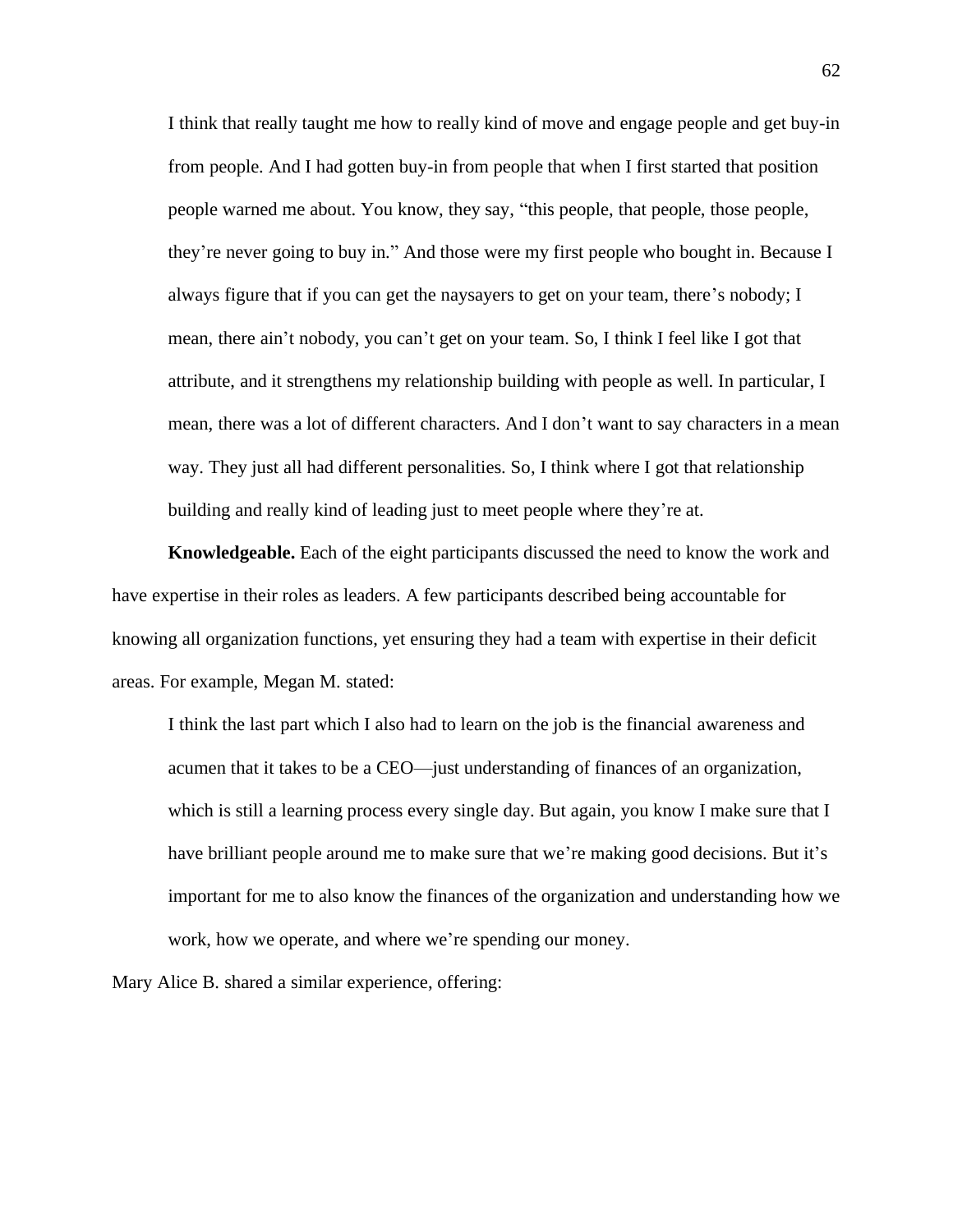I think that really taught me how to really kind of move and engage people and get buy-in from people. And I had gotten buy-in from people that when I first started that position people warned me about. You know, they say, "this people, that people, those people, they're never going to buy in." And those were my first people who bought in. Because I always figure that if you can get the naysayers to get on your team, there's nobody; I mean, there ain't nobody, you can't get on your team. So, I think I feel like I got that attribute, and it strengthens my relationship building with people as well. In particular, I mean, there was a lot of different characters. And I don't want to say characters in a mean way. They just all had different personalities. So, I think where I got that relationship building and really kind of leading just to meet people where they're at.

**Knowledgeable.** Each of the eight participants discussed the need to know the work and have expertise in their roles as leaders. A few participants described being accountable for knowing all organization functions, yet ensuring they had a team with expertise in their deficit areas. For example, Megan M. stated:

I think the last part which I also had to learn on the job is the financial awareness and acumen that it takes to be a CEO—just understanding of finances of an organization, which is still a learning process every single day. But again, you know I make sure that I have brilliant people around me to make sure that we're making good decisions. But it's important for me to also know the finances of the organization and understanding how we work, how we operate, and where we're spending our money.

Mary Alice B. shared a similar experience, offering: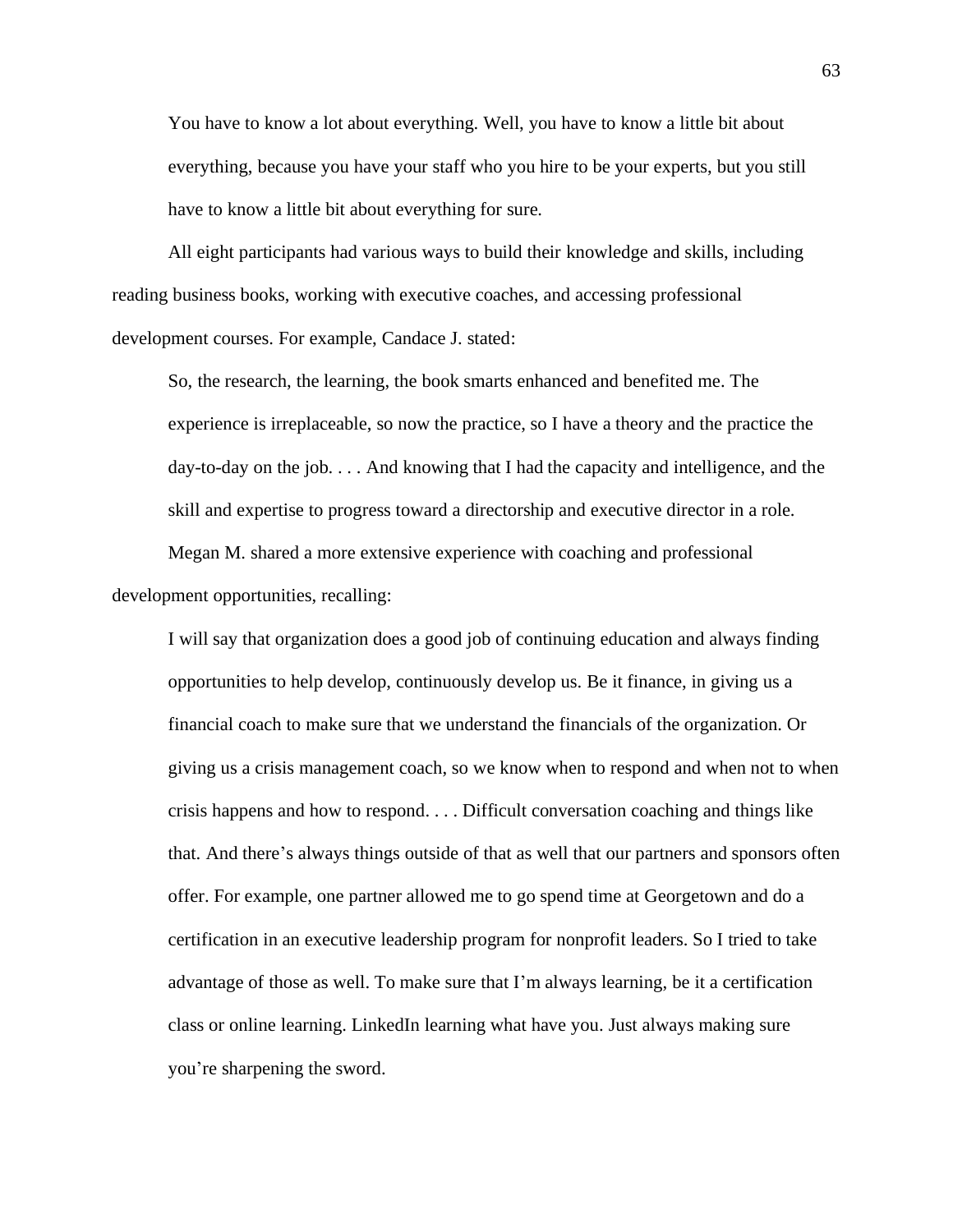You have to know a lot about everything. Well, you have to know a little bit about everything, because you have your staff who you hire to be your experts, but you still have to know a little bit about everything for sure.

All eight participants had various ways to build their knowledge and skills, including reading business books, working with executive coaches, and accessing professional development courses. For example, Candace J. stated:

So, the research, the learning, the book smarts enhanced and benefited me. The experience is irreplaceable, so now the practice, so I have a theory and the practice the day-to-day on the job. . . . And knowing that I had the capacity and intelligence, and the skill and expertise to progress toward a directorship and executive director in a role.

Megan M. shared a more extensive experience with coaching and professional development opportunities, recalling:

I will say that organization does a good job of continuing education and always finding opportunities to help develop, continuously develop us. Be it finance, in giving us a financial coach to make sure that we understand the financials of the organization. Or giving us a crisis management coach, so we know when to respond and when not to when crisis happens and how to respond. . . . Difficult conversation coaching and things like that. And there's always things outside of that as well that our partners and sponsors often offer. For example, one partner allowed me to go spend time at Georgetown and do a certification in an executive leadership program for nonprofit leaders. So I tried to take advantage of those as well. To make sure that I'm always learning, be it a certification class or online learning. LinkedIn learning what have you. Just always making sure you're sharpening the sword.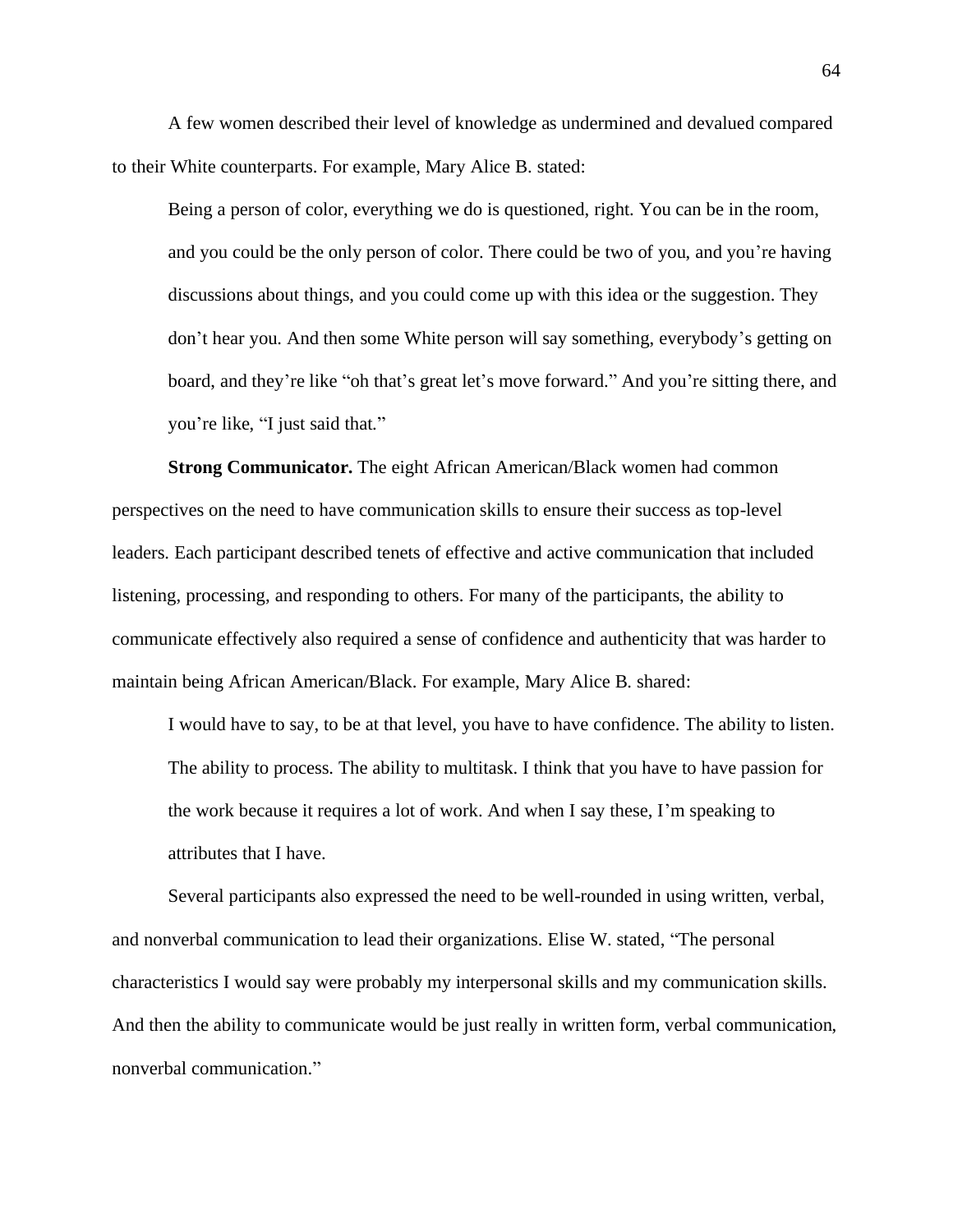A few women described their level of knowledge as undermined and devalued compared to their White counterparts. For example, Mary Alice B. stated:

Being a person of color, everything we do is questioned, right. You can be in the room, and you could be the only person of color. There could be two of you, and you're having discussions about things, and you could come up with this idea or the suggestion. They don't hear you. And then some White person will say something, everybody's getting on board, and they're like "oh that's great let's move forward." And you're sitting there, and you're like, "I just said that."

**Strong Communicator.** The eight African American/Black women had common perspectives on the need to have communication skills to ensure their success as top-level leaders. Each participant described tenets of effective and active communication that included listening, processing, and responding to others. For many of the participants, the ability to communicate effectively also required a sense of confidence and authenticity that was harder to maintain being African American/Black. For example, Mary Alice B. shared:

I would have to say, to be at that level, you have to have confidence. The ability to listen. The ability to process. The ability to multitask. I think that you have to have passion for the work because it requires a lot of work. And when I say these, I'm speaking to attributes that I have.

Several participants also expressed the need to be well-rounded in using written, verbal, and nonverbal communication to lead their organizations. Elise W. stated, "The personal characteristics I would say were probably my interpersonal skills and my communication skills. And then the ability to communicate would be just really in written form, verbal communication, nonverbal communication."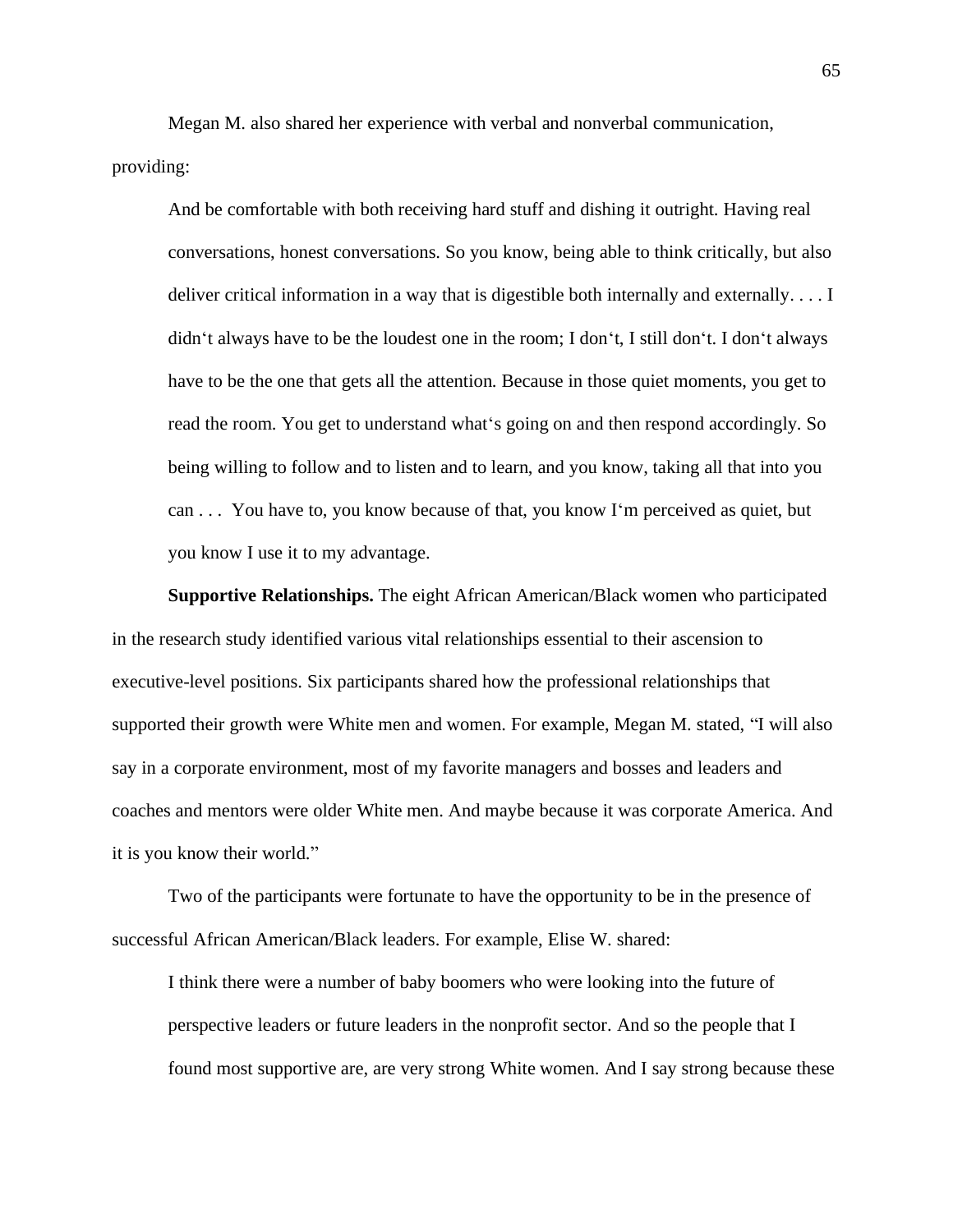Megan M. also shared her experience with verbal and nonverbal communication, providing:

And be comfortable with both receiving hard stuff and dishing it outright. Having real conversations, honest conversations. So you know, being able to think critically, but also deliver critical information in a way that is digestible both internally and externally. . . . I didn't always have to be the loudest one in the room; I don't, I still don't. I don't always have to be the one that gets all the attention. Because in those quiet moments, you get to read the room. You get to understand what's going on and then respond accordingly. So being willing to follow and to listen and to learn, and you know, taking all that into you can . . . You have to, you know because of that, you know I'm perceived as quiet, but you know I use it to my advantage.

**Supportive Relationships.** The eight African American/Black women who participated in the research study identified various vital relationships essential to their ascension to executive-level positions. Six participants shared how the professional relationships that supported their growth were White men and women. For example, Megan M. stated, "I will also say in a corporate environment, most of my favorite managers and bosses and leaders and coaches and mentors were older White men. And maybe because it was corporate America. And it is you know their world."

Two of the participants were fortunate to have the opportunity to be in the presence of successful African American/Black leaders. For example, Elise W. shared:

I think there were a number of baby boomers who were looking into the future of perspective leaders or future leaders in the nonprofit sector. And so the people that I found most supportive are, are very strong White women. And I say strong because these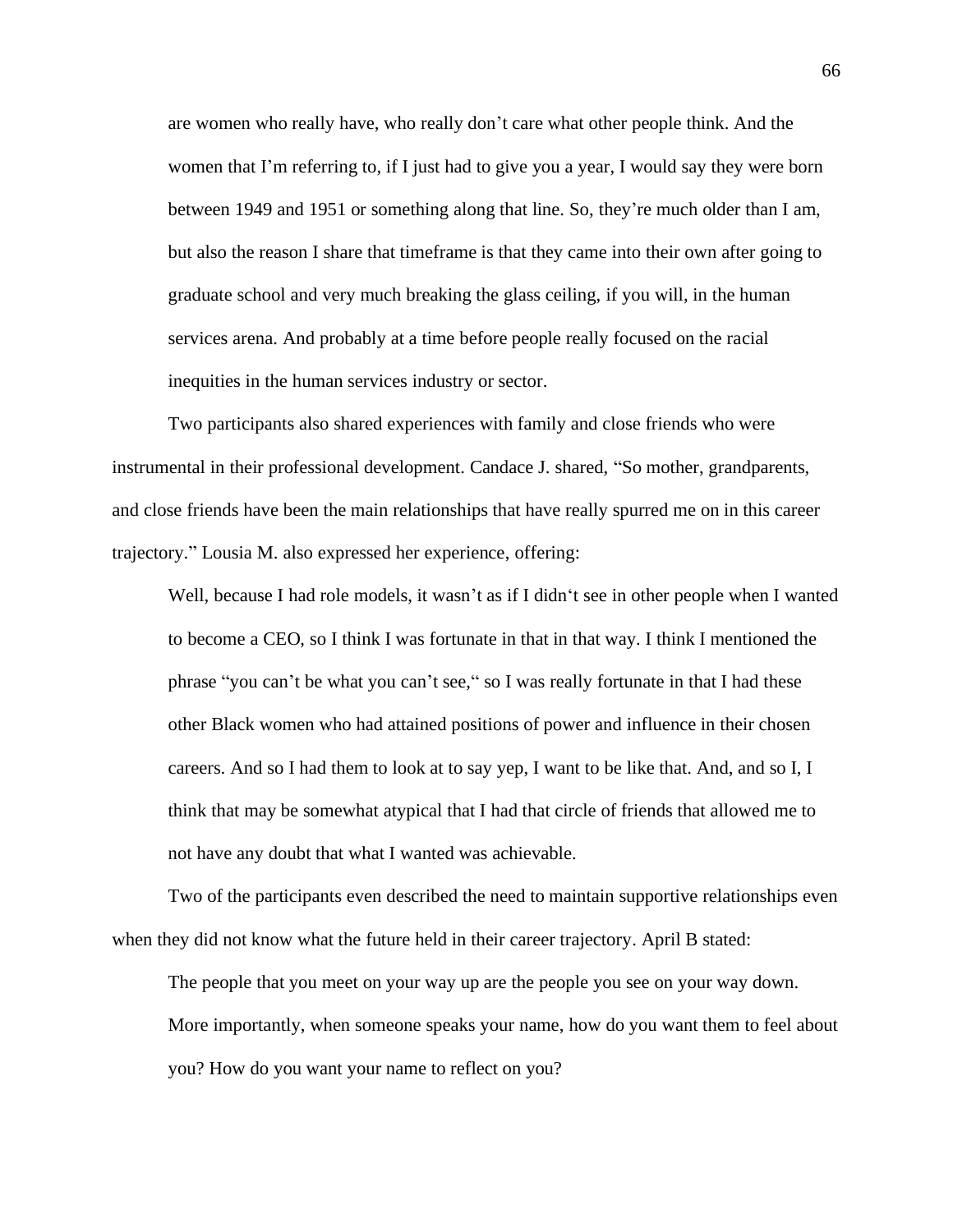are women who really have, who really don't care what other people think. And the women that I'm referring to, if I just had to give you a year, I would say they were born between 1949 and 1951 or something along that line. So, they're much older than I am, but also the reason I share that timeframe is that they came into their own after going to graduate school and very much breaking the glass ceiling, if you will, in the human services arena. And probably at a time before people really focused on the racial inequities in the human services industry or sector.

Two participants also shared experiences with family and close friends who were instrumental in their professional development. Candace J. shared, "So mother, grandparents, and close friends have been the main relationships that have really spurred me on in this career trajectory." Lousia M. also expressed her experience, offering:

Well, because I had role models, it wasn't as if I didn't see in other people when I wanted to become a CEO, so I think I was fortunate in that in that way. I think I mentioned the phrase "you can't be what you can't see," so I was really fortunate in that I had these other Black women who had attained positions of power and influence in their chosen careers. And so I had them to look at to say yep, I want to be like that. And, and so I, I think that may be somewhat atypical that I had that circle of friends that allowed me to not have any doubt that what I wanted was achievable.

Two of the participants even described the need to maintain supportive relationships even when they did not know what the future held in their career trajectory. April B stated:

The people that you meet on your way up are the people you see on your way down. More importantly, when someone speaks your name, how do you want them to feel about you? How do you want your name to reflect on you?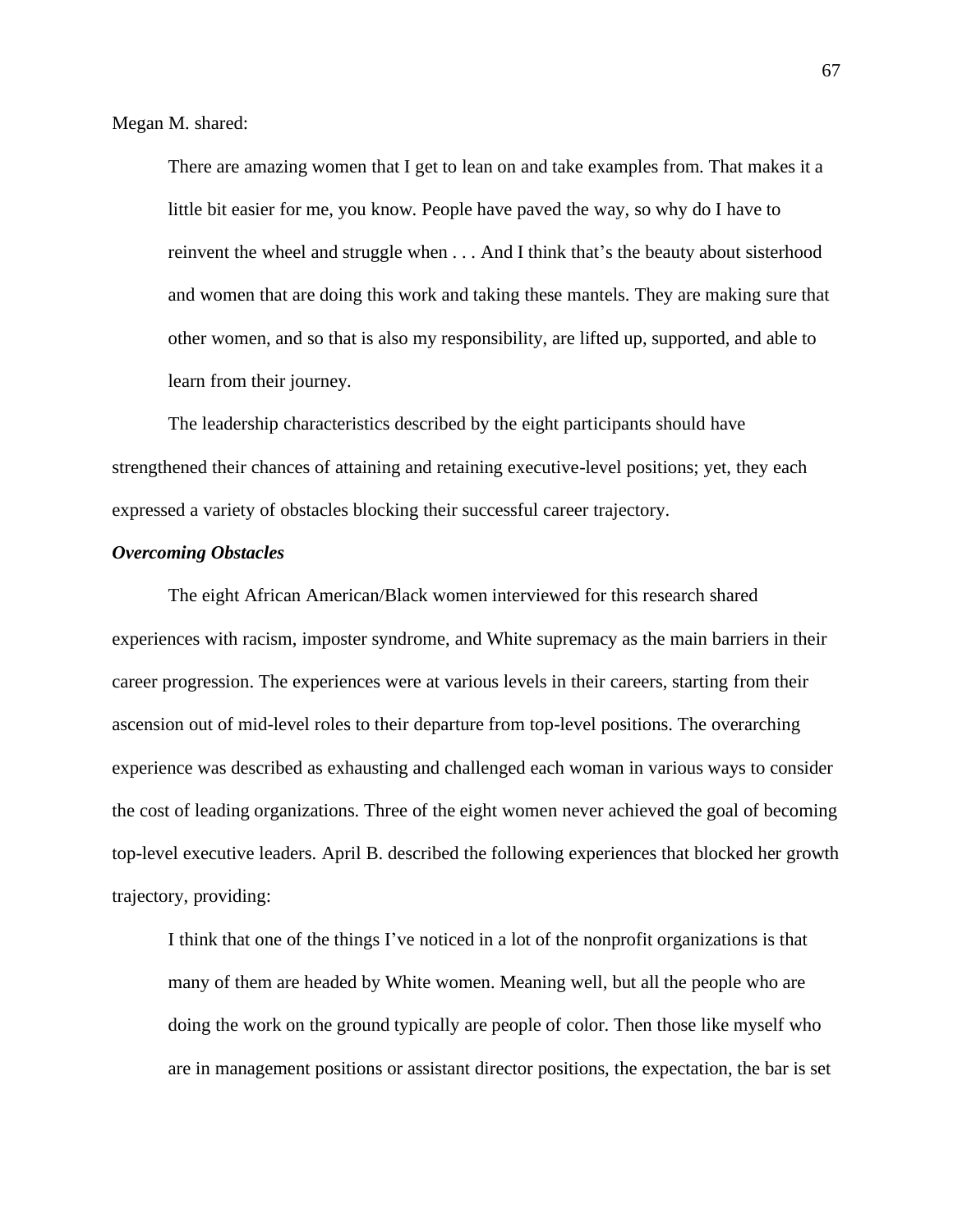Megan M. shared:

There are amazing women that I get to lean on and take examples from. That makes it a little bit easier for me, you know. People have paved the way, so why do I have to reinvent the wheel and struggle when . . . And I think that's the beauty about sisterhood and women that are doing this work and taking these mantels. They are making sure that other women, and so that is also my responsibility, are lifted up, supported, and able to learn from their journey.

The leadership characteristics described by the eight participants should have strengthened their chances of attaining and retaining executive-level positions; yet, they each expressed a variety of obstacles blocking their successful career trajectory.

## *Overcoming Obstacles*

The eight African American/Black women interviewed for this research shared experiences with racism, imposter syndrome, and White supremacy as the main barriers in their career progression. The experiences were at various levels in their careers, starting from their ascension out of mid-level roles to their departure from top-level positions. The overarching experience was described as exhausting and challenged each woman in various ways to consider the cost of leading organizations. Three of the eight women never achieved the goal of becoming top-level executive leaders. April B. described the following experiences that blocked her growth trajectory, providing:

I think that one of the things I've noticed in a lot of the nonprofit organizations is that many of them are headed by White women. Meaning well, but all the people who are doing the work on the ground typically are people of color. Then those like myself who are in management positions or assistant director positions, the expectation, the bar is set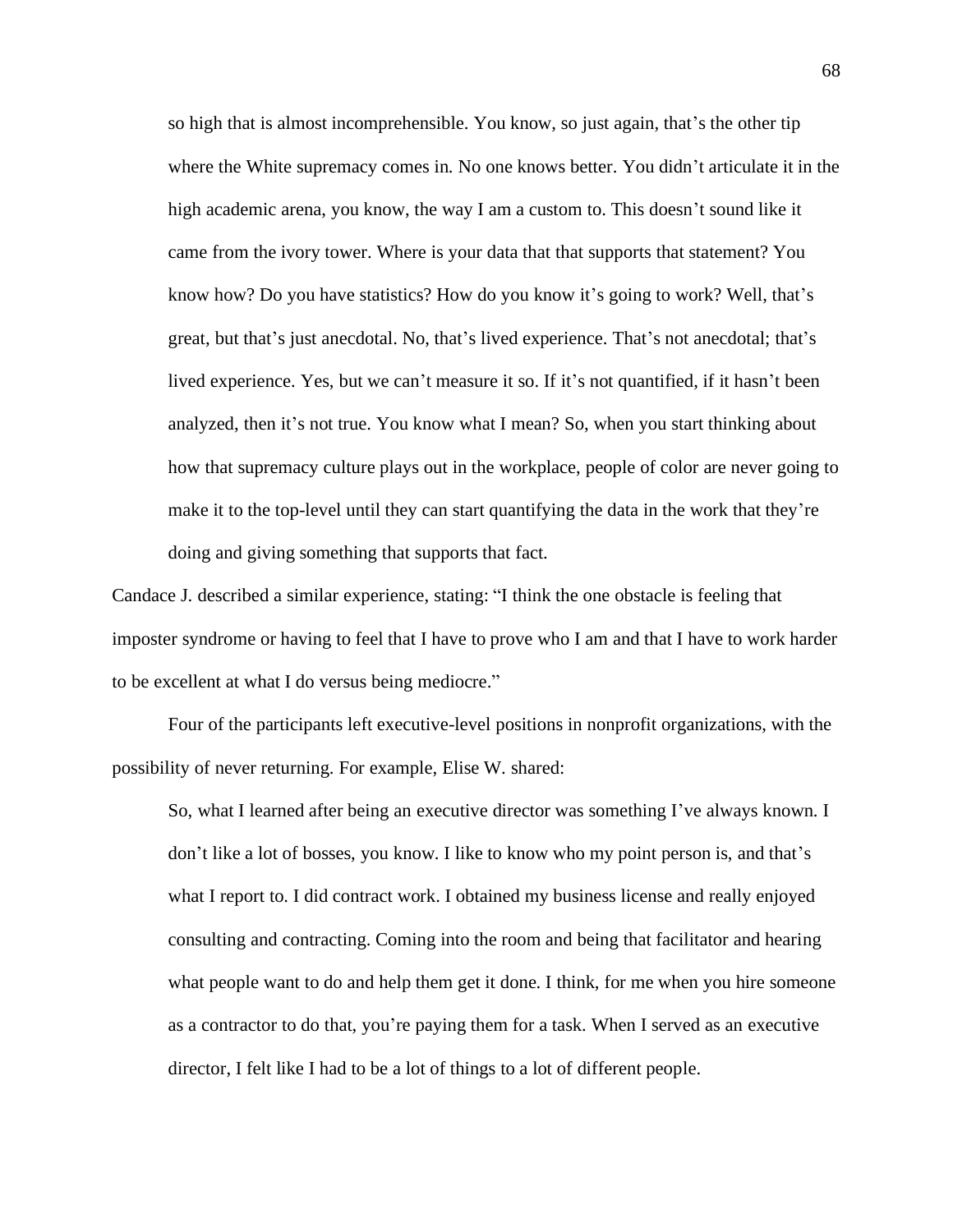so high that is almost incomprehensible. You know, so just again, that's the other tip where the White supremacy comes in. No one knows better. You didn't articulate it in the high academic arena, you know, the way I am a custom to. This doesn't sound like it came from the ivory tower. Where is your data that that supports that statement? You know how? Do you have statistics? How do you know it's going to work? Well, that's great, but that's just anecdotal. No, that's lived experience. That's not anecdotal; that's lived experience. Yes, but we can't measure it so. If it's not quantified, if it hasn't been analyzed, then it's not true. You know what I mean? So, when you start thinking about how that supremacy culture plays out in the workplace, people of color are never going to make it to the top-level until they can start quantifying the data in the work that they're doing and giving something that supports that fact.

Candace J. described a similar experience, stating: "I think the one obstacle is feeling that imposter syndrome or having to feel that I have to prove who I am and that I have to work harder to be excellent at what I do versus being mediocre."

Four of the participants left executive-level positions in nonprofit organizations, with the possibility of never returning. For example, Elise W. shared:

So, what I learned after being an executive director was something I've always known. I don't like a lot of bosses, you know. I like to know who my point person is, and that's what I report to. I did contract work. I obtained my business license and really enjoyed consulting and contracting. Coming into the room and being that facilitator and hearing what people want to do and help them get it done. I think, for me when you hire someone as a contractor to do that, you're paying them for a task. When I served as an executive director, I felt like I had to be a lot of things to a lot of different people.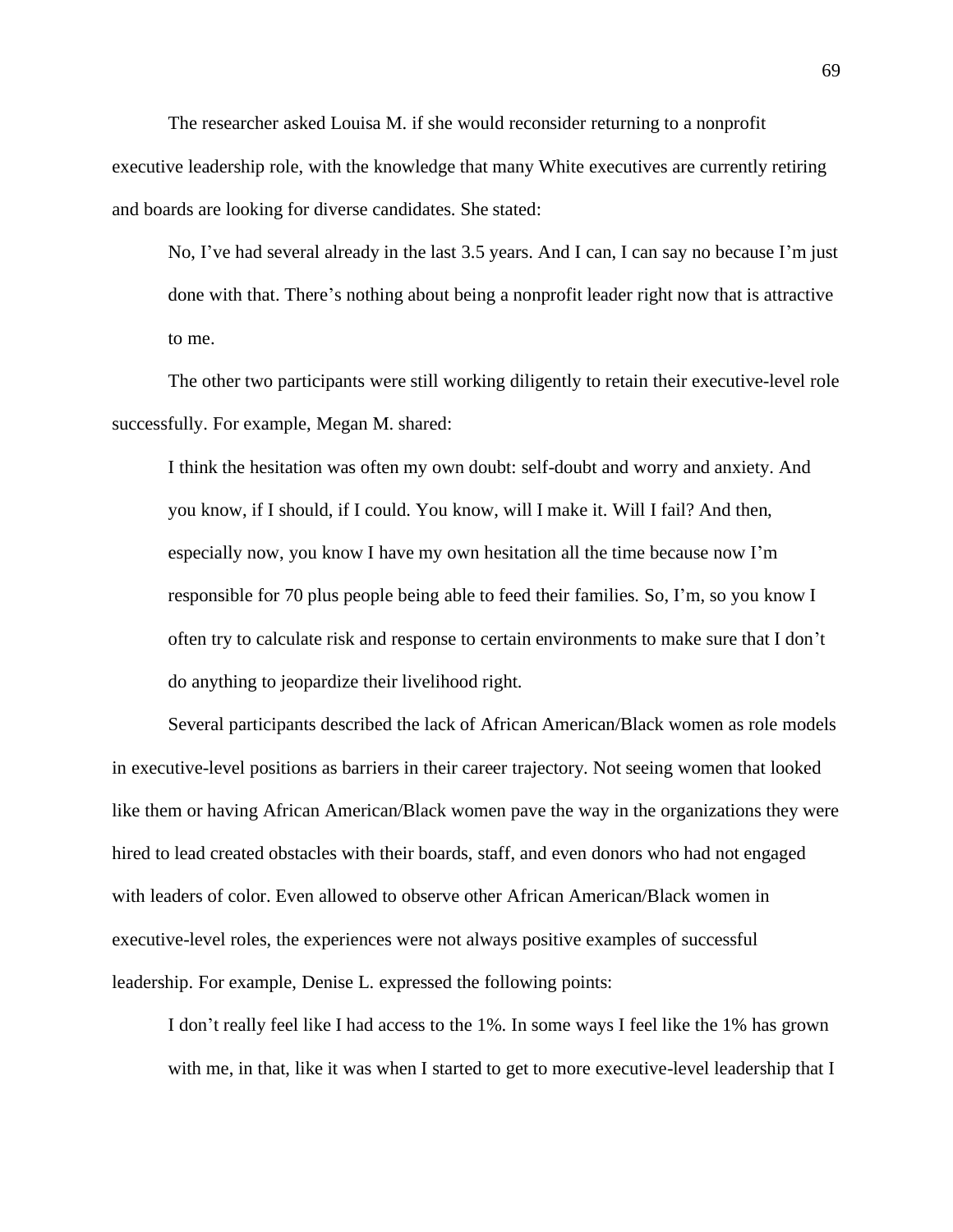The researcher asked Louisa M. if she would reconsider returning to a nonprofit executive leadership role, with the knowledge that many White executives are currently retiring and boards are looking for diverse candidates. She stated:

No, I've had several already in the last 3.5 years. And I can, I can say no because I'm just done with that. There's nothing about being a nonprofit leader right now that is attractive to me.

The other two participants were still working diligently to retain their executive-level role successfully. For example, Megan M. shared:

I think the hesitation was often my own doubt: self-doubt and worry and anxiety. And you know, if I should, if I could. You know, will I make it. Will I fail? And then, especially now, you know I have my own hesitation all the time because now I'm responsible for 70 plus people being able to feed their families. So, I'm, so you know I often try to calculate risk and response to certain environments to make sure that I don't do anything to jeopardize their livelihood right.

Several participants described the lack of African American/Black women as role models in executive-level positions as barriers in their career trajectory. Not seeing women that looked like them or having African American/Black women pave the way in the organizations they were hired to lead created obstacles with their boards, staff, and even donors who had not engaged with leaders of color. Even allowed to observe other African American/Black women in executive-level roles, the experiences were not always positive examples of successful leadership. For example, Denise L. expressed the following points:

I don't really feel like I had access to the 1%. In some ways I feel like the 1% has grown with me, in that, like it was when I started to get to more executive-level leadership that I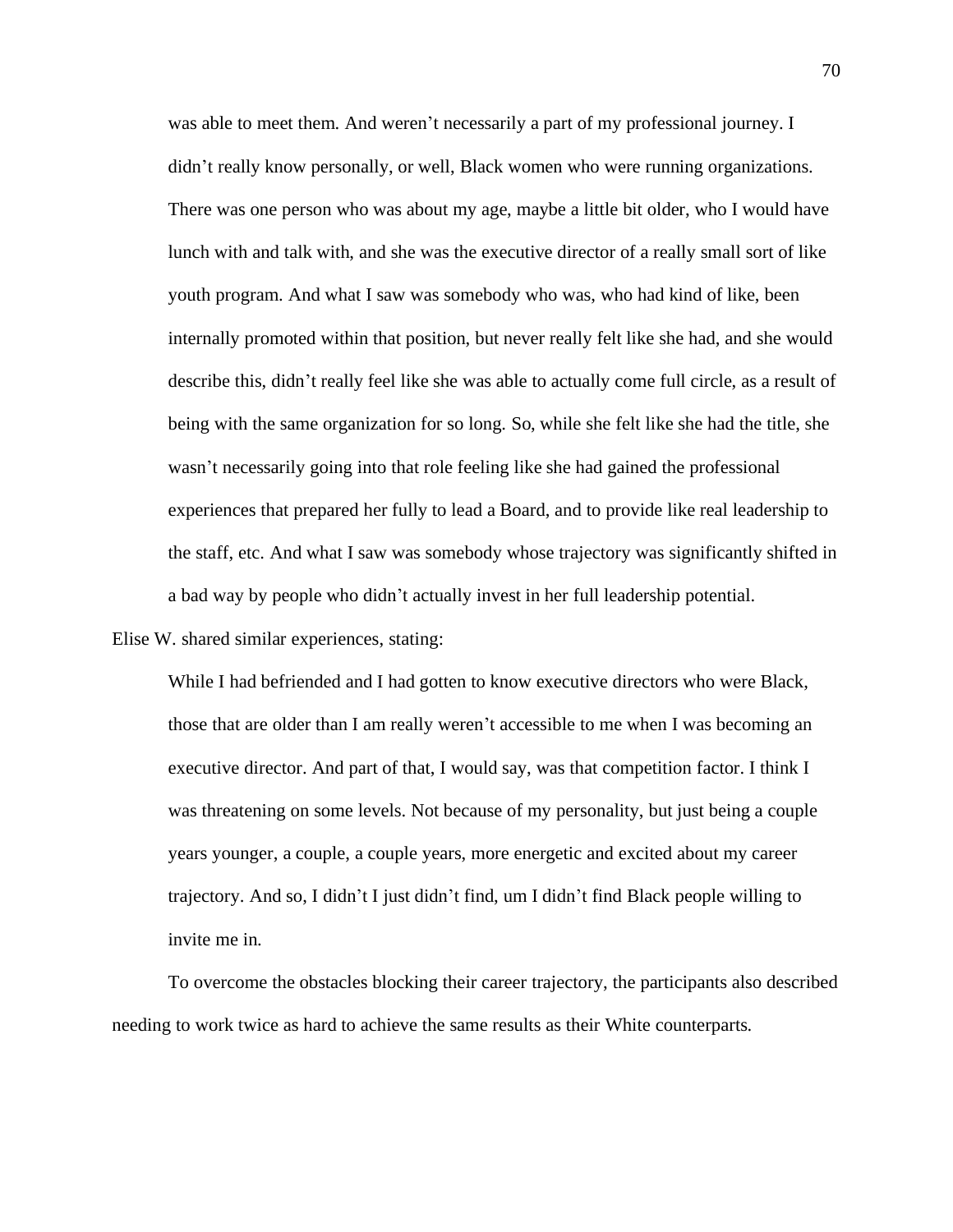was able to meet them. And weren't necessarily a part of my professional journey. I didn't really know personally, or well, Black women who were running organizations. There was one person who was about my age, maybe a little bit older, who I would have lunch with and talk with, and she was the executive director of a really small sort of like youth program. And what I saw was somebody who was, who had kind of like, been internally promoted within that position, but never really felt like she had, and she would describe this, didn't really feel like she was able to actually come full circle, as a result of being with the same organization for so long. So, while she felt like she had the title, she wasn't necessarily going into that role feeling like she had gained the professional experiences that prepared her fully to lead a Board, and to provide like real leadership to the staff, etc. And what I saw was somebody whose trajectory was significantly shifted in a bad way by people who didn't actually invest in her full leadership potential.

Elise W. shared similar experiences, stating:

While I had befriended and I had gotten to know executive directors who were Black, those that are older than I am really weren't accessible to me when I was becoming an executive director. And part of that, I would say, was that competition factor. I think I was threatening on some levels. Not because of my personality, but just being a couple years younger, a couple, a couple years, more energetic and excited about my career trajectory. And so, I didn't I just didn't find, um I didn't find Black people willing to invite me in.

To overcome the obstacles blocking their career trajectory, the participants also described needing to work twice as hard to achieve the same results as their White counterparts.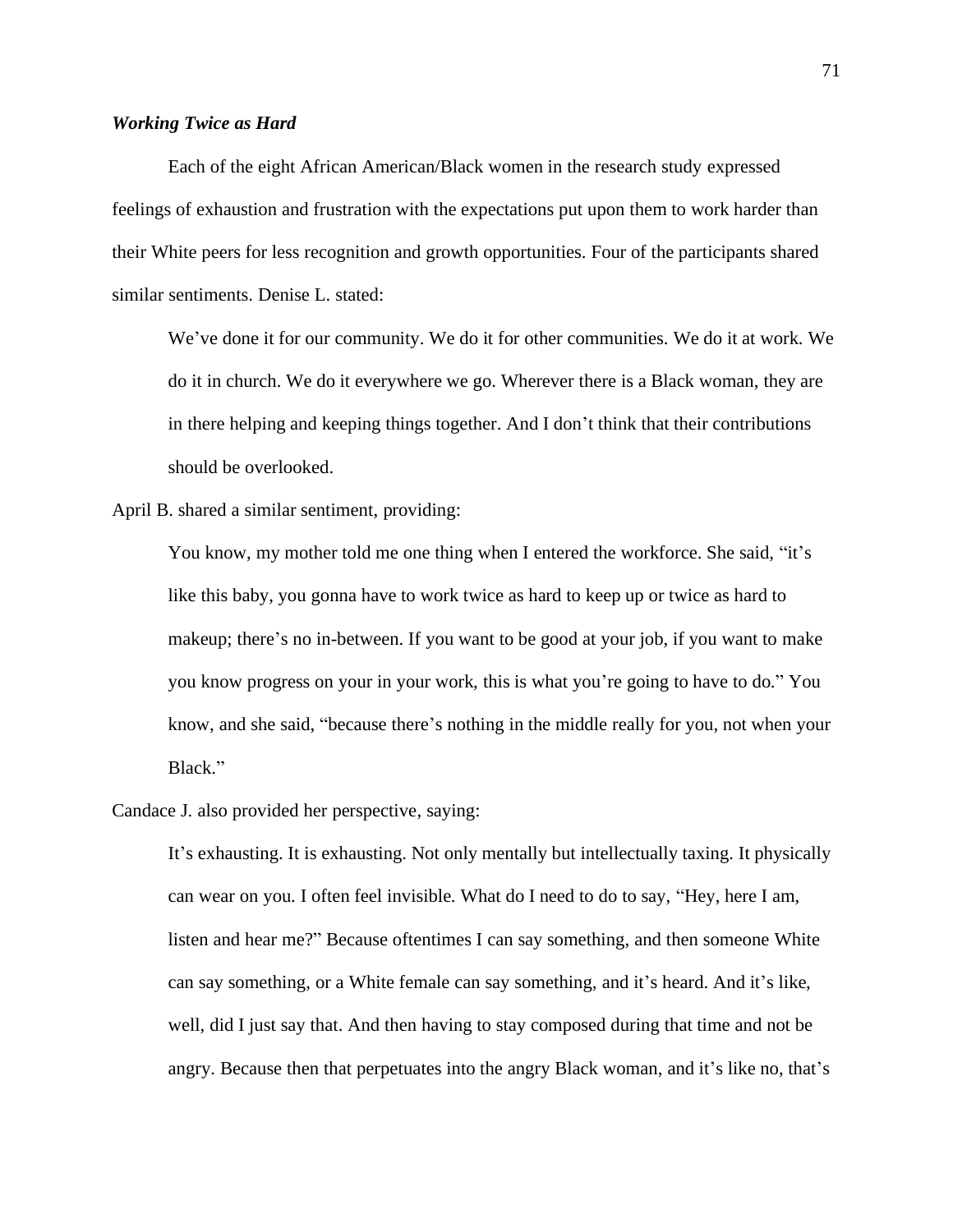# *Working Twice as Hard*

Each of the eight African American/Black women in the research study expressed feelings of exhaustion and frustration with the expectations put upon them to work harder than their White peers for less recognition and growth opportunities. Four of the participants shared similar sentiments. Denise L. stated:

We've done it for our community. We do it for other communities. We do it at work. We do it in church. We do it everywhere we go. Wherever there is a Black woman, they are in there helping and keeping things together. And I don't think that their contributions should be overlooked.

April B. shared a similar sentiment, providing:

You know, my mother told me one thing when I entered the workforce. She said, "it's like this baby, you gonna have to work twice as hard to keep up or twice as hard to makeup; there's no in-between. If you want to be good at your job, if you want to make you know progress on your in your work, this is what you're going to have to do." You know, and she said, "because there's nothing in the middle really for you, not when your Black."

## Candace J. also provided her perspective, saying:

It's exhausting. It is exhausting. Not only mentally but intellectually taxing. It physically can wear on you. I often feel invisible. What do I need to do to say, "Hey, here I am, listen and hear me?" Because oftentimes I can say something, and then someone White can say something, or a White female can say something, and it's heard. And it's like, well, did I just say that. And then having to stay composed during that time and not be angry. Because then that perpetuates into the angry Black woman, and it's like no, that's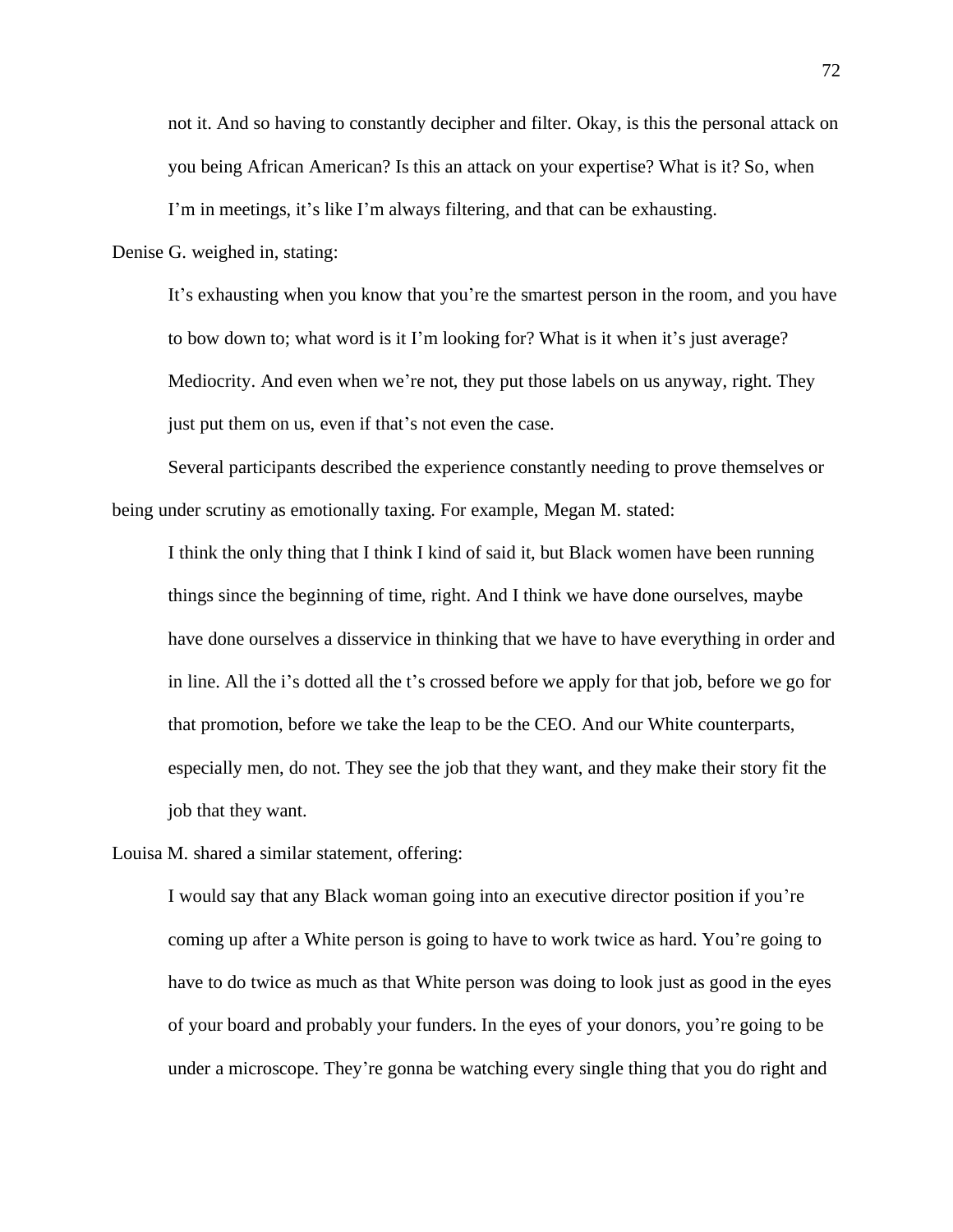not it. And so having to constantly decipher and filter. Okay, is this the personal attack on you being African American? Is this an attack on your expertise? What is it? So, when I'm in meetings, it's like I'm always filtering, and that can be exhausting.

Denise G. weighed in, stating:

It's exhausting when you know that you're the smartest person in the room, and you have to bow down to; what word is it I'm looking for? What is it when it's just average? Mediocrity. And even when we're not, they put those labels on us anyway, right. They just put them on us, even if that's not even the case.

Several participants described the experience constantly needing to prove themselves or being under scrutiny as emotionally taxing. For example, Megan M. stated:

I think the only thing that I think I kind of said it, but Black women have been running things since the beginning of time, right. And I think we have done ourselves, maybe have done ourselves a disservice in thinking that we have to have everything in order and in line. All the i's dotted all the t's crossed before we apply for that job, before we go for that promotion, before we take the leap to be the CEO. And our White counterparts, especially men, do not. They see the job that they want, and they make their story fit the job that they want.

Louisa M. shared a similar statement, offering:

I would say that any Black woman going into an executive director position if you're coming up after a White person is going to have to work twice as hard. You're going to have to do twice as much as that White person was doing to look just as good in the eyes of your board and probably your funders. In the eyes of your donors, you're going to be under a microscope. They're gonna be watching every single thing that you do right and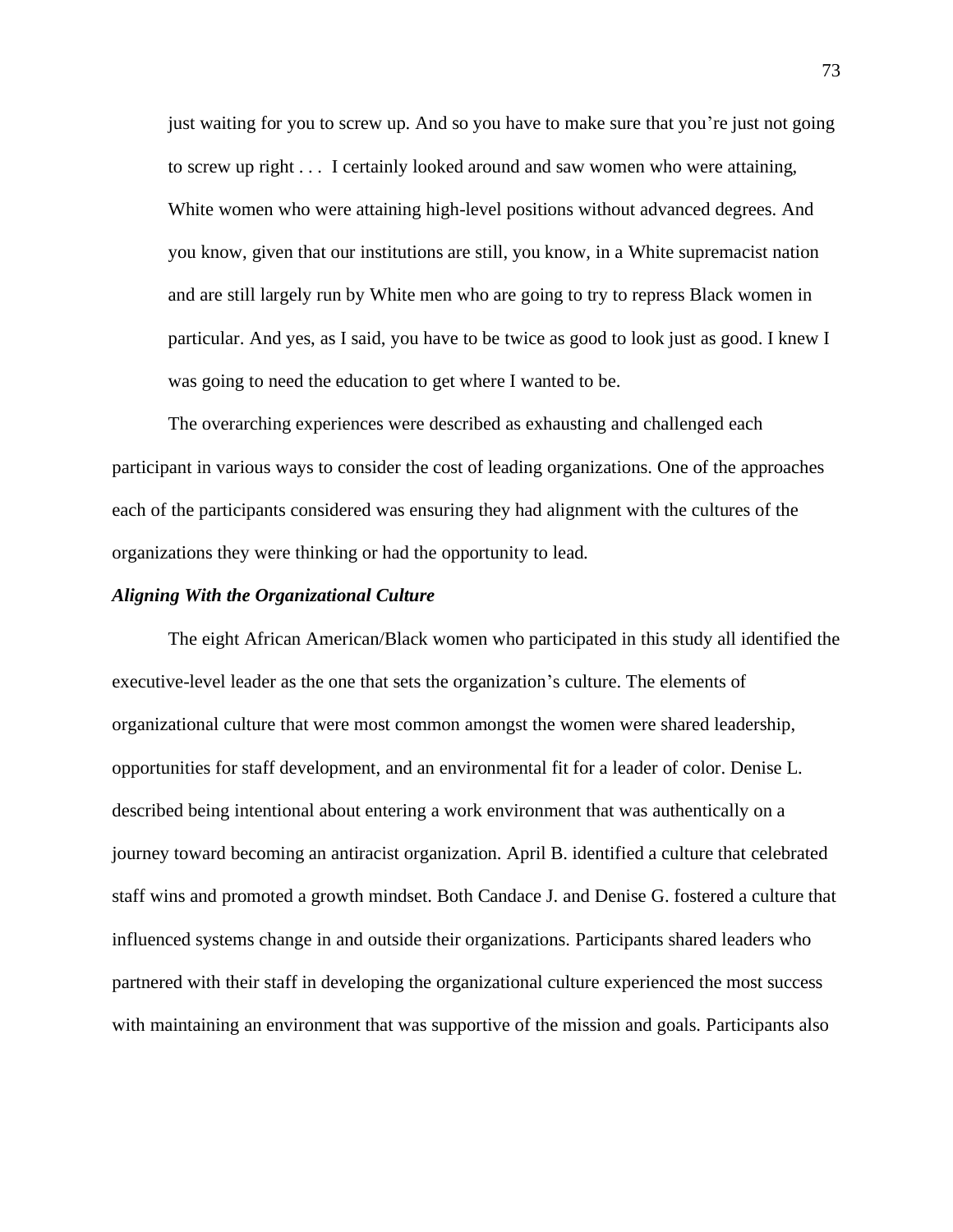just waiting for you to screw up. And so you have to make sure that you're just not going to screw up right . . . I certainly looked around and saw women who were attaining, White women who were attaining high-level positions without advanced degrees. And you know, given that our institutions are still, you know, in a White supremacist nation and are still largely run by White men who are going to try to repress Black women in particular. And yes, as I said, you have to be twice as good to look just as good. I knew I was going to need the education to get where I wanted to be.

The overarching experiences were described as exhausting and challenged each participant in various ways to consider the cost of leading organizations. One of the approaches each of the participants considered was ensuring they had alignment with the cultures of the organizations they were thinking or had the opportunity to lead.

#### *Aligning With the Organizational Culture*

The eight African American/Black women who participated in this study all identified the executive-level leader as the one that sets the organization's culture. The elements of organizational culture that were most common amongst the women were shared leadership, opportunities for staff development, and an environmental fit for a leader of color. Denise L. described being intentional about entering a work environment that was authentically on a journey toward becoming an antiracist organization. April B. identified a culture that celebrated staff wins and promoted a growth mindset. Both Candace J. and Denise G. fostered a culture that influenced systems change in and outside their organizations. Participants shared leaders who partnered with their staff in developing the organizational culture experienced the most success with maintaining an environment that was supportive of the mission and goals. Participants also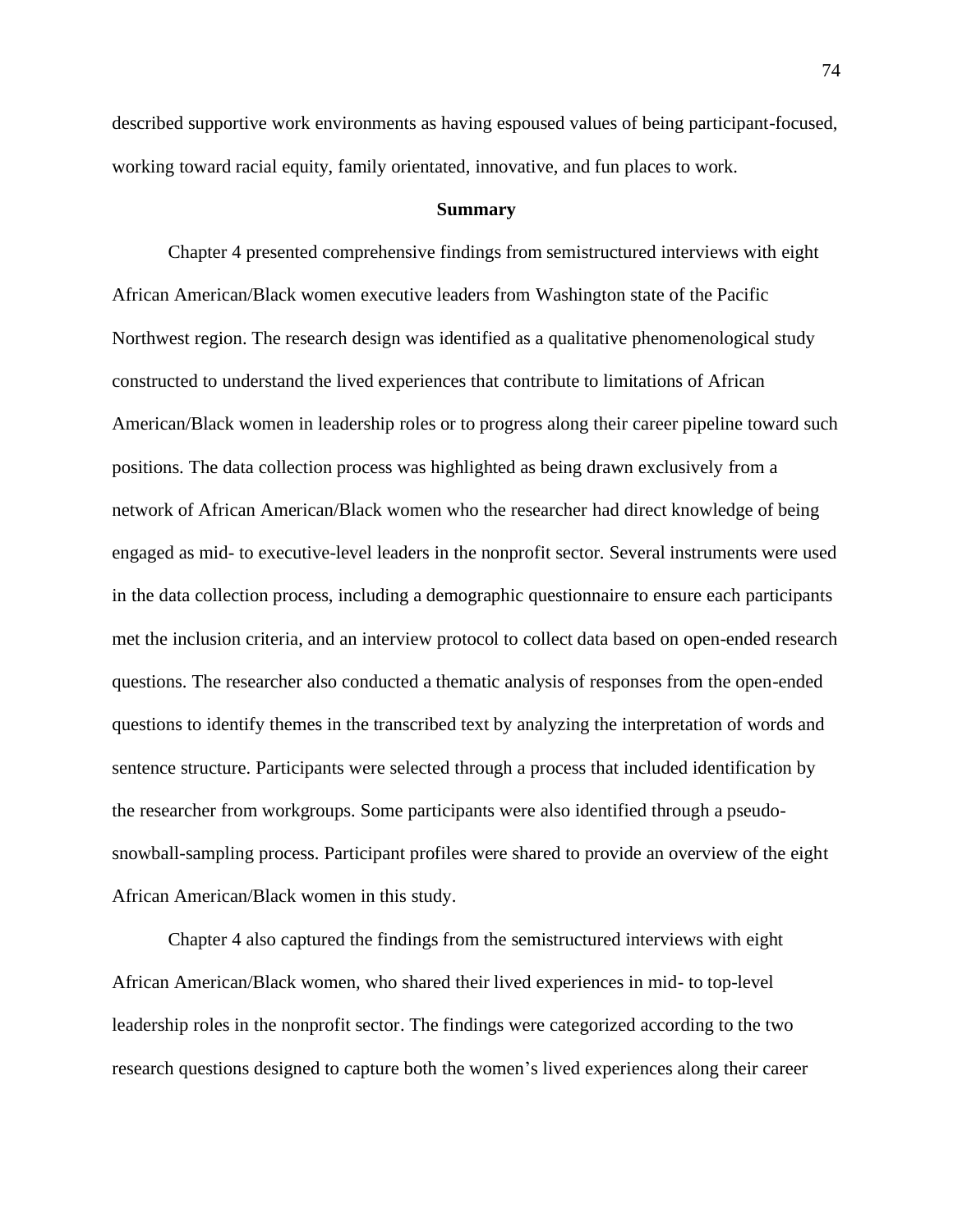described supportive work environments as having espoused values of being participant-focused, working toward racial equity, family orientated, innovative, and fun places to work.

### **Summary**

Chapter 4 presented comprehensive findings from semistructured interviews with eight African American/Black women executive leaders from Washington state of the Pacific Northwest region. The research design was identified as a qualitative phenomenological study constructed to understand the lived experiences that contribute to limitations of African American/Black women in leadership roles or to progress along their career pipeline toward such positions. The data collection process was highlighted as being drawn exclusively from a network of African American/Black women who the researcher had direct knowledge of being engaged as mid- to executive-level leaders in the nonprofit sector. Several instruments were used in the data collection process, including a demographic questionnaire to ensure each participants met the inclusion criteria, and an interview protocol to collect data based on open-ended research questions. The researcher also conducted a thematic analysis of responses from the open-ended questions to identify themes in the transcribed text by analyzing the interpretation of words and sentence structure. Participants were selected through a process that included identification by the researcher from workgroups. Some participants were also identified through a pseudosnowball-sampling process. Participant profiles were shared to provide an overview of the eight African American/Black women in this study.

Chapter 4 also captured the findings from the semistructured interviews with eight African American/Black women, who shared their lived experiences in mid- to top-level leadership roles in the nonprofit sector. The findings were categorized according to the two research questions designed to capture both the women's lived experiences along their career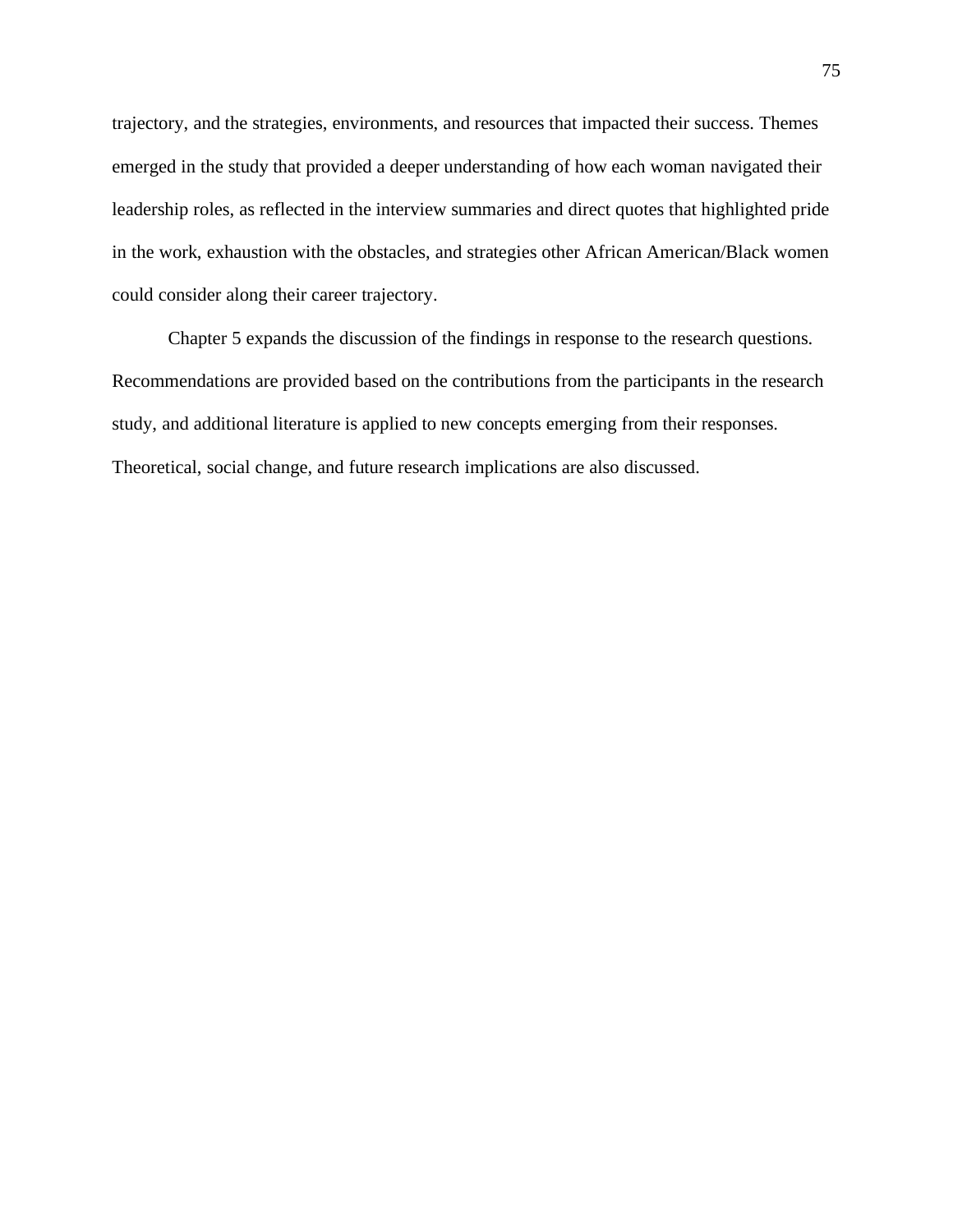trajectory, and the strategies, environments, and resources that impacted their success. Themes emerged in the study that provided a deeper understanding of how each woman navigated their leadership roles, as reflected in the interview summaries and direct quotes that highlighted pride in the work, exhaustion with the obstacles, and strategies other African American/Black women could consider along their career trajectory.

Chapter 5 expands the discussion of the findings in response to the research questions. Recommendations are provided based on the contributions from the participants in the research study, and additional literature is applied to new concepts emerging from their responses. Theoretical, social change, and future research implications are also discussed.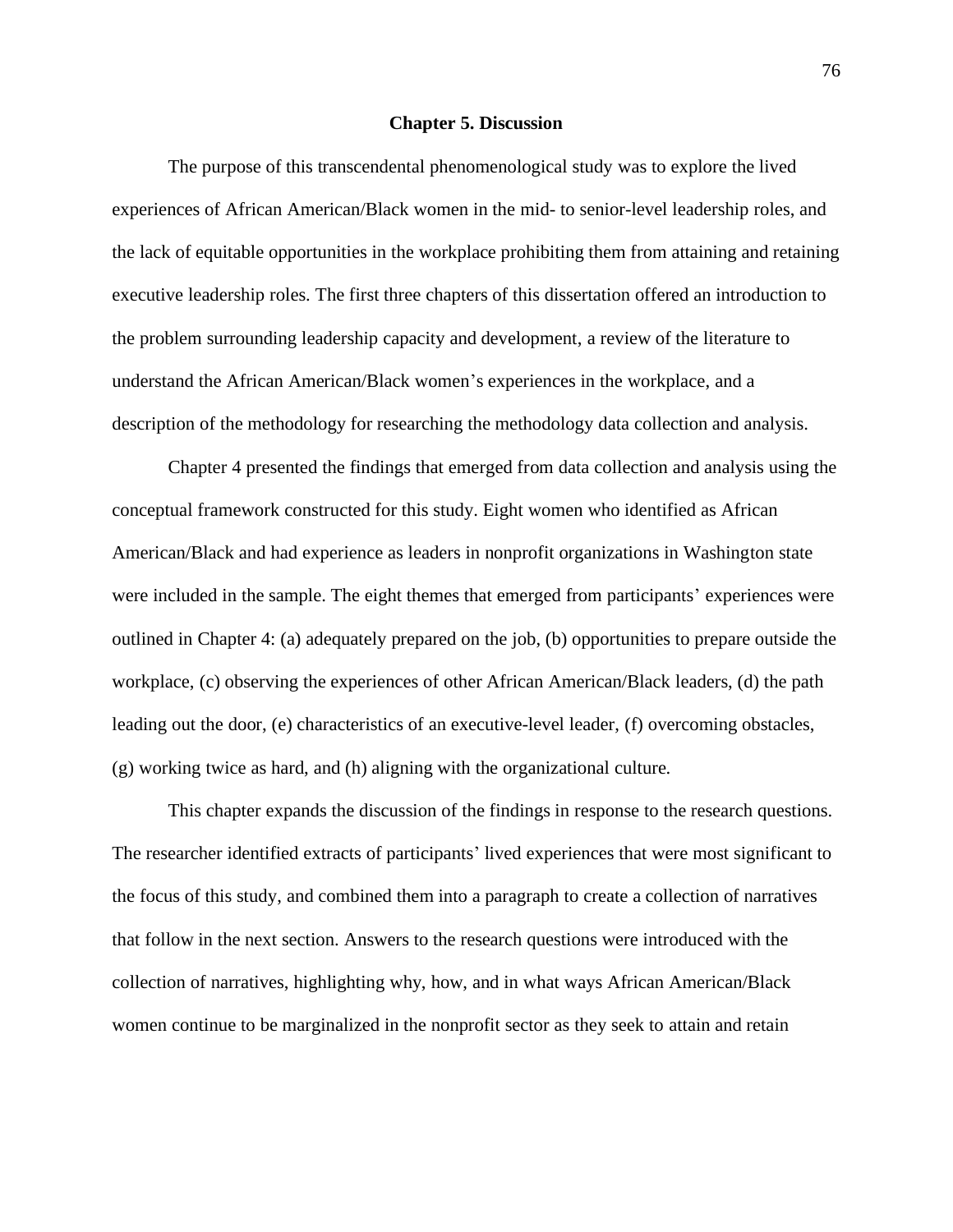#### **Chapter 5. Discussion**

The purpose of this transcendental phenomenological study was to explore the lived experiences of African American/Black women in the mid- to senior-level leadership roles, and the lack of equitable opportunities in the workplace prohibiting them from attaining and retaining executive leadership roles. The first three chapters of this dissertation offered an introduction to the problem surrounding leadership capacity and development, a review of the literature to understand the African American/Black women's experiences in the workplace, and a description of the methodology for researching the methodology data collection and analysis.

Chapter 4 presented the findings that emerged from data collection and analysis using the conceptual framework constructed for this study. Eight women who identified as African American/Black and had experience as leaders in nonprofit organizations in Washington state were included in the sample. The eight themes that emerged from participants' experiences were outlined in Chapter 4: (a) adequately prepared on the job, (b) opportunities to prepare outside the workplace, (c) observing the experiences of other African American/Black leaders, (d) the path leading out the door, (e) characteristics of an executive-level leader, (f) overcoming obstacles, (g) working twice as hard, and (h) aligning with the organizational culture.

This chapter expands the discussion of the findings in response to the research questions. The researcher identified extracts of participants' lived experiences that were most significant to the focus of this study, and combined them into a paragraph to create a collection of narratives that follow in the next section. Answers to the research questions were introduced with the collection of narratives, highlighting why, how, and in what ways African American/Black women continue to be marginalized in the nonprofit sector as they seek to attain and retain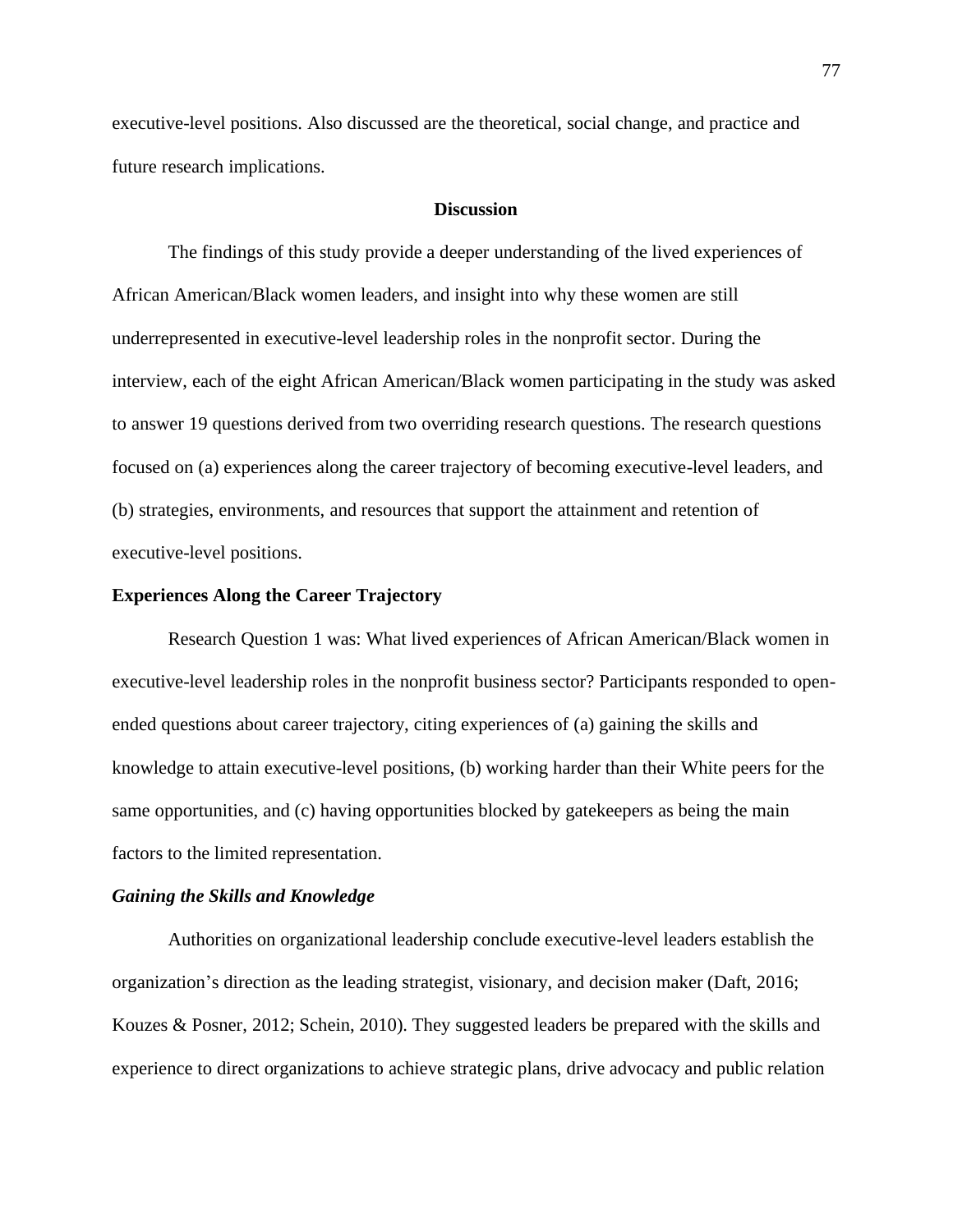executive-level positions. Also discussed are the theoretical, social change, and practice and future research implications.

# **Discussion**

The findings of this study provide a deeper understanding of the lived experiences of African American/Black women leaders, and insight into why these women are still underrepresented in executive-level leadership roles in the nonprofit sector. During the interview, each of the eight African American/Black women participating in the study was asked to answer 19 questions derived from two overriding research questions. The research questions focused on (a) experiences along the career trajectory of becoming executive-level leaders, and (b) strategies, environments, and resources that support the attainment and retention of executive-level positions.

## **Experiences Along the Career Trajectory**

Research Question 1 was: What lived experiences of African American/Black women in executive-level leadership roles in the nonprofit business sector? Participants responded to openended questions about career trajectory, citing experiences of (a) gaining the skills and knowledge to attain executive-level positions, (b) working harder than their White peers for the same opportunities, and (c) having opportunities blocked by gatekeepers as being the main factors to the limited representation.

# *Gaining the Skills and Knowledge*

Authorities on organizational leadership conclude executive-level leaders establish the organization's direction as the leading strategist, visionary, and decision maker (Daft, 2016; Kouzes & Posner, 2012; Schein, 2010). They suggested leaders be prepared with the skills and experience to direct organizations to achieve strategic plans, drive advocacy and public relation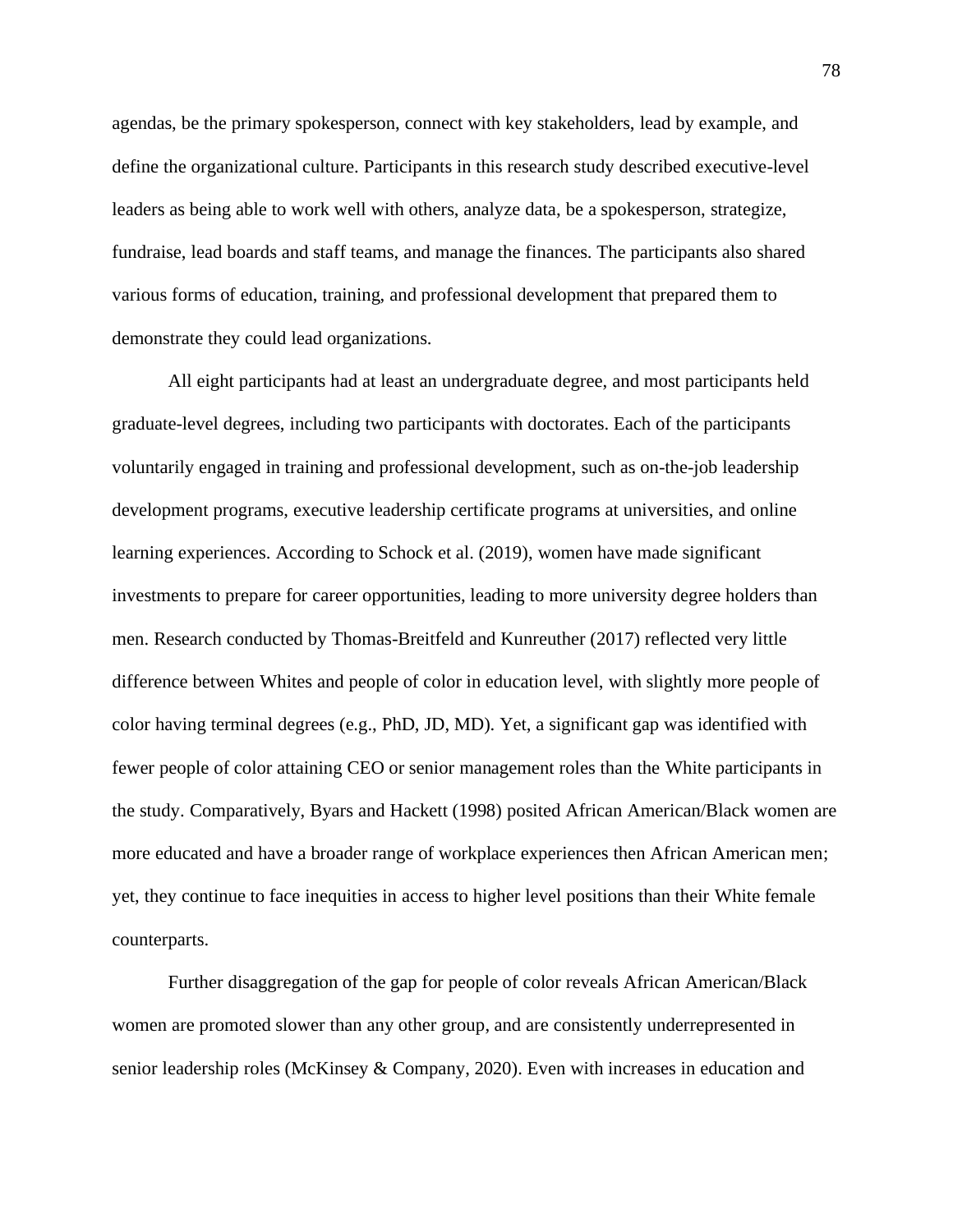agendas, be the primary spokesperson, connect with key stakeholders, lead by example, and define the organizational culture. Participants in this research study described executive-level leaders as being able to work well with others, analyze data, be a spokesperson, strategize, fundraise, lead boards and staff teams, and manage the finances. The participants also shared various forms of education, training, and professional development that prepared them to demonstrate they could lead organizations.

All eight participants had at least an undergraduate degree, and most participants held graduate-level degrees, including two participants with doctorates. Each of the participants voluntarily engaged in training and professional development, such as on-the-job leadership development programs, executive leadership certificate programs at universities, and online learning experiences. According to Schock et al. (2019), women have made significant investments to prepare for career opportunities, leading to more university degree holders than men. Research conducted by Thomas-Breitfeld and Kunreuther (2017) reflected very little difference between Whites and people of color in education level, with slightly more people of color having terminal degrees (e.g., PhD, JD, MD). Yet, a significant gap was identified with fewer people of color attaining CEO or senior management roles than the White participants in the study. Comparatively, Byars and Hackett (1998) posited African American/Black women are more educated and have a broader range of workplace experiences then African American men; yet, they continue to face inequities in access to higher level positions than their White female counterparts.

Further disaggregation of the gap for people of color reveals African American/Black women are promoted slower than any other group, and are consistently underrepresented in senior leadership roles (McKinsey & Company, 2020). Even with increases in education and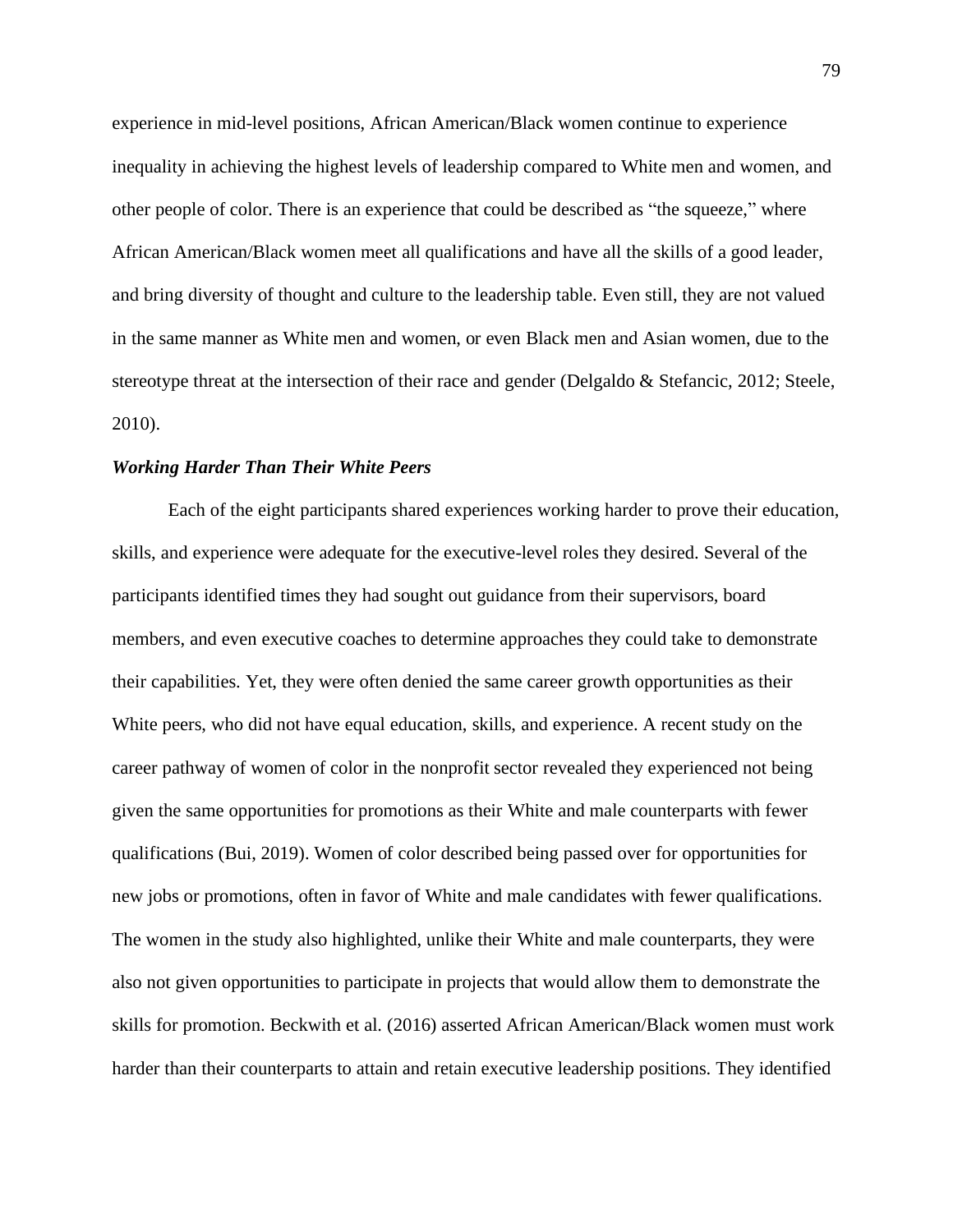experience in mid-level positions, African American/Black women continue to experience inequality in achieving the highest levels of leadership compared to White men and women, and other people of color. There is an experience that could be described as "the squeeze," where African American/Black women meet all qualifications and have all the skills of a good leader, and bring diversity of thought and culture to the leadership table. Even still, they are not valued in the same manner as White men and women, or even Black men and Asian women, due to the stereotype threat at the intersection of their race and gender (Delgaldo & Stefancic, 2012; Steele, 2010).

# *Working Harder Than Their White Peers*

Each of the eight participants shared experiences working harder to prove their education, skills, and experience were adequate for the executive-level roles they desired. Several of the participants identified times they had sought out guidance from their supervisors, board members, and even executive coaches to determine approaches they could take to demonstrate their capabilities. Yet, they were often denied the same career growth opportunities as their White peers, who did not have equal education, skills, and experience. A recent study on the career pathway of women of color in the nonprofit sector revealed they experienced not being given the same opportunities for promotions as their White and male counterparts with fewer qualifications (Bui, 2019). Women of color described being passed over for opportunities for new jobs or promotions, often in favor of White and male candidates with fewer qualifications. The women in the study also highlighted, unlike their White and male counterparts, they were also not given opportunities to participate in projects that would allow them to demonstrate the skills for promotion. Beckwith et al. (2016) asserted African American/Black women must work harder than their counterparts to attain and retain executive leadership positions. They identified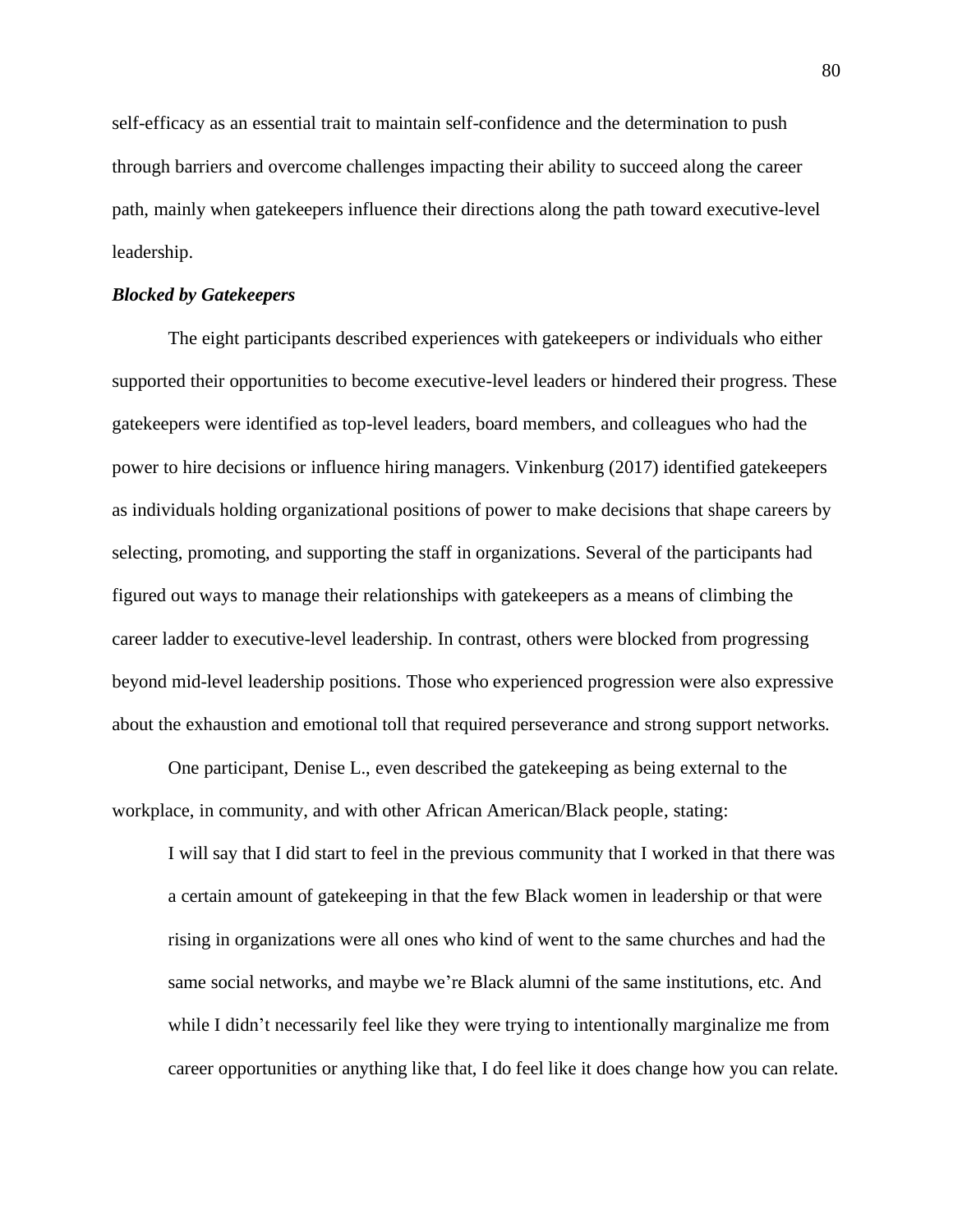self-efficacy as an essential trait to maintain self-confidence and the determination to push through barriers and overcome challenges impacting their ability to succeed along the career path, mainly when gatekeepers influence their directions along the path toward executive-level leadership.

## *Blocked by Gatekeepers*

The eight participants described experiences with gatekeepers or individuals who either supported their opportunities to become executive-level leaders or hindered their progress. These gatekeepers were identified as top-level leaders, board members, and colleagues who had the power to hire decisions or influence hiring managers. Vinkenburg (2017) identified gatekeepers as individuals holding organizational positions of power to make decisions that shape careers by selecting, promoting, and supporting the staff in organizations. Several of the participants had figured out ways to manage their relationships with gatekeepers as a means of climbing the career ladder to executive-level leadership. In contrast, others were blocked from progressing beyond mid-level leadership positions. Those who experienced progression were also expressive about the exhaustion and emotional toll that required perseverance and strong support networks.

One participant, Denise L., even described the gatekeeping as being external to the workplace, in community, and with other African American/Black people, stating:

I will say that I did start to feel in the previous community that I worked in that there was a certain amount of gatekeeping in that the few Black women in leadership or that were rising in organizations were all ones who kind of went to the same churches and had the same social networks, and maybe we're Black alumni of the same institutions, etc. And while I didn't necessarily feel like they were trying to intentionally marginalize me from career opportunities or anything like that, I do feel like it does change how you can relate.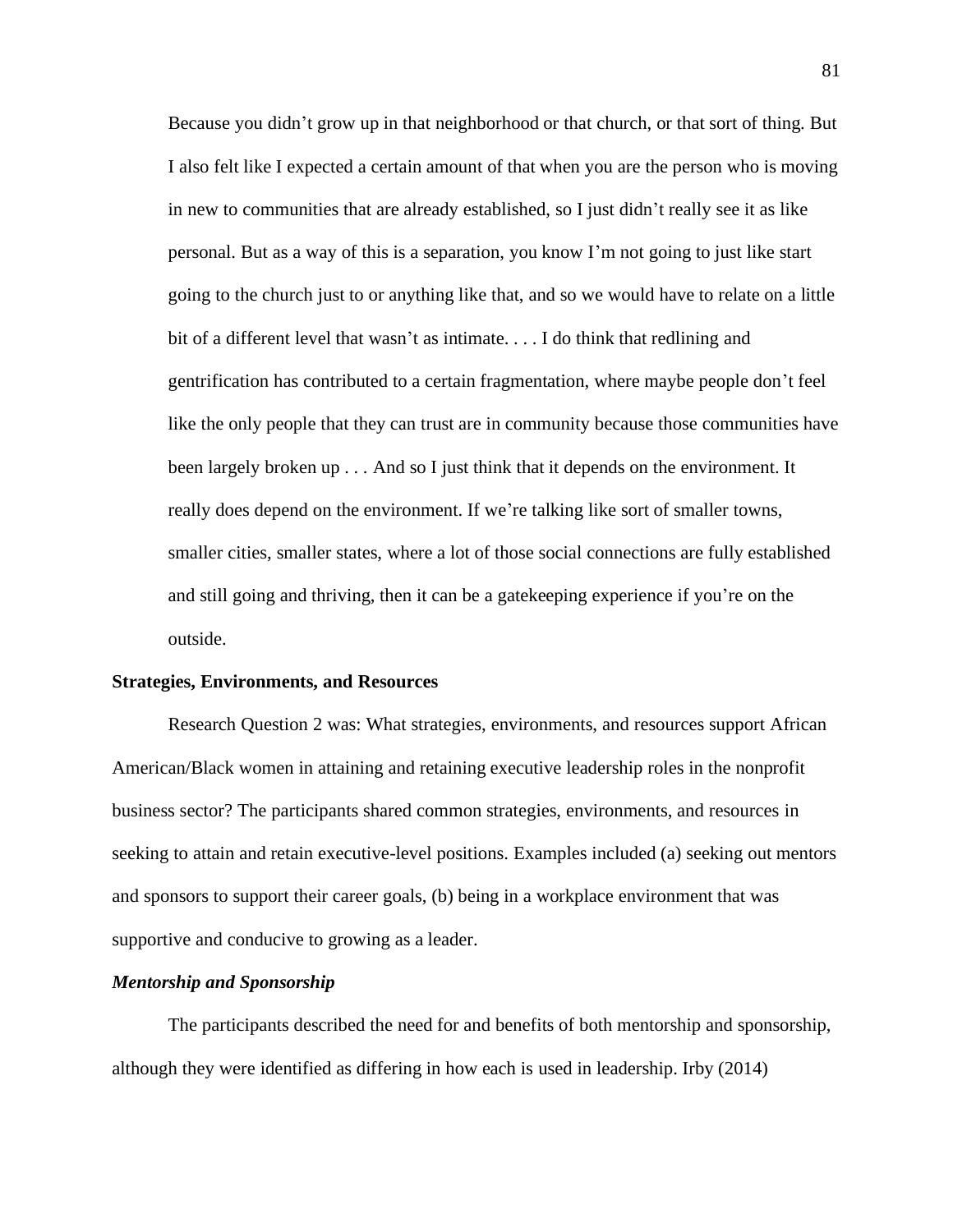Because you didn't grow up in that neighborhood or that church, or that sort of thing. But I also felt like I expected a certain amount of that when you are the person who is moving in new to communities that are already established, so I just didn't really see it as like personal. But as a way of this is a separation, you know I'm not going to just like start going to the church just to or anything like that, and so we would have to relate on a little bit of a different level that wasn't as intimate. . . . I do think that redlining and gentrification has contributed to a certain fragmentation, where maybe people don't feel like the only people that they can trust are in community because those communities have been largely broken up . . . And so I just think that it depends on the environment. It really does depend on the environment. If we're talking like sort of smaller towns, smaller cities, smaller states, where a lot of those social connections are fully established and still going and thriving, then it can be a gatekeeping experience if you're on the outside.

### **Strategies, Environments, and Resources**

Research Question 2 was: What strategies, environments, and resources support African American/Black women in attaining and retaining executive leadership roles in the nonprofit business sector? The participants shared common strategies, environments, and resources in seeking to attain and retain executive-level positions. Examples included (a) seeking out mentors and sponsors to support their career goals, (b) being in a workplace environment that was supportive and conducive to growing as a leader.

# *Mentorship and Sponsorship*

The participants described the need for and benefits of both mentorship and sponsorship, although they were identified as differing in how each is used in leadership. Irby (2014)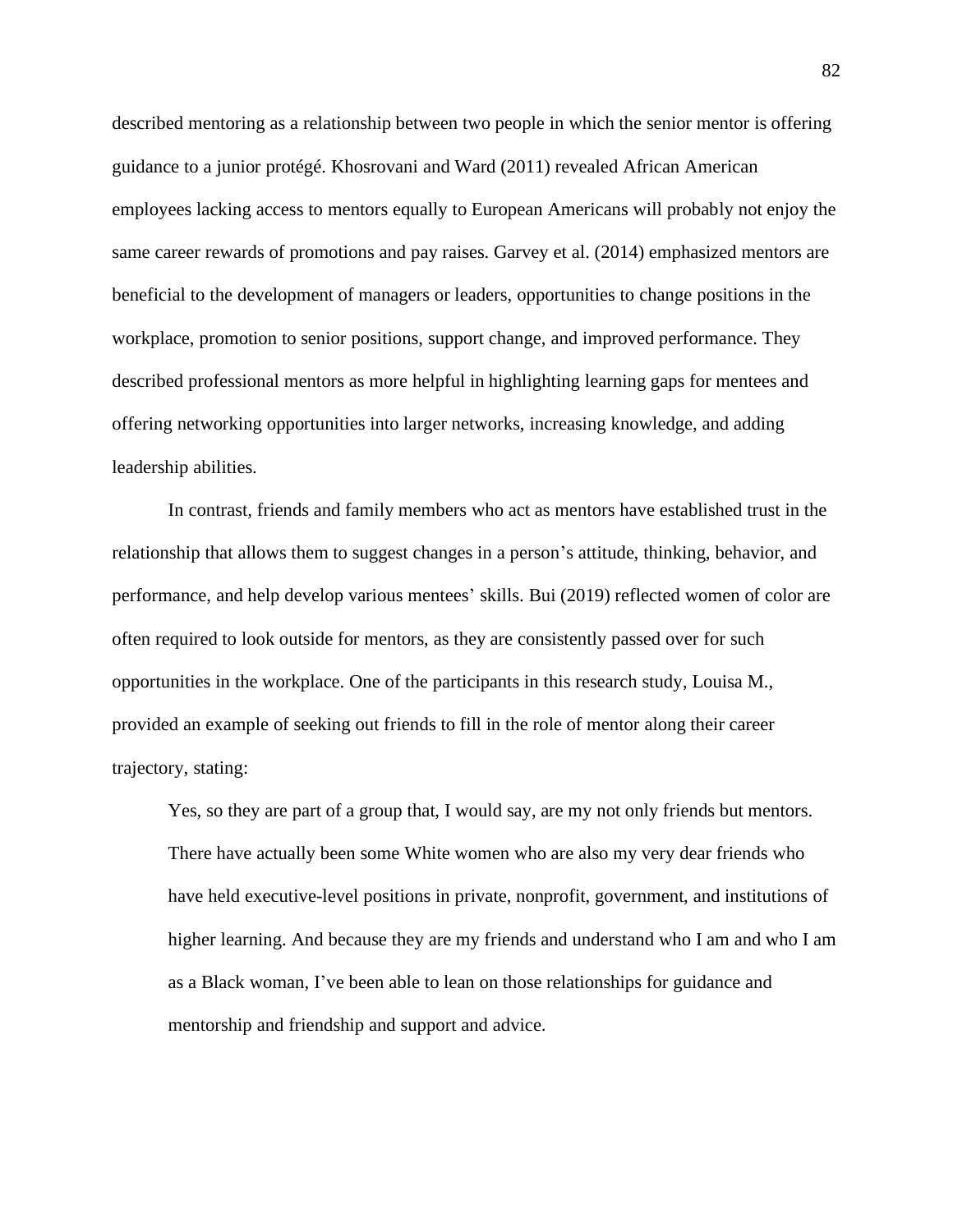described mentoring as a relationship between two people in which the senior mentor is offering guidance to a junior protégé. Khosrovani and Ward (2011) revealed African American employees lacking access to mentors equally to European Americans will probably not enjoy the same career rewards of promotions and pay raises. Garvey et al. (2014) emphasized mentors are beneficial to the development of managers or leaders, opportunities to change positions in the workplace, promotion to senior positions, support change, and improved performance. They described professional mentors as more helpful in highlighting learning gaps for mentees and offering networking opportunities into larger networks, increasing knowledge, and adding leadership abilities.

In contrast, friends and family members who act as mentors have established trust in the relationship that allows them to suggest changes in a person's attitude, thinking, behavior, and performance, and help develop various mentees' skills. Bui (2019) reflected women of color are often required to look outside for mentors, as they are consistently passed over for such opportunities in the workplace. One of the participants in this research study, Louisa M., provided an example of seeking out friends to fill in the role of mentor along their career trajectory, stating:

Yes, so they are part of a group that, I would say, are my not only friends but mentors. There have actually been some White women who are also my very dear friends who have held executive-level positions in private, nonprofit, government, and institutions of higher learning. And because they are my friends and understand who I am and who I am as a Black woman, I've been able to lean on those relationships for guidance and mentorship and friendship and support and advice.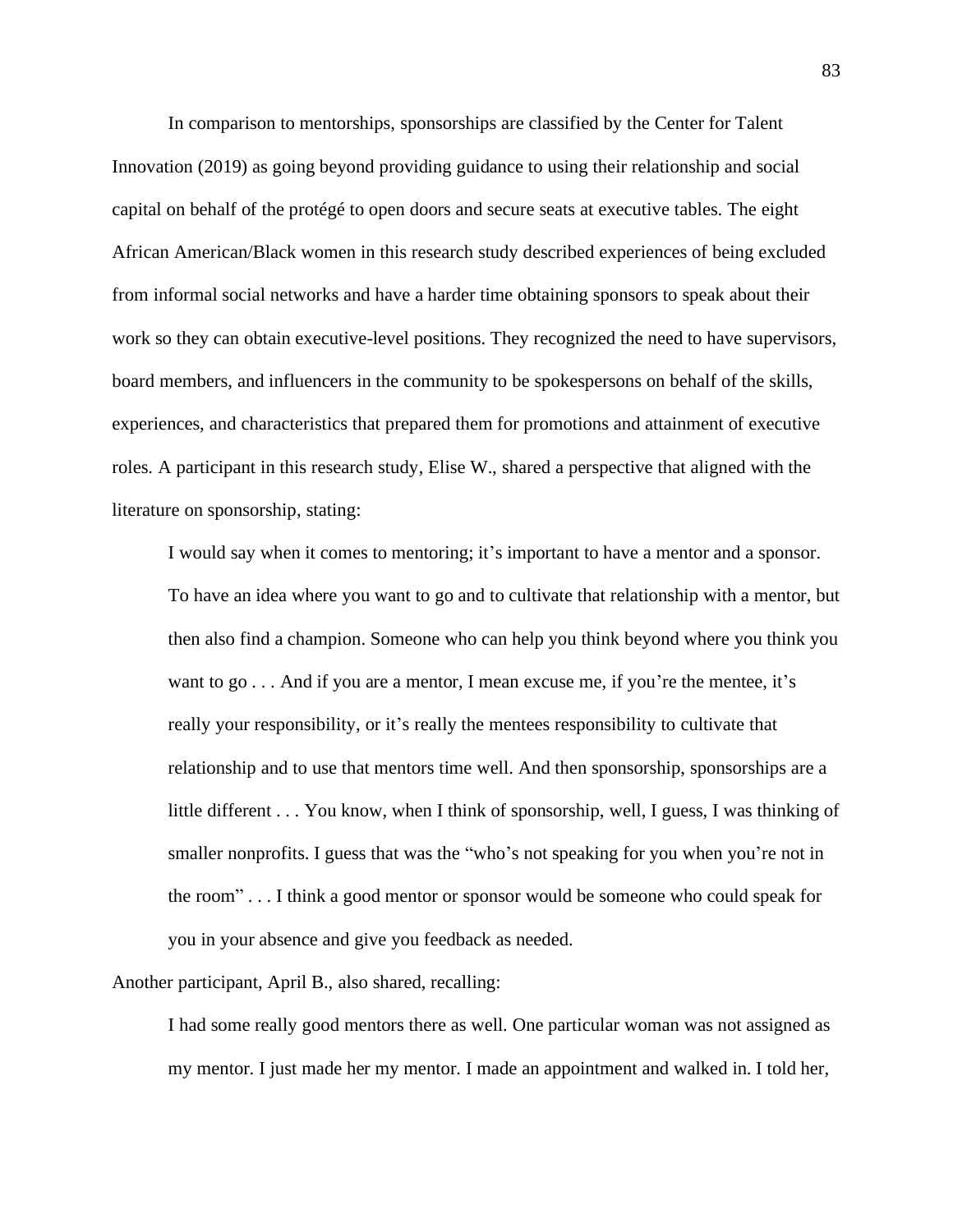In comparison to mentorships, sponsorships are classified by the Center for Talent Innovation (2019) as going beyond providing guidance to using their relationship and social capital on behalf of the protégé to open doors and secure seats at executive tables. The eight African American/Black women in this research study described experiences of being excluded from informal social networks and have a harder time obtaining sponsors to speak about their work so they can obtain executive-level positions. They recognized the need to have supervisors, board members, and influencers in the community to be spokespersons on behalf of the skills, experiences, and characteristics that prepared them for promotions and attainment of executive roles. A participant in this research study, Elise W., shared a perspective that aligned with the literature on sponsorship, stating:

I would say when it comes to mentoring; it's important to have a mentor and a sponsor. To have an idea where you want to go and to cultivate that relationship with a mentor, but then also find a champion. Someone who can help you think beyond where you think you want to go . . . And if you are a mentor, I mean excuse me, if you're the mentee, it's really your responsibility, or it's really the mentees responsibility to cultivate that relationship and to use that mentors time well. And then sponsorship, sponsorships are a little different . . . You know, when I think of sponsorship, well, I guess, I was thinking of smaller nonprofits. I guess that was the "who's not speaking for you when you're not in the room" . . . I think a good mentor or sponsor would be someone who could speak for you in your absence and give you feedback as needed.

Another participant, April B., also shared, recalling:

I had some really good mentors there as well. One particular woman was not assigned as my mentor. I just made her my mentor. I made an appointment and walked in. I told her,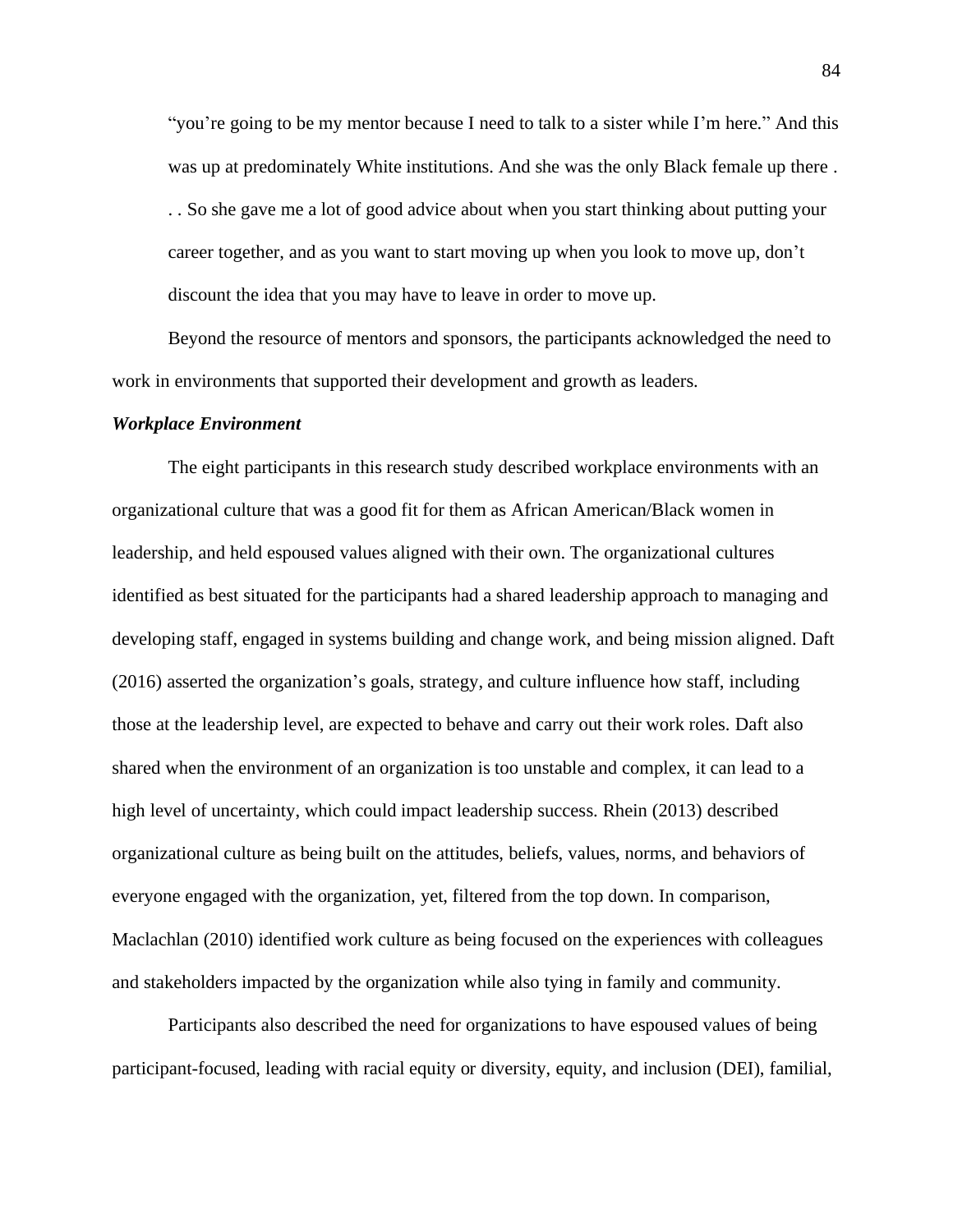"you're going to be my mentor because I need to talk to a sister while I'm here." And this was up at predominately White institutions. And she was the only Black female up there . . . So she gave me a lot of good advice about when you start thinking about putting your career together, and as you want to start moving up when you look to move up, don't discount the idea that you may have to leave in order to move up.

Beyond the resource of mentors and sponsors, the participants acknowledged the need to work in environments that supported their development and growth as leaders.

### *Workplace Environment*

The eight participants in this research study described workplace environments with an organizational culture that was a good fit for them as African American/Black women in leadership, and held espoused values aligned with their own. The organizational cultures identified as best situated for the participants had a shared leadership approach to managing and developing staff, engaged in systems building and change work, and being mission aligned. Daft (2016) asserted the organization's goals, strategy, and culture influence how staff, including those at the leadership level, are expected to behave and carry out their work roles. Daft also shared when the environment of an organization is too unstable and complex, it can lead to a high level of uncertainty, which could impact leadership success. Rhein (2013) described organizational culture as being built on the attitudes, beliefs, values, norms, and behaviors of everyone engaged with the organization, yet, filtered from the top down. In comparison, Maclachlan (2010) identified work culture as being focused on the experiences with colleagues and stakeholders impacted by the organization while also tying in family and community.

Participants also described the need for organizations to have espoused values of being participant-focused, leading with racial equity or diversity, equity, and inclusion (DEI), familial,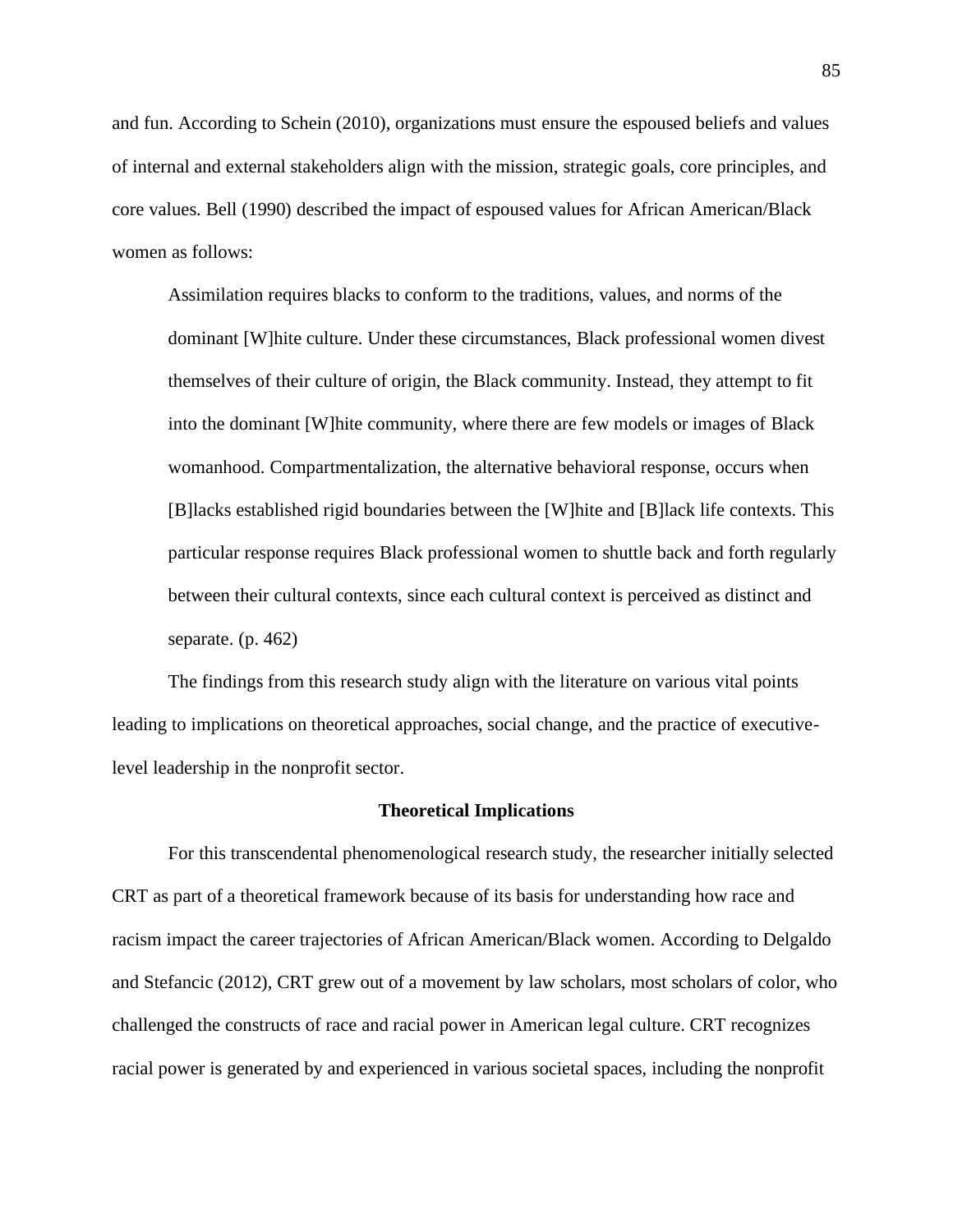and fun. According to Schein (2010), organizations must ensure the espoused beliefs and values of internal and external stakeholders align with the mission, strategic goals, core principles, and core values. Bell (1990) described the impact of espoused values for African American/Black women as follows:

Assimilation requires blacks to conform to the traditions, values, and norms of the dominant [W]hite culture. Under these circumstances, Black professional women divest themselves of their culture of origin, the Black community. Instead, they attempt to fit into the dominant [W]hite community, where there are few models or images of Black womanhood. Compartmentalization, the alternative behavioral response, occurs when [B]lacks established rigid boundaries between the [W]hite and [B]lack life contexts. This particular response requires Black professional women to shuttle back and forth regularly between their cultural contexts, since each cultural context is perceived as distinct and separate. (p. 462)

The findings from this research study align with the literature on various vital points leading to implications on theoretical approaches, social change, and the practice of executivelevel leadership in the nonprofit sector.

## **Theoretical Implications**

For this transcendental phenomenological research study, the researcher initially selected CRT as part of a theoretical framework because of its basis for understanding how race and racism impact the career trajectories of African American/Black women. According to Delgaldo and Stefancic (2012), CRT grew out of a movement by law scholars, most scholars of color, who challenged the constructs of race and racial power in American legal culture. CRT recognizes racial power is generated by and experienced in various societal spaces, including the nonprofit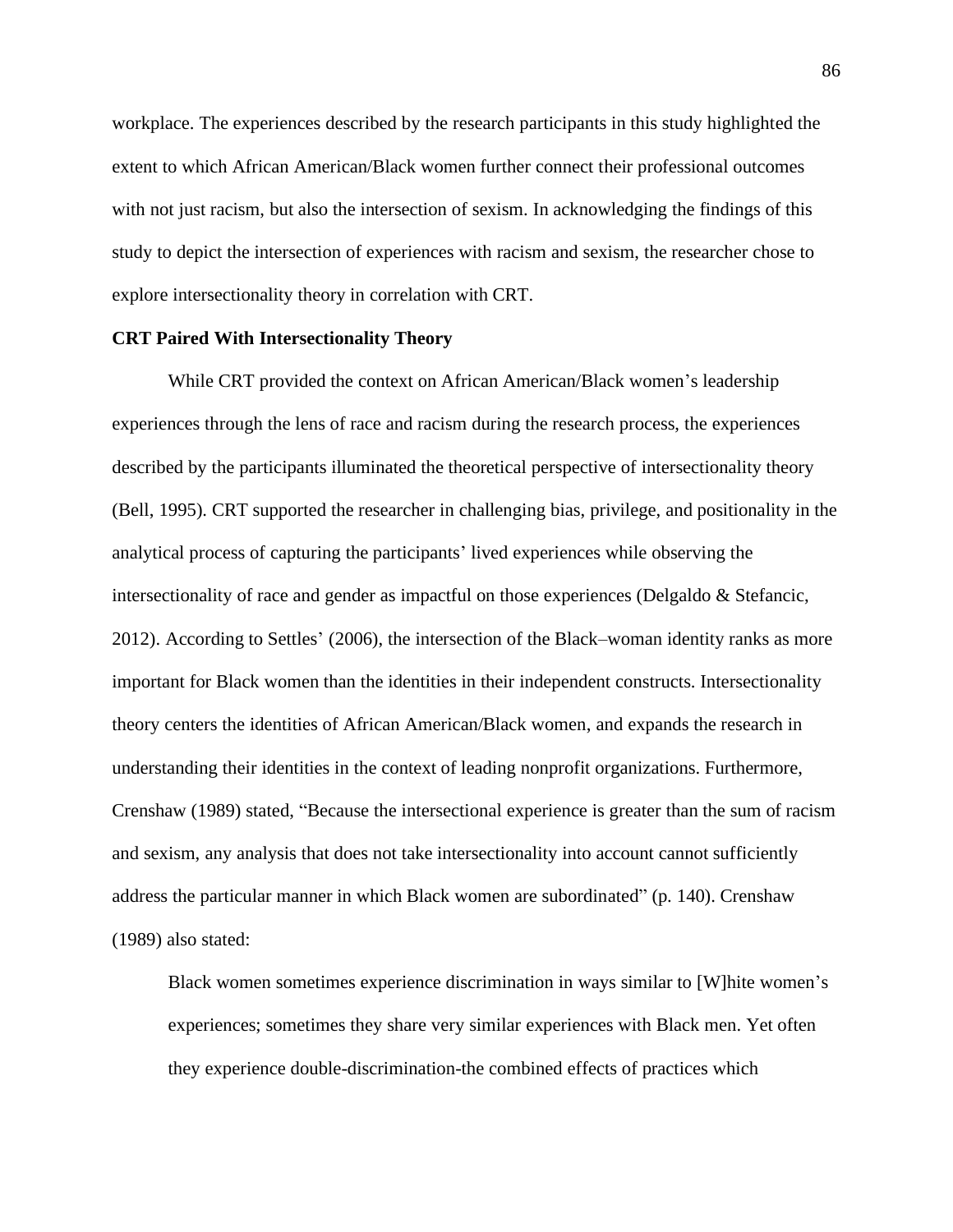workplace. The experiences described by the research participants in this study highlighted the extent to which African American/Black women further connect their professional outcomes with not just racism, but also the intersection of sexism. In acknowledging the findings of this study to depict the intersection of experiences with racism and sexism, the researcher chose to explore intersectionality theory in correlation with CRT.

## **CRT Paired With Intersectionality Theory**

While CRT provided the context on African American/Black women's leadership experiences through the lens of race and racism during the research process, the experiences described by the participants illuminated the theoretical perspective of intersectionality theory (Bell, 1995). CRT supported the researcher in challenging bias, privilege, and positionality in the analytical process of capturing the participants' lived experiences while observing the intersectionality of race and gender as impactful on those experiences (Delgaldo & Stefancic, 2012). According to Settles' (2006), the intersection of the Black–woman identity ranks as more important for Black women than the identities in their independent constructs. Intersectionality theory centers the identities of African American/Black women, and expands the research in understanding their identities in the context of leading nonprofit organizations. Furthermore, Crenshaw (1989) stated, "Because the intersectional experience is greater than the sum of racism and sexism, any analysis that does not take intersectionality into account cannot sufficiently address the particular manner in which Black women are subordinated" (p. 140). Crenshaw (1989) also stated:

Black women sometimes experience discrimination in ways similar to [W]hite women's experiences; sometimes they share very similar experiences with Black men. Yet often they experience double-discrimination-the combined effects of practices which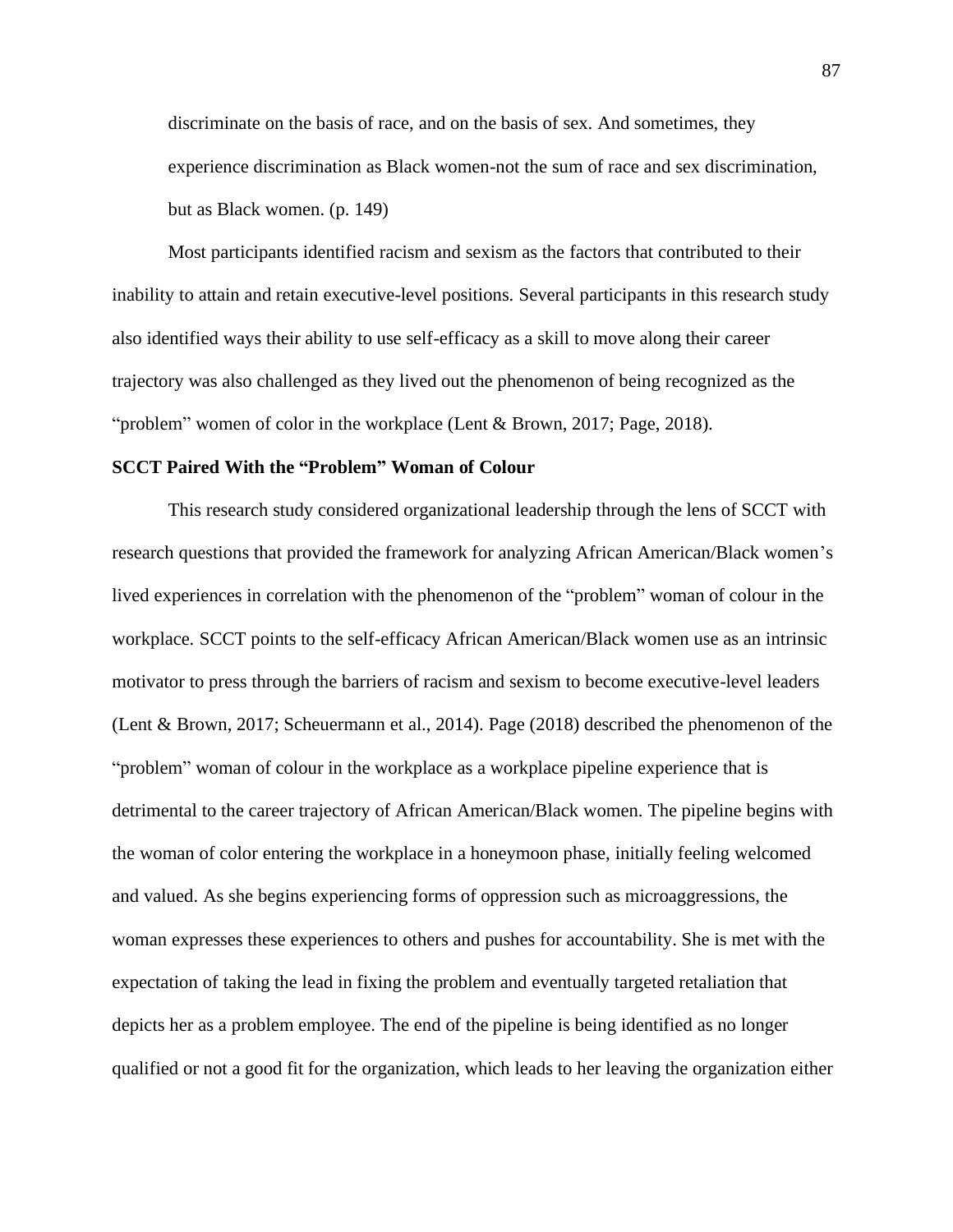discriminate on the basis of race, and on the basis of sex. And sometimes, they experience discrimination as Black women-not the sum of race and sex discrimination, but as Black women. (p. 149)

Most participants identified racism and sexism as the factors that contributed to their inability to attain and retain executive-level positions. Several participants in this research study also identified ways their ability to use self-efficacy as a skill to move along their career trajectory was also challenged as they lived out the phenomenon of being recognized as the "problem" women of color in the workplace (Lent & Brown, 2017; Page, 2018).

## **SCCT Paired With the "Problem" Woman of Colour**

This research study considered organizational leadership through the lens of SCCT with research questions that provided the framework for analyzing African American/Black women's lived experiences in correlation with the phenomenon of the "problem" woman of colour in the workplace*.* SCCT points to the self-efficacy African American/Black women use as an intrinsic motivator to press through the barriers of racism and sexism to become executive-level leaders (Lent & Brown, 2017; Scheuermann et al., 2014). Page (2018) described the phenomenon of the "problem" woman of colour in the workplace as a workplace pipeline experience that is detrimental to the career trajectory of African American/Black women. The pipeline begins with the woman of color entering the workplace in a honeymoon phase, initially feeling welcomed and valued. As she begins experiencing forms of oppression such as microaggressions, the woman expresses these experiences to others and pushes for accountability. She is met with the expectation of taking the lead in fixing the problem and eventually targeted retaliation that depicts her as a problem employee. The end of the pipeline is being identified as no longer qualified or not a good fit for the organization, which leads to her leaving the organization either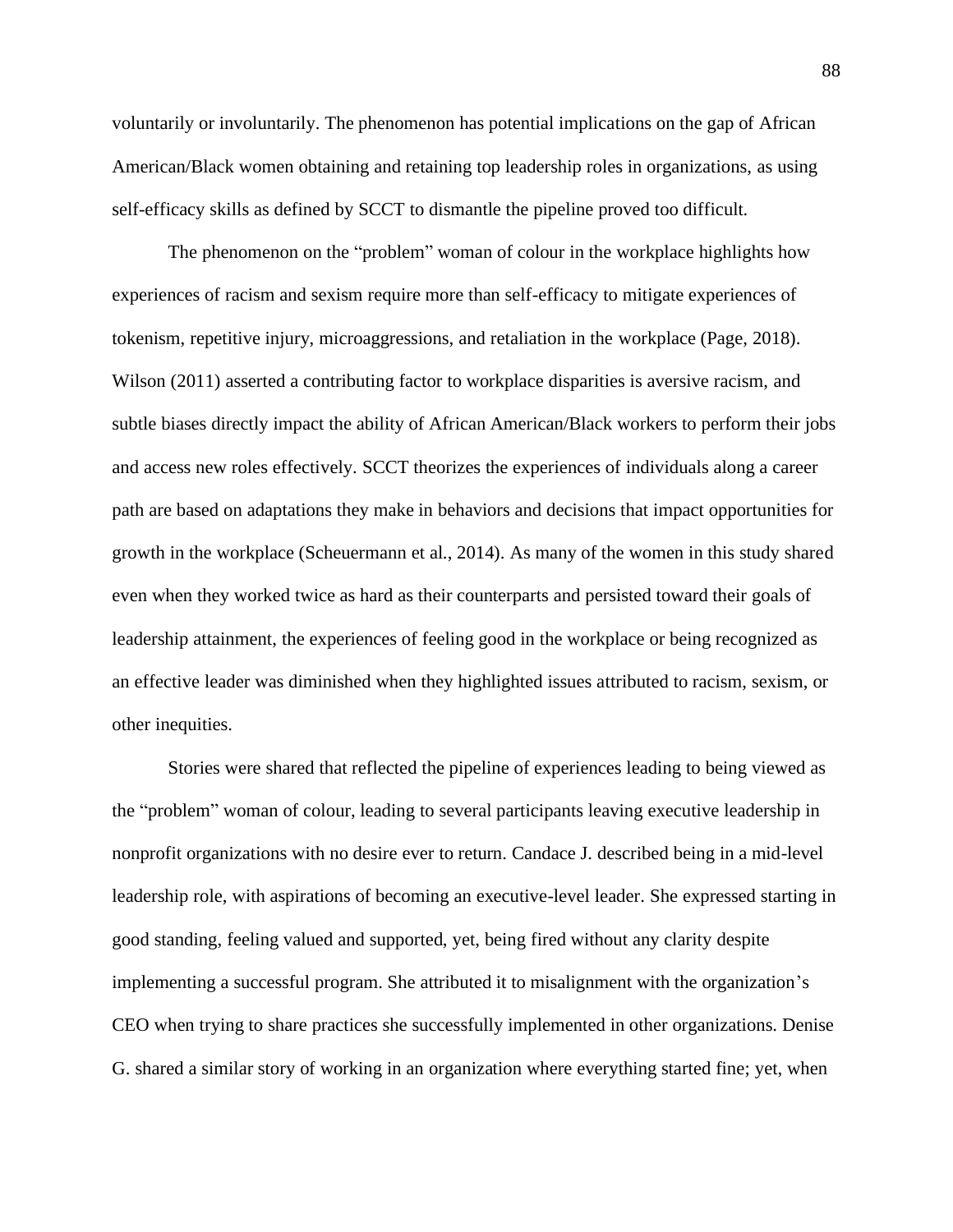voluntarily or involuntarily. The phenomenon has potential implications on the gap of African American/Black women obtaining and retaining top leadership roles in organizations, as using self-efficacy skills as defined by SCCT to dismantle the pipeline proved too difficult.

The phenomenon on the "problem" woman of colour in the workplace highlights how experiences of racism and sexism require more than self-efficacy to mitigate experiences of tokenism, repetitive injury, microaggressions, and retaliation in the workplace (Page, 2018). Wilson (2011) asserted a contributing factor to workplace disparities is aversive racism, and subtle biases directly impact the ability of African American/Black workers to perform their jobs and access new roles effectively. SCCT theorizes the experiences of individuals along a career path are based on adaptations they make in behaviors and decisions that impact opportunities for growth in the workplace (Scheuermann et al., 2014). As many of the women in this study shared even when they worked twice as hard as their counterparts and persisted toward their goals of leadership attainment, the experiences of feeling good in the workplace or being recognized as an effective leader was diminished when they highlighted issues attributed to racism, sexism, or other inequities.

Stories were shared that reflected the pipeline of experiences leading to being viewed as the "problem" woman of colour, leading to several participants leaving executive leadership in nonprofit organizations with no desire ever to return. Candace J. described being in a mid-level leadership role, with aspirations of becoming an executive-level leader. She expressed starting in good standing, feeling valued and supported, yet, being fired without any clarity despite implementing a successful program. She attributed it to misalignment with the organization's CEO when trying to share practices she successfully implemented in other organizations. Denise G. shared a similar story of working in an organization where everything started fine; yet, when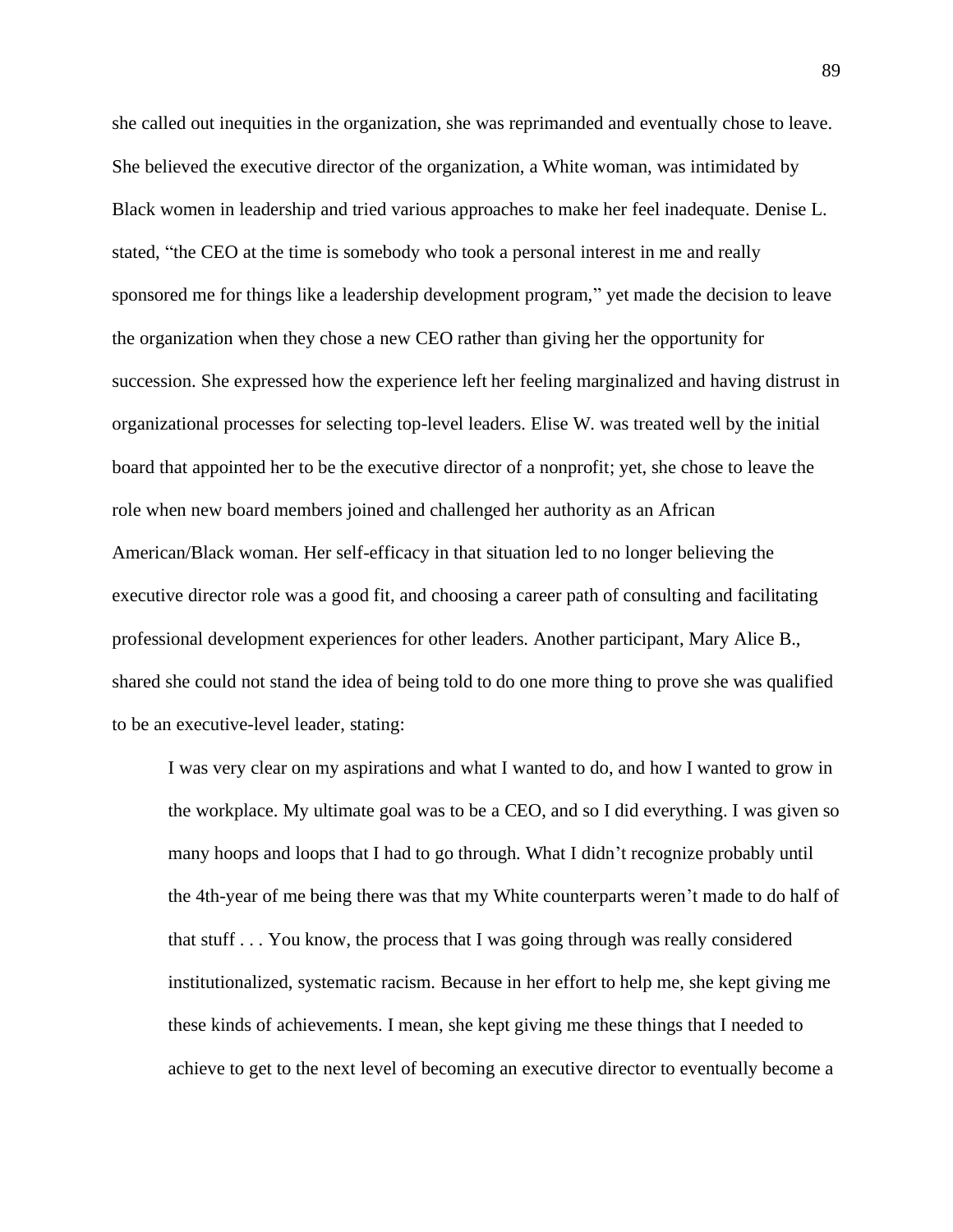she called out inequities in the organization, she was reprimanded and eventually chose to leave. She believed the executive director of the organization, a White woman, was intimidated by Black women in leadership and tried various approaches to make her feel inadequate. Denise L. stated, "the CEO at the time is somebody who took a personal interest in me and really sponsored me for things like a leadership development program," yet made the decision to leave the organization when they chose a new CEO rather than giving her the opportunity for succession. She expressed how the experience left her feeling marginalized and having distrust in organizational processes for selecting top-level leaders. Elise W. was treated well by the initial board that appointed her to be the executive director of a nonprofit; yet, she chose to leave the role when new board members joined and challenged her authority as an African American/Black woman. Her self-efficacy in that situation led to no longer believing the executive director role was a good fit, and choosing a career path of consulting and facilitating professional development experiences for other leaders. Another participant, Mary Alice B., shared she could not stand the idea of being told to do one more thing to prove she was qualified to be an executive-level leader, stating:

I was very clear on my aspirations and what I wanted to do, and how I wanted to grow in the workplace. My ultimate goal was to be a CEO, and so I did everything. I was given so many hoops and loops that I had to go through. What I didn't recognize probably until the 4th-year of me being there was that my White counterparts weren't made to do half of that stuff . . . You know, the process that I was going through was really considered institutionalized, systematic racism. Because in her effort to help me, she kept giving me these kinds of achievements. I mean, she kept giving me these things that I needed to achieve to get to the next level of becoming an executive director to eventually become a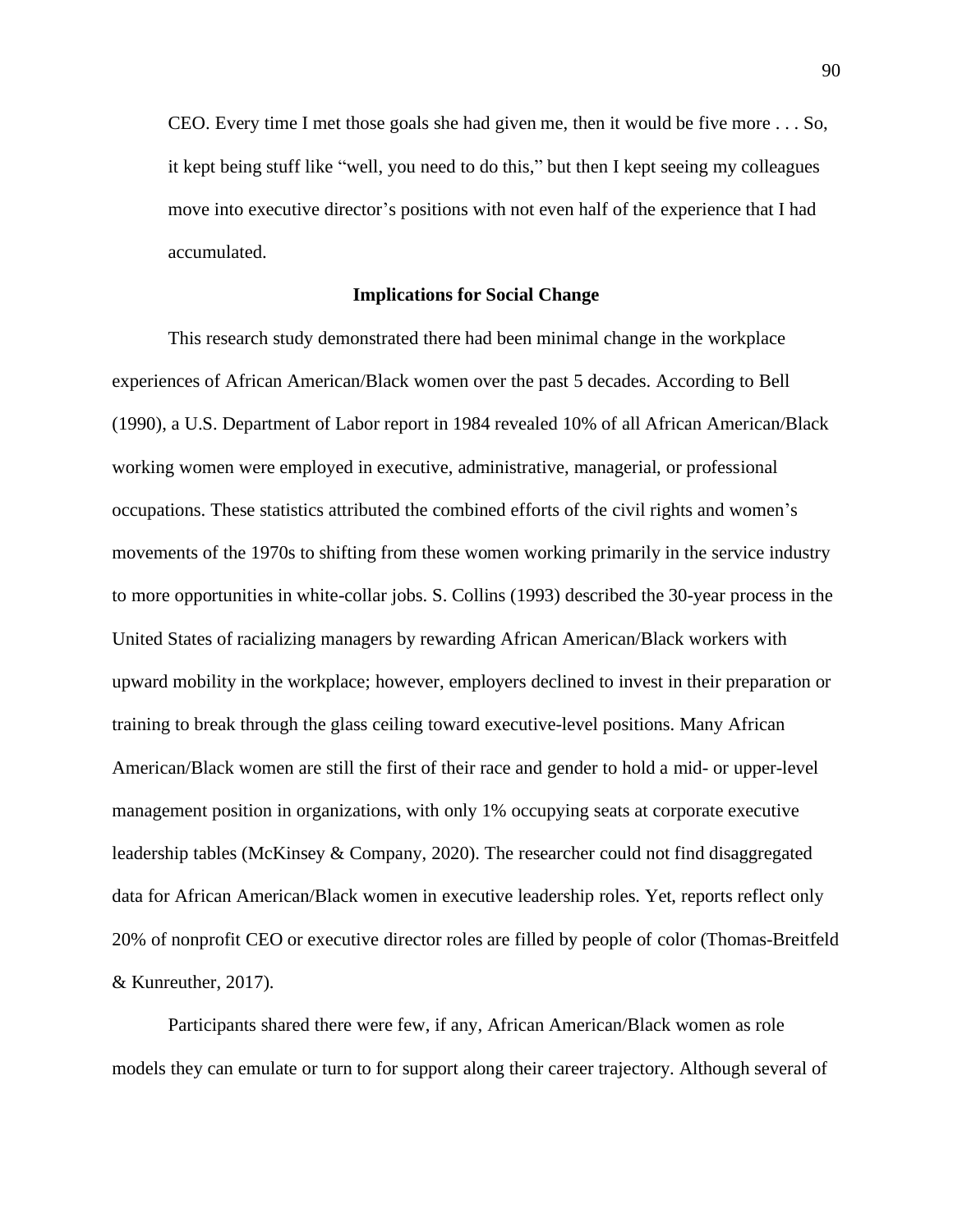CEO. Every time I met those goals she had given me, then it would be five more . . . So, it kept being stuff like "well, you need to do this," but then I kept seeing my colleagues move into executive director's positions with not even half of the experience that I had accumulated.

### **Implications for Social Change**

This research study demonstrated there had been minimal change in the workplace experiences of African American/Black women over the past 5 decades. According to Bell (1990), a U.S. Department of Labor report in 1984 revealed 10% of all African American/Black working women were employed in executive, administrative, managerial, or professional occupations. These statistics attributed the combined efforts of the civil rights and women's movements of the 1970s to shifting from these women working primarily in the service industry to more opportunities in white-collar jobs. S. Collins (1993) described the 30-year process in the United States of racializing managers by rewarding African American/Black workers with upward mobility in the workplace; however, employers declined to invest in their preparation or training to break through the glass ceiling toward executive-level positions. Many African American/Black women are still the first of their race and gender to hold a mid- or upper-level management position in organizations, with only 1% occupying seats at corporate executive leadership tables (McKinsey & Company, 2020). The researcher could not find disaggregated data for African American/Black women in executive leadership roles. Yet, reports reflect only 20% of nonprofit CEO or executive director roles are filled by people of color (Thomas-Breitfeld & Kunreuther, 2017).

Participants shared there were few, if any, African American/Black women as role models they can emulate or turn to for support along their career trajectory. Although several of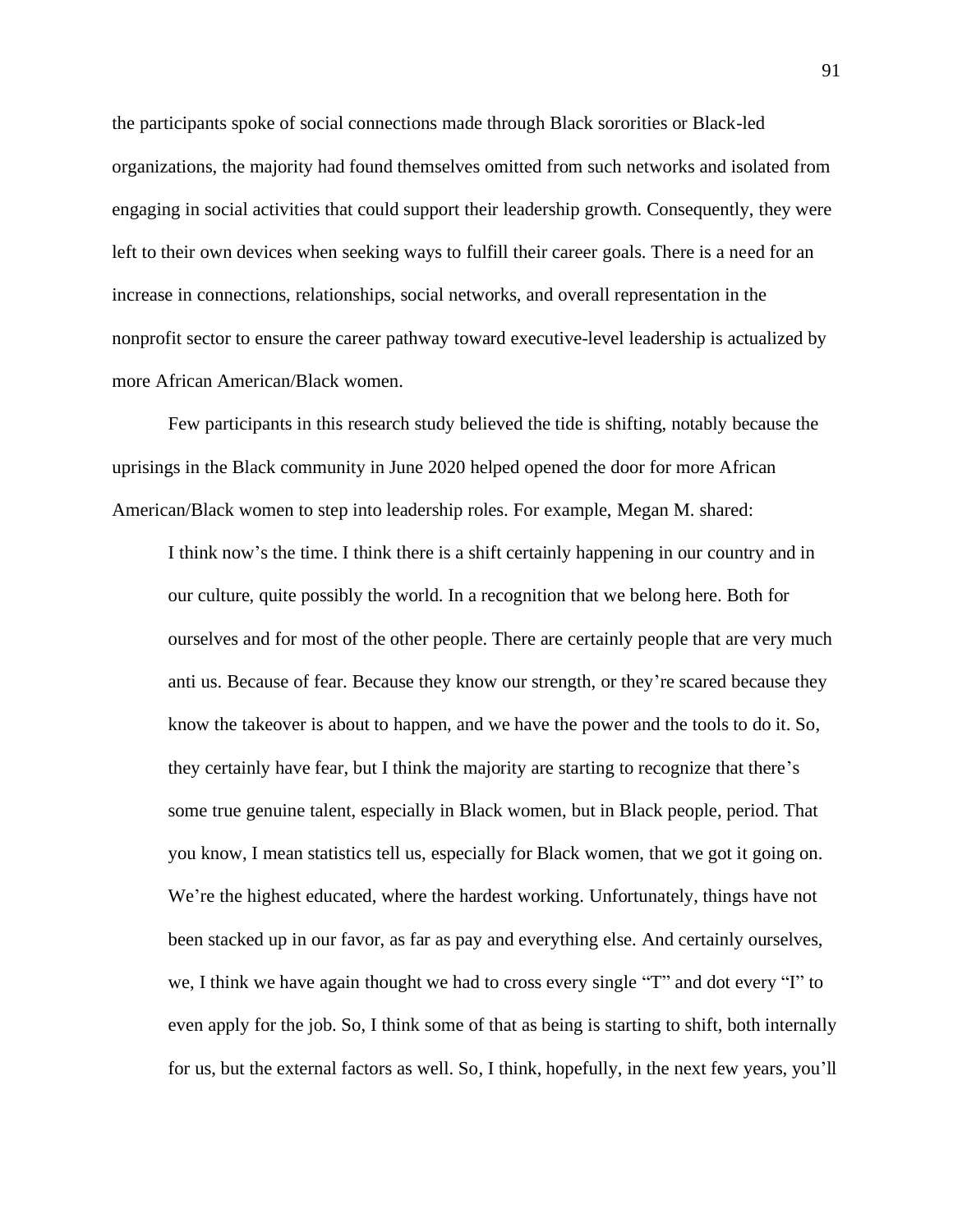the participants spoke of social connections made through Black sororities or Black-led organizations, the majority had found themselves omitted from such networks and isolated from engaging in social activities that could support their leadership growth. Consequently, they were left to their own devices when seeking ways to fulfill their career goals. There is a need for an increase in connections, relationships, social networks, and overall representation in the nonprofit sector to ensure the career pathway toward executive-level leadership is actualized by more African American/Black women.

Few participants in this research study believed the tide is shifting, notably because the uprisings in the Black community in June 2020 helped opened the door for more African American/Black women to step into leadership roles. For example, Megan M. shared:

I think now's the time. I think there is a shift certainly happening in our country and in our culture, quite possibly the world. In a recognition that we belong here. Both for ourselves and for most of the other people. There are certainly people that are very much anti us. Because of fear. Because they know our strength, or they're scared because they know the takeover is about to happen, and we have the power and the tools to do it. So, they certainly have fear, but I think the majority are starting to recognize that there's some true genuine talent, especially in Black women, but in Black people, period. That you know, I mean statistics tell us, especially for Black women, that we got it going on. We're the highest educated, where the hardest working. Unfortunately, things have not been stacked up in our favor, as far as pay and everything else. And certainly ourselves, we, I think we have again thought we had to cross every single "T" and dot every "I" to even apply for the job. So, I think some of that as being is starting to shift, both internally for us, but the external factors as well. So, I think, hopefully, in the next few years, you'll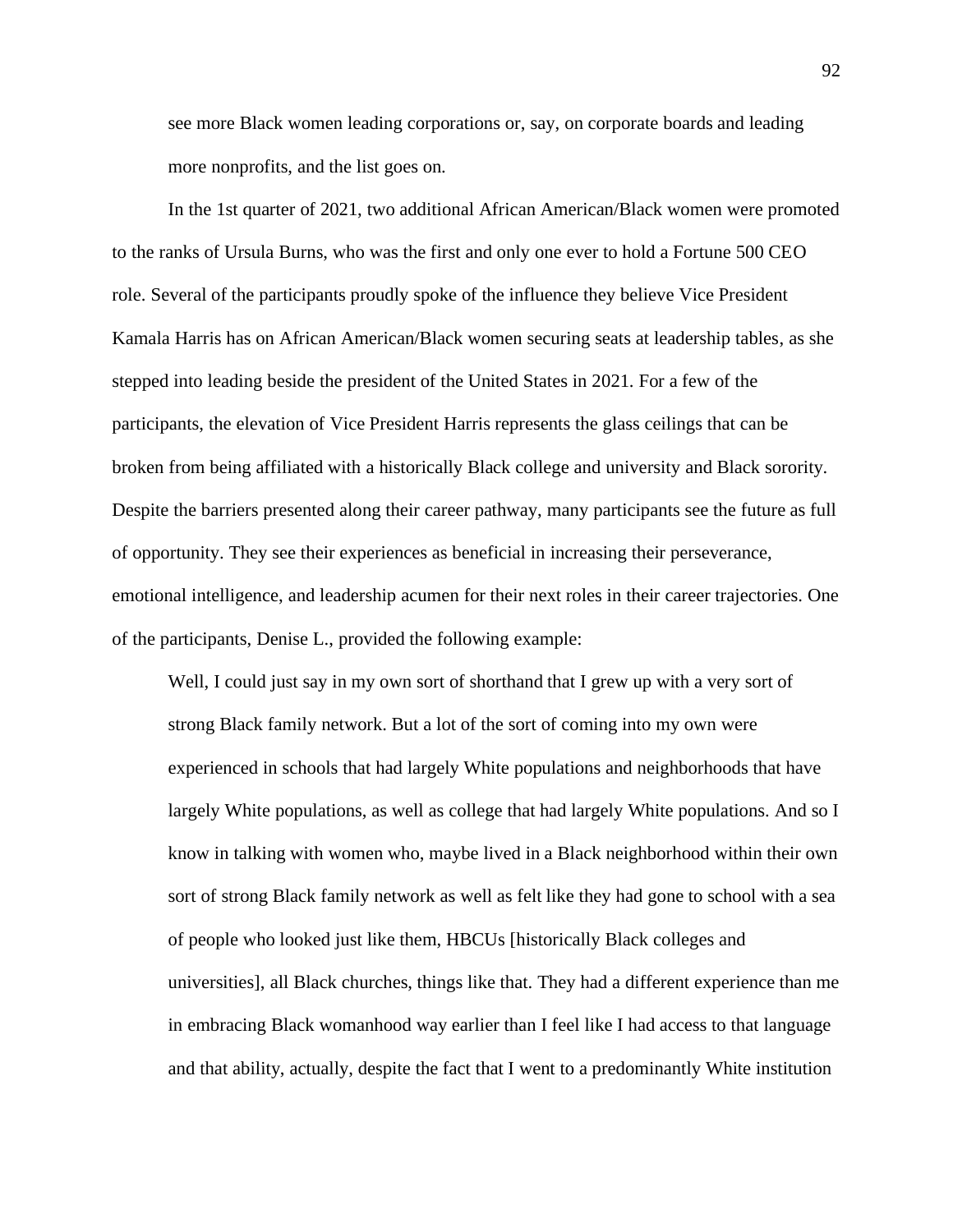see more Black women leading corporations or, say, on corporate boards and leading more nonprofits, and the list goes on.

In the 1st quarter of 2021, two additional African American/Black women were promoted to the ranks of Ursula Burns, who was the first and only one ever to hold a Fortune 500 CEO role. Several of the participants proudly spoke of the influence they believe Vice President Kamala Harris has on African American/Black women securing seats at leadership tables, as she stepped into leading beside the president of the United States in 2021. For a few of the participants, the elevation of Vice President Harris represents the glass ceilings that can be broken from being affiliated with a historically Black college and university and Black sorority. Despite the barriers presented along their career pathway, many participants see the future as full of opportunity. They see their experiences as beneficial in increasing their perseverance, emotional intelligence, and leadership acumen for their next roles in their career trajectories. One of the participants, Denise L., provided the following example:

Well, I could just say in my own sort of shorthand that I grew up with a very sort of strong Black family network. But a lot of the sort of coming into my own were experienced in schools that had largely White populations and neighborhoods that have largely White populations, as well as college that had largely White populations. And so I know in talking with women who, maybe lived in a Black neighborhood within their own sort of strong Black family network as well as felt like they had gone to school with a sea of people who looked just like them, HBCUs [historically Black colleges and universities], all Black churches, things like that. They had a different experience than me in embracing Black womanhood way earlier than I feel like I had access to that language and that ability, actually, despite the fact that I went to a predominantly White institution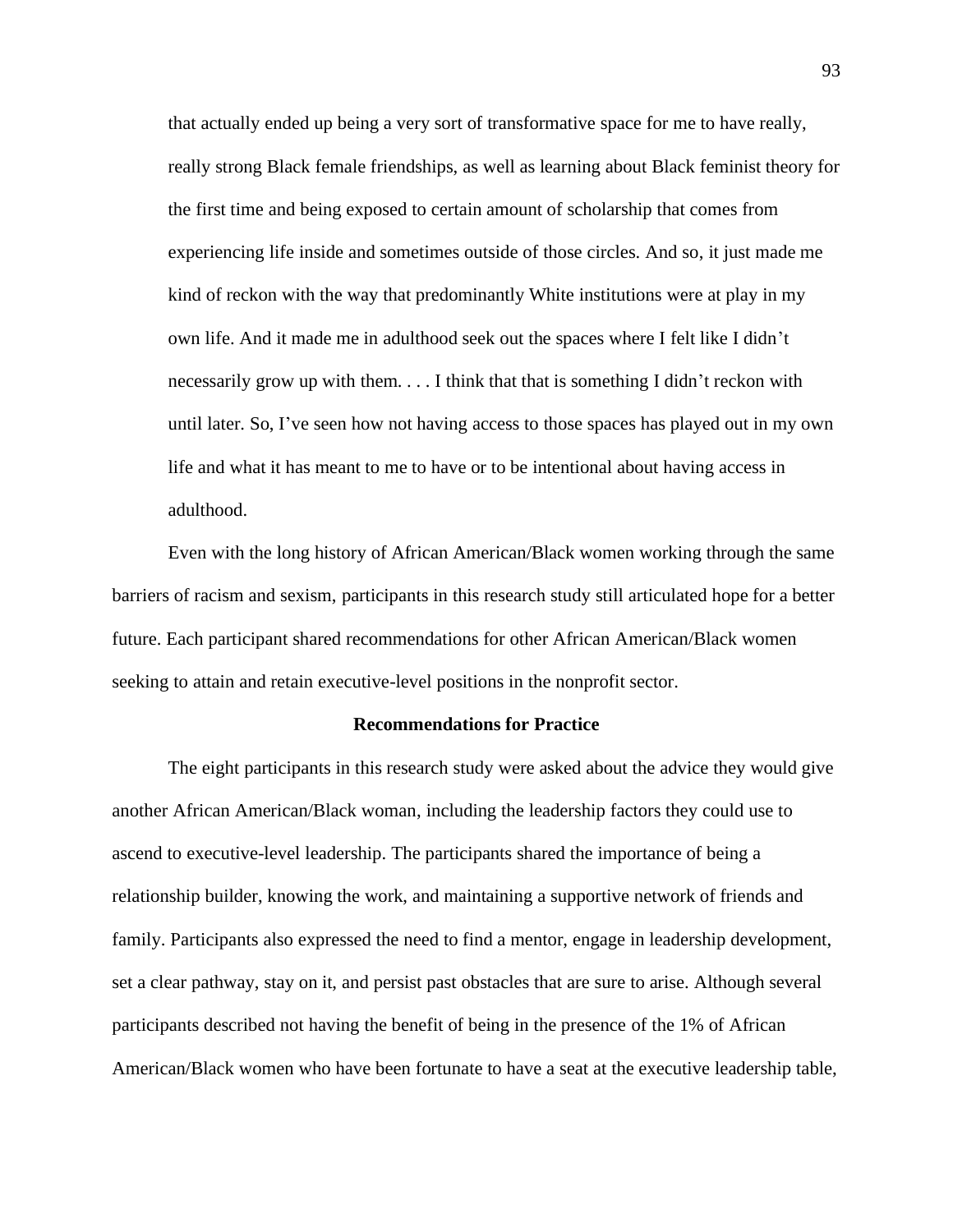that actually ended up being a very sort of transformative space for me to have really, really strong Black female friendships, as well as learning about Black feminist theory for the first time and being exposed to certain amount of scholarship that comes from experiencing life inside and sometimes outside of those circles. And so, it just made me kind of reckon with the way that predominantly White institutions were at play in my own life. And it made me in adulthood seek out the spaces where I felt like I didn't necessarily grow up with them. . . . I think that that is something I didn't reckon with until later. So, I've seen how not having access to those spaces has played out in my own life and what it has meant to me to have or to be intentional about having access in adulthood.

Even with the long history of African American/Black women working through the same barriers of racism and sexism, participants in this research study still articulated hope for a better future. Each participant shared recommendations for other African American/Black women seeking to attain and retain executive-level positions in the nonprofit sector.

## **Recommendations for Practice**

The eight participants in this research study were asked about the advice they would give another African American/Black woman, including the leadership factors they could use to ascend to executive-level leadership. The participants shared the importance of being a relationship builder, knowing the work, and maintaining a supportive network of friends and family. Participants also expressed the need to find a mentor, engage in leadership development, set a clear pathway, stay on it, and persist past obstacles that are sure to arise. Although several participants described not having the benefit of being in the presence of the 1% of African American/Black women who have been fortunate to have a seat at the executive leadership table,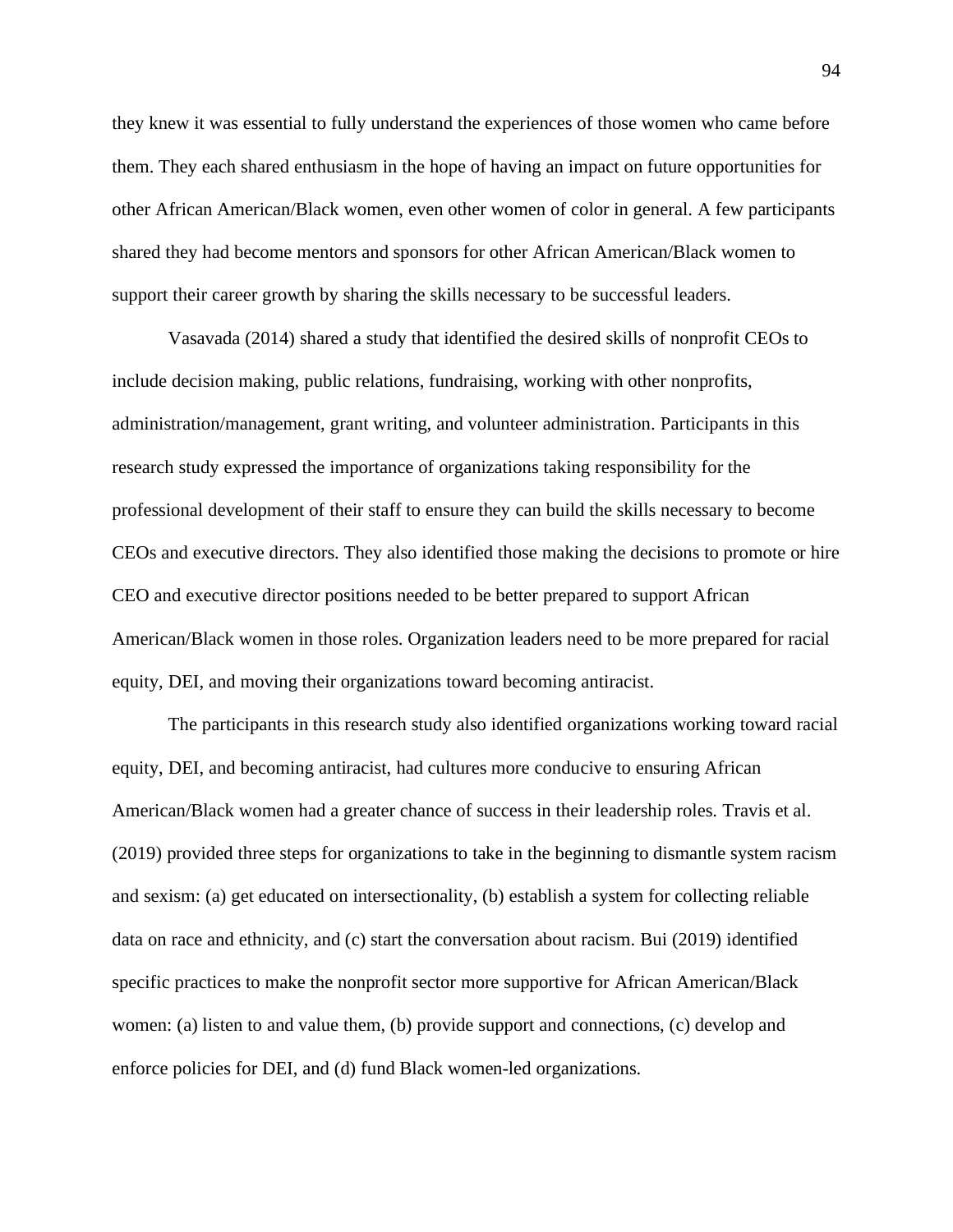they knew it was essential to fully understand the experiences of those women who came before them. They each shared enthusiasm in the hope of having an impact on future opportunities for other African American/Black women, even other women of color in general. A few participants shared they had become mentors and sponsors for other African American/Black women to support their career growth by sharing the skills necessary to be successful leaders.

Vasavada (2014) shared a study that identified the desired skills of nonprofit CEOs to include decision making, public relations, fundraising, working with other nonprofits, administration/management, grant writing, and volunteer administration. Participants in this research study expressed the importance of organizations taking responsibility for the professional development of their staff to ensure they can build the skills necessary to become CEOs and executive directors. They also identified those making the decisions to promote or hire CEO and executive director positions needed to be better prepared to support African American/Black women in those roles. Organization leaders need to be more prepared for racial equity, DEI, and moving their organizations toward becoming antiracist.

The participants in this research study also identified organizations working toward racial equity, DEI, and becoming antiracist, had cultures more conducive to ensuring African American/Black women had a greater chance of success in their leadership roles. Travis et al. (2019) provided three steps for organizations to take in the beginning to dismantle system racism and sexism: (a) get educated on intersectionality, (b) establish a system for collecting reliable data on race and ethnicity, and (c) start the conversation about racism. Bui (2019) identified specific practices to make the nonprofit sector more supportive for African American/Black women: (a) listen to and value them, (b) provide support and connections, (c) develop and enforce policies for DEI, and (d) fund Black women-led organizations.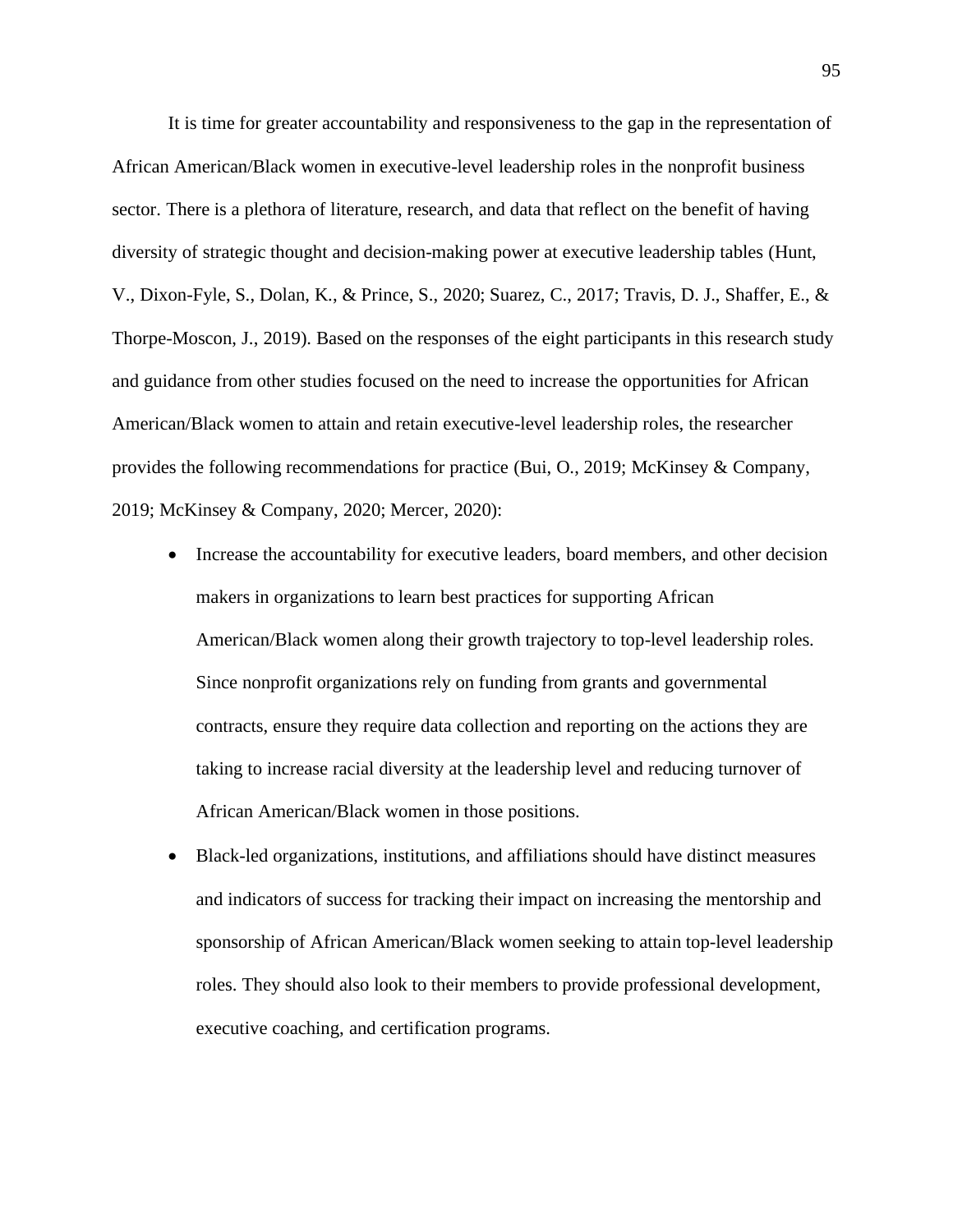It is time for greater accountability and responsiveness to the gap in the representation of African American/Black women in executive-level leadership roles in the nonprofit business sector. There is a plethora of literature, research, and data that reflect on the benefit of having diversity of strategic thought and decision-making power at executive leadership tables (Hunt, V., Dixon-Fyle, S., Dolan, K., & Prince, S., 2020; Suarez, C., 2017; Travis, D. J., Shaffer, E., & Thorpe-Moscon, J., 2019). Based on the responses of the eight participants in this research study and guidance from other studies focused on the need to increase the opportunities for African American/Black women to attain and retain executive-level leadership roles, the researcher provides the following recommendations for practice (Bui, O., 2019; McKinsey & Company, 2019; McKinsey & Company, 2020; Mercer, 2020):

- Increase the accountability for executive leaders, board members, and other decision makers in organizations to learn best practices for supporting African American/Black women along their growth trajectory to top-level leadership roles. Since nonprofit organizations rely on funding from grants and governmental contracts, ensure they require data collection and reporting on the actions they are taking to increase racial diversity at the leadership level and reducing turnover of African American/Black women in those positions.
- Black-led organizations, institutions, and affiliations should have distinct measures and indicators of success for tracking their impact on increasing the mentorship and sponsorship of African American/Black women seeking to attain top-level leadership roles. They should also look to their members to provide professional development, executive coaching, and certification programs.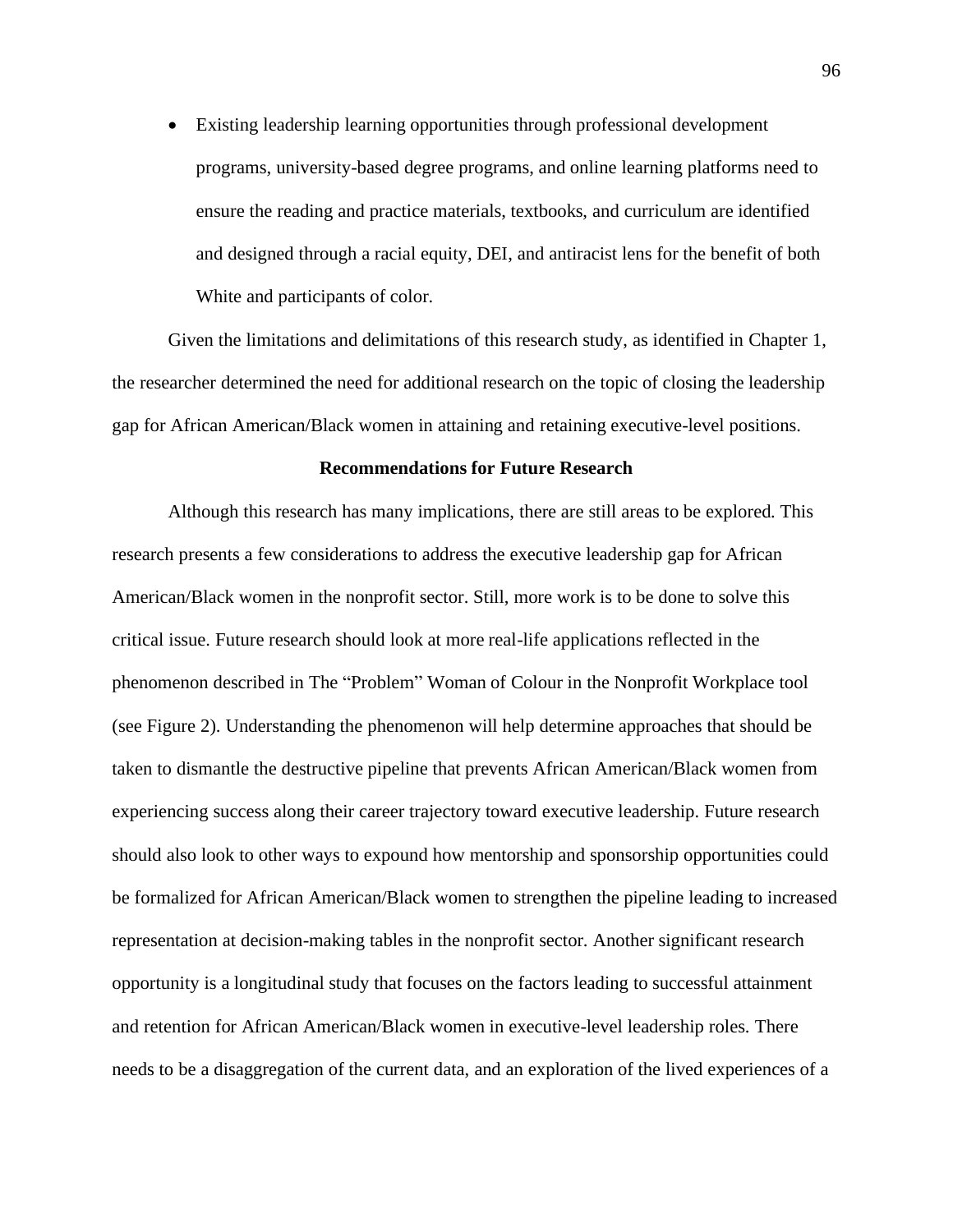• Existing leadership learning opportunities through professional development programs, university-based degree programs, and online learning platforms need to ensure the reading and practice materials, textbooks, and curriculum are identified and designed through a racial equity, DEI, and antiracist lens for the benefit of both White and participants of color.

Given the limitations and delimitations of this research study, as identified in Chapter 1, the researcher determined the need for additional research on the topic of closing the leadership gap for African American/Black women in attaining and retaining executive-level positions.

#### **Recommendations for Future Research**

Although this research has many implications, there are still areas to be explored. This research presents a few considerations to address the executive leadership gap for African American/Black women in the nonprofit sector. Still, more work is to be done to solve this critical issue. Future research should look at more real-life applications reflected in the phenomenon described in The "Problem" Woman of Colour in the Nonprofit Workplace tool (see Figure 2). Understanding the phenomenon will help determine approaches that should be taken to dismantle the destructive pipeline that prevents African American/Black women from experiencing success along their career trajectory toward executive leadership. Future research should also look to other ways to expound how mentorship and sponsorship opportunities could be formalized for African American/Black women to strengthen the pipeline leading to increased representation at decision-making tables in the nonprofit sector. Another significant research opportunity is a longitudinal study that focuses on the factors leading to successful attainment and retention for African American/Black women in executive-level leadership roles. There needs to be a disaggregation of the current data, and an exploration of the lived experiences of a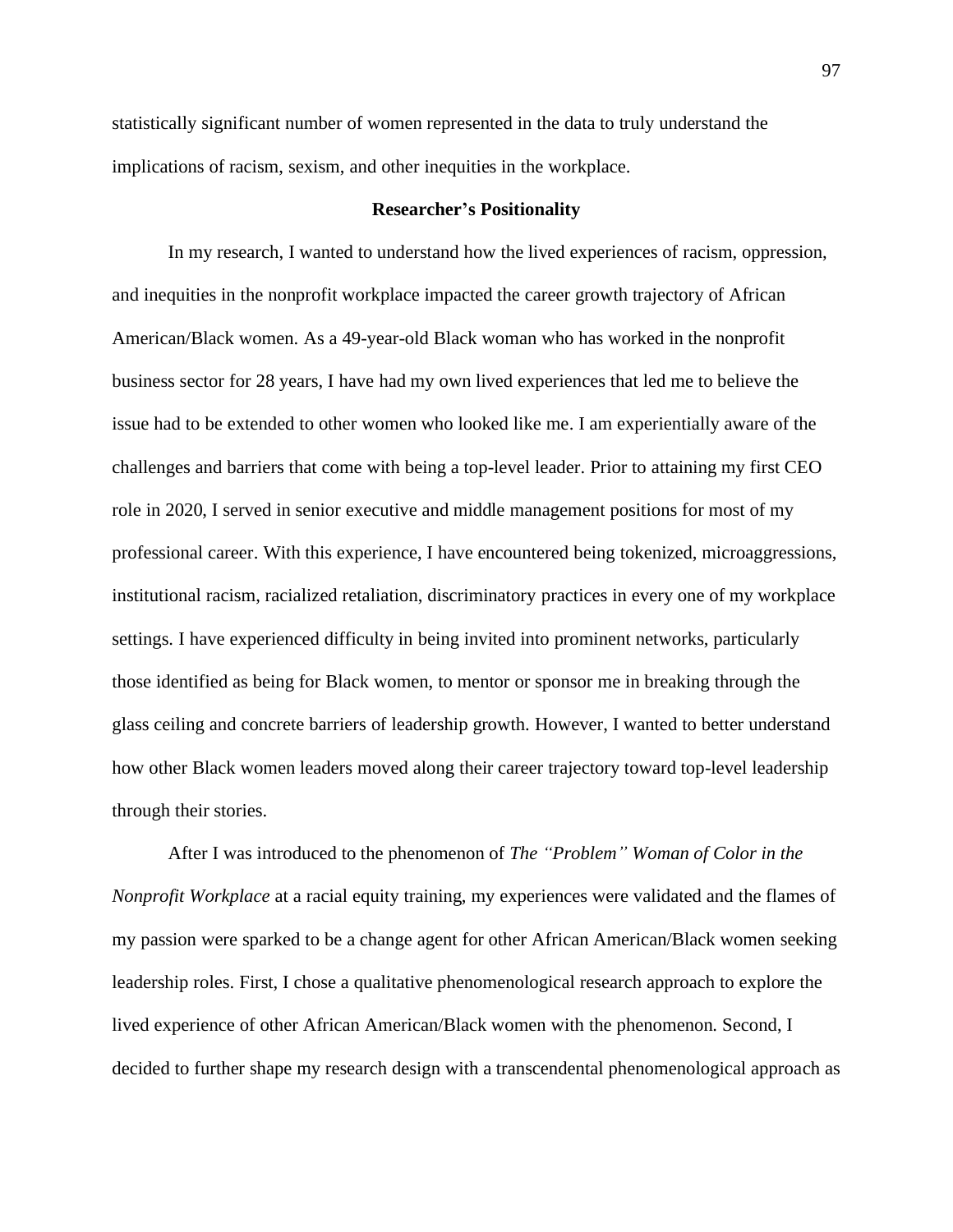statistically significant number of women represented in the data to truly understand the implications of racism, sexism, and other inequities in the workplace.

# **Researcher's Positionality**

In my research, I wanted to understand how the lived experiences of racism, oppression, and inequities in the nonprofit workplace impacted the career growth trajectory of African American/Black women. As a 49-year-old Black woman who has worked in the nonprofit business sector for 28 years, I have had my own lived experiences that led me to believe the issue had to be extended to other women who looked like me. I am experientially aware of the challenges and barriers that come with being a top-level leader. Prior to attaining my first CEO role in 2020, I served in senior executive and middle management positions for most of my professional career. With this experience, I have encountered being tokenized, microaggressions, institutional racism, racialized retaliation, discriminatory practices in every one of my workplace settings. I have experienced difficulty in being invited into prominent networks, particularly those identified as being for Black women, to mentor or sponsor me in breaking through the glass ceiling and concrete barriers of leadership growth. However, I wanted to better understand how other Black women leaders moved along their career trajectory toward top-level leadership through their stories.

After I was introduced to the phenomenon of *The "Problem" Woman of Color in the Nonprofit Workplace* at a racial equity training, my experiences were validated and the flames of my passion were sparked to be a change agent for other African American/Black women seeking leadership roles. First, I chose a qualitative phenomenological research approach to explore the lived experience of other African American/Black women with the phenomenon. Second, I decided to further shape my research design with a transcendental phenomenological approach as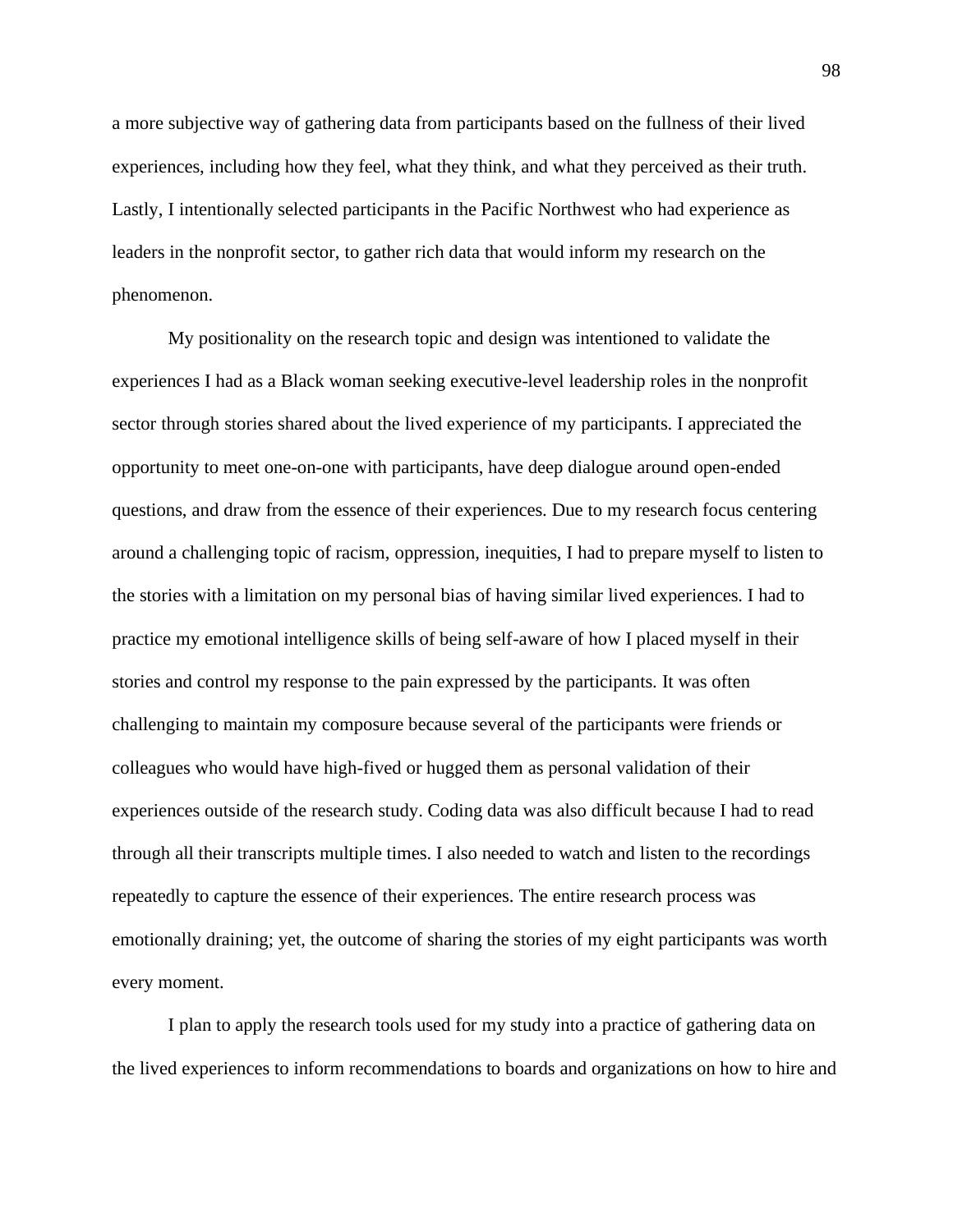a more subjective way of gathering data from participants based on the fullness of their lived experiences, including how they feel, what they think, and what they perceived as their truth. Lastly, I intentionally selected participants in the Pacific Northwest who had experience as leaders in the nonprofit sector, to gather rich data that would inform my research on the phenomenon.

My positionality on the research topic and design was intentioned to validate the experiences I had as a Black woman seeking executive-level leadership roles in the nonprofit sector through stories shared about the lived experience of my participants. I appreciated the opportunity to meet one-on-one with participants, have deep dialogue around open-ended questions, and draw from the essence of their experiences. Due to my research focus centering around a challenging topic of racism, oppression, inequities, I had to prepare myself to listen to the stories with a limitation on my personal bias of having similar lived experiences. I had to practice my emotional intelligence skills of being self-aware of how I placed myself in their stories and control my response to the pain expressed by the participants. It was often challenging to maintain my composure because several of the participants were friends or colleagues who would have high-fived or hugged them as personal validation of their experiences outside of the research study. Coding data was also difficult because I had to read through all their transcripts multiple times. I also needed to watch and listen to the recordings repeatedly to capture the essence of their experiences. The entire research process was emotionally draining; yet, the outcome of sharing the stories of my eight participants was worth every moment.

I plan to apply the research tools used for my study into a practice of gathering data on the lived experiences to inform recommendations to boards and organizations on how to hire and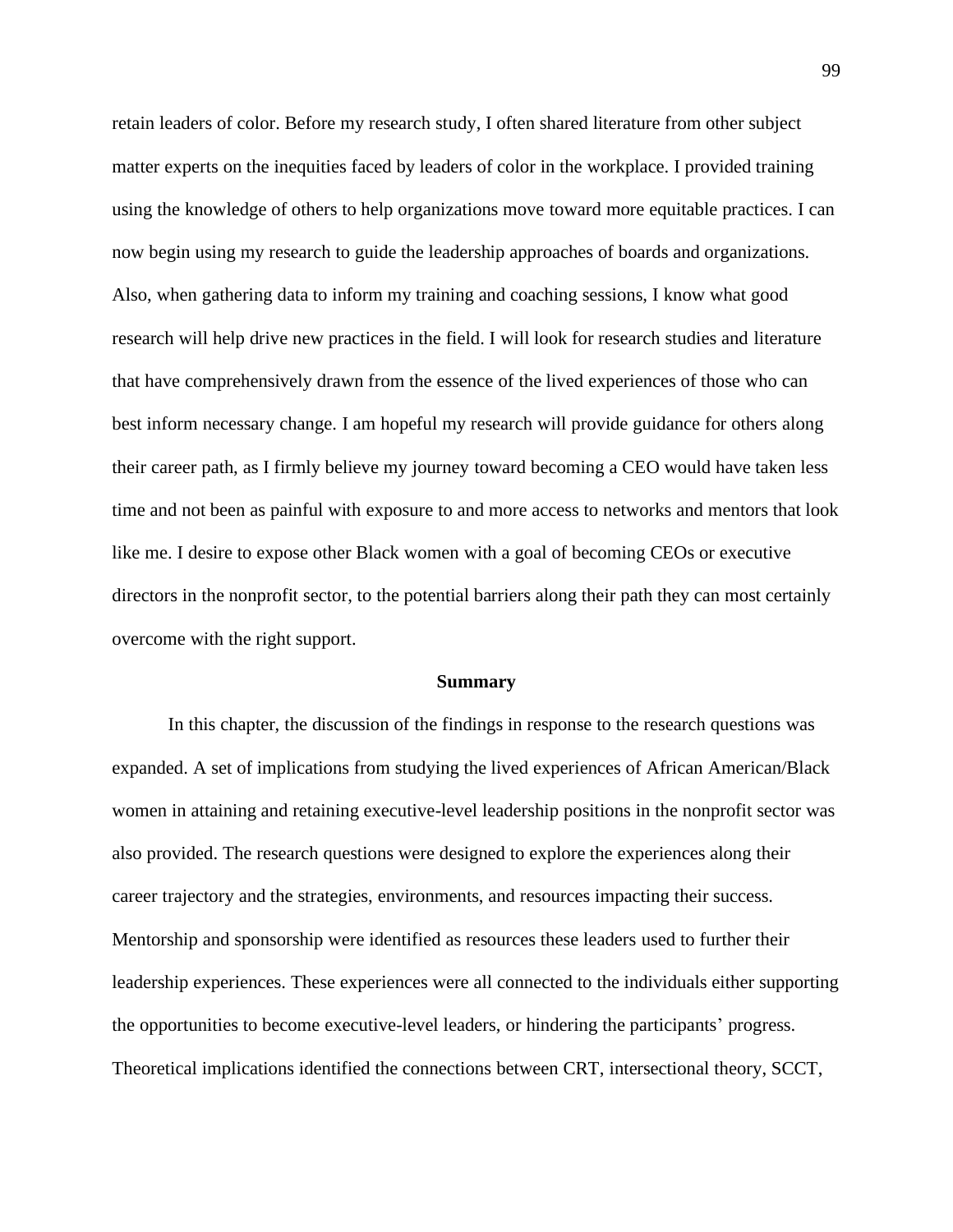retain leaders of color. Before my research study, I often shared literature from other subject matter experts on the inequities faced by leaders of color in the workplace. I provided training using the knowledge of others to help organizations move toward more equitable practices. I can now begin using my research to guide the leadership approaches of boards and organizations. Also, when gathering data to inform my training and coaching sessions, I know what good research will help drive new practices in the field. I will look for research studies and literature that have comprehensively drawn from the essence of the lived experiences of those who can best inform necessary change. I am hopeful my research will provide guidance for others along their career path, as I firmly believe my journey toward becoming a CEO would have taken less time and not been as painful with exposure to and more access to networks and mentors that look like me. I desire to expose other Black women with a goal of becoming CEOs or executive directors in the nonprofit sector, to the potential barriers along their path they can most certainly overcome with the right support.

#### **Summary**

In this chapter, the discussion of the findings in response to the research questions was expanded. A set of implications from studying the lived experiences of African American/Black women in attaining and retaining executive-level leadership positions in the nonprofit sector was also provided. The research questions were designed to explore the experiences along their career trajectory and the strategies, environments, and resources impacting their success. Mentorship and sponsorship were identified as resources these leaders used to further their leadership experiences. These experiences were all connected to the individuals either supporting the opportunities to become executive-level leaders, or hindering the participants' progress. Theoretical implications identified the connections between CRT, intersectional theory, SCCT,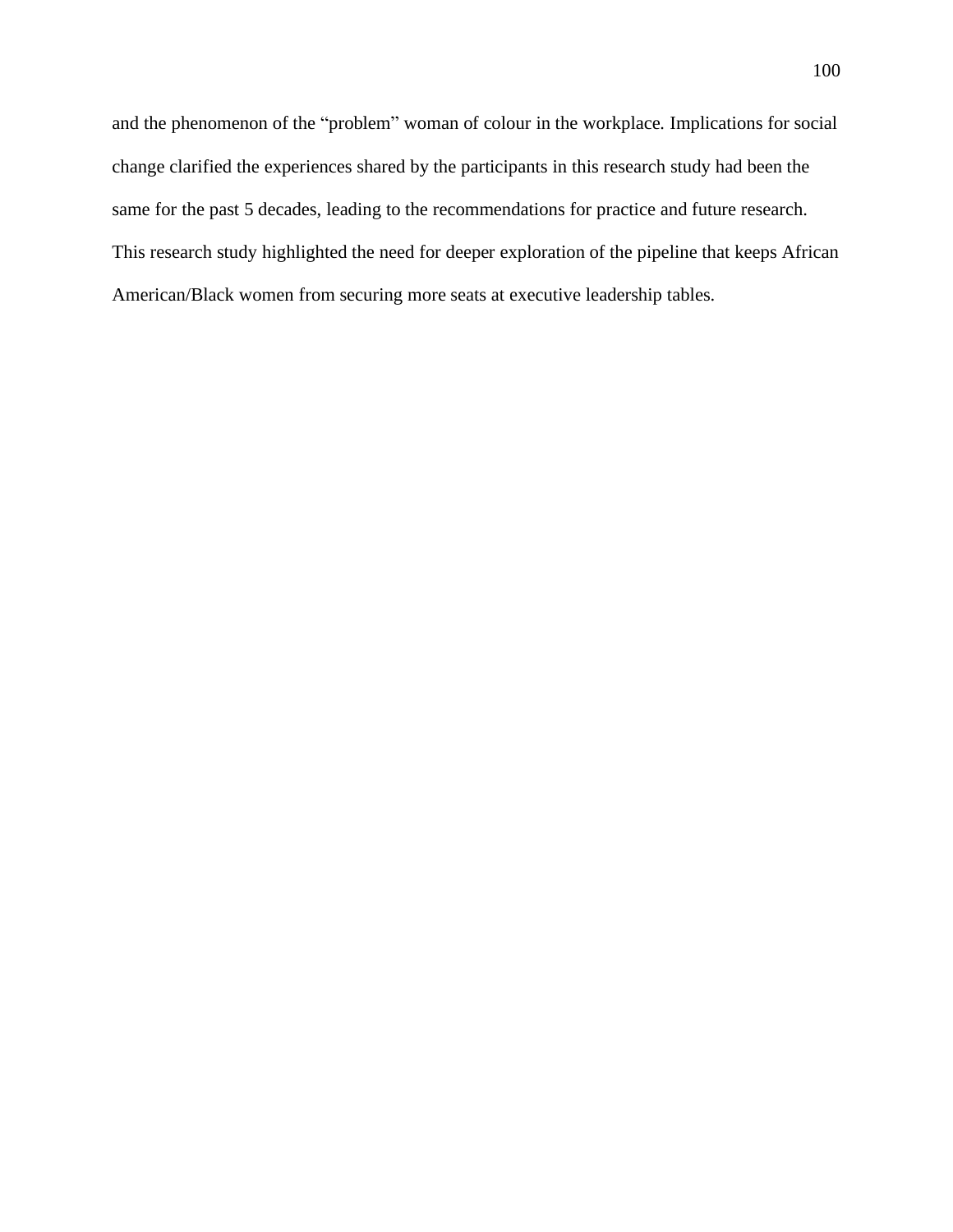and the phenomenon of the "problem" woman of colour in the workplace*.* Implications for social change clarified the experiences shared by the participants in this research study had been the same for the past 5 decades, leading to the recommendations for practice and future research. This research study highlighted the need for deeper exploration of the pipeline that keeps African American/Black women from securing more seats at executive leadership tables.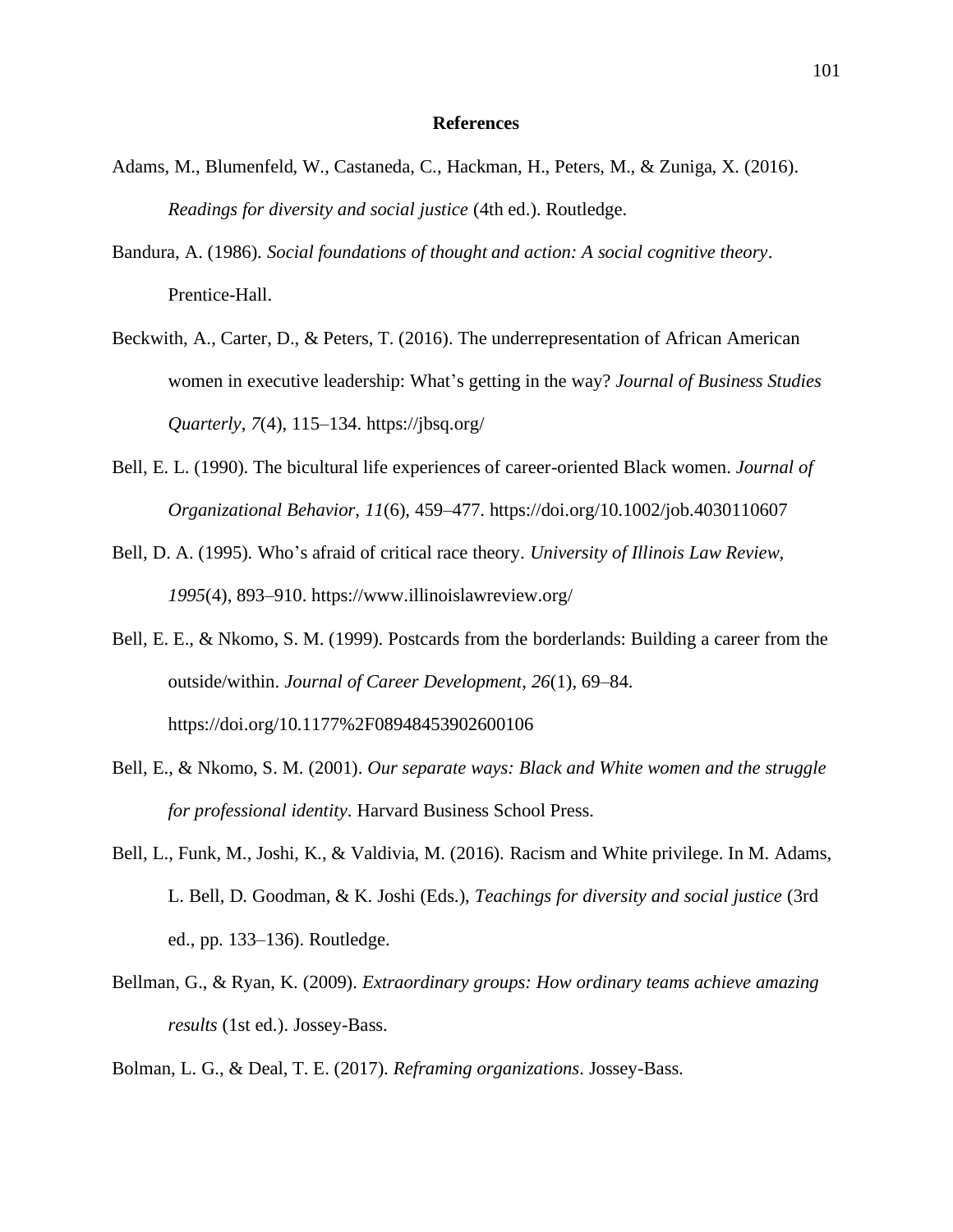## **References**

- Adams, M., Blumenfeld, W., Castaneda, C., Hackman, H., Peters, M., & Zuniga, X. (2016). *Readings for diversity and social justice* (4th ed.). Routledge.
- Bandura, A. (1986). *Social foundations of thought and action: A social cognitive theory*. Prentice-Hall.
- Beckwith, A., Carter, D., & Peters, T. (2016). The underrepresentation of African American women in executive leadership: What's getting in the way? *Journal of Business Studies Quarterly*, *7*(4), 115–134. <https://jbsq.org/>
- Bell, E. L. (1990). The bicultural life experiences of career-oriented Black women. *Journal of Organizational Behavior*, *11*(6), 459–477.<https://doi.org/10.1002/job.4030110607>
- Bell, D. A. (1995). Who's afraid of critical race theory. *University of Illinois Law Review, 1995*(4), 893–910. <https://www.illinoislawreview.org/>
- Bell, E. E., & Nkomo, S. M. (1999). Postcards from the borderlands: Building a career from the outside/within. *Journal of Career Development*, *26*(1), 69–84. <https://doi.org/10.1177%2F08948453902600106>
- Bell, E., & Nkomo, S. M. (2001). *Our separate ways: Black and White women and the struggle for professional identity*. Harvard Business School Press.
- Bell, L., Funk, M., Joshi, K., & Valdivia, M. (2016). Racism and White privilege. In M. Adams, L. Bell, D. Goodman, & K. Joshi (Eds.), *Teachings for diversity and social justice* (3rd ed., pp. 133–136). Routledge.
- Bellman, G., & Ryan, K. (2009). *Extraordinary groups: How ordinary teams achieve amazing results* (1st ed.). Jossey-Bass.
- Bolman, L. G., & Deal, T. E. (2017). *Reframing organizations*. Jossey-Bass.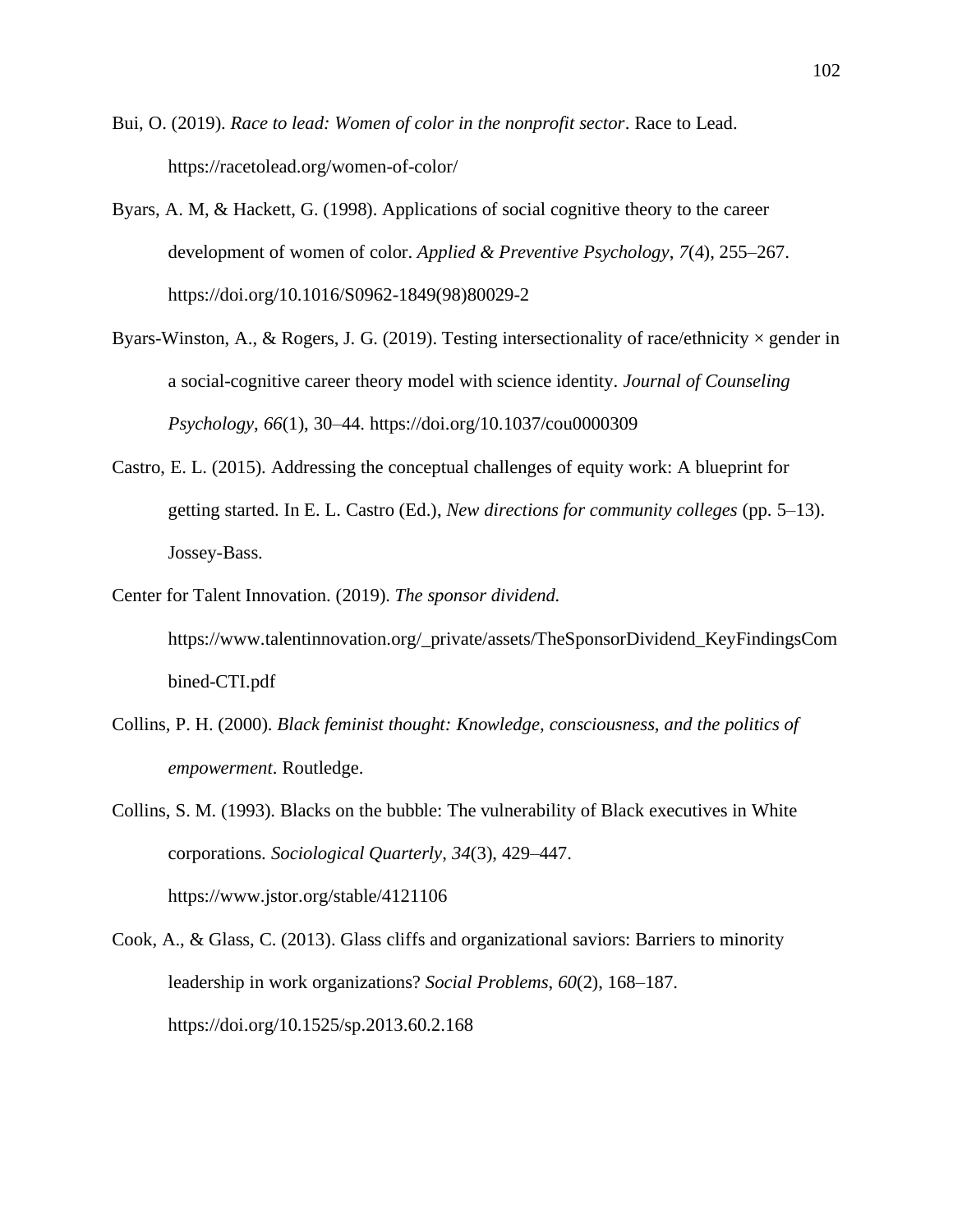- Bui, O. (2019). *Race to lead: Women of color in the nonprofit sector*. Race to Lead. <https://racetolead.org/women-of-color/>
- Byars, A. M, & Hackett, G. (1998). Applications of social cognitive theory to the career development of women of color. *Applied & Preventive Psychology*, *7*(4), 255–267. [https://doi.org/10.1016/S0962-1849\(98\)80029-2](https://doi.org/10.1016/S0962-1849(98)80029-2)
- Byars-Winston, A., & Rogers, J. G. (2019). Testing intersectionality of race/ethnicity  $\times$  gender in a social-cognitive career theory model with science identity. *Journal of Counseling Psychology*, *66*(1), 30–44. <https://doi.org/10.1037/cou0000309>
- Castro, E. L. (2015). Addressing the conceptual challenges of equity work: A blueprint for getting started. In E. L. Castro (Ed.), *New directions for community colleges* (pp. 5–13). Jossey-Bass.
- Center for Talent Innovation. (2019). *The sponsor dividend.*  [https://www.talentinnovation.org/\\_private/assets/TheSponsorDividend\\_KeyFindingsCom](https://www.talentinnovation.org/_private/assets/TheSponsorDividend_KeyFindingsCombined-CTI.pdf) [bined-CTI.pdf](https://www.talentinnovation.org/_private/assets/TheSponsorDividend_KeyFindingsCombined-CTI.pdf)
- Collins, P. H. (2000). *Black feminist thought: Knowledge, consciousness, and the politics of empowerment*. Routledge.

Collins, S. M. (1993). Blacks on the bubble: The vulnerability of Black executives in White corporations. *Sociological Quarterly*, *34*(3), 429–447. <https://www.jstor.org/stable/4121106>

Cook, A., & Glass, C. (2013). Glass cliffs and organizational saviors: Barriers to minority leadership in work organizations? *Social Problems*, *60*(2), 168–187. <https://doi.org/10.1525/sp.2013.60.2.168>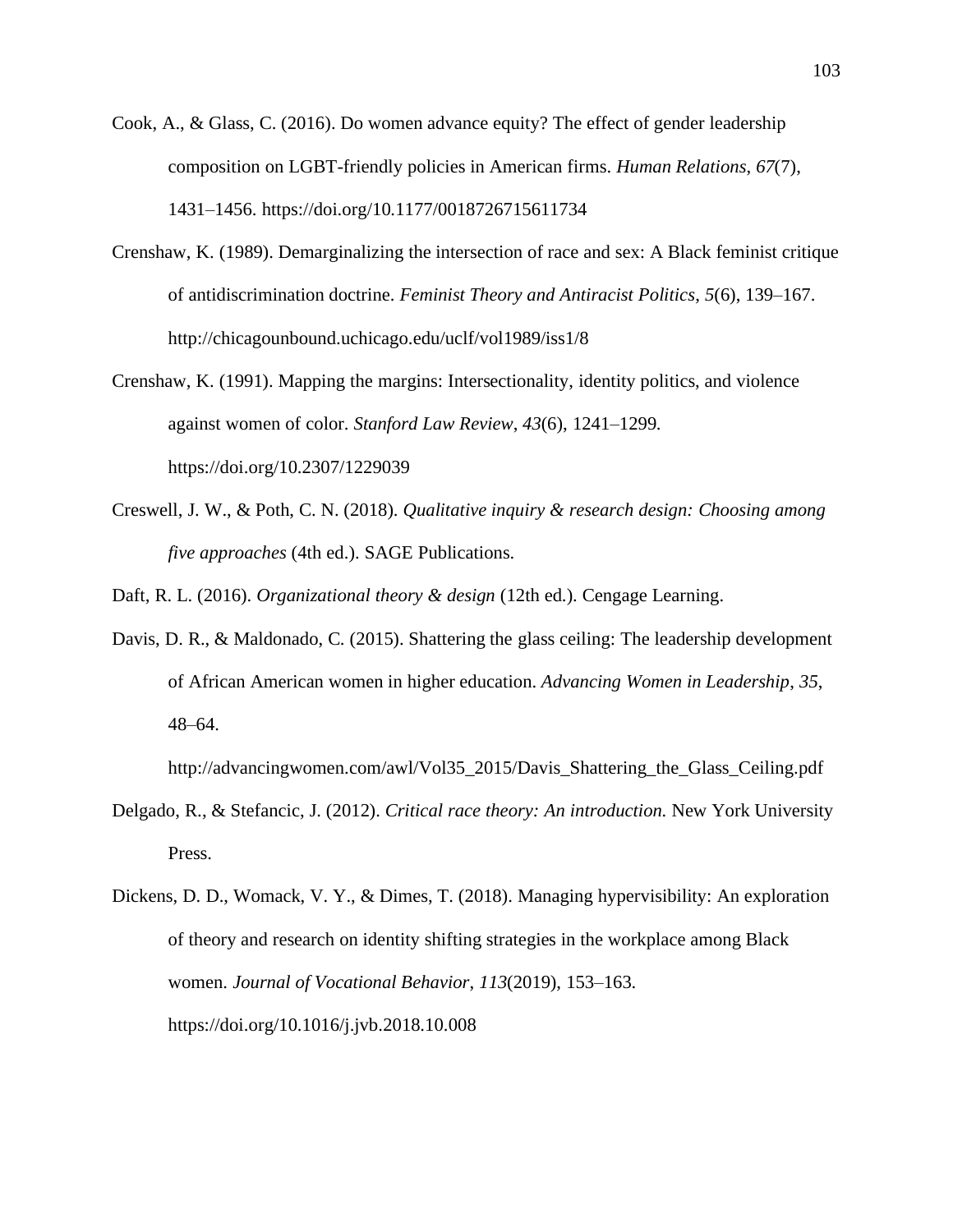- Cook, A., & Glass, C. (2016). Do women advance equity? The effect of gender leadership composition on LGBT-friendly policies in American firms. *Human Relations*, *67*(7), 1431–1456.<https://doi.org/10.1177/0018726715611734>
- Crenshaw, K. (1989). Demarginalizing the intersection of race and sex: A Black feminist critique of antidiscrimination doctrine. *Feminist Theory and Antiracist Politics*, *5*(6), 139–167. <http://chicagounbound.uchicago.edu/uclf/vol1989/iss1/8>
- Crenshaw, K. (1991). Mapping the margins: Intersectionality, identity politics, and violence against women of color. *Stanford Law Review*, *43*(6), 1241–1299. <https://doi.org/10.2307/1229039>
- Creswell, J. W., & Poth, C. N. (2018). *Qualitative inquiry & research design: Choosing among five approaches* (4th ed.). SAGE Publications.

Daft, R. L. (2016). *Organizational theory & design* (12th ed.). Cengage Learning.

Davis, D. R., & Maldonado, C. (2015). Shattering the glass ceiling: The leadership development of African American women in higher education. *Advancing Women in Leadership*, *35*, 48–64.

[http://advancingwomen.com/awl/Vol35\\_2015/Davis\\_Shattering\\_the\\_Glass\\_Ceiling.pdf](http://advancingwomen.com/awl/Vol35_2015/Davis_Shattering_the_Glass_Ceiling.pdf)

- Delgado, R., & Stefancic, J. (2012). *Critical race theory: An introduction.* New York University Press.
- Dickens, D. D., Womack, V. Y., & Dimes, T. (2018). Managing hypervisibility: An exploration of theory and research on identity shifting strategies in the workplace among Black women. *Journal of Vocational Behavior*, *113*(2019), 153–163. <https://doi.org/10.1016/j.jvb.2018.10.008>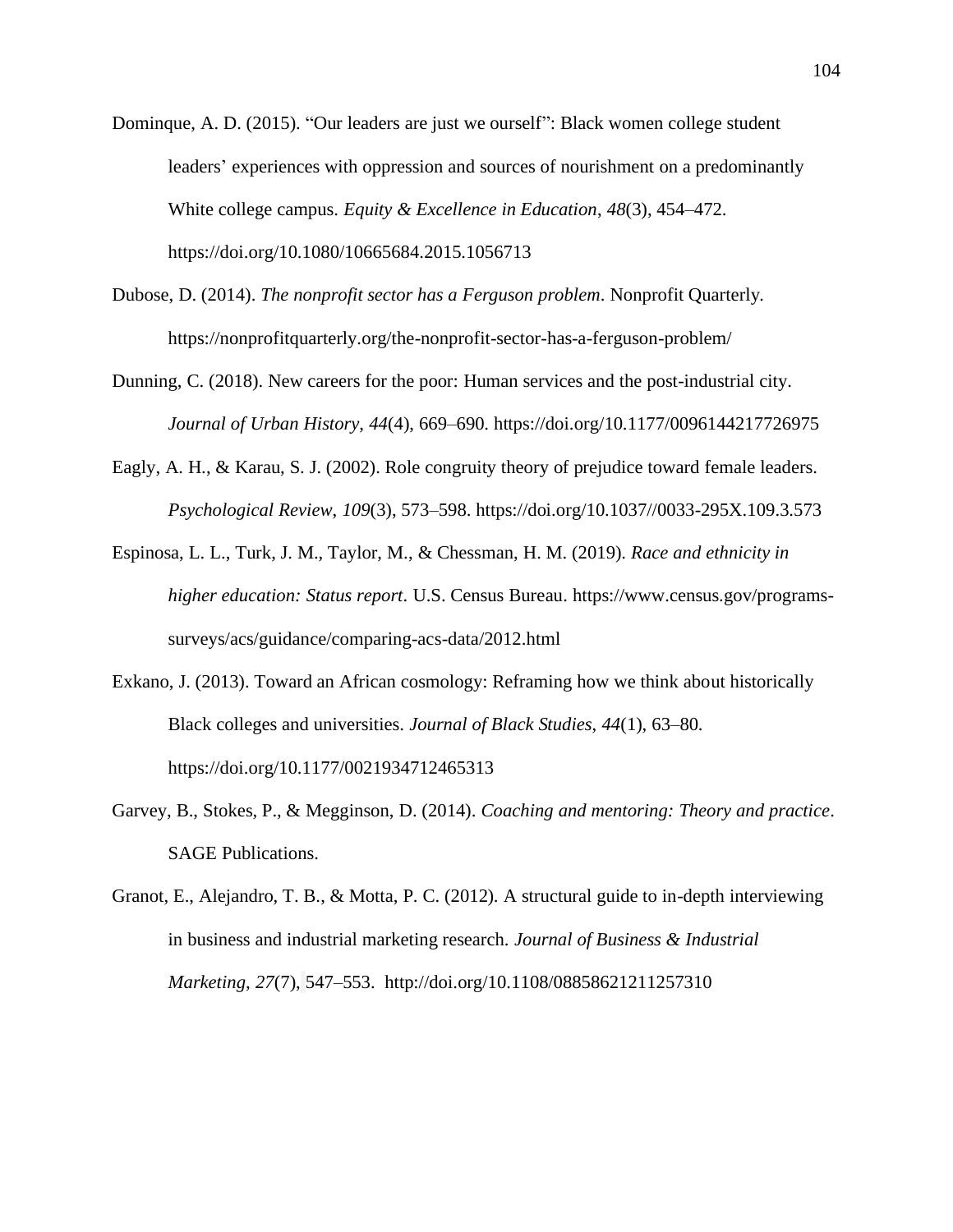- Dominque, A. D. (2015). "Our leaders are just we ourself": Black women college student leaders' experiences with oppression and sources of nourishment on a predominantly White college campus. *Equity & Excellence in Education*, *48*(3), 454–472. <https://doi.org/10.1080/10665684.2015.1056713>
- Dubose, D. (2014). *The nonprofit sector has a Ferguson problem*. Nonprofit Quarterly*.* <https://nonprofitquarterly.org/the-nonprofit-sector-has-a-ferguson-problem/>
- Dunning, C. (2018). New careers for the poor: Human services and the post-industrial city. *Journal of Urban History*, *44*(4), 669–690. <https://doi.org/10.1177/0096144217726975>
- Eagly, A. H., & Karau, S. J. (2002). Role congruity theory of prejudice toward female leaders. *Psychological Review*, *109*(3), 573–598. [https://doi.org/10.1037//0033-295X.109.3.573](https://doi.org/10.1037/0033-295X.109.3.573)
- Espinosa, L. L., Turk, J. M., Taylor, M., & Chessman, H. M. (2019). *Race and ethnicity in higher education: Status report*. U.S. Census Bureau. [https://www.census.gov/programs](https://www.census.gov/programs-surveys/acs/guidance/comparing-acs-data/2012.html)[surveys/acs/guidance/comparing-acs-data/2012.html](https://www.census.gov/programs-surveys/acs/guidance/comparing-acs-data/2012.html)
- Exkano, J. (2013). Toward an African cosmology: Reframing how we think about historically Black colleges and universities. *Journal of Black Studies*, *44*(1), 63–80. <https://doi.org/10.1177/0021934712465313>
- Garvey, B., Stokes, P., & Megginson, D. (2014). *Coaching and mentoring: Theory and practice*. SAGE Publications.
- Granot, E., Alejandro, T. B., & Motta, P. C. (2012). A structural guide to in-depth interviewing in business and industrial marketing research. *Journal of Business & Industrial Marketing*, *27*(7), 547–553. <http://doi.org/10.1108/08858621211257310>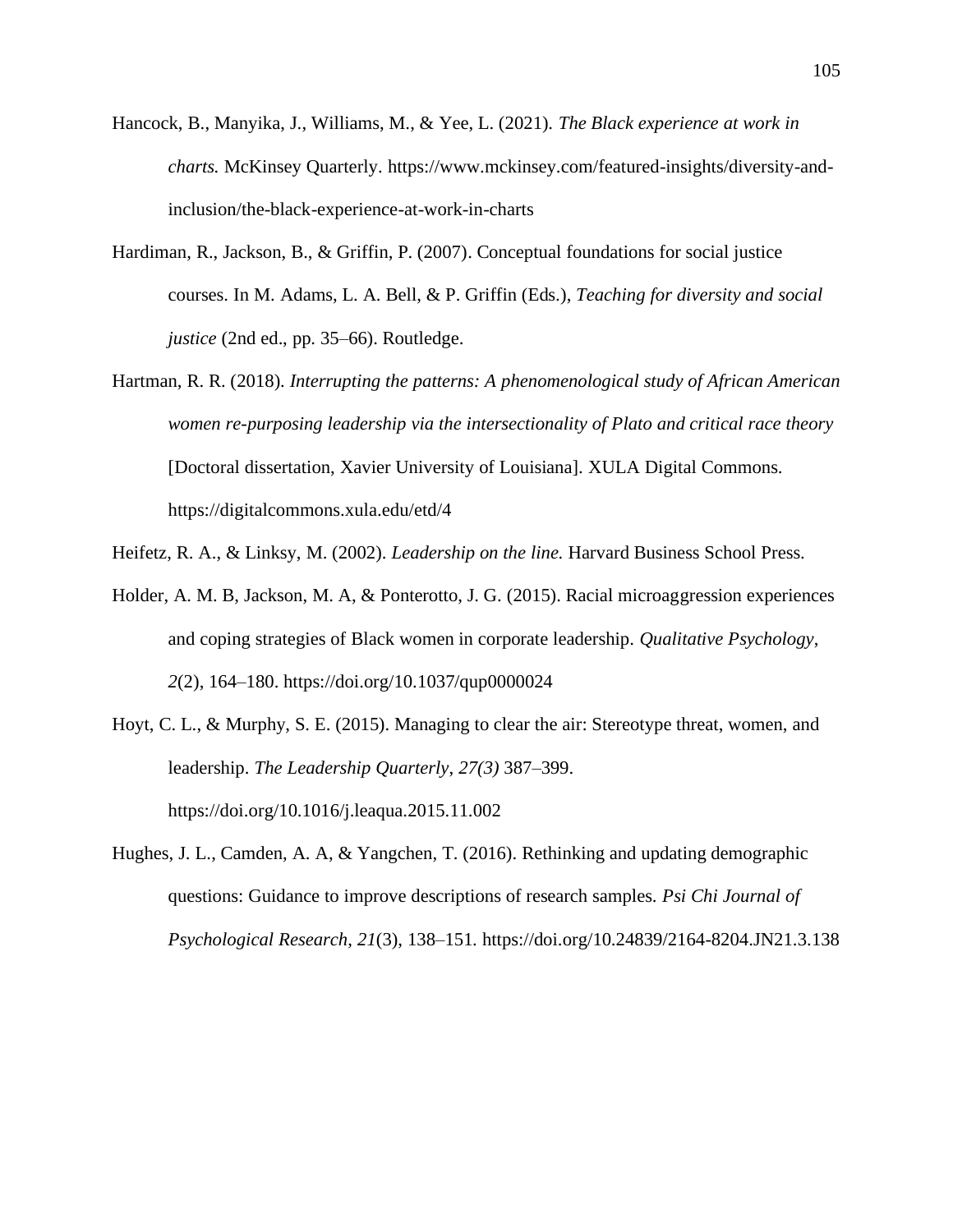- Hancock, B., Manyika, J., Williams, M., & Yee, L. (2021). *The Black experience at work in charts.* McKinsey Quarterly. [https://www.mckinsey.com/featured-insights/diversity-and](https://www.mckinsey.com/featured-insights/diversity-and-inclusion/the-black-experience-at-work-in-charts)[inclusion/the-black-experience-at-work-in-charts](https://www.mckinsey.com/featured-insights/diversity-and-inclusion/the-black-experience-at-work-in-charts)
- Hardiman, R., Jackson, B., & Griffin, P. (2007). Conceptual foundations for social justice courses. In M. Adams, L. A. Bell, & P. Griffin (Eds.), *Teaching for diversity and social justice* (2nd ed., pp. 35–66). Routledge.
- Hartman, R. R. (2018). *Interrupting the patterns: A phenomenological study of African American women re-purposing leadership via the intersectionality of Plato and critical race theory* [Doctoral dissertation, Xavier University of Louisiana]. XULA Digital Commons. <https://digitalcommons.xula.edu/etd/4>
- Heifetz, R. A., & Linksy, M. (2002). *Leadership on the line.* Harvard Business School Press.
- Holder, A. M. B, Jackson, M. A, & Ponterotto, J. G. (2015). Racial microaggression experiences and coping strategies of Black women in corporate leadership. *Qualitative Psychology*, *2*(2), 164–180. <https://doi.org/10.1037/qup0000024>
- Hoyt, C. L., & Murphy, S. E. (2015). Managing to clear the air: Stereotype threat, women, and leadership. *The Leadership Quarterly*, *27(3)* 387–399. <https://doi.org/10.1016/j.leaqua.2015.11.002>
- Hughes, J. L., Camden, A. A, & Yangchen, T. (2016). Rethinking and updating demographic questions: Guidance to improve descriptions of research samples. *Psi Chi Journal of Psychological Research*, *21*(3), 138–151. <https://doi.org/10.24839/2164-8204.JN21.3.138>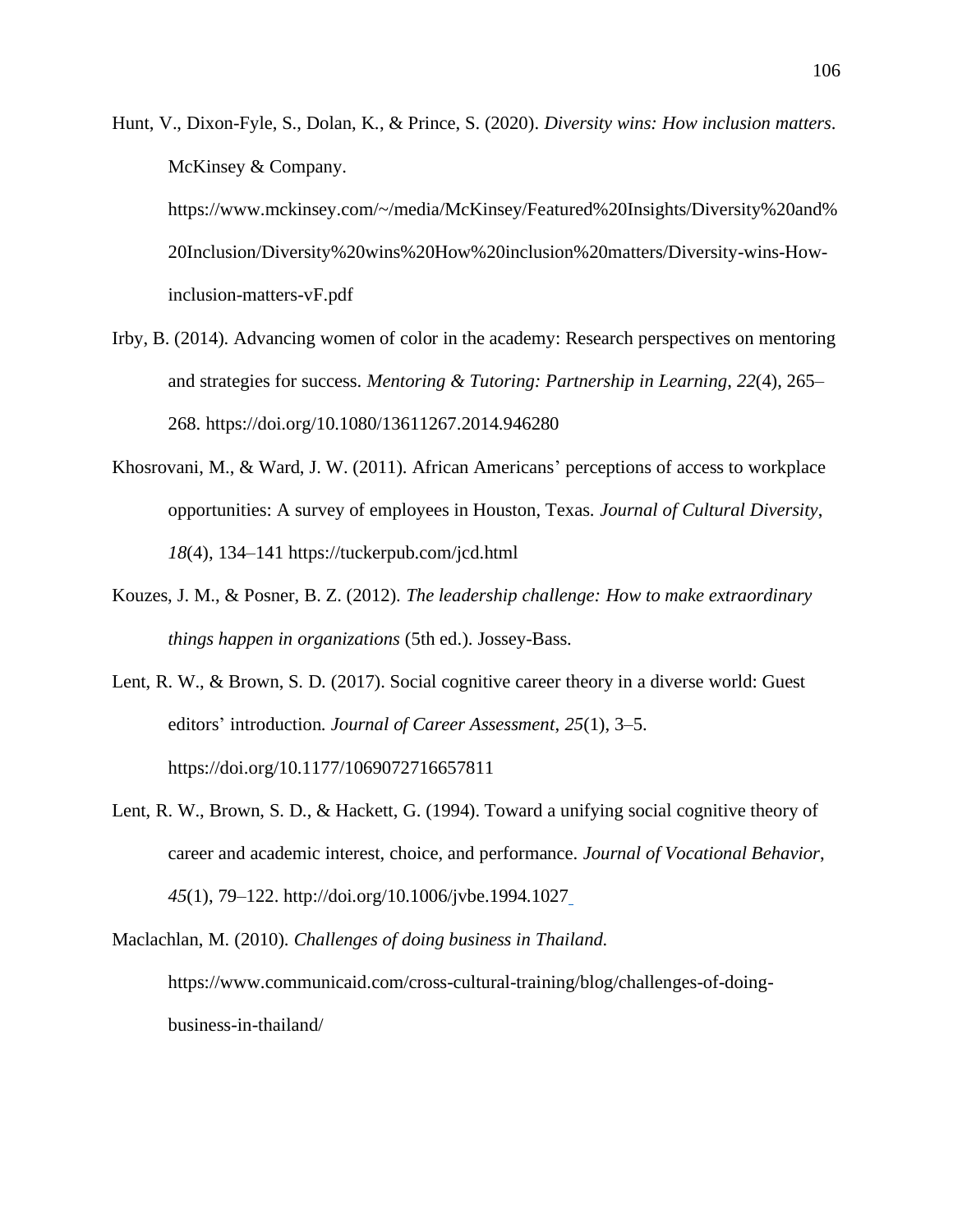Hunt, V., Dixon-Fyle, S., Dolan, K., & Prince, S. (2020). *Diversity wins: How inclusion matters*. McKinsey & Company. [https://www.mckinsey.com/~/media/McKinsey/Featured%20Insights/Diversity%20and%](https://www.mckinsey.com/~/media/McKinsey/Featured%20Insights/Diversity%20and%20Inclusion/Diversity%20wins%20How%20inclusion%20matters/Diversity-wins-How-inclusion-matters-vF.pdf) [20Inclusion/Diversity%20wins%20How%20inclusion%20matters/Diversity-wins-How-](https://www.mckinsey.com/~/media/McKinsey/Featured%20Insights/Diversity%20and%20Inclusion/Diversity%20wins%20How%20inclusion%20matters/Diversity-wins-How-inclusion-matters-vF.pdf)

[inclusion-matters-vF.pdf](https://www.mckinsey.com/~/media/McKinsey/Featured%20Insights/Diversity%20and%20Inclusion/Diversity%20wins%20How%20inclusion%20matters/Diversity-wins-How-inclusion-matters-vF.pdf)

- Irby, B. (2014). Advancing women of color in the academy: Research perspectives on mentoring and strategies for success. *Mentoring & Tutoring: Partnership in Learning*, *22*(4), 265– 268.<https://doi.org/10.1080/13611267.2014.946280>
- Khosrovani, M., & Ward, J. W. (2011). African Americans' perceptions of access to workplace opportunities: A survey of employees in Houston, Texas. *Journal of Cultural Diversity*, *18*(4), 134–141 <https://tuckerpub.com/jcd.html>
- Kouzes, J. M., & Posner, B. Z. (2012). *The leadership challenge: How to make extraordinary things happen in organizations* (5th ed.). Jossey-Bass.
- Lent, R. W., & Brown, S. D. (2017). Social cognitive career theory in a diverse world: Guest editors' introduction. *Journal of Career Assessment*, *25*(1), 3–5. <https://doi.org/10.1177/1069072716657811>
- Lent, R. W., Brown, S. D., & Hackett, G. (1994). Toward a unifying social cognitive theory of career and academic interest, choice, and performance. *Journal of Vocational Behavior*, *45*(1), 79–122.<http://doi.org/10.1006/jvbe.1994.1027>

Maclachlan, M. (2010). *Challenges of doing business in Thailand.*  [https://www.communicaid.com/cross-cultural-training/blog/challenges-of-doing](https://www.communicaid.com/cross-cultural-training/blog/challenges-of-doing-business-in-thailand/)[business-in-thailand/](https://www.communicaid.com/cross-cultural-training/blog/challenges-of-doing-business-in-thailand/)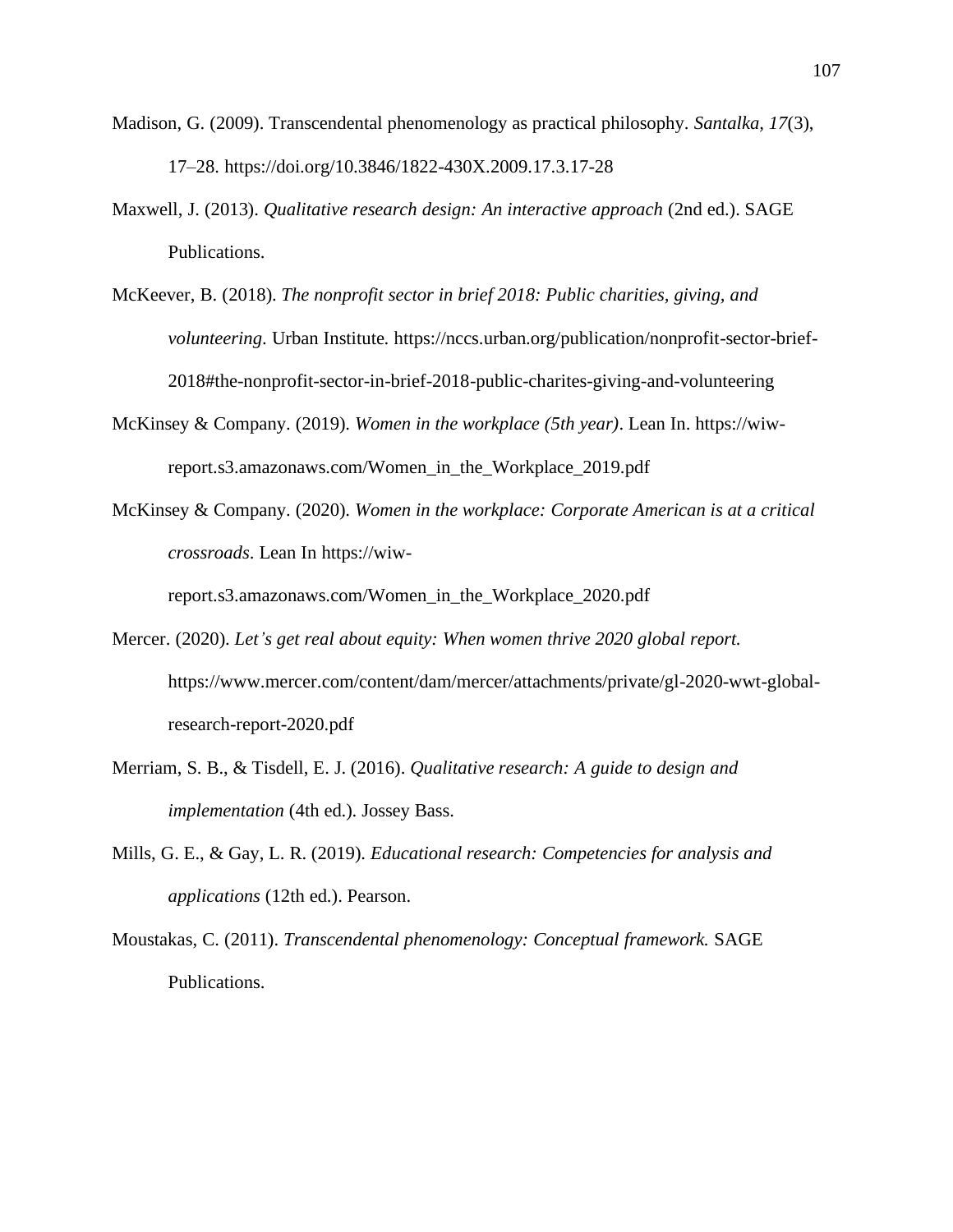- Madison, G. (2009). Transcendental phenomenology as practical philosophy. *Santalka, 17*(3), 17–28. <https://doi.org/10.3846/1822-430X.2009.17.3.17-28>
- Maxwell, J. (2013). *Qualitative research design: An interactive approach* (2nd ed.). SAGE Publications.
- McKeever, B. (2018). *The nonprofit sector in brief 2018: Public charities, giving, and volunteering*. Urban Institute. [https://nccs.urban.org/publication/nonprofit-sector-brief-](https://nccs.urban.org/publication/nonprofit-sector-brief-2018#the-nonprofit-sector-in-brief-2018-public-charites-giving-and-volunteering)[2018#the-nonprofit-sector-in-brief-2018-public-charites-giving-and-volunteering](https://nccs.urban.org/publication/nonprofit-sector-brief-2018#the-nonprofit-sector-in-brief-2018-public-charites-giving-and-volunteering)
- McKinsey & Company. (2019). *Women in the workplace (5th year)*. Lean In. [https://wiw](https://wiw-report.s3.amazonaws.com/Women_in_the_Workplace_2019.pdf)[report.s3.amazonaws.com/Women\\_in\\_the\\_Workplace\\_2019.pdf](https://wiw-report.s3.amazonaws.com/Women_in_the_Workplace_2019.pdf)
- McKinsey & Company. (2020). *Women in the workplace: Corporate American is at a critical crossroads*. Lean In https://wiw-

[report.s3.amazonaws.com/Women\\_in\\_the\\_Workplace\\_2020.pdf](https://wiw-report.s3.amazonaws.com/Women_in_the_Workplace_2020.pdf)

- Mercer. (2020). *Let's get real about equity: When women thrive 2020 global report.* [https://www.mercer.com/content/dam/mercer/attachments/private/gl-2020-wwt-global](https://www.mercer.com/content/dam/mercer/attachments/private/gl-2020-wwt-global-research-report-2020.pdf)[research-report-2020.pdf](https://www.mercer.com/content/dam/mercer/attachments/private/gl-2020-wwt-global-research-report-2020.pdf)
- Merriam, S. B., & Tisdell, E. J. (2016). *Qualitative research: A guide to design and implementation* (4th ed.). Jossey Bass.
- Mills, G. E., & Gay, L. R. (2019). *Educational research: Competencies for analysis and applications* (12th ed.). Pearson.
- Moustakas, C. (2011). *Transcendental phenomenology: Conceptual framework.* SAGE Publications.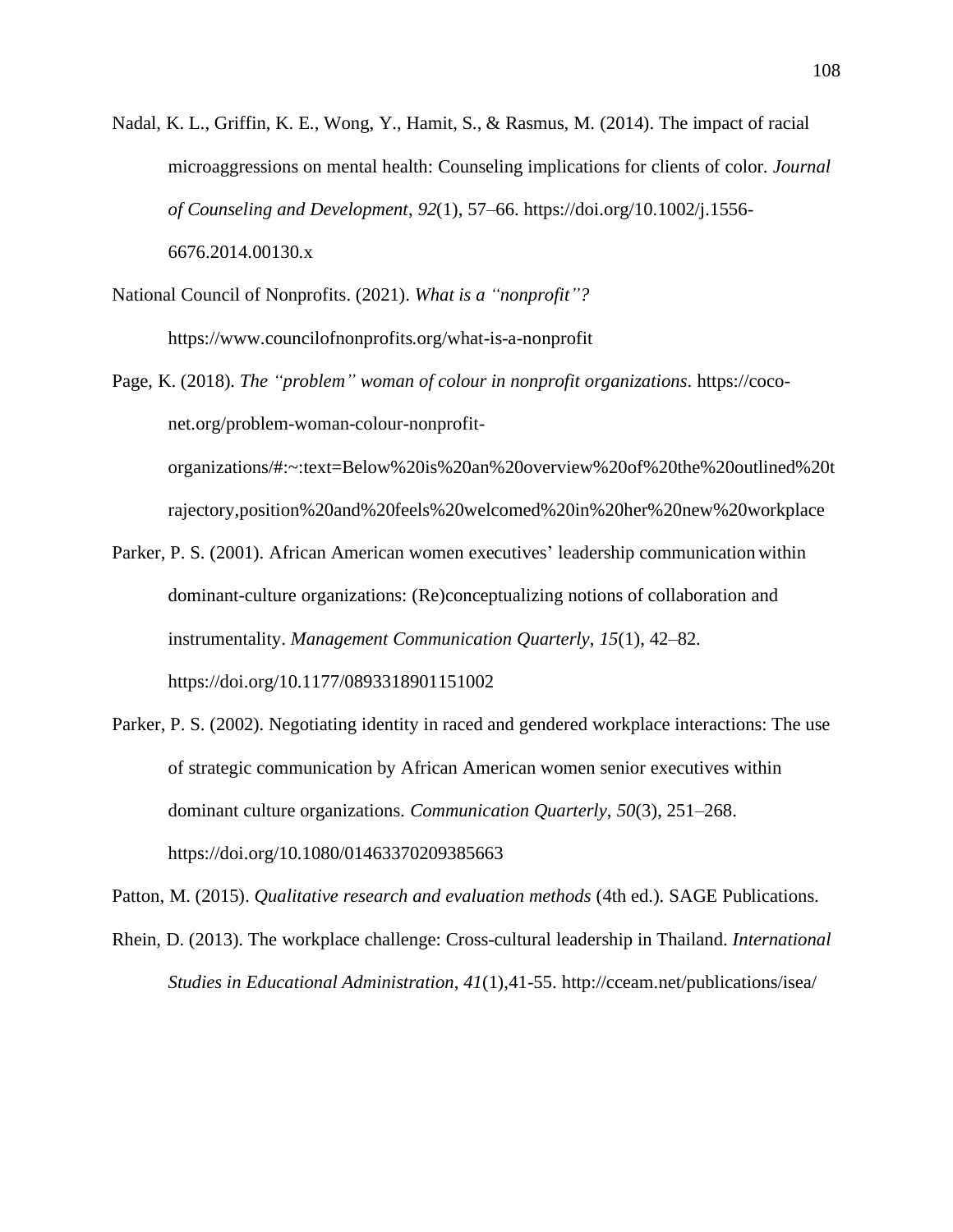- Nadal, K. L., Griffin, K. E., Wong, Y., Hamit, S., & Rasmus, M. (2014). The impact of racial microaggressions on mental health: Counseling implications for clients of color. *Journal of Counseling and Development*, *92*(1), 57–66. [https://doi.org/10.1002/j.1556-](https://doi.org/10.1002/j.1556-6676.2014.00130.x) [6676.2014.00130.x](https://doi.org/10.1002/j.1556-6676.2014.00130.x)
- National Council of Nonprofits. (2021). *What is a "nonprofit"?*  <https://www.councilofnonprofits.org/what-is-a-nonprofit>
- Page, K. (2018). *The "problem" woman of colour in nonprofit organizations*. [https://coco](https://coco-net.org/problem-woman-colour-nonprofit-organizations/#:~:text=Below%20is%20an%20overview%20of%20the%20outlined%20trajectory,position%20and%20feels%20welcomed%20in%20her%20new%20workplace)[net.org/problem-woman-colour-nonprofit](https://coco-net.org/problem-woman-colour-nonprofit-organizations/#:~:text=Below%20is%20an%20overview%20of%20the%20outlined%20trajectory,position%20and%20feels%20welcomed%20in%20her%20new%20workplace)[organizations/#:~:text=Below%20is%20an%20overview%20of%20the%20outlined%20t](https://coco-net.org/problem-woman-colour-nonprofit-organizations/#:~:text=Below%20is%20an%20overview%20of%20the%20outlined%20trajectory,position%20and%20feels%20welcomed%20in%20her%20new%20workplace) [rajectory,position%20and%20feels%20welcomed%20in%20her%20new%20workplace](https://coco-net.org/problem-woman-colour-nonprofit-organizations/#:~:text=Below%20is%20an%20overview%20of%20the%20outlined%20trajectory,position%20and%20feels%20welcomed%20in%20her%20new%20workplace)
- Parker, P. S. (2001). African American women executives' leadership communication within dominant-culture organizations: (Re)conceptualizing notions of collaboration and instrumentality. *Management Communication Quarterly*, *15*(1), 42–82. <https://doi.org/10.1177/0893318901151002>
- Parker, P. S. (2002). Negotiating identity in raced and gendered workplace interactions: The use of strategic communication by African American women senior executives within dominant culture organizations. *Communication Quarterly*, *50*(3), 251–268. <https://doi.org/10.1080/01463370209385663>

Patton, M. (2015). *Qualitative research and evaluation methods* (4th ed.). SAGE Publications.

Rhein, D. (2013). The workplace challenge: Cross-cultural leadership in Thailand. *International Studies in Educational Administration*, *41*(1),41-55. <http://cceam.net/publications/isea/>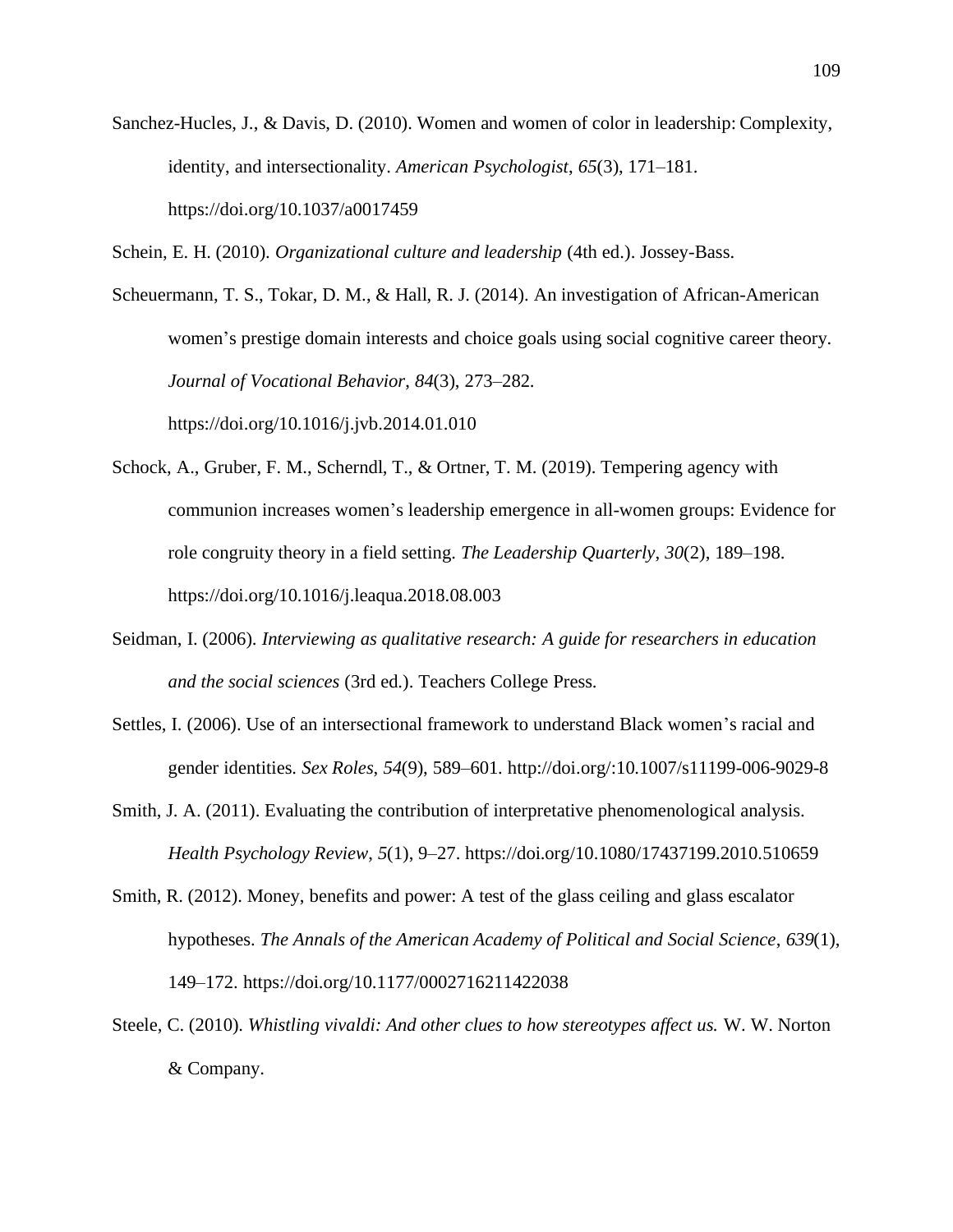Sanchez-Hucles, J., & Davis, D. (2010). Women and women of color in leadership: Complexity, identity, and intersectionality. *American Psychologist*, *65*(3), 171–181. <https://doi.org/10.1037/a0017459>

Schein, E. H. (2010). *Organizational culture and leadership* (4th ed.). Jossey-Bass.

Scheuermann, T. S., Tokar, D. M., & Hall, R. J. (2014). An investigation of African-American women's prestige domain interests and choice goals using social cognitive career theory. *Journal of Vocational Behavior*, *84*(3), 273–282. <https://doi.org/10.1016/j.jvb.2014.01.010>

- Schock, A., Gruber, F. M., Scherndl, T., & Ortner, T. M. (2019). Tempering agency with communion increases women's leadership emergence in all-women groups: Evidence for role congruity theory in a field setting. *The Leadership Quarterly*, *30*(2), 189–198. <https://doi.org/10.1016/j.leaqua.2018.08.003>
- Seidman, I. (2006). *Interviewing as qualitative research: A guide for researchers in education and the social sciences* (3rd ed.). Teachers College Press.
- Settles, I. (2006). Use of an intersectional framework to understand Black women's racial and gender identities. *Sex Roles*, *54*(9), 589–601.<http://doi.org/:10.1007/s11199-006-9029-8>
- Smith, J. A. (2011). Evaluating the contribution of interpretative phenomenological analysis. *Health Psychology Review*, *5*(1), 9–27. <https://doi.org/10.1080/17437199.2010.510659>
- Smith, R. (2012). Money, benefits and power: A test of the glass ceiling and glass escalator hypotheses. *The Annals of the American Academy of Political and Social Science*, *639*(1), 149–172.<https://doi.org/10.1177/0002716211422038>
- Steele, C. (2010). *Whistling vivaldi: And other clues to how stereotypes affect us.* W. W. Norton & Company.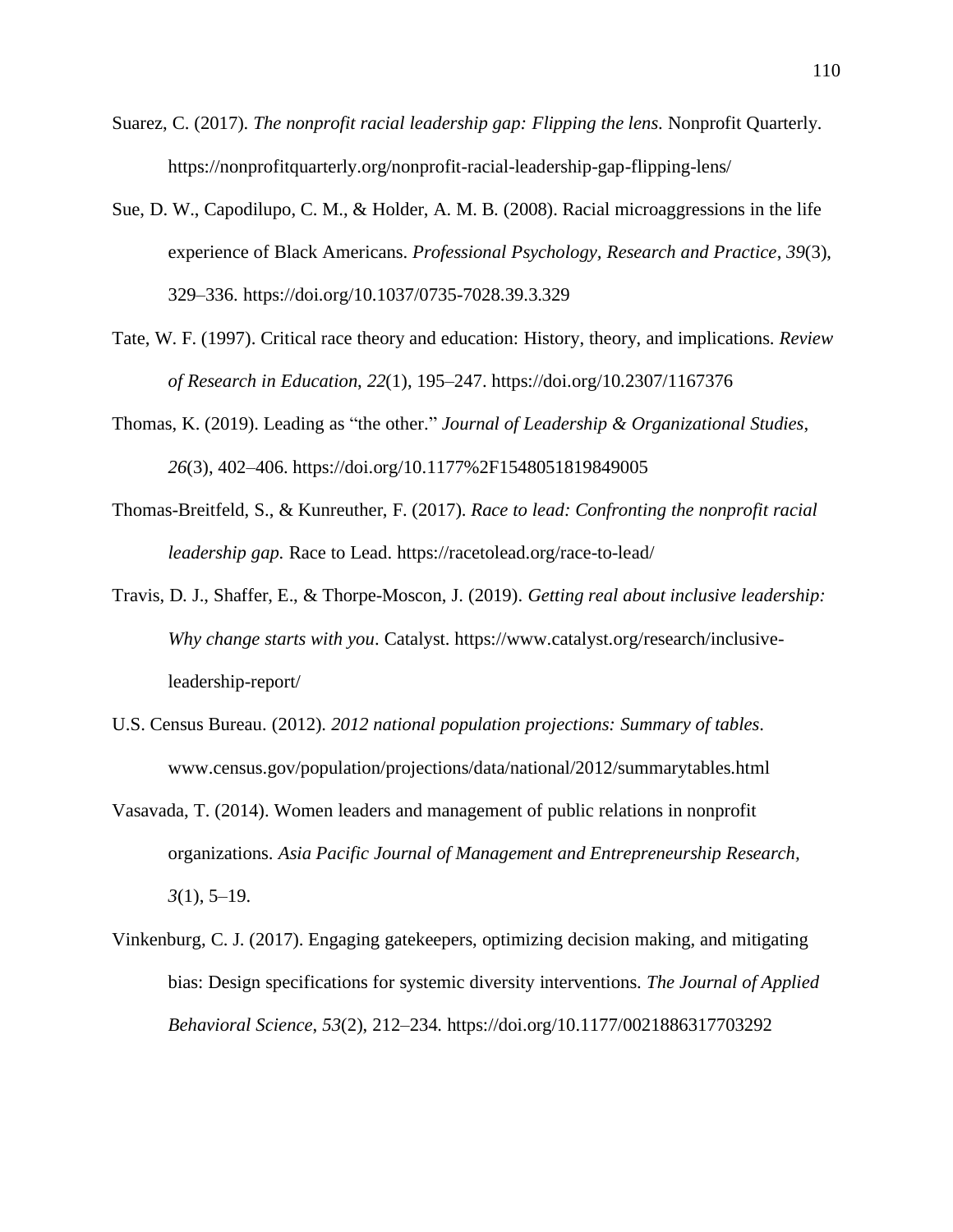- Suarez, C. (2017). *The nonprofit racial leadership gap: Flipping the lens*. Nonprofit Quarterly*.*  <https://nonprofitquarterly.org/nonprofit-racial-leadership-gap-flipping-lens/>
- Sue, D. W., Capodilupo, C. M., & Holder, A. M. B. (2008). Racial microaggressions in the life experience of Black Americans. *Professional Psychology, Research and Practice*, *39*(3), 329–336. <https://doi.org/10.1037/0735-7028.39.3.329>
- Tate, W. F. (1997). Critical race theory and education: History, theory, and implications. *Review of Research in Education*, *22*(1), 195–247. <https://doi.org/10.2307/1167376>
- Thomas, K. (2019). Leading as "the other." *Journal of Leadership & Organizational Studies*, *26*(3), 402–406. <https://doi.org/10.1177%2F1548051819849005>
- Thomas-Breitfeld, S., & Kunreuther, F. (2017). *Race to lead: Confronting the nonprofit racial leadership gap.* Race to Lead. <https://racetolead.org/race-to-lead/>
- Travis, D. J., Shaffer, E., & Thorpe-Moscon, J. (2019). *Getting real about inclusive leadership: Why change starts with you*. Catalyst. [https://www.catalyst.org/research/inclusive](https://www.catalyst.org/research/inclusive-leadership-report/)[leadership-report/](https://www.catalyst.org/research/inclusive-leadership-report/)
- U.S. Census Bureau. (2012). *2012 national population projections: Summary of tables*. [www.census.gov/population/projections/data/national/2012/summarytables.html](http://www.census.gov/population/projections/data/national/2012/summarytables.html)
- Vasavada, T. (2014). Women leaders and management of public relations in nonprofit organizations. *Asia Pacific Journal of Management and Entrepreneurship Research, 3*(1), 5–19.
- Vinkenburg, C. J. (2017). Engaging gatekeepers, optimizing decision making, and mitigating bias: Design specifications for systemic diversity interventions. *The Journal of Applied Behavioral Science*, *53*(2), 212–234.<https://doi.org/10.1177/0021886317703292>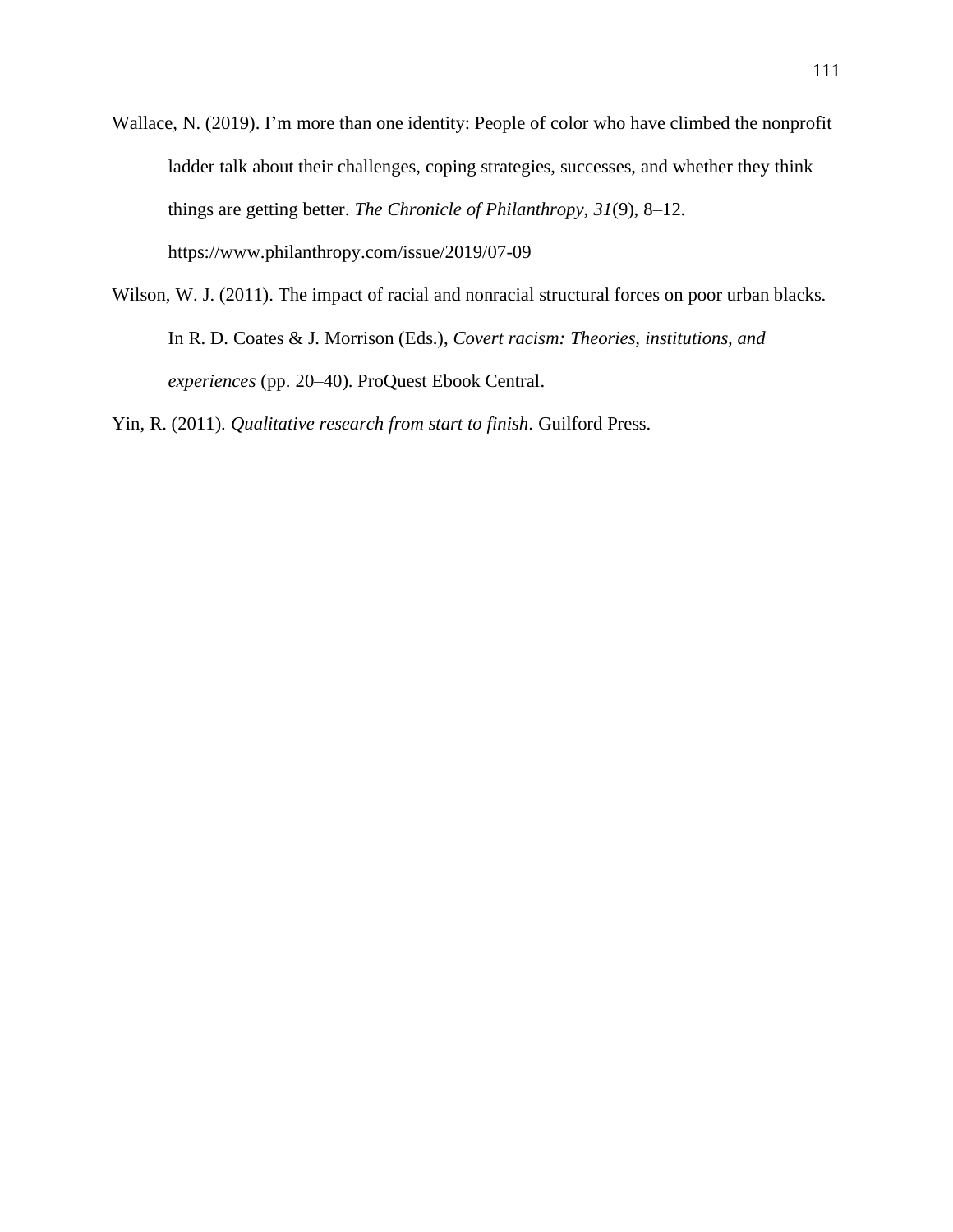- Wallace, N. (2019). I'm more than one identity: People of color who have climbed the nonprofit ladder talk about their challenges, coping strategies, successes, and whether they think things are getting better. *The Chronicle of Philanthropy*, *31*(9), 8–12. <https://www.philanthropy.com/issue/2019/07-09>
- Wilson, W. J. (2011). The impact of racial and nonracial structural forces on poor urban blacks. In R. D. Coates & J. Morrison (Eds.), *Covert racism: Theories, institutions, and experiences* (pp. 20–40). ProQuest Ebook Central.

Yin, R. (2011). *Qualitative research from start to finish*. Guilford Press.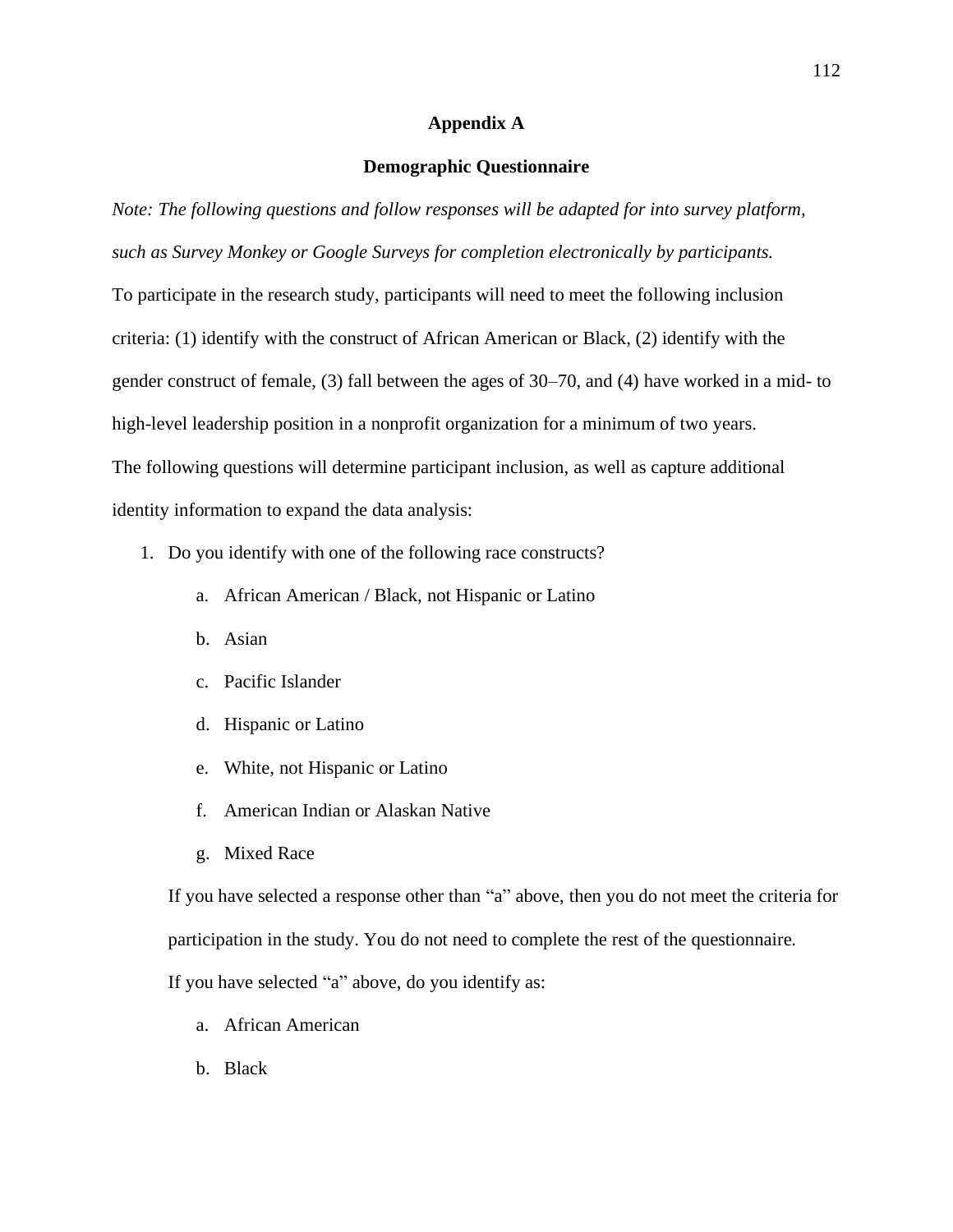## **Appendix A**

## **Demographic Questionnaire**

*Note: The following questions and follow responses will be adapted for into survey platform, such as Survey Monkey or Google Surveys for completion electronically by participants.*  To participate in the research study, participants will need to meet the following inclusion criteria: (1) identify with the construct of African American or Black, (2) identify with the gender construct of female, (3) fall between the ages of 30–70, and (4) have worked in a mid- to high-level leadership position in a nonprofit organization for a minimum of two years. The following questions will determine participant inclusion, as well as capture additional identity information to expand the data analysis:

- 1. Do you identify with one of the following race constructs?
	- a. African American / Black, not Hispanic or Latino
	- b. Asian
	- c. Pacific Islander
	- d. Hispanic or Latino
	- e. White, not Hispanic or Latino
	- f. American Indian or Alaskan Native
	- g. Mixed Race

If you have selected a response other than "a" above, then you do not meet the criteria for participation in the study. You do not need to complete the rest of the questionnaire. If you have selected "a" above, do you identify as:

- a. African American
- b. Black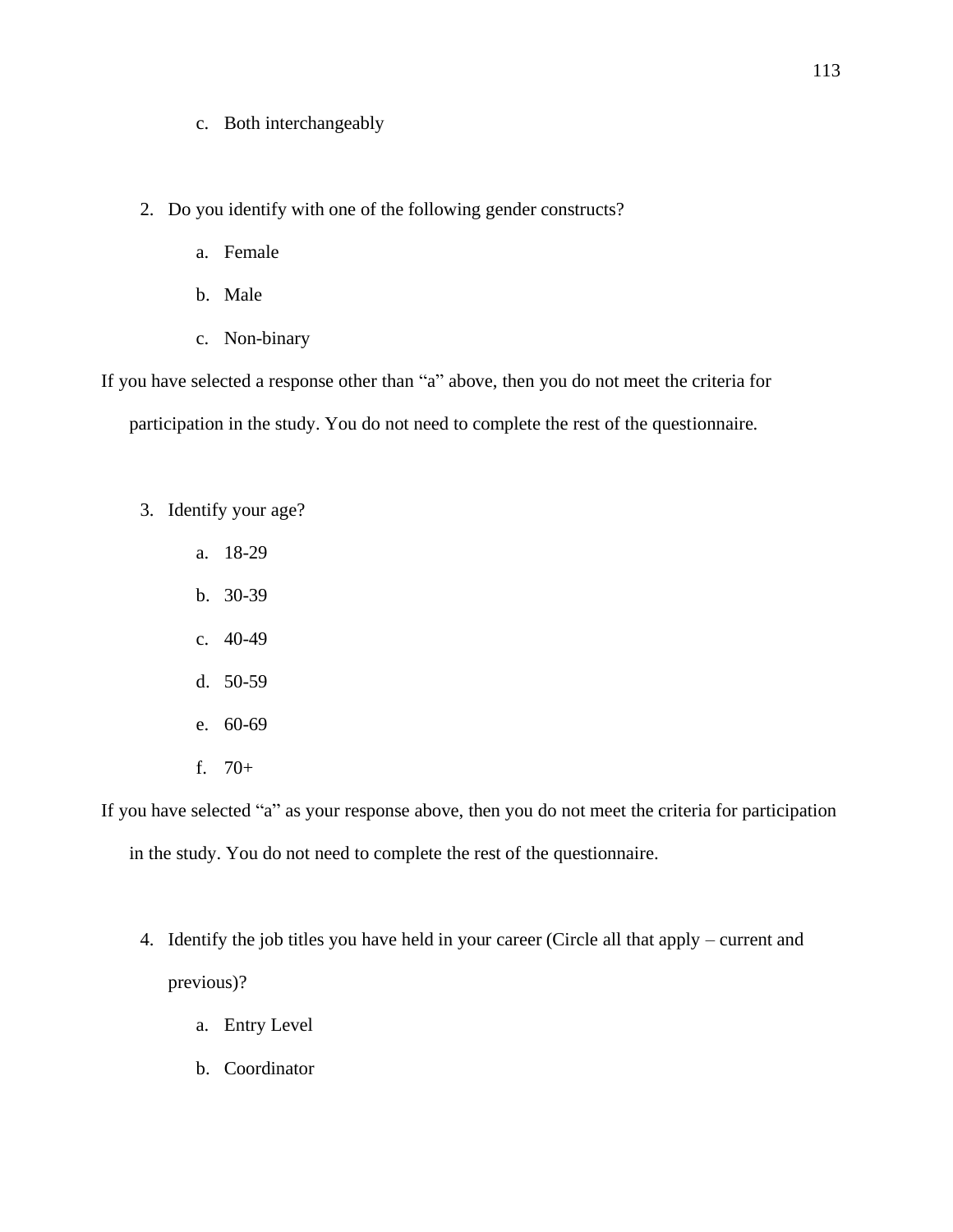c. Both interchangeably

2. Do you identify with one of the following gender constructs?

- a. Female
- b. Male
- c. Non-binary

If you have selected a response other than "a" above, then you do not meet the criteria for participation in the study. You do not need to complete the rest of the questionnaire.

- 3. Identify your age?
	- a. 18-29
	- b. 30-39
	- c. 40-49
	- d. 50-59
	- e. 60-69
	- f. 70+

If you have selected "a" as your response above, then you do not meet the criteria for participation

in the study. You do not need to complete the rest of the questionnaire.

- 4. Identify the job titles you have held in your career (Circle all that apply current and previous)?
	- a. Entry Level
	- b. Coordinator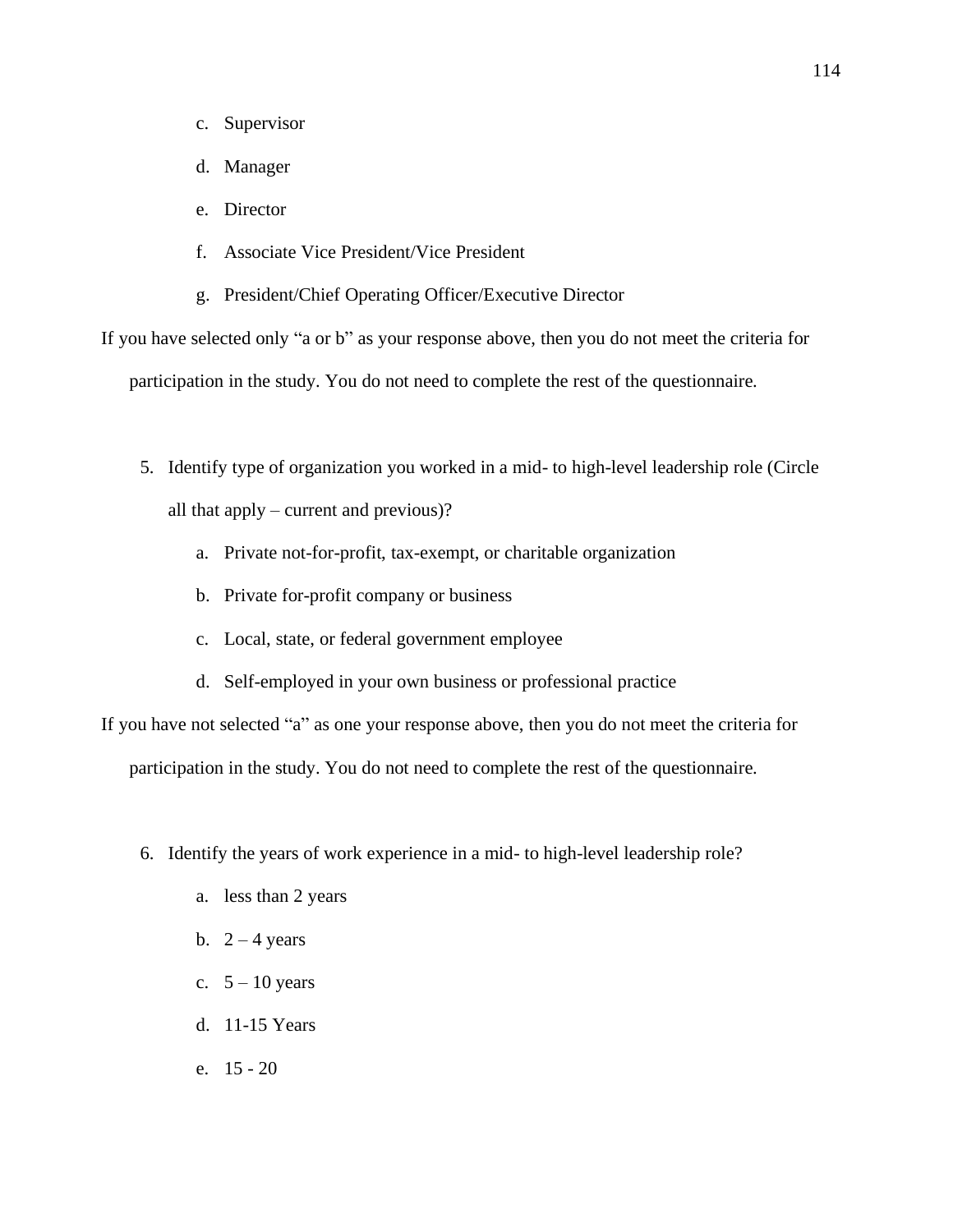- c. Supervisor
- d. Manager
- e. Director
- f. Associate Vice President/Vice President
- g. President/Chief Operating Officer/Executive Director

If you have selected only "a or b" as your response above, then you do not meet the criteria for participation in the study. You do not need to complete the rest of the questionnaire.

- 5. Identify type of organization you worked in a mid- to high-level leadership role (Circle all that apply – current and previous)?
	- a. Private not-for-profit, tax-exempt, or charitable organization
	- b. Private for-profit company or business
	- c. Local, state, or federal government employee
	- d. Self-employed in your own business or professional practice

If you have not selected "a" as one your response above, then you do not meet the criteria for

participation in the study. You do not need to complete the rest of the questionnaire.

- 6. Identify the years of work experience in a mid- to high-level leadership role?
	- a. less than 2 years
	- b.  $2 4$  years
	- c.  $5 10$  years
	- d. 11-15 Years
	- e. 15 20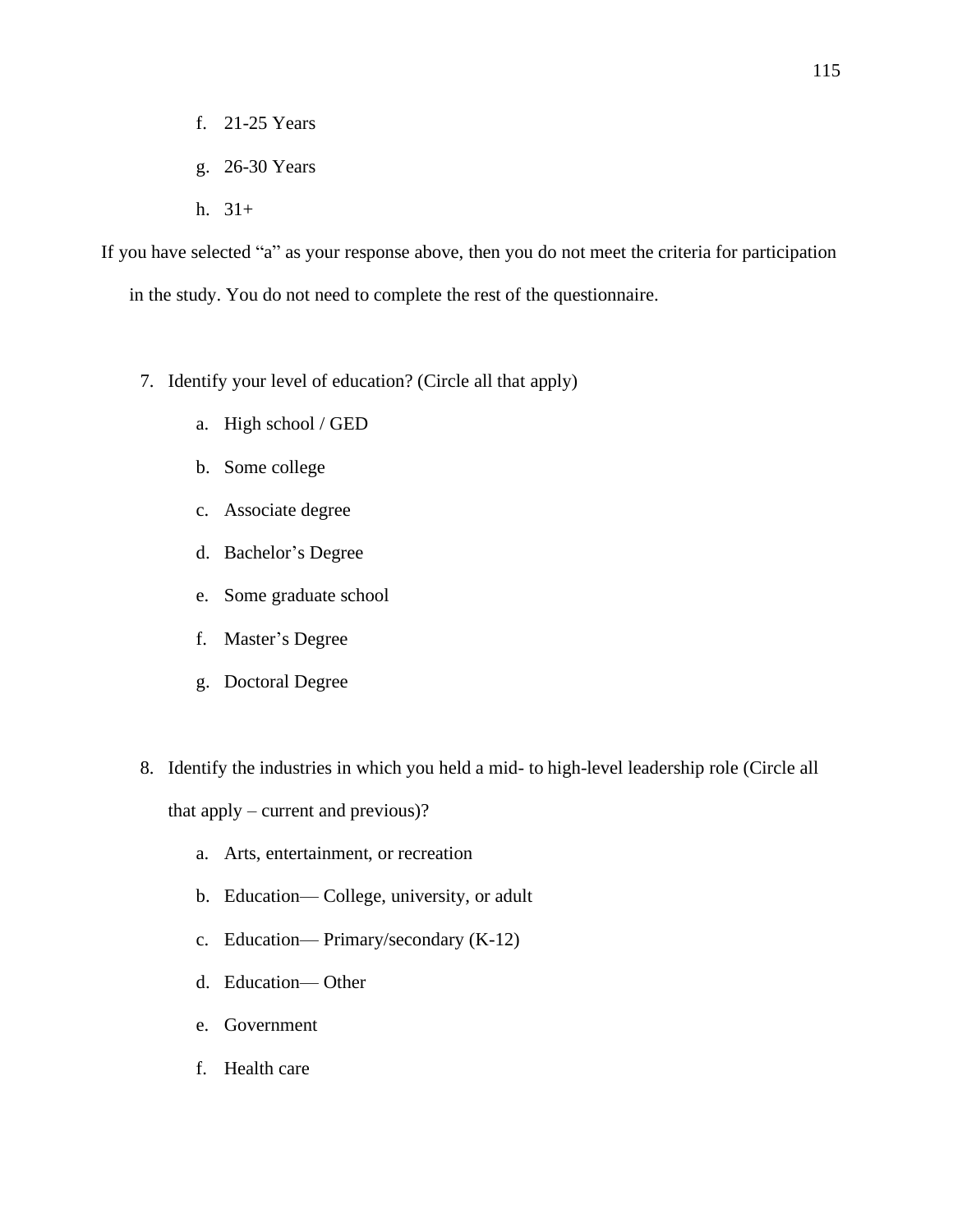- f. 21-25 Years
- g. 26-30 Years
- h. 31+

If you have selected "a" as your response above, then you do not meet the criteria for participation in the study. You do not need to complete the rest of the questionnaire.

- 7. Identify your level of education? (Circle all that apply)
	- a. High school / GED
	- b. Some college
	- c. Associate degree
	- d. Bachelor's Degree
	- e. Some graduate school
	- f. Master's Degree
	- g. Doctoral Degree
- 8. Identify the industries in which you held a mid- to high-level leadership role (Circle all that apply – current and previous)?
	- a. Arts, entertainment, or recreation
	- b. Education— College, university, or adult
	- c. Education— Primary/secondary (K-12)
	- d. Education— Other
	- e. Government
	- f. Health care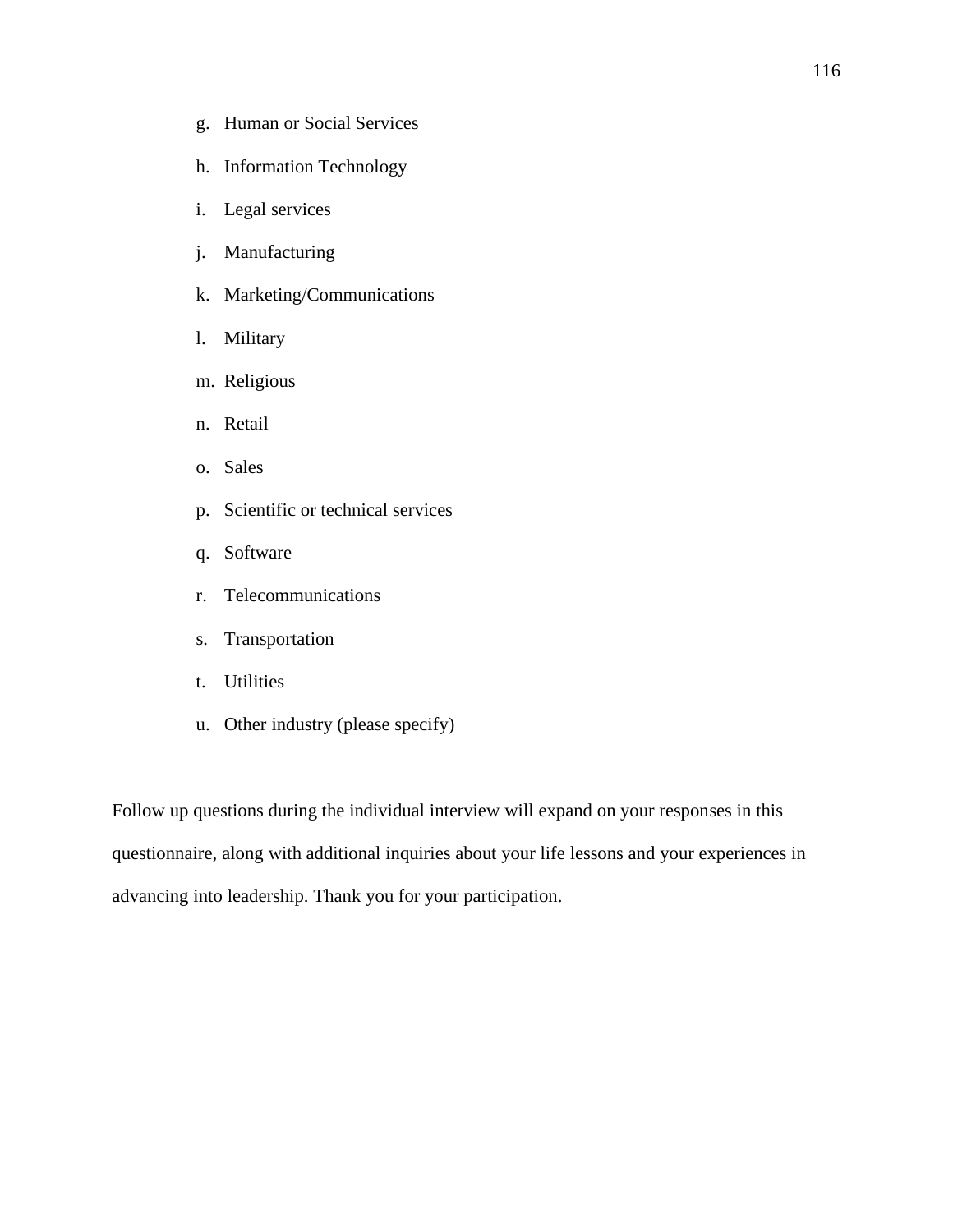- g. Human or Social Services
- h. Information Technology
- i. Legal services
- j. Manufacturing
- k. Marketing/Communications
- l. Military
- m. Religious
- n. Retail
- o. Sales
- p. Scientific or technical services
- q. Software
- r. Telecommunications
- s. Transportation
- t. Utilities
- u. Other industry (please specify)

Follow up questions during the individual interview will expand on your responses in this questionnaire, along with additional inquiries about your life lessons and your experiences in advancing into leadership. Thank you for your participation.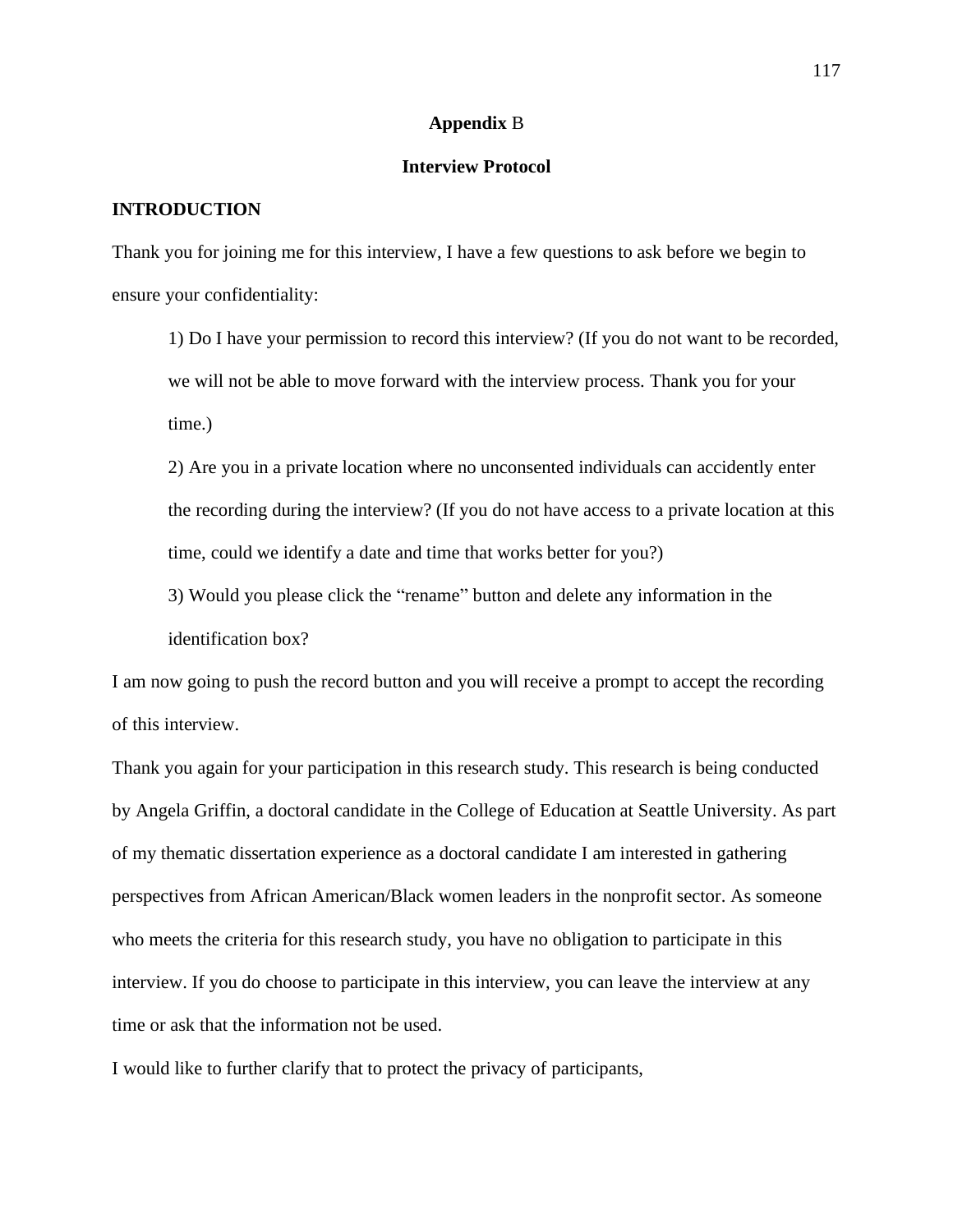#### **Appendix** B

## **Interview Protocol**

### **INTRODUCTION**

Thank you for joining me for this interview, I have a few questions to ask before we begin to ensure your confidentiality:

1) Do I have your permission to record this interview? (If you do not want to be recorded, we will not be able to move forward with the interview process. Thank you for your time.)

2) Are you in a private location where no unconsented individuals can accidently enter the recording during the interview? (If you do not have access to a private location at this time, could we identify a date and time that works better for you?)

3) Would you please click the "rename" button and delete any information in the identification box?

I am now going to push the record button and you will receive a prompt to accept the recording of this interview.

Thank you again for your participation in this research study. This research is being conducted by Angela Griffin, a doctoral candidate in the College of Education at Seattle University. As part of my thematic dissertation experience as a doctoral candidate I am interested in gathering perspectives from African American/Black women leaders in the nonprofit sector. As someone who meets the criteria for this research study, you have no obligation to participate in this interview. If you do choose to participate in this interview, you can leave the interview at any time or ask that the information not be used.

I would like to further clarify that to protect the privacy of participants,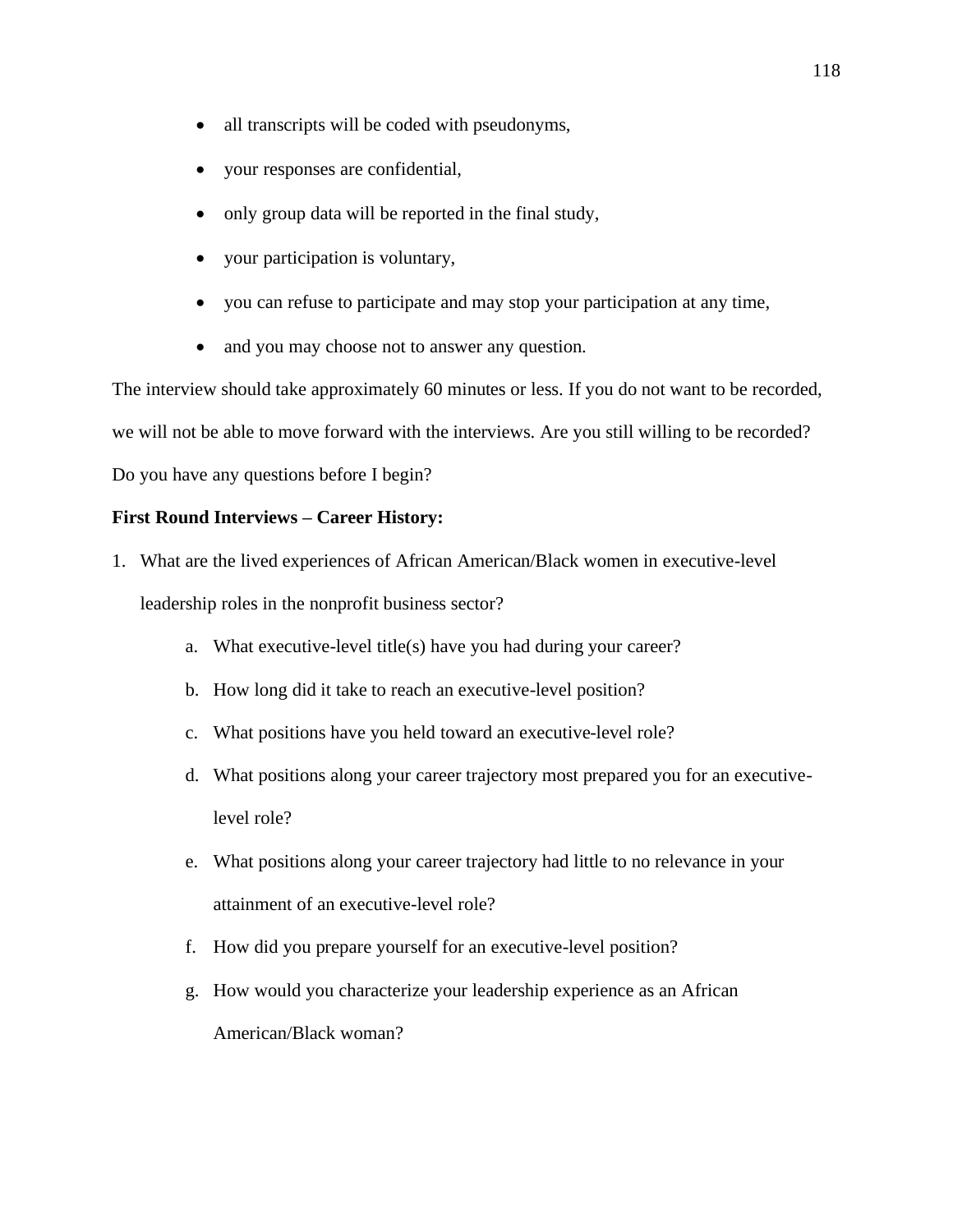- all transcripts will be coded with pseudonyms,
- your responses are confidential,
- only group data will be reported in the final study,
- your participation is voluntary,
- you can refuse to participate and may stop your participation at any time,
- and you may choose not to answer any question.

The interview should take approximately 60 minutes or less. If you do not want to be recorded, we will not be able to move forward with the interviews. Are you still willing to be recorded? Do you have any questions before I begin?

# **First Round Interviews – Career History:**

- 1. What are the lived experiences of African American/Black women in executive-level leadership roles in the nonprofit business sector?
	- a. What executive-level title(s) have you had during your career?
	- b. How long did it take to reach an executive-level position?
	- c. What positions have you held toward an executive-level role?
	- d. What positions along your career trajectory most prepared you for an executivelevel role?
	- e. What positions along your career trajectory had little to no relevance in your attainment of an executive-level role?
	- f. How did you prepare yourself for an executive-level position?
	- g. How would you characterize your leadership experience as an African American/Black woman?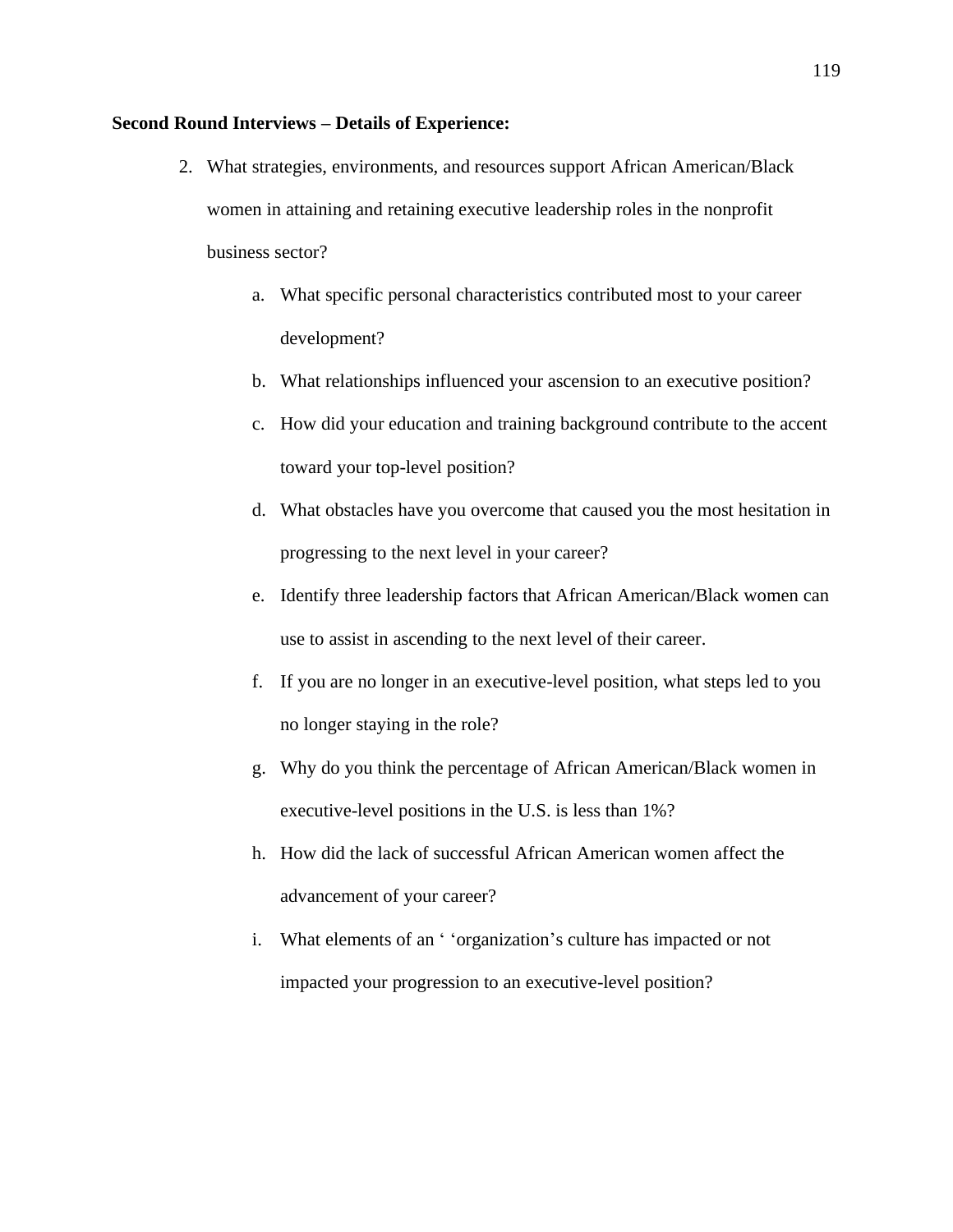## **Second Round Interviews – Details of Experience:**

- 2. What strategies, environments, and resources support African American/Black women in attaining and retaining executive leadership roles in the nonprofit business sector?
	- a. What specific personal characteristics contributed most to your career development?
	- b. What relationships influenced your ascension to an executive position?
	- c. How did your education and training background contribute to the accent toward your top-level position?
	- d. What obstacles have you overcome that caused you the most hesitation in progressing to the next level in your career?
	- e. Identify three leadership factors that African American/Black women can use to assist in ascending to the next level of their career.
	- f. If you are no longer in an executive-level position, what steps led to you no longer staying in the role?
	- g. Why do you think the percentage of African American/Black women in executive-level positions in the U.S. is less than 1%?
	- h. How did the lack of successful African American women affect the advancement of your career?
	- i. What elements of an ' 'organization's culture has impacted or not impacted your progression to an executive-level position?